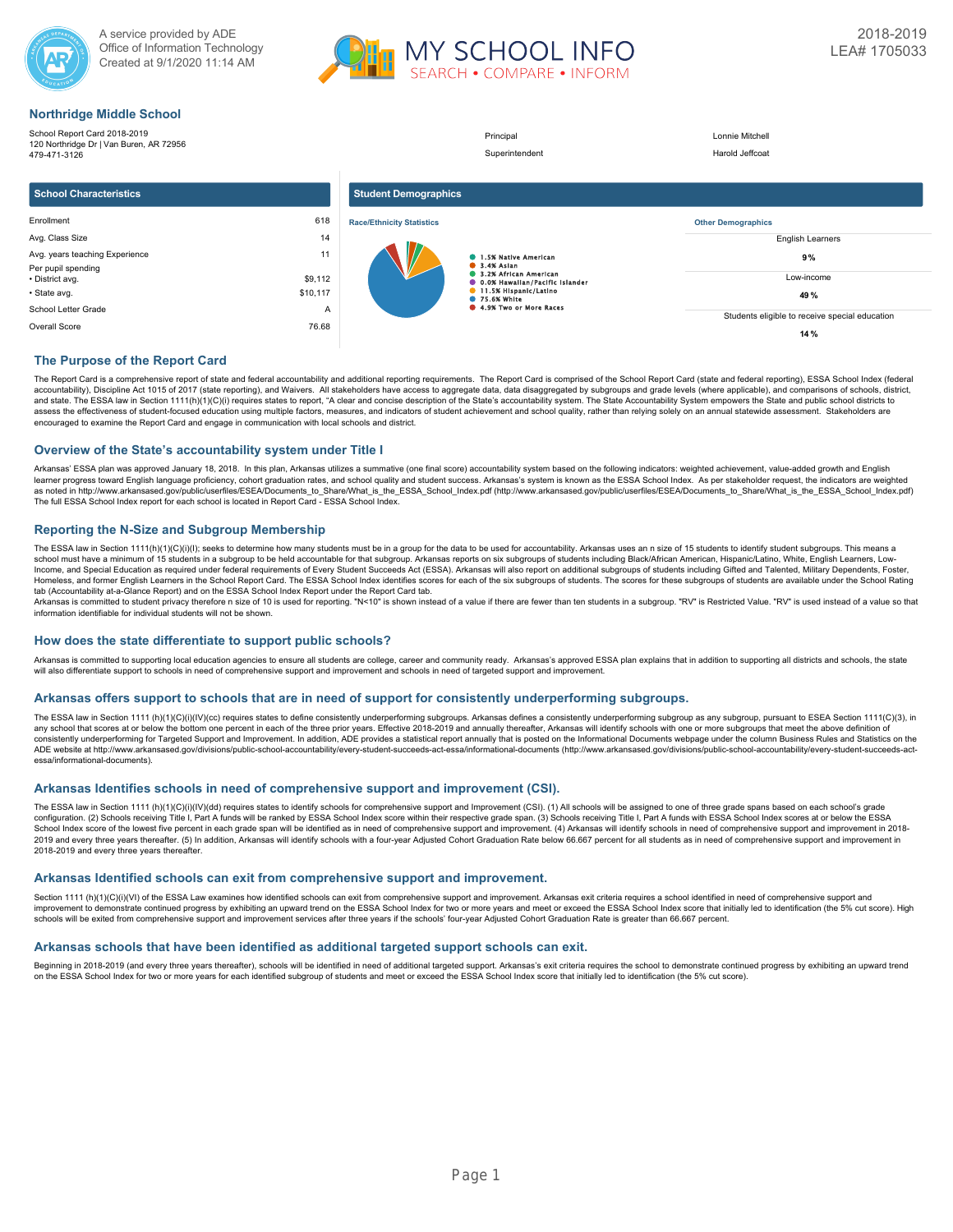



### **Northridge Middle School**

| .                                                                                       |          |                                  |                                                                |                                                |
|-----------------------------------------------------------------------------------------|----------|----------------------------------|----------------------------------------------------------------|------------------------------------------------|
| School Report Card 2018-2019<br>120 Northridge Dr   Van Buren, AR 72956<br>479-471-3126 |          |                                  | Principal<br>Superintendent                                    | Lonnie Mitchell<br>Harold Jeffcoat             |
| <b>School Characteristics</b>                                                           |          | <b>Student Demographics</b>      |                                                                |                                                |
| Enrollment                                                                              | 618      | <b>Race/Ethnicity Statistics</b> |                                                                | <b>Other Demographics</b>                      |
| Avg. Class Size                                                                         | 14       |                                  |                                                                | <b>English Learners</b>                        |
| Avg. years teaching Experience<br>Per pupil spending                                    | 11       |                                  | 1.5% Native American<br><b>8</b> 3.4% Asian                    | 9%                                             |
| • District avg.                                                                         | \$9,112  |                                  | 3.2% African American<br><b>0.0% Hawallan/Pacific Islander</b> | Low-income                                     |
| • State avg.                                                                            | \$10,117 |                                  | 11.5% Hispanic/Latino<br><b>125.6% White</b>                   | 49%                                            |
| School Letter Grade<br>A                                                                |          |                                  | 4.9% Two or More Races                                         | Students eligible to receive special education |
| Overall Score                                                                           | 76.68    |                                  |                                                                | 14 %                                           |

### **The Purpose of the Report Card**

The Report Card is a comprehensive report of state and federal accountability and additional reporting requirements. The Report Card is comprised of the School Report Card (state and federal reporting), ESSA School Index ( accountability), Discipline Act 1015 of 2017 (state reporting), and Waivers. All stakeholders have access to aggregate data, data disaggregated by subgroups and grade levels (where applicable), and comparisons of schools, and state. The ESSA law in Section 1111(h)(1)(C)(i) requires states to report, "A clear and concise description of the State's accountability system. The State Accountability System empowers the State and public school dis encouraged to examine the Report Card and engage in communication with local schools and district.

### **Overview of the State's accountability system under Title I**

Arkansas' ESSA plan was approved January 18, 2018. In this plan, Arkansas utilizes a summative (one final score) accountability system based on the following indicators: weighted achievement, value-added growth and English learner progress toward English language proficiency, cohort graduation rates, and school quality and student success. Arkansas's system is known as the ESSA School Index. As per stakeholder request, the indicators are wei as noted in http://www.arkansased.gov/public/userfiles/ESEA/Documents\_to\_Share/What\_is\_the\_ESSA\_School\_Index.pdf) (http://www.arkansased.gov/public/userfiles/ESEA/Documents\_to\_Share/What\_is\_the\_ESSA\_School\_Index.pdf) The full ESSA School Index report for each school is located in Report Card - ESSA School Index.

### **Reporting the N-Size and Subgroup Membership**

The ESSA law in Section 1111(h)(1)(C)(i)(l); seeks to determine how many students must be in a group for the data to be used for accountability. Arkansas uses an n size of 15 students to identify student subgroups. This me Income, and Special Education as required under federal requirements of Every Student Succeeds Act (ESSA). Arkansas will also report on additional subgroups of students including Gifted and Talented, Military Dependents, F Homeless, and former English Learners in the School Report Card. The ESSA School Index identifies scores for each of the six subgroups of students. The scores for these subgroups of students are available under the School tab (Accountability at-a-Glance Report) and on the ESSA School Index Report under the Report Card tab.

Arkansas is committed to student privacy therefore n size of 10 is used for reporting. "N<10" is shown instead of a value if there are fewer than ten students in a subgroup. "RV" is Restricted Value. "RV" is used instead

### **How does the state differentiate to support public schools?**

Arkansas is committed to supporting local education agencies to ensure all students are college, career and community ready. Arkansas's approved ESSA plan explains that in addition to supporting all districts and schools, will also differentiate support to schools in need of comprehensive support and improvement and schools in need of targeted support and improvement.

### **Arkansas offers support to schools that are in need of support for consistently underperforming subgroups.**

The ESSA law in Section 1111 (h)(1)(O)(i)(IV)(cc) requires states to define consistently underperforming subgroups. Arkansas defines a consistently underperforming subgroups as any subgroup, pursuant to ESEA Section 1111(C any school that scores at or below the bottom one percent in each of the three prior years. Effective 2018-2019 and annually thereafter. Arkansas will identify schools with one or more subgroups that meet the above definit consistently underperforming for Targeted Support and Improvement. In addition, ADE provides a statistical report annually that is posted on the Informational Documents webpage under the column Business Rules and Statistic ADE website at http://www.arkansased.gov/divisions/public-school-accountability/every-student-succeeds-act-essa/informational-documents (http://www.arkansased.gov/divisions/public-school-accountability/every-student-succee essa/informational-documents).

### **Arkansas Identifies schools in need of comprehensive support and improvement (CSI).**

The ESSA law in Section 1111 (h)(1)(C)(i)(IV)(dd) requires states to identify schools for comprehensive support and Improvement (CSI). (1) All schools will be assigned to one of three grade spans based on each school's gra School Index score of the lowest five percent in each grade span will be identified as in need of comprehensive support and improvement. (4) Arkansas will identify schools in need of comprehensive support and improvement 2019 and every three years thereafter. (5) In addition, Arkansas will identify schools with a four-year Adjusted Cohort Graduation Rate below 66,667 percent for all students as in need of comprehensive support and improvem 2018-2019 and every three years thereafter.

### **Arkansas Identified schools can exit from comprehensive support and improvement.**

Section 1111 (h)(1)(C)(i)(VI) of the ESSA Law examines how identified schools can exit from comprehensive support and improvement. Arkansas exit criteria requires a school identified in need of comprehensive support and improvement to demonstrate continued progress by exhibiting an upward trend on the ESSA School Index for two or more years and meet or exceed the ESSA School Index score that initially led to identification (the 5% cut sco schools will be exited from comprehensive support and improvement services after three years if the schools' four-year Adjusted Cohort Graduation Rate is greater than 66.667 percent.

### **Arkansas schools that have been identified as additional targeted support schools can exit.**

Beginning in 2018-2019 (and every three years thereafter), schools will be identified in need of additional targeted support. Arkansas's exit criteria requires the school to demonstrate continued progress by exhibiting an on the ESSA School Index for two or more years for each identified subgroup of students and meet or exceed the ESSA School Index score that initially led to identification (the 5% cut score).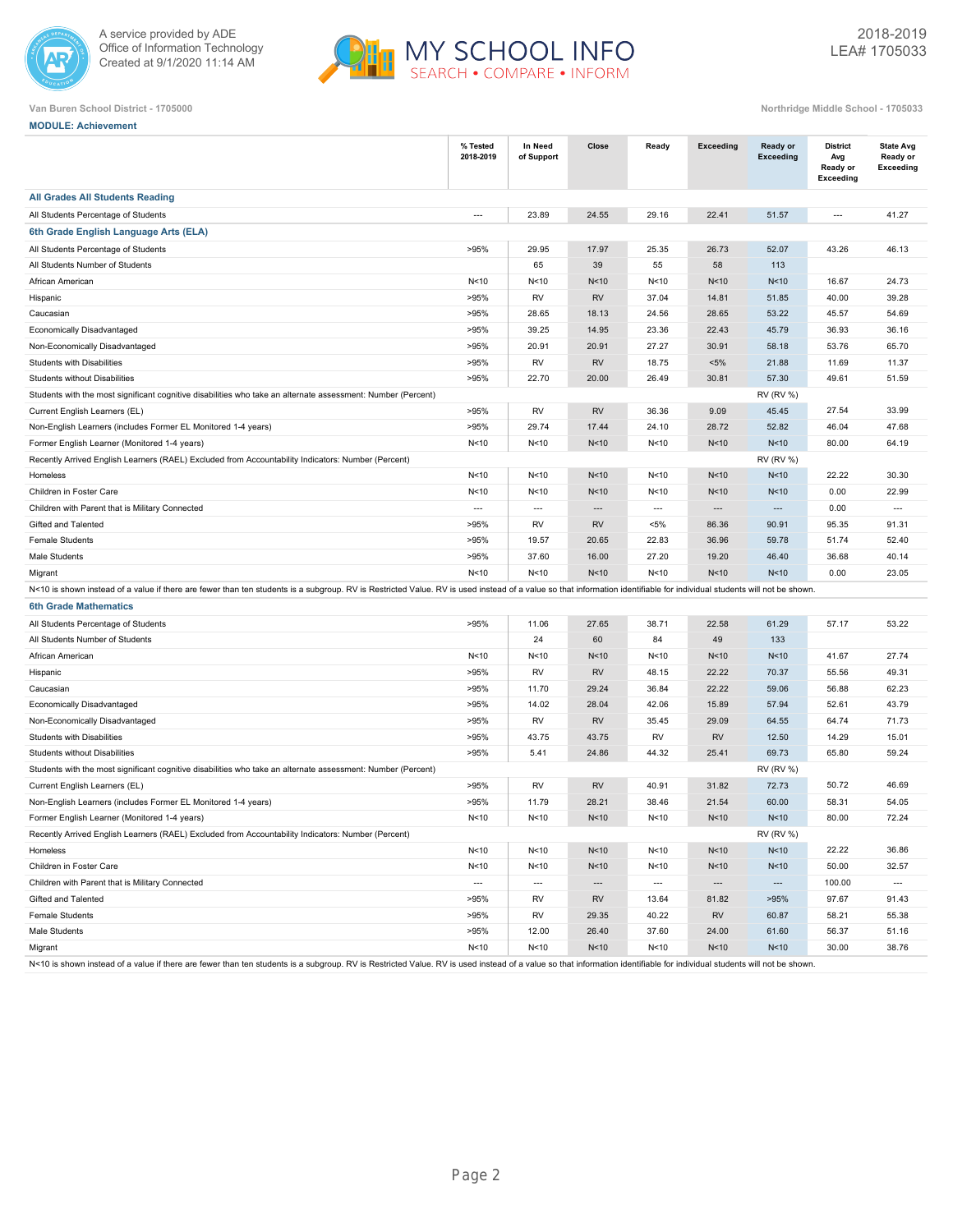



**MODULE: Achievement**

| <b>All Grades All Students Reading</b><br>24.55<br>23.89<br>29.16<br>22.41<br>51.57<br>All Students Percentage of Students<br>$\overline{a}$<br>$\overline{a}$<br>41.27<br>6th Grade English Language Arts (ELA)<br>17.97<br>52.07<br>All Students Percentage of Students<br>>95%<br>29.95<br>25.35<br>26.73<br>43.26<br>46.13<br>65<br>39<br>55<br>58<br>113<br>All Students Number of Students<br>N <sub>10</sub><br>N<10<br>N <sub>10</sub><br>African American<br>N < 10<br>N<10<br>N<10<br>16.67<br>24.73<br><b>RV</b><br><b>RV</b><br>Hispanic<br>>95%<br>37.04<br>14.81<br>51.85<br>40.00<br>39.28<br>Caucasian<br>>95%<br>28.65<br>18.13<br>24.56<br>28.65<br>53.22<br>45.57<br>54.69<br>Economically Disadvantaged<br>>95%<br>39.25<br>14.95<br>23.36<br>22.43<br>45.79<br>36.93<br>36.16<br>Non-Economically Disadvantaged<br>>95%<br>20.91<br>20.91<br>27.27<br>30.91<br>58.18<br>53.76<br>65.70<br>Students with Disabilities<br>>95%<br><b>RV</b><br><b>RV</b><br>$< 5\%$<br>18.75<br>21.88<br>11.69<br>11.37<br><b>Students without Disabilities</b><br>>95%<br>22.70<br>20.00<br>26.49<br>30.81<br>57.30<br>49.61<br>51.59<br><b>RV (RV %)</b><br>Students with the most significant cognitive disabilities who take an alternate assessment: Number (Percent)<br><b>RV</b><br>33.99<br>Current English Learners (EL)<br>>95%<br><b>RV</b><br>36.36<br>9.09<br>45.45<br>27.54<br>>95%<br>17.44<br>28.72<br>52.82<br>46.04<br>Non-English Learners (includes Former EL Monitored 1-4 years)<br>29.74<br>24.10<br>47.68<br>Former English Learner (Monitored 1-4 years)<br>N<10<br>N<10<br>N <sub>10</sub><br>N<10<br>N<10<br>N<10<br>80.00<br>64.19<br><b>RV (RV %)</b><br>Recently Arrived English Learners (RAEL) Excluded from Accountability Indicators: Number (Percent)<br>N <sub>10</sub><br>22.22<br>30.30<br>N<10<br>N<10<br>N<10<br>N<10<br>N<10<br>Homeless<br>N<10<br>N<10<br>N<10<br>N <sub>10</sub><br>0.00<br>22.99<br>Children in Foster Care<br>N<10<br>N<10<br>Children with Parent that is Military Connected<br>$\sim$<br>0.00<br>$\overline{\phantom{a}}$<br>$\overline{a}$<br>$\overline{\phantom{a}}$<br>$\sim$<br>$\sim$<br>$\overline{\phantom{a}}$<br><b>RV</b><br>Gifted and Talented<br>>95%<br>RV<br>$< 5\%$<br>86.36<br>90.91<br>95.35<br>91.31<br><b>Female Students</b><br>>95%<br>19.57<br>20.65<br>22.83<br>36.96<br>59.78<br>51.74<br>52.40<br>Male Students<br>>95%<br>37.60<br>16.00<br>27.20<br>19.20<br>46.40<br>36.68<br>40.14<br>Migrant<br>N<10<br>N<10<br>N<10<br>N<10<br>N<10<br>N <sub>10</sub><br>0.00<br>23.05<br>N<10 is shown instead of a value if there are fewer than ten students is a subgroup. RV is Restricted Value. RV is used instead of a value so that information identifiable for individual students will not be shown.<br><b>6th Grade Mathematics</b><br>>95%<br>27.65<br>38.71<br>22.58<br>61.29<br>57.17<br>53.22<br>All Students Percentage of Students<br>11.06<br>24<br>60<br>84<br>49<br>133<br>All Students Number of Students<br>African American<br>N<10<br>N <sub>10</sub><br>N <sub>10</sub><br>N<10<br>N<10<br>N <sub>10</sub><br>41.67<br>27.74<br>>95%<br><b>RV</b><br><b>RV</b><br>48.15<br>22.22<br>70.37<br>55.56<br>49.31<br>Hispanic<br>29.24<br>22.22<br>59.06<br>>95%<br>11.70<br>36.84<br>56.88<br>62.23<br>Caucasian<br>Economically Disadvantaged<br>>95%<br>14.02<br>28.04<br>15.89<br>57.94<br>52.61<br>43.79<br>42.06<br><b>RV</b><br>Non-Economically Disadvantaged<br>>95%<br>RV<br>35.45<br>29.09<br>64.55<br>64.74<br>71.73<br>>95%<br><b>RV</b><br><b>RV</b><br>Students with Disabilities<br>43.75<br>43.75<br>12.50<br>14.29<br>15.01<br>>95%<br>24.86<br>25.41<br>69.73<br><b>Students without Disabilities</b><br>5.41<br>44.32<br>65.80<br>59.24<br>Students with the most significant cognitive disabilities who take an alternate assessment: Number (Percent)<br><b>RV (RV %)</b><br>50.72<br>46.69<br><b>RV</b><br><b>RV</b><br>31.82<br>72.73<br>Current English Learners (EL)<br>>95%<br>40.91<br>Non-English Learners (includes Former EL Monitored 1-4 years)<br>>95%<br>11.79<br>28.21<br>38.46<br>21.54<br>60.00<br>58.31<br>54.05<br>Former English Learner (Monitored 1-4 years)<br>N<10<br>N<10<br>N <sub>10</sub><br>N<10<br>N<10<br>N <sub>10</sub><br>80.00<br>72.24<br>Recently Arrived English Learners (RAEL) Excluded from Accountability Indicators: Number (Percent)<br><b>RV (RV %)</b><br>N<10<br>N<10<br>N <sub>10</sub><br>N<10<br>N<10<br>N <sub>10</sub><br>22.22<br>36.86<br>Homeless<br>N <sub>10</sub><br>Children in Foster Care<br>N<10<br>N<10<br>N<10<br>N<10<br>N <sub>10</sub><br>50.00<br>32.57<br>Children with Parent that is Military Connected<br>100.00<br>$\overline{\phantom{a}}$<br>$\overline{\phantom{a}}$<br>$\overline{\phantom{a}}$<br>$\overline{\phantom{a}}$<br>$\overline{\phantom{a}}$<br>$\hspace{0.05cm} \ldots$<br>$\cdots$<br>Gifted and Talented<br>>95%<br><b>RV</b><br><b>RV</b><br>13.64<br>81.82<br>>95%<br>97.67<br>91.43<br>Female Students<br>>95%<br><b>RV</b><br>29.35<br><b>RV</b><br>60.87<br>58.21<br>40.22<br>55.38<br>>95%<br>61.60<br>12.00<br>26.40<br>37.60<br>24.00<br>56.37<br>51.16 |               | % Tested<br>2018-2019 | In Need<br>of Support | Close | Ready | <b>Exceeding</b> | Ready or<br><b>Exceeding</b> | <b>District</b><br>Avg<br>Ready or<br><b>Exceeding</b> | <b>State Avg</b><br>Ready or<br>Exceeding |
|-------------------------------------------------------------------------------------------------------------------------------------------------------------------------------------------------------------------------------------------------------------------------------------------------------------------------------------------------------------------------------------------------------------------------------------------------------------------------------------------------------------------------------------------------------------------------------------------------------------------------------------------------------------------------------------------------------------------------------------------------------------------------------------------------------------------------------------------------------------------------------------------------------------------------------------------------------------------------------------------------------------------------------------------------------------------------------------------------------------------------------------------------------------------------------------------------------------------------------------------------------------------------------------------------------------------------------------------------------------------------------------------------------------------------------------------------------------------------------------------------------------------------------------------------------------------------------------------------------------------------------------------------------------------------------------------------------------------------------------------------------------------------------------------------------------------------------------------------------------------------------------------------------------------------------------------------------------------------------------------------------------------------------------------------------------------------------------------------------------------------------------------------------------------------------------------------------------------------------------------------------------------------------------------------------------------------------------------------------------------------------------------------------------------------------------------------------------------------------------------------------------------------------------------------------------------------------------------------------------------------------------------------------------------------------------------------------------------------------------------------------------------------------------------------------------------------------------------------------------------------------------------------------------------------------------------------------------------------------------------------------------------------------------------------------------------------------------------------------------------------------------------------------------------------------------------------------------------------------------------------------------------------------------------------------------------------------------------------------------------------------------------------------------------------------------------------------------------------------------------------------------------------------------------------------------------------------------------------------------------------------------------------------------------------------------------------------------------------------------------------------------------------------------------------------------------------------------------------------------------------------------------------------------------------------------------------------------------------------------------------------------------------------------------------------------------------------------------------------------------------------------------------------------------------------------------------------------------------------------------------------------------------------------------------------------------------------------------------------------------------------------------------------------------------------------------------------------------------------------------------------------------------------------------------------------------------------------------------------------------------------------------------------------------------------------------------------------------------------------------------------------------------------------------------------------------------------------------------------------------------------------------------------------------------------------------------------------------------------------------------------------------------------------------------------------------------------------------------------------------------------------------------------------------------------------------|---------------|-----------------------|-----------------------|-------|-------|------------------|------------------------------|--------------------------------------------------------|-------------------------------------------|
|                                                                                                                                                                                                                                                                                                                                                                                                                                                                                                                                                                                                                                                                                                                                                                                                                                                                                                                                                                                                                                                                                                                                                                                                                                                                                                                                                                                                                                                                                                                                                                                                                                                                                                                                                                                                                                                                                                                                                                                                                                                                                                                                                                                                                                                                                                                                                                                                                                                                                                                                                                                                                                                                                                                                                                                                                                                                                                                                                                                                                                                                                                                                                                                                                                                                                                                                                                                                                                                                                                                                                                                                                                                                                                                                                                                                                                                                                                                                                                                                                                                                                                                                                                                                                                                                                                                                                                                                                                                                                                                                                                                                                                                                                                                                                                                                                                                                                                                                                                                                                                                                                                                                                                                           |               |                       |                       |       |       |                  |                              |                                                        |                                           |
|                                                                                                                                                                                                                                                                                                                                                                                                                                                                                                                                                                                                                                                                                                                                                                                                                                                                                                                                                                                                                                                                                                                                                                                                                                                                                                                                                                                                                                                                                                                                                                                                                                                                                                                                                                                                                                                                                                                                                                                                                                                                                                                                                                                                                                                                                                                                                                                                                                                                                                                                                                                                                                                                                                                                                                                                                                                                                                                                                                                                                                                                                                                                                                                                                                                                                                                                                                                                                                                                                                                                                                                                                                                                                                                                                                                                                                                                                                                                                                                                                                                                                                                                                                                                                                                                                                                                                                                                                                                                                                                                                                                                                                                                                                                                                                                                                                                                                                                                                                                                                                                                                                                                                                                           |               |                       |                       |       |       |                  |                              |                                                        |                                           |
|                                                                                                                                                                                                                                                                                                                                                                                                                                                                                                                                                                                                                                                                                                                                                                                                                                                                                                                                                                                                                                                                                                                                                                                                                                                                                                                                                                                                                                                                                                                                                                                                                                                                                                                                                                                                                                                                                                                                                                                                                                                                                                                                                                                                                                                                                                                                                                                                                                                                                                                                                                                                                                                                                                                                                                                                                                                                                                                                                                                                                                                                                                                                                                                                                                                                                                                                                                                                                                                                                                                                                                                                                                                                                                                                                                                                                                                                                                                                                                                                                                                                                                                                                                                                                                                                                                                                                                                                                                                                                                                                                                                                                                                                                                                                                                                                                                                                                                                                                                                                                                                                                                                                                                                           |               |                       |                       |       |       |                  |                              |                                                        |                                           |
|                                                                                                                                                                                                                                                                                                                                                                                                                                                                                                                                                                                                                                                                                                                                                                                                                                                                                                                                                                                                                                                                                                                                                                                                                                                                                                                                                                                                                                                                                                                                                                                                                                                                                                                                                                                                                                                                                                                                                                                                                                                                                                                                                                                                                                                                                                                                                                                                                                                                                                                                                                                                                                                                                                                                                                                                                                                                                                                                                                                                                                                                                                                                                                                                                                                                                                                                                                                                                                                                                                                                                                                                                                                                                                                                                                                                                                                                                                                                                                                                                                                                                                                                                                                                                                                                                                                                                                                                                                                                                                                                                                                                                                                                                                                                                                                                                                                                                                                                                                                                                                                                                                                                                                                           |               |                       |                       |       |       |                  |                              |                                                        |                                           |
|                                                                                                                                                                                                                                                                                                                                                                                                                                                                                                                                                                                                                                                                                                                                                                                                                                                                                                                                                                                                                                                                                                                                                                                                                                                                                                                                                                                                                                                                                                                                                                                                                                                                                                                                                                                                                                                                                                                                                                                                                                                                                                                                                                                                                                                                                                                                                                                                                                                                                                                                                                                                                                                                                                                                                                                                                                                                                                                                                                                                                                                                                                                                                                                                                                                                                                                                                                                                                                                                                                                                                                                                                                                                                                                                                                                                                                                                                                                                                                                                                                                                                                                                                                                                                                                                                                                                                                                                                                                                                                                                                                                                                                                                                                                                                                                                                                                                                                                                                                                                                                                                                                                                                                                           |               |                       |                       |       |       |                  |                              |                                                        |                                           |
|                                                                                                                                                                                                                                                                                                                                                                                                                                                                                                                                                                                                                                                                                                                                                                                                                                                                                                                                                                                                                                                                                                                                                                                                                                                                                                                                                                                                                                                                                                                                                                                                                                                                                                                                                                                                                                                                                                                                                                                                                                                                                                                                                                                                                                                                                                                                                                                                                                                                                                                                                                                                                                                                                                                                                                                                                                                                                                                                                                                                                                                                                                                                                                                                                                                                                                                                                                                                                                                                                                                                                                                                                                                                                                                                                                                                                                                                                                                                                                                                                                                                                                                                                                                                                                                                                                                                                                                                                                                                                                                                                                                                                                                                                                                                                                                                                                                                                                                                                                                                                                                                                                                                                                                           |               |                       |                       |       |       |                  |                              |                                                        |                                           |
|                                                                                                                                                                                                                                                                                                                                                                                                                                                                                                                                                                                                                                                                                                                                                                                                                                                                                                                                                                                                                                                                                                                                                                                                                                                                                                                                                                                                                                                                                                                                                                                                                                                                                                                                                                                                                                                                                                                                                                                                                                                                                                                                                                                                                                                                                                                                                                                                                                                                                                                                                                                                                                                                                                                                                                                                                                                                                                                                                                                                                                                                                                                                                                                                                                                                                                                                                                                                                                                                                                                                                                                                                                                                                                                                                                                                                                                                                                                                                                                                                                                                                                                                                                                                                                                                                                                                                                                                                                                                                                                                                                                                                                                                                                                                                                                                                                                                                                                                                                                                                                                                                                                                                                                           |               |                       |                       |       |       |                  |                              |                                                        |                                           |
|                                                                                                                                                                                                                                                                                                                                                                                                                                                                                                                                                                                                                                                                                                                                                                                                                                                                                                                                                                                                                                                                                                                                                                                                                                                                                                                                                                                                                                                                                                                                                                                                                                                                                                                                                                                                                                                                                                                                                                                                                                                                                                                                                                                                                                                                                                                                                                                                                                                                                                                                                                                                                                                                                                                                                                                                                                                                                                                                                                                                                                                                                                                                                                                                                                                                                                                                                                                                                                                                                                                                                                                                                                                                                                                                                                                                                                                                                                                                                                                                                                                                                                                                                                                                                                                                                                                                                                                                                                                                                                                                                                                                                                                                                                                                                                                                                                                                                                                                                                                                                                                                                                                                                                                           |               |                       |                       |       |       |                  |                              |                                                        |                                           |
|                                                                                                                                                                                                                                                                                                                                                                                                                                                                                                                                                                                                                                                                                                                                                                                                                                                                                                                                                                                                                                                                                                                                                                                                                                                                                                                                                                                                                                                                                                                                                                                                                                                                                                                                                                                                                                                                                                                                                                                                                                                                                                                                                                                                                                                                                                                                                                                                                                                                                                                                                                                                                                                                                                                                                                                                                                                                                                                                                                                                                                                                                                                                                                                                                                                                                                                                                                                                                                                                                                                                                                                                                                                                                                                                                                                                                                                                                                                                                                                                                                                                                                                                                                                                                                                                                                                                                                                                                                                                                                                                                                                                                                                                                                                                                                                                                                                                                                                                                                                                                                                                                                                                                                                           |               |                       |                       |       |       |                  |                              |                                                        |                                           |
|                                                                                                                                                                                                                                                                                                                                                                                                                                                                                                                                                                                                                                                                                                                                                                                                                                                                                                                                                                                                                                                                                                                                                                                                                                                                                                                                                                                                                                                                                                                                                                                                                                                                                                                                                                                                                                                                                                                                                                                                                                                                                                                                                                                                                                                                                                                                                                                                                                                                                                                                                                                                                                                                                                                                                                                                                                                                                                                                                                                                                                                                                                                                                                                                                                                                                                                                                                                                                                                                                                                                                                                                                                                                                                                                                                                                                                                                                                                                                                                                                                                                                                                                                                                                                                                                                                                                                                                                                                                                                                                                                                                                                                                                                                                                                                                                                                                                                                                                                                                                                                                                                                                                                                                           |               |                       |                       |       |       |                  |                              |                                                        |                                           |
|                                                                                                                                                                                                                                                                                                                                                                                                                                                                                                                                                                                                                                                                                                                                                                                                                                                                                                                                                                                                                                                                                                                                                                                                                                                                                                                                                                                                                                                                                                                                                                                                                                                                                                                                                                                                                                                                                                                                                                                                                                                                                                                                                                                                                                                                                                                                                                                                                                                                                                                                                                                                                                                                                                                                                                                                                                                                                                                                                                                                                                                                                                                                                                                                                                                                                                                                                                                                                                                                                                                                                                                                                                                                                                                                                                                                                                                                                                                                                                                                                                                                                                                                                                                                                                                                                                                                                                                                                                                                                                                                                                                                                                                                                                                                                                                                                                                                                                                                                                                                                                                                                                                                                                                           |               |                       |                       |       |       |                  |                              |                                                        |                                           |
|                                                                                                                                                                                                                                                                                                                                                                                                                                                                                                                                                                                                                                                                                                                                                                                                                                                                                                                                                                                                                                                                                                                                                                                                                                                                                                                                                                                                                                                                                                                                                                                                                                                                                                                                                                                                                                                                                                                                                                                                                                                                                                                                                                                                                                                                                                                                                                                                                                                                                                                                                                                                                                                                                                                                                                                                                                                                                                                                                                                                                                                                                                                                                                                                                                                                                                                                                                                                                                                                                                                                                                                                                                                                                                                                                                                                                                                                                                                                                                                                                                                                                                                                                                                                                                                                                                                                                                                                                                                                                                                                                                                                                                                                                                                                                                                                                                                                                                                                                                                                                                                                                                                                                                                           |               |                       |                       |       |       |                  |                              |                                                        |                                           |
|                                                                                                                                                                                                                                                                                                                                                                                                                                                                                                                                                                                                                                                                                                                                                                                                                                                                                                                                                                                                                                                                                                                                                                                                                                                                                                                                                                                                                                                                                                                                                                                                                                                                                                                                                                                                                                                                                                                                                                                                                                                                                                                                                                                                                                                                                                                                                                                                                                                                                                                                                                                                                                                                                                                                                                                                                                                                                                                                                                                                                                                                                                                                                                                                                                                                                                                                                                                                                                                                                                                                                                                                                                                                                                                                                                                                                                                                                                                                                                                                                                                                                                                                                                                                                                                                                                                                                                                                                                                                                                                                                                                                                                                                                                                                                                                                                                                                                                                                                                                                                                                                                                                                                                                           |               |                       |                       |       |       |                  |                              |                                                        |                                           |
|                                                                                                                                                                                                                                                                                                                                                                                                                                                                                                                                                                                                                                                                                                                                                                                                                                                                                                                                                                                                                                                                                                                                                                                                                                                                                                                                                                                                                                                                                                                                                                                                                                                                                                                                                                                                                                                                                                                                                                                                                                                                                                                                                                                                                                                                                                                                                                                                                                                                                                                                                                                                                                                                                                                                                                                                                                                                                                                                                                                                                                                                                                                                                                                                                                                                                                                                                                                                                                                                                                                                                                                                                                                                                                                                                                                                                                                                                                                                                                                                                                                                                                                                                                                                                                                                                                                                                                                                                                                                                                                                                                                                                                                                                                                                                                                                                                                                                                                                                                                                                                                                                                                                                                                           |               |                       |                       |       |       |                  |                              |                                                        |                                           |
|                                                                                                                                                                                                                                                                                                                                                                                                                                                                                                                                                                                                                                                                                                                                                                                                                                                                                                                                                                                                                                                                                                                                                                                                                                                                                                                                                                                                                                                                                                                                                                                                                                                                                                                                                                                                                                                                                                                                                                                                                                                                                                                                                                                                                                                                                                                                                                                                                                                                                                                                                                                                                                                                                                                                                                                                                                                                                                                                                                                                                                                                                                                                                                                                                                                                                                                                                                                                                                                                                                                                                                                                                                                                                                                                                                                                                                                                                                                                                                                                                                                                                                                                                                                                                                                                                                                                                                                                                                                                                                                                                                                                                                                                                                                                                                                                                                                                                                                                                                                                                                                                                                                                                                                           |               |                       |                       |       |       |                  |                              |                                                        |                                           |
|                                                                                                                                                                                                                                                                                                                                                                                                                                                                                                                                                                                                                                                                                                                                                                                                                                                                                                                                                                                                                                                                                                                                                                                                                                                                                                                                                                                                                                                                                                                                                                                                                                                                                                                                                                                                                                                                                                                                                                                                                                                                                                                                                                                                                                                                                                                                                                                                                                                                                                                                                                                                                                                                                                                                                                                                                                                                                                                                                                                                                                                                                                                                                                                                                                                                                                                                                                                                                                                                                                                                                                                                                                                                                                                                                                                                                                                                                                                                                                                                                                                                                                                                                                                                                                                                                                                                                                                                                                                                                                                                                                                                                                                                                                                                                                                                                                                                                                                                                                                                                                                                                                                                                                                           |               |                       |                       |       |       |                  |                              |                                                        |                                           |
|                                                                                                                                                                                                                                                                                                                                                                                                                                                                                                                                                                                                                                                                                                                                                                                                                                                                                                                                                                                                                                                                                                                                                                                                                                                                                                                                                                                                                                                                                                                                                                                                                                                                                                                                                                                                                                                                                                                                                                                                                                                                                                                                                                                                                                                                                                                                                                                                                                                                                                                                                                                                                                                                                                                                                                                                                                                                                                                                                                                                                                                                                                                                                                                                                                                                                                                                                                                                                                                                                                                                                                                                                                                                                                                                                                                                                                                                                                                                                                                                                                                                                                                                                                                                                                                                                                                                                                                                                                                                                                                                                                                                                                                                                                                                                                                                                                                                                                                                                                                                                                                                                                                                                                                           |               |                       |                       |       |       |                  |                              |                                                        |                                           |
|                                                                                                                                                                                                                                                                                                                                                                                                                                                                                                                                                                                                                                                                                                                                                                                                                                                                                                                                                                                                                                                                                                                                                                                                                                                                                                                                                                                                                                                                                                                                                                                                                                                                                                                                                                                                                                                                                                                                                                                                                                                                                                                                                                                                                                                                                                                                                                                                                                                                                                                                                                                                                                                                                                                                                                                                                                                                                                                                                                                                                                                                                                                                                                                                                                                                                                                                                                                                                                                                                                                                                                                                                                                                                                                                                                                                                                                                                                                                                                                                                                                                                                                                                                                                                                                                                                                                                                                                                                                                                                                                                                                                                                                                                                                                                                                                                                                                                                                                                                                                                                                                                                                                                                                           |               |                       |                       |       |       |                  |                              |                                                        |                                           |
|                                                                                                                                                                                                                                                                                                                                                                                                                                                                                                                                                                                                                                                                                                                                                                                                                                                                                                                                                                                                                                                                                                                                                                                                                                                                                                                                                                                                                                                                                                                                                                                                                                                                                                                                                                                                                                                                                                                                                                                                                                                                                                                                                                                                                                                                                                                                                                                                                                                                                                                                                                                                                                                                                                                                                                                                                                                                                                                                                                                                                                                                                                                                                                                                                                                                                                                                                                                                                                                                                                                                                                                                                                                                                                                                                                                                                                                                                                                                                                                                                                                                                                                                                                                                                                                                                                                                                                                                                                                                                                                                                                                                                                                                                                                                                                                                                                                                                                                                                                                                                                                                                                                                                                                           |               |                       |                       |       |       |                  |                              |                                                        |                                           |
|                                                                                                                                                                                                                                                                                                                                                                                                                                                                                                                                                                                                                                                                                                                                                                                                                                                                                                                                                                                                                                                                                                                                                                                                                                                                                                                                                                                                                                                                                                                                                                                                                                                                                                                                                                                                                                                                                                                                                                                                                                                                                                                                                                                                                                                                                                                                                                                                                                                                                                                                                                                                                                                                                                                                                                                                                                                                                                                                                                                                                                                                                                                                                                                                                                                                                                                                                                                                                                                                                                                                                                                                                                                                                                                                                                                                                                                                                                                                                                                                                                                                                                                                                                                                                                                                                                                                                                                                                                                                                                                                                                                                                                                                                                                                                                                                                                                                                                                                                                                                                                                                                                                                                                                           |               |                       |                       |       |       |                  |                              |                                                        |                                           |
|                                                                                                                                                                                                                                                                                                                                                                                                                                                                                                                                                                                                                                                                                                                                                                                                                                                                                                                                                                                                                                                                                                                                                                                                                                                                                                                                                                                                                                                                                                                                                                                                                                                                                                                                                                                                                                                                                                                                                                                                                                                                                                                                                                                                                                                                                                                                                                                                                                                                                                                                                                                                                                                                                                                                                                                                                                                                                                                                                                                                                                                                                                                                                                                                                                                                                                                                                                                                                                                                                                                                                                                                                                                                                                                                                                                                                                                                                                                                                                                                                                                                                                                                                                                                                                                                                                                                                                                                                                                                                                                                                                                                                                                                                                                                                                                                                                                                                                                                                                                                                                                                                                                                                                                           |               |                       |                       |       |       |                  |                              |                                                        |                                           |
|                                                                                                                                                                                                                                                                                                                                                                                                                                                                                                                                                                                                                                                                                                                                                                                                                                                                                                                                                                                                                                                                                                                                                                                                                                                                                                                                                                                                                                                                                                                                                                                                                                                                                                                                                                                                                                                                                                                                                                                                                                                                                                                                                                                                                                                                                                                                                                                                                                                                                                                                                                                                                                                                                                                                                                                                                                                                                                                                                                                                                                                                                                                                                                                                                                                                                                                                                                                                                                                                                                                                                                                                                                                                                                                                                                                                                                                                                                                                                                                                                                                                                                                                                                                                                                                                                                                                                                                                                                                                                                                                                                                                                                                                                                                                                                                                                                                                                                                                                                                                                                                                                                                                                                                           |               |                       |                       |       |       |                  |                              |                                                        |                                           |
|                                                                                                                                                                                                                                                                                                                                                                                                                                                                                                                                                                                                                                                                                                                                                                                                                                                                                                                                                                                                                                                                                                                                                                                                                                                                                                                                                                                                                                                                                                                                                                                                                                                                                                                                                                                                                                                                                                                                                                                                                                                                                                                                                                                                                                                                                                                                                                                                                                                                                                                                                                                                                                                                                                                                                                                                                                                                                                                                                                                                                                                                                                                                                                                                                                                                                                                                                                                                                                                                                                                                                                                                                                                                                                                                                                                                                                                                                                                                                                                                                                                                                                                                                                                                                                                                                                                                                                                                                                                                                                                                                                                                                                                                                                                                                                                                                                                                                                                                                                                                                                                                                                                                                                                           |               |                       |                       |       |       |                  |                              |                                                        |                                           |
|                                                                                                                                                                                                                                                                                                                                                                                                                                                                                                                                                                                                                                                                                                                                                                                                                                                                                                                                                                                                                                                                                                                                                                                                                                                                                                                                                                                                                                                                                                                                                                                                                                                                                                                                                                                                                                                                                                                                                                                                                                                                                                                                                                                                                                                                                                                                                                                                                                                                                                                                                                                                                                                                                                                                                                                                                                                                                                                                                                                                                                                                                                                                                                                                                                                                                                                                                                                                                                                                                                                                                                                                                                                                                                                                                                                                                                                                                                                                                                                                                                                                                                                                                                                                                                                                                                                                                                                                                                                                                                                                                                                                                                                                                                                                                                                                                                                                                                                                                                                                                                                                                                                                                                                           |               |                       |                       |       |       |                  |                              |                                                        |                                           |
|                                                                                                                                                                                                                                                                                                                                                                                                                                                                                                                                                                                                                                                                                                                                                                                                                                                                                                                                                                                                                                                                                                                                                                                                                                                                                                                                                                                                                                                                                                                                                                                                                                                                                                                                                                                                                                                                                                                                                                                                                                                                                                                                                                                                                                                                                                                                                                                                                                                                                                                                                                                                                                                                                                                                                                                                                                                                                                                                                                                                                                                                                                                                                                                                                                                                                                                                                                                                                                                                                                                                                                                                                                                                                                                                                                                                                                                                                                                                                                                                                                                                                                                                                                                                                                                                                                                                                                                                                                                                                                                                                                                                                                                                                                                                                                                                                                                                                                                                                                                                                                                                                                                                                                                           |               |                       |                       |       |       |                  |                              |                                                        |                                           |
|                                                                                                                                                                                                                                                                                                                                                                                                                                                                                                                                                                                                                                                                                                                                                                                                                                                                                                                                                                                                                                                                                                                                                                                                                                                                                                                                                                                                                                                                                                                                                                                                                                                                                                                                                                                                                                                                                                                                                                                                                                                                                                                                                                                                                                                                                                                                                                                                                                                                                                                                                                                                                                                                                                                                                                                                                                                                                                                                                                                                                                                                                                                                                                                                                                                                                                                                                                                                                                                                                                                                                                                                                                                                                                                                                                                                                                                                                                                                                                                                                                                                                                                                                                                                                                                                                                                                                                                                                                                                                                                                                                                                                                                                                                                                                                                                                                                                                                                                                                                                                                                                                                                                                                                           |               |                       |                       |       |       |                  |                              |                                                        |                                           |
|                                                                                                                                                                                                                                                                                                                                                                                                                                                                                                                                                                                                                                                                                                                                                                                                                                                                                                                                                                                                                                                                                                                                                                                                                                                                                                                                                                                                                                                                                                                                                                                                                                                                                                                                                                                                                                                                                                                                                                                                                                                                                                                                                                                                                                                                                                                                                                                                                                                                                                                                                                                                                                                                                                                                                                                                                                                                                                                                                                                                                                                                                                                                                                                                                                                                                                                                                                                                                                                                                                                                                                                                                                                                                                                                                                                                                                                                                                                                                                                                                                                                                                                                                                                                                                                                                                                                                                                                                                                                                                                                                                                                                                                                                                                                                                                                                                                                                                                                                                                                                                                                                                                                                                                           |               |                       |                       |       |       |                  |                              |                                                        |                                           |
|                                                                                                                                                                                                                                                                                                                                                                                                                                                                                                                                                                                                                                                                                                                                                                                                                                                                                                                                                                                                                                                                                                                                                                                                                                                                                                                                                                                                                                                                                                                                                                                                                                                                                                                                                                                                                                                                                                                                                                                                                                                                                                                                                                                                                                                                                                                                                                                                                                                                                                                                                                                                                                                                                                                                                                                                                                                                                                                                                                                                                                                                                                                                                                                                                                                                                                                                                                                                                                                                                                                                                                                                                                                                                                                                                                                                                                                                                                                                                                                                                                                                                                                                                                                                                                                                                                                                                                                                                                                                                                                                                                                                                                                                                                                                                                                                                                                                                                                                                                                                                                                                                                                                                                                           |               |                       |                       |       |       |                  |                              |                                                        |                                           |
|                                                                                                                                                                                                                                                                                                                                                                                                                                                                                                                                                                                                                                                                                                                                                                                                                                                                                                                                                                                                                                                                                                                                                                                                                                                                                                                                                                                                                                                                                                                                                                                                                                                                                                                                                                                                                                                                                                                                                                                                                                                                                                                                                                                                                                                                                                                                                                                                                                                                                                                                                                                                                                                                                                                                                                                                                                                                                                                                                                                                                                                                                                                                                                                                                                                                                                                                                                                                                                                                                                                                                                                                                                                                                                                                                                                                                                                                                                                                                                                                                                                                                                                                                                                                                                                                                                                                                                                                                                                                                                                                                                                                                                                                                                                                                                                                                                                                                                                                                                                                                                                                                                                                                                                           |               |                       |                       |       |       |                  |                              |                                                        |                                           |
|                                                                                                                                                                                                                                                                                                                                                                                                                                                                                                                                                                                                                                                                                                                                                                                                                                                                                                                                                                                                                                                                                                                                                                                                                                                                                                                                                                                                                                                                                                                                                                                                                                                                                                                                                                                                                                                                                                                                                                                                                                                                                                                                                                                                                                                                                                                                                                                                                                                                                                                                                                                                                                                                                                                                                                                                                                                                                                                                                                                                                                                                                                                                                                                                                                                                                                                                                                                                                                                                                                                                                                                                                                                                                                                                                                                                                                                                                                                                                                                                                                                                                                                                                                                                                                                                                                                                                                                                                                                                                                                                                                                                                                                                                                                                                                                                                                                                                                                                                                                                                                                                                                                                                                                           |               |                       |                       |       |       |                  |                              |                                                        |                                           |
|                                                                                                                                                                                                                                                                                                                                                                                                                                                                                                                                                                                                                                                                                                                                                                                                                                                                                                                                                                                                                                                                                                                                                                                                                                                                                                                                                                                                                                                                                                                                                                                                                                                                                                                                                                                                                                                                                                                                                                                                                                                                                                                                                                                                                                                                                                                                                                                                                                                                                                                                                                                                                                                                                                                                                                                                                                                                                                                                                                                                                                                                                                                                                                                                                                                                                                                                                                                                                                                                                                                                                                                                                                                                                                                                                                                                                                                                                                                                                                                                                                                                                                                                                                                                                                                                                                                                                                                                                                                                                                                                                                                                                                                                                                                                                                                                                                                                                                                                                                                                                                                                                                                                                                                           |               |                       |                       |       |       |                  |                              |                                                        |                                           |
|                                                                                                                                                                                                                                                                                                                                                                                                                                                                                                                                                                                                                                                                                                                                                                                                                                                                                                                                                                                                                                                                                                                                                                                                                                                                                                                                                                                                                                                                                                                                                                                                                                                                                                                                                                                                                                                                                                                                                                                                                                                                                                                                                                                                                                                                                                                                                                                                                                                                                                                                                                                                                                                                                                                                                                                                                                                                                                                                                                                                                                                                                                                                                                                                                                                                                                                                                                                                                                                                                                                                                                                                                                                                                                                                                                                                                                                                                                                                                                                                                                                                                                                                                                                                                                                                                                                                                                                                                                                                                                                                                                                                                                                                                                                                                                                                                                                                                                                                                                                                                                                                                                                                                                                           |               |                       |                       |       |       |                  |                              |                                                        |                                           |
|                                                                                                                                                                                                                                                                                                                                                                                                                                                                                                                                                                                                                                                                                                                                                                                                                                                                                                                                                                                                                                                                                                                                                                                                                                                                                                                                                                                                                                                                                                                                                                                                                                                                                                                                                                                                                                                                                                                                                                                                                                                                                                                                                                                                                                                                                                                                                                                                                                                                                                                                                                                                                                                                                                                                                                                                                                                                                                                                                                                                                                                                                                                                                                                                                                                                                                                                                                                                                                                                                                                                                                                                                                                                                                                                                                                                                                                                                                                                                                                                                                                                                                                                                                                                                                                                                                                                                                                                                                                                                                                                                                                                                                                                                                                                                                                                                                                                                                                                                                                                                                                                                                                                                                                           |               |                       |                       |       |       |                  |                              |                                                        |                                           |
|                                                                                                                                                                                                                                                                                                                                                                                                                                                                                                                                                                                                                                                                                                                                                                                                                                                                                                                                                                                                                                                                                                                                                                                                                                                                                                                                                                                                                                                                                                                                                                                                                                                                                                                                                                                                                                                                                                                                                                                                                                                                                                                                                                                                                                                                                                                                                                                                                                                                                                                                                                                                                                                                                                                                                                                                                                                                                                                                                                                                                                                                                                                                                                                                                                                                                                                                                                                                                                                                                                                                                                                                                                                                                                                                                                                                                                                                                                                                                                                                                                                                                                                                                                                                                                                                                                                                                                                                                                                                                                                                                                                                                                                                                                                                                                                                                                                                                                                                                                                                                                                                                                                                                                                           |               |                       |                       |       |       |                  |                              |                                                        |                                           |
|                                                                                                                                                                                                                                                                                                                                                                                                                                                                                                                                                                                                                                                                                                                                                                                                                                                                                                                                                                                                                                                                                                                                                                                                                                                                                                                                                                                                                                                                                                                                                                                                                                                                                                                                                                                                                                                                                                                                                                                                                                                                                                                                                                                                                                                                                                                                                                                                                                                                                                                                                                                                                                                                                                                                                                                                                                                                                                                                                                                                                                                                                                                                                                                                                                                                                                                                                                                                                                                                                                                                                                                                                                                                                                                                                                                                                                                                                                                                                                                                                                                                                                                                                                                                                                                                                                                                                                                                                                                                                                                                                                                                                                                                                                                                                                                                                                                                                                                                                                                                                                                                                                                                                                                           |               |                       |                       |       |       |                  |                              |                                                        |                                           |
|                                                                                                                                                                                                                                                                                                                                                                                                                                                                                                                                                                                                                                                                                                                                                                                                                                                                                                                                                                                                                                                                                                                                                                                                                                                                                                                                                                                                                                                                                                                                                                                                                                                                                                                                                                                                                                                                                                                                                                                                                                                                                                                                                                                                                                                                                                                                                                                                                                                                                                                                                                                                                                                                                                                                                                                                                                                                                                                                                                                                                                                                                                                                                                                                                                                                                                                                                                                                                                                                                                                                                                                                                                                                                                                                                                                                                                                                                                                                                                                                                                                                                                                                                                                                                                                                                                                                                                                                                                                                                                                                                                                                                                                                                                                                                                                                                                                                                                                                                                                                                                                                                                                                                                                           |               |                       |                       |       |       |                  |                              |                                                        |                                           |
|                                                                                                                                                                                                                                                                                                                                                                                                                                                                                                                                                                                                                                                                                                                                                                                                                                                                                                                                                                                                                                                                                                                                                                                                                                                                                                                                                                                                                                                                                                                                                                                                                                                                                                                                                                                                                                                                                                                                                                                                                                                                                                                                                                                                                                                                                                                                                                                                                                                                                                                                                                                                                                                                                                                                                                                                                                                                                                                                                                                                                                                                                                                                                                                                                                                                                                                                                                                                                                                                                                                                                                                                                                                                                                                                                                                                                                                                                                                                                                                                                                                                                                                                                                                                                                                                                                                                                                                                                                                                                                                                                                                                                                                                                                                                                                                                                                                                                                                                                                                                                                                                                                                                                                                           |               |                       |                       |       |       |                  |                              |                                                        |                                           |
|                                                                                                                                                                                                                                                                                                                                                                                                                                                                                                                                                                                                                                                                                                                                                                                                                                                                                                                                                                                                                                                                                                                                                                                                                                                                                                                                                                                                                                                                                                                                                                                                                                                                                                                                                                                                                                                                                                                                                                                                                                                                                                                                                                                                                                                                                                                                                                                                                                                                                                                                                                                                                                                                                                                                                                                                                                                                                                                                                                                                                                                                                                                                                                                                                                                                                                                                                                                                                                                                                                                                                                                                                                                                                                                                                                                                                                                                                                                                                                                                                                                                                                                                                                                                                                                                                                                                                                                                                                                                                                                                                                                                                                                                                                                                                                                                                                                                                                                                                                                                                                                                                                                                                                                           |               |                       |                       |       |       |                  |                              |                                                        |                                           |
|                                                                                                                                                                                                                                                                                                                                                                                                                                                                                                                                                                                                                                                                                                                                                                                                                                                                                                                                                                                                                                                                                                                                                                                                                                                                                                                                                                                                                                                                                                                                                                                                                                                                                                                                                                                                                                                                                                                                                                                                                                                                                                                                                                                                                                                                                                                                                                                                                                                                                                                                                                                                                                                                                                                                                                                                                                                                                                                                                                                                                                                                                                                                                                                                                                                                                                                                                                                                                                                                                                                                                                                                                                                                                                                                                                                                                                                                                                                                                                                                                                                                                                                                                                                                                                                                                                                                                                                                                                                                                                                                                                                                                                                                                                                                                                                                                                                                                                                                                                                                                                                                                                                                                                                           |               |                       |                       |       |       |                  |                              |                                                        |                                           |
|                                                                                                                                                                                                                                                                                                                                                                                                                                                                                                                                                                                                                                                                                                                                                                                                                                                                                                                                                                                                                                                                                                                                                                                                                                                                                                                                                                                                                                                                                                                                                                                                                                                                                                                                                                                                                                                                                                                                                                                                                                                                                                                                                                                                                                                                                                                                                                                                                                                                                                                                                                                                                                                                                                                                                                                                                                                                                                                                                                                                                                                                                                                                                                                                                                                                                                                                                                                                                                                                                                                                                                                                                                                                                                                                                                                                                                                                                                                                                                                                                                                                                                                                                                                                                                                                                                                                                                                                                                                                                                                                                                                                                                                                                                                                                                                                                                                                                                                                                                                                                                                                                                                                                                                           |               |                       |                       |       |       |                  |                              |                                                        |                                           |
|                                                                                                                                                                                                                                                                                                                                                                                                                                                                                                                                                                                                                                                                                                                                                                                                                                                                                                                                                                                                                                                                                                                                                                                                                                                                                                                                                                                                                                                                                                                                                                                                                                                                                                                                                                                                                                                                                                                                                                                                                                                                                                                                                                                                                                                                                                                                                                                                                                                                                                                                                                                                                                                                                                                                                                                                                                                                                                                                                                                                                                                                                                                                                                                                                                                                                                                                                                                                                                                                                                                                                                                                                                                                                                                                                                                                                                                                                                                                                                                                                                                                                                                                                                                                                                                                                                                                                                                                                                                                                                                                                                                                                                                                                                                                                                                                                                                                                                                                                                                                                                                                                                                                                                                           |               |                       |                       |       |       |                  |                              |                                                        |                                           |
|                                                                                                                                                                                                                                                                                                                                                                                                                                                                                                                                                                                                                                                                                                                                                                                                                                                                                                                                                                                                                                                                                                                                                                                                                                                                                                                                                                                                                                                                                                                                                                                                                                                                                                                                                                                                                                                                                                                                                                                                                                                                                                                                                                                                                                                                                                                                                                                                                                                                                                                                                                                                                                                                                                                                                                                                                                                                                                                                                                                                                                                                                                                                                                                                                                                                                                                                                                                                                                                                                                                                                                                                                                                                                                                                                                                                                                                                                                                                                                                                                                                                                                                                                                                                                                                                                                                                                                                                                                                                                                                                                                                                                                                                                                                                                                                                                                                                                                                                                                                                                                                                                                                                                                                           |               |                       |                       |       |       |                  |                              |                                                        |                                           |
|                                                                                                                                                                                                                                                                                                                                                                                                                                                                                                                                                                                                                                                                                                                                                                                                                                                                                                                                                                                                                                                                                                                                                                                                                                                                                                                                                                                                                                                                                                                                                                                                                                                                                                                                                                                                                                                                                                                                                                                                                                                                                                                                                                                                                                                                                                                                                                                                                                                                                                                                                                                                                                                                                                                                                                                                                                                                                                                                                                                                                                                                                                                                                                                                                                                                                                                                                                                                                                                                                                                                                                                                                                                                                                                                                                                                                                                                                                                                                                                                                                                                                                                                                                                                                                                                                                                                                                                                                                                                                                                                                                                                                                                                                                                                                                                                                                                                                                                                                                                                                                                                                                                                                                                           |               |                       |                       |       |       |                  |                              |                                                        |                                           |
|                                                                                                                                                                                                                                                                                                                                                                                                                                                                                                                                                                                                                                                                                                                                                                                                                                                                                                                                                                                                                                                                                                                                                                                                                                                                                                                                                                                                                                                                                                                                                                                                                                                                                                                                                                                                                                                                                                                                                                                                                                                                                                                                                                                                                                                                                                                                                                                                                                                                                                                                                                                                                                                                                                                                                                                                                                                                                                                                                                                                                                                                                                                                                                                                                                                                                                                                                                                                                                                                                                                                                                                                                                                                                                                                                                                                                                                                                                                                                                                                                                                                                                                                                                                                                                                                                                                                                                                                                                                                                                                                                                                                                                                                                                                                                                                                                                                                                                                                                                                                                                                                                                                                                                                           |               |                       |                       |       |       |                  |                              |                                                        |                                           |
|                                                                                                                                                                                                                                                                                                                                                                                                                                                                                                                                                                                                                                                                                                                                                                                                                                                                                                                                                                                                                                                                                                                                                                                                                                                                                                                                                                                                                                                                                                                                                                                                                                                                                                                                                                                                                                                                                                                                                                                                                                                                                                                                                                                                                                                                                                                                                                                                                                                                                                                                                                                                                                                                                                                                                                                                                                                                                                                                                                                                                                                                                                                                                                                                                                                                                                                                                                                                                                                                                                                                                                                                                                                                                                                                                                                                                                                                                                                                                                                                                                                                                                                                                                                                                                                                                                                                                                                                                                                                                                                                                                                                                                                                                                                                                                                                                                                                                                                                                                                                                                                                                                                                                                                           | Male Students |                       |                       |       |       |                  |                              |                                                        |                                           |

N<10 is shown instead of a value if there are fewer than ten students is a subgroup. RV is Restricted Value. RV is used instead of a value so that information identifiable for individual students will not be shown.

## Page 2

Migrant N<10 N<10 N<10 N<10 N<10 N<10 30.00 38.76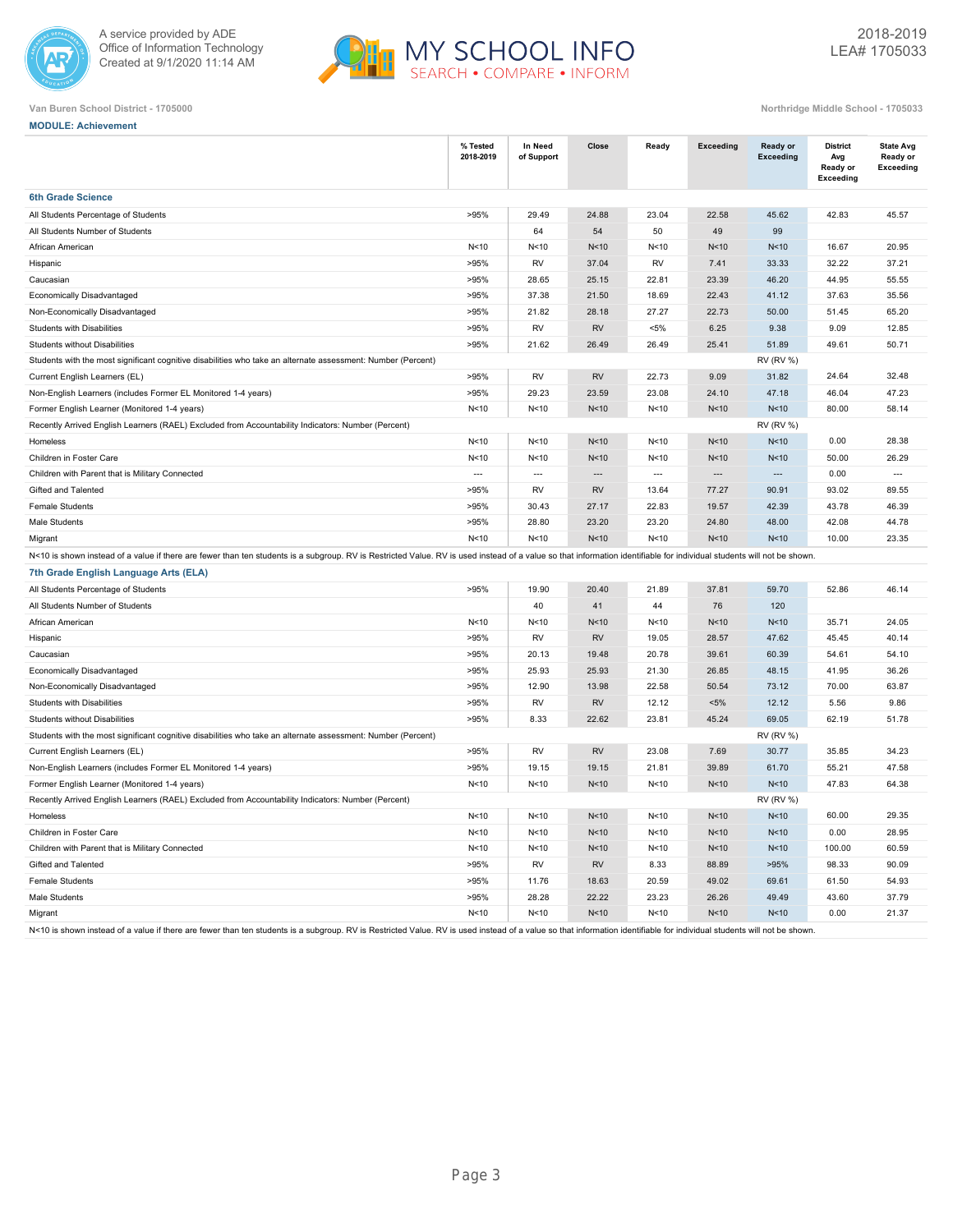



|  | <b>MODULE: Achievement</b> |
|--|----------------------------|
|  |                            |

|                                                                                                                                                                                                                        | % Tested<br>2018-2019 | In Need<br>of Support    | Close                    | Ready          | <b>Exceeding</b>         | Ready or<br><b>Exceeding</b> | <b>District</b><br>Avg<br>Ready or<br><b>Exceeding</b> | <b>State Avg</b><br>Ready or<br><b>Exceeding</b> |
|------------------------------------------------------------------------------------------------------------------------------------------------------------------------------------------------------------------------|-----------------------|--------------------------|--------------------------|----------------|--------------------------|------------------------------|--------------------------------------------------------|--------------------------------------------------|
| <b>6th Grade Science</b>                                                                                                                                                                                               |                       |                          |                          |                |                          |                              |                                                        |                                                  |
| All Students Percentage of Students                                                                                                                                                                                    | >95%                  | 29.49                    | 24.88                    | 23.04          | 22.58                    | 45.62                        | 42.83                                                  | 45.57                                            |
| All Students Number of Students                                                                                                                                                                                        |                       | 64                       | 54                       | 50             | 49                       | 99                           |                                                        |                                                  |
| African American                                                                                                                                                                                                       | N<10                  | N<10                     | N <sub>10</sub>          | N<10           | N<10                     | N <sub>10</sub>              | 16.67                                                  | 20.95                                            |
| Hispanic                                                                                                                                                                                                               | >95%                  | <b>RV</b>                | 37.04                    | <b>RV</b>      | 7.41                     | 33.33                        | 32.22                                                  | 37.21                                            |
| Caucasian                                                                                                                                                                                                              | >95%                  | 28.65                    | 25.15                    | 22.81          | 23.39                    | 46.20                        | 44.95                                                  | 55.55                                            |
| Economically Disadvantaged                                                                                                                                                                                             | >95%                  | 37.38                    | 21.50                    | 18.69          | 22.43                    | 41.12                        | 37.63                                                  | 35.56                                            |
| Non-Economically Disadvantaged                                                                                                                                                                                         | >95%                  | 21.82                    | 28.18                    | 27.27          | 22.73                    | 50.00                        | 51.45                                                  | 65.20                                            |
| Students with Disabilities                                                                                                                                                                                             | >95%                  | RV                       | <b>RV</b>                | $< 5\%$        | 6.25                     | 9.38                         | 9.09                                                   | 12.85                                            |
| <b>Students without Disabilities</b>                                                                                                                                                                                   | >95%                  | 21.62                    | 26.49                    | 26.49          | 25.41                    | 51.89                        | 49.61                                                  | 50.71                                            |
| Students with the most significant cognitive disabilities who take an alternate assessment: Number (Percent)                                                                                                           |                       |                          |                          |                |                          | <b>RV (RV %)</b>             |                                                        |                                                  |
| Current English Learners (EL)                                                                                                                                                                                          | >95%                  | <b>RV</b>                | <b>RV</b>                | 22.73          | 9.09                     | 31.82                        | 24.64                                                  | 32.48                                            |
| Non-English Learners (includes Former EL Monitored 1-4 years)                                                                                                                                                          | >95%                  | 29.23                    | 23.59                    | 23.08          | 24.10                    | 47.18                        | 46.04                                                  | 47.23                                            |
| Former English Learner (Monitored 1-4 years)                                                                                                                                                                           | N<10                  | N<10                     | N <sub>10</sub>          | N<10           | N<10                     | N <sub>10</sub>              | 80.00                                                  | 58.14                                            |
| Recently Arrived English Learners (RAEL) Excluded from Accountability Indicators: Number (Percent)                                                                                                                     |                       |                          |                          |                |                          | <b>RV (RV %)</b>             |                                                        |                                                  |
| Homeless                                                                                                                                                                                                               | N<10                  | N<10                     | N <sub>10</sub>          | N<10           | N<10                     | N <sub>10</sub>              | 0.00                                                   | 28.38                                            |
| Children in Foster Care                                                                                                                                                                                                | N<10                  | N<10                     | N<10                     | N<10           | N<10                     | N <sub>10</sub>              | 50.00                                                  | 26.29                                            |
| Children with Parent that is Military Connected                                                                                                                                                                        | $\sim$                | $\overline{\phantom{a}}$ | $\overline{\phantom{a}}$ | $\overline{a}$ | $\overline{\phantom{a}}$ | ---                          | 0.00                                                   | $\overline{a}$                                   |
| Gifted and Talented                                                                                                                                                                                                    | >95%                  | RV                       | <b>RV</b>                | 13.64          | 77.27                    | 90.91                        | 93.02                                                  | 89.55                                            |
| <b>Female Students</b>                                                                                                                                                                                                 | >95%                  | 30.43                    | 27.17                    | 22.83          | 19.57                    | 42.39                        | 43.78                                                  | 46.39                                            |
| Male Students                                                                                                                                                                                                          | >95%                  | 28.80                    | 23.20                    | 23.20          | 24.80                    | 48.00                        | 42.08                                                  | 44.78                                            |
| Migrant                                                                                                                                                                                                                | N<10                  | N <sub>10</sub>          | N <sub>10</sub>          | N<10           | N<10                     | N <sub>10</sub>              | 10.00                                                  | 23.35                                            |
| N<10 is shown instead of a value if there are fewer than ten students is a subgroup. RV is Restricted Value. RV is used instead of a value so that information identifiable for individual students will not be shown. |                       |                          |                          |                |                          |                              |                                                        |                                                  |
| 7th Grade English Language Arts (ELA)                                                                                                                                                                                  |                       |                          |                          |                |                          |                              |                                                        |                                                  |
| All Students Percentage of Students                                                                                                                                                                                    | >95%                  | 19.90                    | 20.40                    | 21.89          | 37.81                    | 59.70                        | 52.86                                                  | 46.14                                            |
| All Students Number of Students                                                                                                                                                                                        |                       | 40                       | 41                       | 44             | 76                       | 120                          |                                                        |                                                  |
| African American                                                                                                                                                                                                       | N<10                  | N<10                     | N <sub>10</sub>          | N<10           | N<10                     | N <sub>10</sub>              | 35.71                                                  | 24.05                                            |
| Hispanic                                                                                                                                                                                                               | >95%                  | <b>RV</b>                | <b>RV</b>                | 19.05          | 28.57                    | 47.62                        | 45.45                                                  | 40.14                                            |
| Caucasian                                                                                                                                                                                                              | >95%                  | 20.13                    | 19.48                    | 20.78          | 39.61                    | 60.39                        | 54.61                                                  | 54.10                                            |
| Economically Disadvantaged                                                                                                                                                                                             | >95%                  | 25.93                    | 25.93                    | 21.30          | 26.85                    | 48.15                        | 41.95                                                  | 36.26                                            |
| Non-Economically Disadvantaged                                                                                                                                                                                         | >95%                  | 12.90                    | 13.98                    | 22.58          | 50.54                    | 73.12                        | 70.00                                                  | 63.87                                            |
| Students with Disabilities                                                                                                                                                                                             | >95%                  | RV                       | <b>RV</b>                | 12.12          | $< 5\%$                  | 12.12                        | 5.56                                                   | 9.86                                             |
| <b>Students without Disabilities</b>                                                                                                                                                                                   | >95%                  | 8.33                     | 22.62                    | 23.81          | 45.24                    | 69.05                        | 62.19                                                  | 51.78                                            |
| Students with the most significant cognitive disabilities who take an alternate assessment: Number (Percent)                                                                                                           |                       |                          |                          |                |                          | <b>RV (RV %)</b>             |                                                        |                                                  |
| Current English Learners (EL)                                                                                                                                                                                          | >95%                  | <b>RV</b>                | <b>RV</b>                | 23.08          | 7.69                     | 30.77                        | 35.85                                                  | 34.23                                            |
| Non-English Learners (includes Former EL Monitored 1-4 years)                                                                                                                                                          | >95%                  | 19.15                    | 19.15                    | 21.81          | 39.89                    | 61.70                        | 55.21                                                  | 47.58                                            |
| Former English Learner (Monitored 1-4 years)                                                                                                                                                                           | N<10                  | N < 10                   | N <sub>10</sub>          | N<10           | N<10                     | N <sub>10</sub>              | 47.83                                                  | 64.38                                            |
| Recently Arrived English Learners (RAEL) Excluded from Accountability Indicators: Number (Percent)                                                                                                                     |                       |                          |                          |                |                          | <b>RV (RV %)</b>             |                                                        |                                                  |
| Homeless                                                                                                                                                                                                               | N<10                  | N < 10                   | N<10                     | N<10           | N<10                     | N<10                         | 60.00                                                  | 29.35                                            |
| Children in Foster Care                                                                                                                                                                                                | N<10                  | N<10                     | N<10                     | N<10           | N<10                     | N <sub>10</sub>              | 0.00                                                   | 28.95                                            |
| Children with Parent that is Military Connected                                                                                                                                                                        | N<10                  | N<10                     | N<10                     | N < 10         | N<10                     | N<10                         | 100.00                                                 | 60.59                                            |
| Gifted and Talented                                                                                                                                                                                                    | >95%                  | <b>RV</b>                | <b>RV</b>                | 8.33           | 88.89                    | >95%                         | 98.33                                                  | 90.09                                            |
| <b>Female Students</b>                                                                                                                                                                                                 | >95%                  | 11.76                    | 18.63                    | 20.59          | 49.02                    | 69.61                        | 61.50                                                  | 54.93                                            |
| Male Students                                                                                                                                                                                                          | >95%                  | 28.28                    | 22.22                    | 23.23          | 26.26                    | 49.49                        | 43.60                                                  | 37.79                                            |
| Migrant                                                                                                                                                                                                                | N<10                  | N<10                     | N<10                     | N<10           | N<10                     | N<10                         | 0.00                                                   | 21.37                                            |
| N<10 is shown instead of a value if there are fewer than ten students is a subgroup. RV is Restricted Value. RV is used instead of a value so that information identifiable for individual students will not be shown. |                       |                          |                          |                |                          |                              |                                                        |                                                  |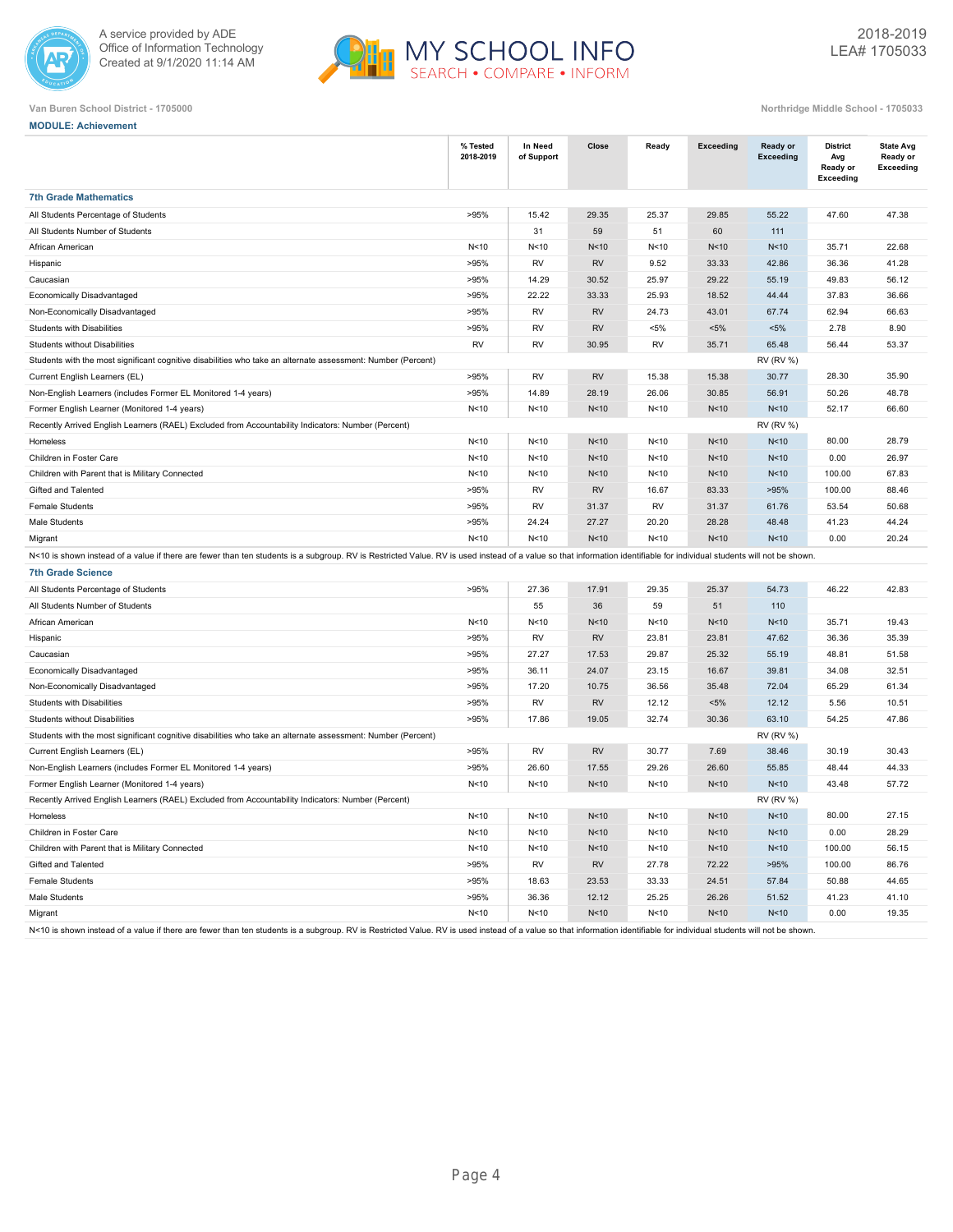



| Northridge Middle School - 1705033 |  |  |
|------------------------------------|--|--|
|                                    |  |  |

| <b>MODULE: Achievement</b>                                                                                                                                                                                             |                       |                       |                 |         |           |                                     |                                                 |                                                  |
|------------------------------------------------------------------------------------------------------------------------------------------------------------------------------------------------------------------------|-----------------------|-----------------------|-----------------|---------|-----------|-------------------------------------|-------------------------------------------------|--------------------------------------------------|
|                                                                                                                                                                                                                        | % Tested<br>2018-2019 | In Need<br>of Support | Close           | Ready   | Exceeding | <b>Ready or</b><br><b>Exceeding</b> | <b>District</b><br>Avg<br>Ready or<br>Exceeding | <b>State Avg</b><br>Ready or<br><b>Exceeding</b> |
| <b>7th Grade Mathematics</b>                                                                                                                                                                                           |                       |                       |                 |         |           |                                     |                                                 |                                                  |
| All Students Percentage of Students                                                                                                                                                                                    | >95%                  | 15.42                 | 29.35           | 25.37   | 29.85     | 55.22                               | 47.60                                           | 47.38                                            |
| All Students Number of Students                                                                                                                                                                                        |                       | 31                    | 59              | 51      | 60        | 111                                 |                                                 |                                                  |
| African American                                                                                                                                                                                                       | N<10                  | N<10                  | N <sub>10</sub> | N<10    | N<10      | N<10                                | 35.71                                           | 22.68                                            |
| Hispanic                                                                                                                                                                                                               | >95%                  | RV                    | RV              | 9.52    | 33.33     | 42.86                               | 36.36                                           | 41.28                                            |
| Caucasian                                                                                                                                                                                                              | >95%                  | 14.29                 | 30.52           | 25.97   | 29.22     | 55.19                               | 49.83                                           | 56.12                                            |
| Economically Disadvantaged                                                                                                                                                                                             | >95%                  | 22.22                 | 33.33           | 25.93   | 18.52     | 44.44                               | 37.83                                           | 36.66                                            |
| Non-Economically Disadvantaged                                                                                                                                                                                         | >95%                  | RV                    | <b>RV</b>       | 24.73   | 43.01     | 67.74                               | 62.94                                           | 66.63                                            |
| <b>Students with Disabilities</b>                                                                                                                                                                                      | >95%                  | <b>RV</b>             | <b>RV</b>       | $< 5\%$ | $< 5\%$   | $< 5\%$                             | 2.78                                            | 8.90                                             |
| <b>Students without Disabilities</b>                                                                                                                                                                                   | <b>RV</b>             | RV                    | 30.95           | RV      | 35.71     | 65.48                               | 56.44                                           | 53.37                                            |
| Students with the most significant cognitive disabilities who take an alternate assessment: Number (Percent)                                                                                                           |                       |                       |                 |         |           | <b>RV (RV %)</b>                    |                                                 |                                                  |
| Current English Learners (EL)                                                                                                                                                                                          | >95%                  | RV                    | <b>RV</b>       | 15.38   | 15.38     | 30.77                               | 28.30                                           | 35.90                                            |
| Non-English Learners (includes Former EL Monitored 1-4 years)                                                                                                                                                          | >95%                  | 14.89                 | 28.19           | 26.06   | 30.85     | 56.91                               | 50.26                                           | 48.78                                            |
| Former English Learner (Monitored 1-4 years)                                                                                                                                                                           | N<10                  | N < 10                | N <sub>10</sub> | N<10    | N<10      | N<10                                | 52.17                                           | 66.60                                            |
| Recently Arrived English Learners (RAEL) Excluded from Accountability Indicators: Number (Percent)                                                                                                                     |                       |                       |                 |         |           | <b>RV (RV %)</b>                    |                                                 |                                                  |
| Homeless                                                                                                                                                                                                               | N<10                  | N < 10                | N <sub>10</sub> | N<10    | N<10      | N<10                                | 80.00                                           | 28.79                                            |
| Children in Foster Care                                                                                                                                                                                                | N<10                  | N < 10                | N <sub>10</sub> | N<10    | N<10      | N<10                                | 0.00                                            | 26.97                                            |
| Children with Parent that is Military Connected                                                                                                                                                                        | N<10                  | N < 10                | N<10            | N<10    | N<10      | N <sub>10</sub>                     | 100.00                                          | 67.83                                            |
| Gifted and Talented                                                                                                                                                                                                    | >95%                  | <b>RV</b>             | <b>RV</b>       | 16.67   | 83.33     | >95%                                | 100.00                                          | 88.46                                            |
| <b>Female Students</b>                                                                                                                                                                                                 | >95%                  | RV                    | 31.37           | RV      | 31.37     | 61.76                               | 53.54                                           | 50.68                                            |
| Male Students                                                                                                                                                                                                          | >95%                  | 24.24                 | 27.27           | 20.20   | 28.28     | 48.48                               | 41.23                                           | 44.24                                            |
| Migrant                                                                                                                                                                                                                | N<10                  | N<10                  | N <sub>10</sub> | N<10    | N<10      | N<10                                | 0.00                                            | 20.24                                            |
| N<10 is shown instead of a value if there are fewer than ten students is a subgroup. RV is Restricted Value. RV is used instead of a value so that information identifiable for individual students will not be shown. |                       |                       |                 |         |           |                                     |                                                 |                                                  |
| <b>7th Grade Science</b>                                                                                                                                                                                               |                       |                       |                 |         |           |                                     |                                                 |                                                  |
| All Students Percentage of Students                                                                                                                                                                                    | >95%                  | 27.36                 | 17.91           | 29.35   | 25.37     | 54.73                               | 46.22                                           | 42.83                                            |
| All Students Number of Students                                                                                                                                                                                        |                       | 55                    | 36              | 59      | 51        | 110                                 |                                                 |                                                  |
| African American                                                                                                                                                                                                       | N<10                  | N < 10                | N <sub>10</sub> | N<10    | N<10      | N<10                                | 35.71                                           | 19.43                                            |
| Hispanic                                                                                                                                                                                                               | >95%                  | RV                    | <b>RV</b>       | 23.81   | 23.81     | 47.62                               | 36.36                                           | 35.39                                            |
| Caucasian                                                                                                                                                                                                              | >95%                  | 27.27                 | 17.53           | 29.87   | 25.32     | 55.19                               | 48.81                                           | 51.58                                            |
| Economically Disadvantaged                                                                                                                                                                                             | >95%                  | 36.11                 | 24.07           | 23.15   | 16.67     | 39.81                               | 34.08                                           | 32.51                                            |
| Non-Economically Disadvantaged                                                                                                                                                                                         | >95%                  | 17.20                 | 10.75           | 36.56   | 35.48     | 72.04                               | 65.29                                           | 61.34                                            |
| Students with Disabilities                                                                                                                                                                                             | >95%                  | RV                    | RV              | 12.12   | $< 5\%$   | 12.12                               | 5.56                                            | 10.51                                            |
| Students without Disabilities                                                                                                                                                                                          | >95%                  | 17.86                 | 19.05           | 32.74   | 30.36     | 63.10                               | 54.25                                           | 47.86                                            |
| Students with the most significant cognitive disabilities who take an alternate assessment: Number (Percent)                                                                                                           |                       |                       |                 |         |           | <b>RV (RV %)</b>                    |                                                 |                                                  |
| Current English Learners (EL)                                                                                                                                                                                          | >95%                  | RV                    | <b>RV</b>       | 30.77   | 7.69      | 38.46                               | 30.19                                           | 30.43                                            |
| Non-English Learners (includes Former EL Monitored 1-4 years)                                                                                                                                                          | >95%                  | 26.60                 | 17.55           | 29.26   | 26.60     | 55.85                               | 48.44                                           | 44.33                                            |
| Former English Learner (Monitored 1-4 years)                                                                                                                                                                           | N<10                  | N<10                  | N<10            | N<10    | N<10      | N<10                                | 43.48                                           | 57.72                                            |
| Recently Arrived English Learners (RAEL) Excluded from Accountability Indicators: Number (Percent)                                                                                                                     |                       |                       |                 |         |           | <b>RV (RV %)</b>                    |                                                 |                                                  |
| Homeless                                                                                                                                                                                                               | N <sub>10</sub>       | N<10                  | N<10            | N<10    | N<10      | N<10                                | 80.00                                           | 27.15                                            |
| Children in Foster Care                                                                                                                                                                                                | N<10                  | N<10                  | N<10            | N<10    | N<10      | N<10                                | 0.00                                            | 28.29                                            |
| Children with Parent that is Military Connected                                                                                                                                                                        | N<10                  | N<10                  | N<10            | N<10    | N<10      | N<10                                | 100.00                                          | 56.15                                            |
| Gifted and Talented                                                                                                                                                                                                    | >95%                  | <b>RV</b>             | RV              | 27.78   | 72.22     | >95%                                | 100.00                                          | 86.76                                            |
| <b>Female Students</b>                                                                                                                                                                                                 | >95%                  | 18.63                 | 23.53           | 33.33   | 24.51     | 57.84                               | 50.88                                           | 44.65                                            |
| Male Students                                                                                                                                                                                                          | >95%                  | 36.36                 | 12.12           | 25.25   | 26.26     | 51.52                               | 41.23                                           | 41.10                                            |
| Migrant                                                                                                                                                                                                                | N<10                  | N<10                  | N<10            | N<10    | N<10      | N<10                                | 0.00                                            | 19.35                                            |
| N<10 is shown instead of a value if there are fewer than ten students is a subgroup. RV is Restricted Value. RV is used instead of a value so that information identifiable for individual students will not be shown. |                       |                       |                 |         |           |                                     |                                                 |                                                  |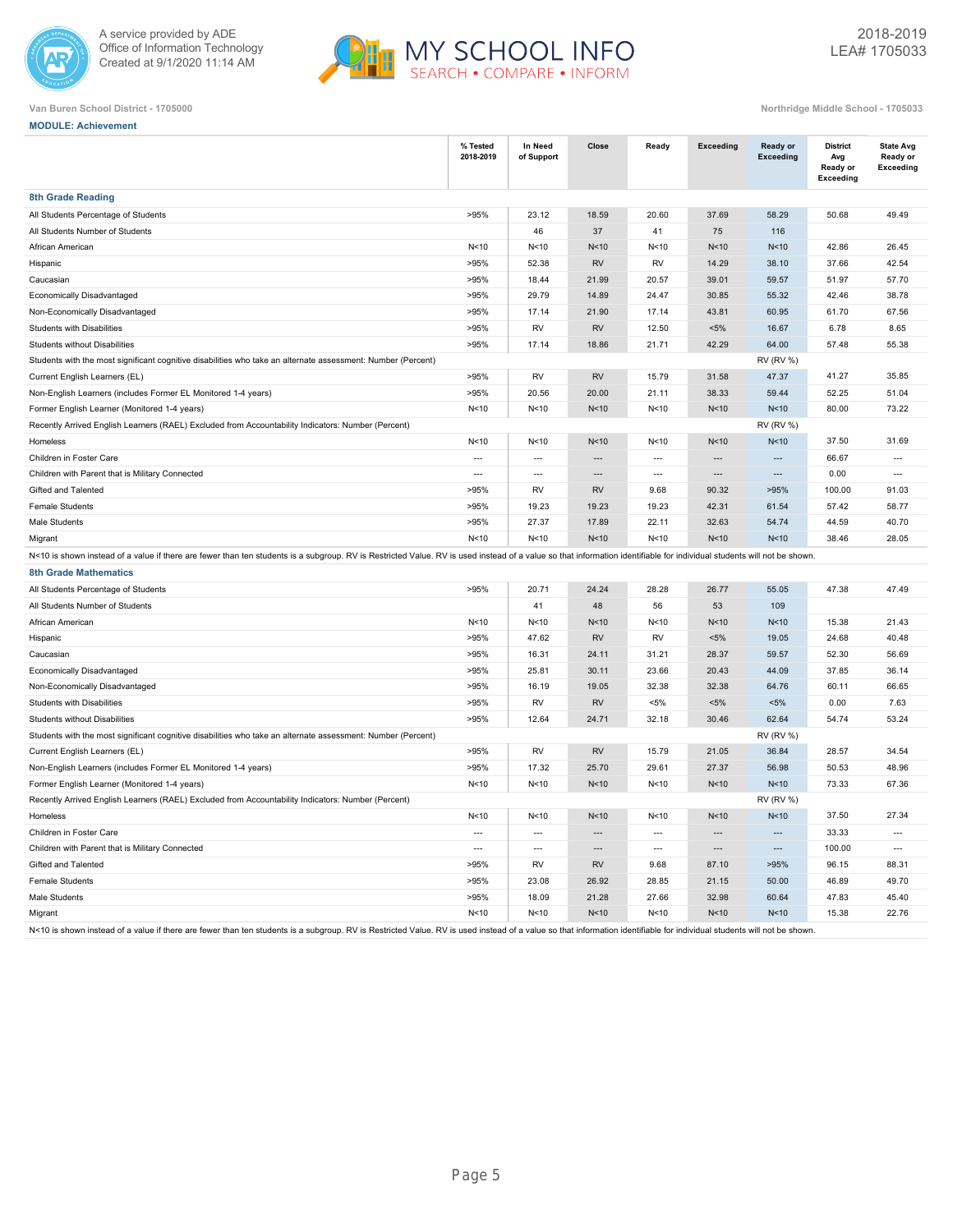



| Northridge Middle School - 170503 |  |  |
|-----------------------------------|--|--|

| <b>MODULE: Achievement</b>                                                                                                                                                                                             |                          |                          |                          |                          |                  |                          |                                                 |                                                  |
|------------------------------------------------------------------------------------------------------------------------------------------------------------------------------------------------------------------------|--------------------------|--------------------------|--------------------------|--------------------------|------------------|--------------------------|-------------------------------------------------|--------------------------------------------------|
|                                                                                                                                                                                                                        | % Tested<br>2018-2019    | In Need<br>of Support    | Close                    | Ready                    | <b>Exceeding</b> | Ready or<br>Exceeding    | <b>District</b><br>Avg<br>Ready or<br>Exceeding | <b>State Avg</b><br>Ready or<br><b>Exceeding</b> |
| <b>8th Grade Reading</b>                                                                                                                                                                                               |                          |                          |                          |                          |                  |                          |                                                 |                                                  |
| All Students Percentage of Students                                                                                                                                                                                    | >95%                     | 23.12                    | 18.59                    | 20.60                    | 37.69            | 58.29                    | 50.68                                           | 49.49                                            |
| All Students Number of Students                                                                                                                                                                                        |                          | 46                       | 37                       | 41                       | 75               | 116                      |                                                 |                                                  |
| African American                                                                                                                                                                                                       | N<10                     | N<10                     | N <sub>10</sub>          | N < 10                   | N<10             | N<10                     | 42.86                                           | 26.45                                            |
| Hispanic                                                                                                                                                                                                               | >95%                     | 52.38                    | <b>RV</b>                | RV                       | 14.29            | 38.10                    | 37.66                                           | 42.54                                            |
| Caucasian                                                                                                                                                                                                              | >95%                     | 18.44                    | 21.99                    | 20.57                    | 39.01            | 59.57                    | 51.97                                           | 57.70                                            |
| <b>Economically Disadvantaged</b>                                                                                                                                                                                      | >95%                     | 29.79                    | 14.89                    | 24.47                    | 30.85            | 55.32                    | 42.46                                           | 38.78                                            |
| Non-Economically Disadvantaged                                                                                                                                                                                         | >95%                     | 17.14                    | 21.90                    | 17.14                    | 43.81            | 60.95                    | 61.70                                           | 67.56                                            |
| Students with Disabilities                                                                                                                                                                                             | >95%                     | RV                       | <b>RV</b>                | 12.50                    | $< 5\%$          | 16.67                    | 6.78                                            | 8.65                                             |
| <b>Students without Disabilities</b>                                                                                                                                                                                   | >95%                     | 17.14                    | 18.86                    | 21.71                    | 42.29            | 64.00                    | 57.48                                           | 55.38                                            |
| Students with the most significant cognitive disabilities who take an alternate assessment: Number (Percent)                                                                                                           |                          |                          |                          |                          |                  | <b>RV (RV %)</b>         |                                                 |                                                  |
| Current English Learners (EL)                                                                                                                                                                                          | >95%                     | RV                       | <b>RV</b>                | 15.79                    | 31.58            | 47.37                    | 41.27                                           | 35.85                                            |
| Non-English Learners (includes Former EL Monitored 1-4 years)                                                                                                                                                          | >95%                     | 20.56                    | 20.00                    | 21.11                    | 38.33            | 59.44                    | 52.25                                           | 51.04                                            |
| Former English Learner (Monitored 1-4 years)                                                                                                                                                                           | N<10                     | N<10                     | N <sub>10</sub>          | N < 10                   | N<10             | N<10                     | 80.00                                           | 73.22                                            |
| Recently Arrived English Learners (RAEL) Excluded from Accountability Indicators: Number (Percent)                                                                                                                     |                          |                          |                          |                          |                  | <b>RV (RV %)</b>         |                                                 |                                                  |
| Homeless                                                                                                                                                                                                               | N<10                     | N < 10                   | N<10                     | N<10                     | N<10             | N<10                     | 37.50                                           | 31.69                                            |
| Children in Foster Care                                                                                                                                                                                                | $\overline{\phantom{a}}$ | $\hspace{0.05cm} \ldots$ | $\overline{\phantom{a}}$ | $\overline{\phantom{a}}$ | ---              | ---                      | 66.67                                           | ---                                              |
| Children with Parent that is Military Connected                                                                                                                                                                        | $\overline{\phantom{a}}$ | $\overline{\phantom{a}}$ | $\cdots$                 | $\overline{\phantom{a}}$ | ---              | ---                      | 0.00                                            | $\overline{a}$                                   |
| Gifted and Talented                                                                                                                                                                                                    | >95%                     | RV                       | <b>RV</b>                | 9.68                     | 90.32            | >95%                     | 100.00                                          | 91.03                                            |
| <b>Female Students</b>                                                                                                                                                                                                 | >95%                     | 19.23                    | 19.23                    | 19.23                    | 42.31            | 61.54                    | 57.42                                           | 58.77                                            |
| Male Students                                                                                                                                                                                                          | >95%                     | 27.37                    | 17.89                    | 22.11                    | 32.63            | 54.74                    | 44.59                                           | 40.70                                            |
| Migrant                                                                                                                                                                                                                | N<10                     | N<10                     | N <sub>10</sub>          | N<10                     | N<10             | N<10                     | 38.46                                           | 28.05                                            |
| N<10 is shown instead of a value if there are fewer than ten students is a subgroup. RV is Restricted Value. RV is used instead of a value so that information identifiable for individual students will not be shown. |                          |                          |                          |                          |                  |                          |                                                 |                                                  |
| <b>8th Grade Mathematics</b>                                                                                                                                                                                           |                          |                          |                          |                          |                  |                          |                                                 |                                                  |
| All Students Percentage of Students                                                                                                                                                                                    | >95%                     | 20.71                    | 24.24                    | 28.28                    | 26.77            | 55.05                    | 47.38                                           | 47.49                                            |
| All Students Number of Students                                                                                                                                                                                        |                          | 41                       | 48                       | 56                       | 53               | 109                      |                                                 |                                                  |
| African American                                                                                                                                                                                                       | N<10                     | N < 10                   | N<10                     | N<10                     | N<10             | N<10                     | 15.38                                           | 21.43                                            |
| Hispanic                                                                                                                                                                                                               | >95%                     | 47.62                    | <b>RV</b>                | RV                       | $< 5\%$          | 19.05                    | 24.68                                           | 40.48                                            |
| Caucasian                                                                                                                                                                                                              | >95%                     | 16.31                    | 24.11                    | 31.21                    | 28.37            | 59.57                    | 52.30                                           | 56.69                                            |
| Economically Disadvantaged                                                                                                                                                                                             | >95%                     | 25.81                    | 30.11                    | 23.66                    | 20.43            | 44.09                    | 37.85                                           | 36.14                                            |
| Non-Economically Disadvantaged                                                                                                                                                                                         | >95%                     | 16.19                    | 19.05                    | 32.38                    | 32.38            | 64.76                    | 60.11                                           | 66.65                                            |
| Students with Disabilities                                                                                                                                                                                             | >95%                     | <b>RV</b>                | <b>RV</b>                | $< 5\%$                  | $< 5\%$          | $< 5\%$                  | 0.00                                            | 7.63                                             |
| Students without Disabilities                                                                                                                                                                                          | >95%                     | 12.64                    | 24.71                    | 32.18                    | 30.46            | 62.64                    | 54.74                                           | 53.24                                            |
| Students with the most significant cognitive disabilities who take an alternate assessment: Number (Percent)                                                                                                           |                          |                          |                          |                          |                  | <b>RV (RV %)</b>         |                                                 |                                                  |
| Current English Learners (EL)                                                                                                                                                                                          | >95%                     | RV                       | <b>RV</b>                | 15.79                    | 21.05            | 36.84                    | 28.57                                           | 34.54                                            |
| Non-English Learners (includes Former EL Monitored 1-4 years)                                                                                                                                                          | >95%                     | 17.32                    | 25.70                    | 29.61                    | 27.37            | 56.98                    | 50.53                                           | 48.96                                            |
| Former English Learner (Monitored 1-4 years)                                                                                                                                                                           | N<10                     | N<10                     | N <sub>10</sub>          | N<10                     | N<10             | N<10                     | 73.33                                           | 67.36                                            |
| Recently Arrived English Learners (RAEL) Excluded from Accountability Indicators: Number (Percent)                                                                                                                     |                          |                          |                          |                          |                  | <b>RV (RV %)</b>         |                                                 |                                                  |
| Homeless                                                                                                                                                                                                               | N<10                     | N<10                     | N<10                     | N<10                     | N<10             | N <sub>10</sub>          | 37.50                                           | 27.34                                            |
| Children in Foster Care                                                                                                                                                                                                | $\overline{\phantom{a}}$ | $\hspace{0.05cm} \ldots$ | $\hspace{0.05cm} \ldots$ | $\hspace{0.05cm} \ldots$ | ---              | $\cdots$                 | 33.33                                           | $\overline{\phantom{a}}$                         |
| Children with Parent that is Military Connected                                                                                                                                                                        | $\overline{a}$           | $\overline{\phantom{a}}$ | $\hspace{0.05cm} \ldots$ | $\hspace{0.05cm} \ldots$ | $\cdots$         | $\hspace{0.05cm} \ldots$ | 100.00                                          | $\overline{\phantom{a}}$                         |
| Gifted and Talented                                                                                                                                                                                                    | >95%                     | <b>RV</b>                | <b>RV</b>                | 9.68                     | 87.10            | >95%                     | 96.15                                           | 88.31                                            |
| <b>Female Students</b>                                                                                                                                                                                                 | >95%                     | 23.08                    | 26.92                    | 28.85                    | 21.15            | 50.00                    | 46.89                                           | 49.70                                            |
| Male Students                                                                                                                                                                                                          | >95%                     | 18.09                    | 21.28                    | 27.66                    | 32.98            | 60.64                    | 47.83                                           | 45.40                                            |
| Migrant                                                                                                                                                                                                                | N<10                     | N<10                     | N<10                     | N<10                     | N<10             | N<10                     | 15.38                                           | 22.76                                            |
| N<10 is shown instead of a value if there are fewer than ten students is a subgroup. RV is Restricted Value. RV is used instead of a value so that information identifiable for individual students will not be shown. |                          |                          |                          |                          |                  |                          |                                                 |                                                  |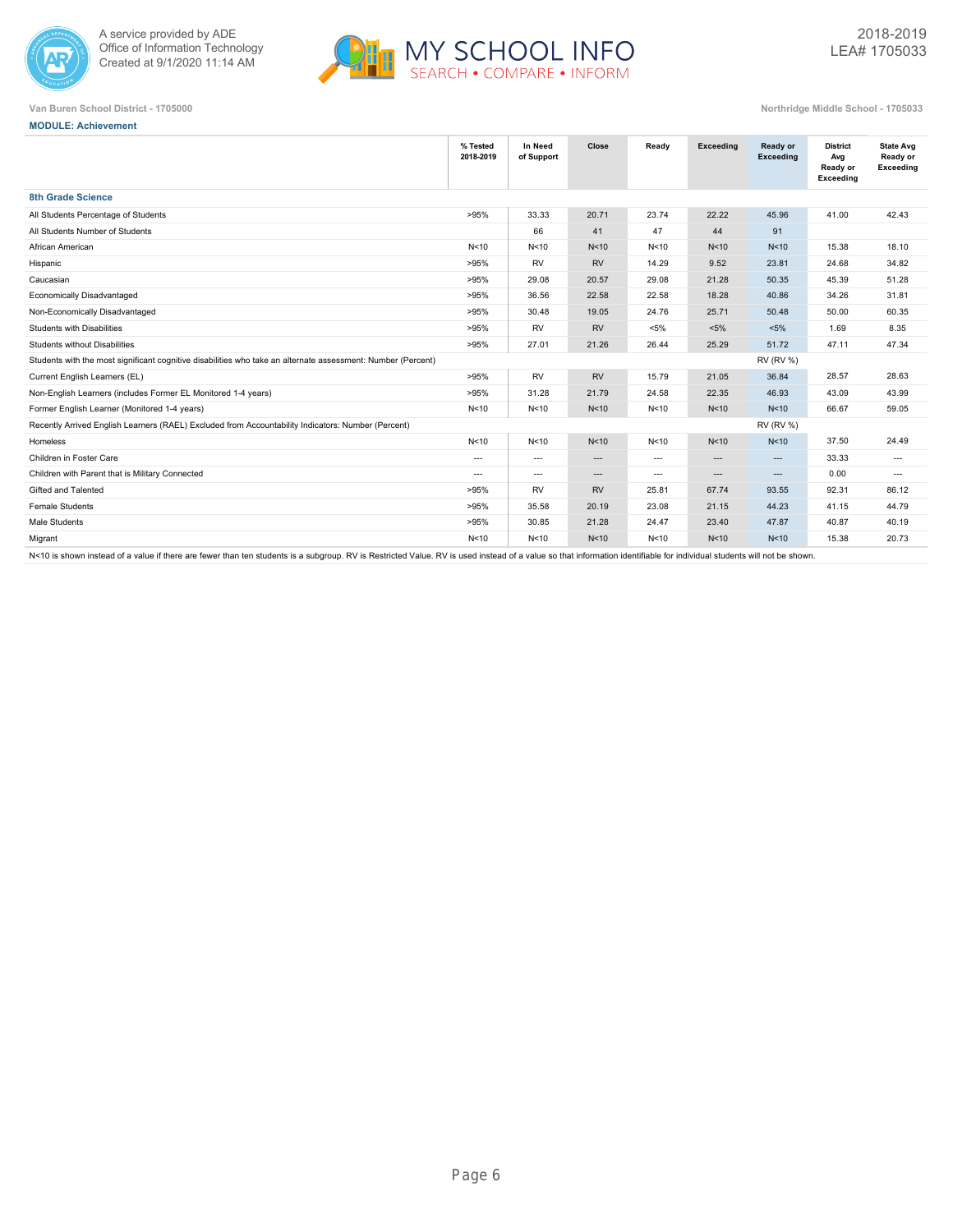



**MODULE: Achievement**

|                                                                                                              | % Tested<br>2018-2019 | In Need<br>of Support    | Close           | Ready                    | Exceeding | Ready or<br>Exceeding | <b>District</b><br>Avg<br>Ready or<br>Exceeding | <b>State Avg</b><br>Ready or<br>Exceeding |
|--------------------------------------------------------------------------------------------------------------|-----------------------|--------------------------|-----------------|--------------------------|-----------|-----------------------|-------------------------------------------------|-------------------------------------------|
| 8th Grade Science                                                                                            |                       |                          |                 |                          |           |                       |                                                 |                                           |
| All Students Percentage of Students                                                                          | >95%                  | 33.33                    | 20.71           | 23.74                    | 22.22     | 45.96                 | 41.00                                           | 42.43                                     |
| All Students Number of Students                                                                              |                       | 66                       | 41              | 47                       | 44        | 91                    |                                                 |                                           |
| African American                                                                                             | N<10                  | N <sub>10</sub>          | N <sub>10</sub> | N<10                     | N<10      | N <sub>10</sub>       | 15.38                                           | 18.10                                     |
| Hispanic                                                                                                     | >95%                  | <b>RV</b>                | <b>RV</b>       | 14.29                    | 9.52      | 23.81                 | 24.68                                           | 34.82                                     |
| Caucasian                                                                                                    | >95%                  | 29.08                    | 20.57           | 29.08                    | 21.28     | 50.35                 | 45.39                                           | 51.28                                     |
| Economically Disadvantaged                                                                                   | >95%                  | 36.56                    | 22.58           | 22.58                    | 18.28     | 40.86                 | 34.26                                           | 31.81                                     |
| Non-Economically Disadvantaged                                                                               | >95%                  | 30.48                    | 19.05           | 24.76                    | 25.71     | 50.48                 | 50.00                                           | 60.35                                     |
| Students with Disabilities                                                                                   | >95%                  | <b>RV</b>                | <b>RV</b>       | $< 5\%$                  | $< 5\%$   | $< 5\%$               | 1.69                                            | 8.35                                      |
| <b>Students without Disabilities</b>                                                                         | >95%                  | 27.01                    | 21.26           | 26.44                    | 25.29     | 51.72                 | 47.11                                           | 47.34                                     |
| Students with the most significant cognitive disabilities who take an alternate assessment: Number (Percent) |                       |                          |                 |                          |           | <b>RV (RV %)</b>      |                                                 |                                           |
| Current English Learners (EL)                                                                                | >95%                  | <b>RV</b>                | <b>RV</b>       | 15.79                    | 21.05     | 36.84                 | 28.57                                           | 28.63                                     |
| Non-English Learners (includes Former EL Monitored 1-4 years)                                                | >95%                  | 31.28                    | 21.79           | 24.58                    | 22.35     | 46.93                 | 43.09                                           | 43.99                                     |
| Former English Learner (Monitored 1-4 years)                                                                 | N<10                  | N<10                     | N<10            | N<10                     | N<10      | N <sub>10</sub>       | 66.67                                           | 59.05                                     |
| Recently Arrived English Learners (RAEL) Excluded from Accountability Indicators: Number (Percent)           |                       |                          |                 |                          |           | <b>RV (RV %)</b>      |                                                 |                                           |
| Homeless                                                                                                     | N<10                  | N <sub>10</sub>          | N <sub>10</sub> | N<10                     | N<10      | N <sub>10</sub>       | 37.50                                           | 24.49                                     |
| Children in Foster Care                                                                                      | $\overline{a}$        | $\hspace{0.05cm} \ldots$ | $\cdots$        | $\hspace{0.05cm} \ldots$ | $\cdots$  | $\cdots$              | 33.33                                           | $\cdots$                                  |
| Children with Parent that is Military Connected                                                              | $---$                 | $\hspace{0.05cm} \ldots$ | $\cdots$        | $\hspace{0.05cm} \ldots$ | $\cdots$  | $\cdots$              | 0.00                                            | $---$                                     |
| Gifted and Talented                                                                                          | >95%                  | <b>RV</b>                | <b>RV</b>       | 25.81                    | 67.74     | 93.55                 | 92.31                                           | 86.12                                     |
| <b>Female Students</b>                                                                                       | >95%                  | 35.58                    | 20.19           | 23.08                    | 21.15     | 44.23                 | 41.15                                           | 44.79                                     |
| Male Students                                                                                                | >95%                  | 30.85                    | 21.28           | 24.47                    | 23.40     | 47.87                 | 40.87                                           | 40.19                                     |
| Migrant                                                                                                      | N<10                  | N <sub>10</sub>          | N <sub>10</sub> | N<10                     | N<10      | N <sub>10</sub>       | 15.38                                           | 20.73                                     |
|                                                                                                              |                       |                          |                 |                          |           |                       |                                                 |                                           |

N<10 is shown instead of a value if there are fewer than ten students is a subgroup. RV is Restricted Value. RV is used instead of a value so that information identifiable for individual students will not be shown.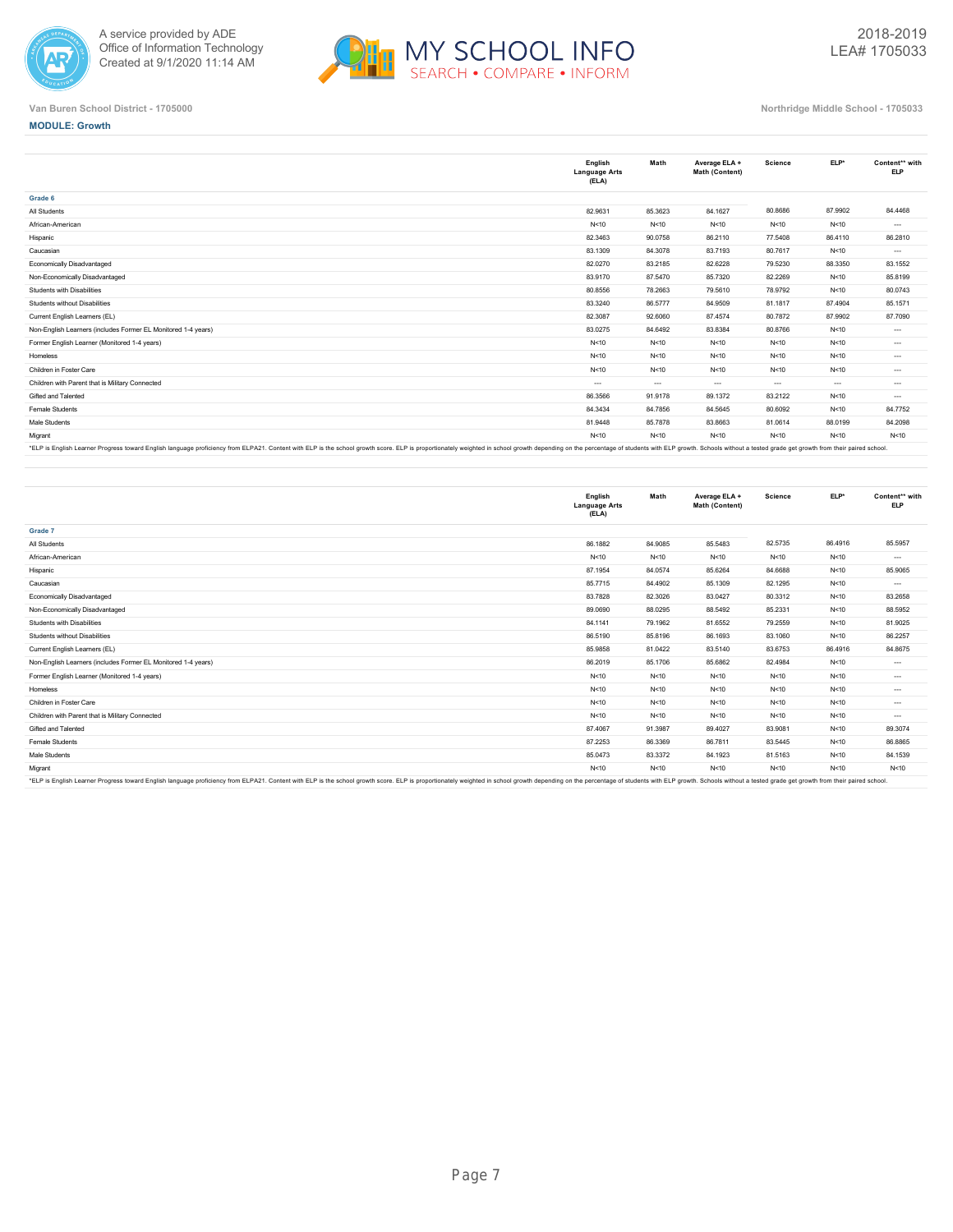



### **MODULE: Growth**

|                                                                                                                                                                                                                                | English<br><b>Language Arts</b><br>(ELA) | Math     | Average ELA +<br>Math (Content) | Science  | ELP*    | Content** with<br><b>ELP</b> |
|--------------------------------------------------------------------------------------------------------------------------------------------------------------------------------------------------------------------------------|------------------------------------------|----------|---------------------------------|----------|---------|------------------------------|
| Grade 6                                                                                                                                                                                                                        |                                          |          |                                 |          |         |                              |
| All Students                                                                                                                                                                                                                   | 82.9631                                  | 85.3623  | 84.1627                         | 80.8686  | 87.9902 | 84.4468                      |
| African-American                                                                                                                                                                                                               | N < 10                                   | N < 10   | N<10                            | N < 10   | N<10    | $\cdots$                     |
| Hispanic                                                                                                                                                                                                                       | 82.3463                                  | 90.0758  | 86.2110                         | 77.5408  | 86.4110 | 86.2810                      |
| Caucasian                                                                                                                                                                                                                      | 83.1309                                  | 84.3078  | 83.7193                         | 80.7617  | N<10    | $\cdots$                     |
| Economically Disadvantaged                                                                                                                                                                                                     | 82.0270                                  | 83.2185  | 82.6228                         | 79.5230  | 88.3350 | 83.1552                      |
| Non-Economically Disadvantaged                                                                                                                                                                                                 | 83.9170                                  | 87.5470  | 85.7320                         | 82.2269  | N<10    | 85.8199                      |
| Students with Disabilities                                                                                                                                                                                                     | 80.8556                                  | 78.2663  | 79.5610                         | 78.9792  | N<10    | 80.0743                      |
| Students without Disabilities                                                                                                                                                                                                  | 83.3240                                  | 86.5777  | 84.9509                         | 81.1817  | 87.4904 | 85.1571                      |
| Current English Learners (EL)                                                                                                                                                                                                  | 82.3087                                  | 92.6060  | 87.4574                         | 80.7872  | 87.9902 | 87.7090                      |
| Non-English Learners (includes Former EL Monitored 1-4 years)                                                                                                                                                                  | 83.0275                                  | 84.6492  | 83.8384                         | 80.8766  | N<10    | $\cdots$                     |
| Former English Learner (Monitored 1-4 years)                                                                                                                                                                                   | N<10                                     | N<10     | N<10                            | N < 10   | N<10    | $\cdots$                     |
| Homeless                                                                                                                                                                                                                       | N < 10                                   | N<10     | N<10                            | N < 10   | N<10    | $\cdots$                     |
| Children in Foster Care                                                                                                                                                                                                        | N < 10                                   | N < 10   | N<10                            | N < 10   | N<10    | $\cdots$                     |
| Children with Parent that is Military Connected                                                                                                                                                                                | $---$                                    | $\cdots$ | $\cdots$                        | $\cdots$ | $---$   | $\cdots$                     |
| Gifted and Talented                                                                                                                                                                                                            | 86.3566                                  | 91.9178  | 89.1372                         | 83.2122  | N < 10  | $\cdots$                     |
| Female Students                                                                                                                                                                                                                | 84.3434                                  | 84.7856  | 84.5645                         | 80.6092  | N<10    | 84.7752                      |
| Male Students                                                                                                                                                                                                                  | 81.9448                                  | 85.7878  | 83.8663                         | 81.0614  | 88.0199 | 84.2098                      |
| Migrant                                                                                                                                                                                                                        | N < 10                                   | N<10     | N<10                            | N<10     | N<10    | N < 10                       |
| FIRE FORET COLORED IN THE ROOM FOREST COLORED TRANSPORTER IN THE COLORED ON FIRE COLORED IN THE COLORED COLORED ON A COLORED IN THE PLANS OF PLANS IN THE PLANS OF THE PLANS OF THE PLANS OF THE PLANS OF THE PLANS OF THE PLA |                                          |          |                                 |          |         |                              |

"ELP is English Learner Progress toward English language proficiency from ELPA21. Content with ELP is the school growth score. ELP is proportionately weighted in school growth depending on the percentage of students with E

|                                                                                                                                                                                                                                | English<br><b>Language Arts</b><br>(ELA) | Math    | Average ELA +<br>Math (Content) | <b>Science</b> | ELP*    | Content** with<br><b>ELP</b> |
|--------------------------------------------------------------------------------------------------------------------------------------------------------------------------------------------------------------------------------|------------------------------------------|---------|---------------------------------|----------------|---------|------------------------------|
| Grade 7                                                                                                                                                                                                                        |                                          |         |                                 |                |         |                              |
| All Students                                                                                                                                                                                                                   | 86.1882                                  | 84.9085 | 85.5483                         | 82.5735        | 86.4916 | 85.5957                      |
| African-American                                                                                                                                                                                                               | N < 10                                   | N < 10  | N < 10                          | N < 10         | N<10    | $\cdots$                     |
| Hispanic                                                                                                                                                                                                                       | 87.1954                                  | 84.0574 | 85.6264                         | 84.6688        | N<10    | 85.9065                      |
| Caucasian                                                                                                                                                                                                                      | 85.7715                                  | 84.4902 | 85.1309                         | 82.1295        | N < 10  | $\cdots$                     |
| Economically Disadvantaged                                                                                                                                                                                                     | 83.7828                                  | 82.3026 | 83.0427                         | 80.3312        | N<10    | 83.2658                      |
| Non-Economically Disadvantaged                                                                                                                                                                                                 | 89.0690                                  | 88.0295 | 88.5492                         | 85.2331        | N<10    | 88.5952                      |
| Students with Disabilities                                                                                                                                                                                                     | 84.1141                                  | 79.1962 | 81.6552                         | 79.2559        | N < 10  | 81.9025                      |
| Students without Disabilities                                                                                                                                                                                                  | 86.5190                                  | 85.8196 | 86.1693                         | 83.1060        | N<10    | 86.2257                      |
| Current English Learners (EL)                                                                                                                                                                                                  | 85.9858                                  | 81.0422 | 83.5140                         | 83.6753        | 86.4916 | 84.8675                      |
| Non-English Learners (includes Former EL Monitored 1-4 years)                                                                                                                                                                  | 86.2019                                  | 85.1706 | 85.6862                         | 82.4984        | N<10    | $\cdots$                     |
| Former English Learner (Monitored 1-4 years)                                                                                                                                                                                   | N < 10                                   | N < 10  | N<10                            | N<10           | N<10    | $\cdots$                     |
| Homeless                                                                                                                                                                                                                       | N < 10                                   | N < 10  | N<10                            | N < 10         | N<10    | $\cdots$                     |
| Children in Foster Care                                                                                                                                                                                                        | N < 10                                   | N < 10  | N<10                            | N < 10         | N < 10  | $\cdots$                     |
| Children with Parent that is Military Connected                                                                                                                                                                                | N < 10                                   | N < 10  | N<10                            | N<10           | N<10    | $\cdots$                     |
| Gifted and Talented                                                                                                                                                                                                            | 87,4067                                  | 91.3987 | 89.4027                         | 83.9081        | N<10    | 89.3074                      |
| Female Students                                                                                                                                                                                                                | 87.2253                                  | 86.3369 | 86.7811                         | 83.5445        | N<10    | 86.8865                      |
| Male Students                                                                                                                                                                                                                  | 85.0473                                  | 83.3372 | 84.1923                         | 81.5163        | N < 10  | 84.1539                      |
| Migrant                                                                                                                                                                                                                        | N<10                                     | N < 10  | N<10                            | N<10           | N<10    | N < 10                       |
| *FLP is English Learner Progress toward English language proficiency from ELPA?1. Content with ELP is the school growth score. ELP is proportionately weighted in school growth depending on the perceptage of students with E |                                          |         |                                 |                |         |                              |

\*ELP is English Learner Progress toward English language proficiency from ELPA21. Content with ELP is the school growth score. ELP is proportionately weighted in school growth depending on the percentage of students with E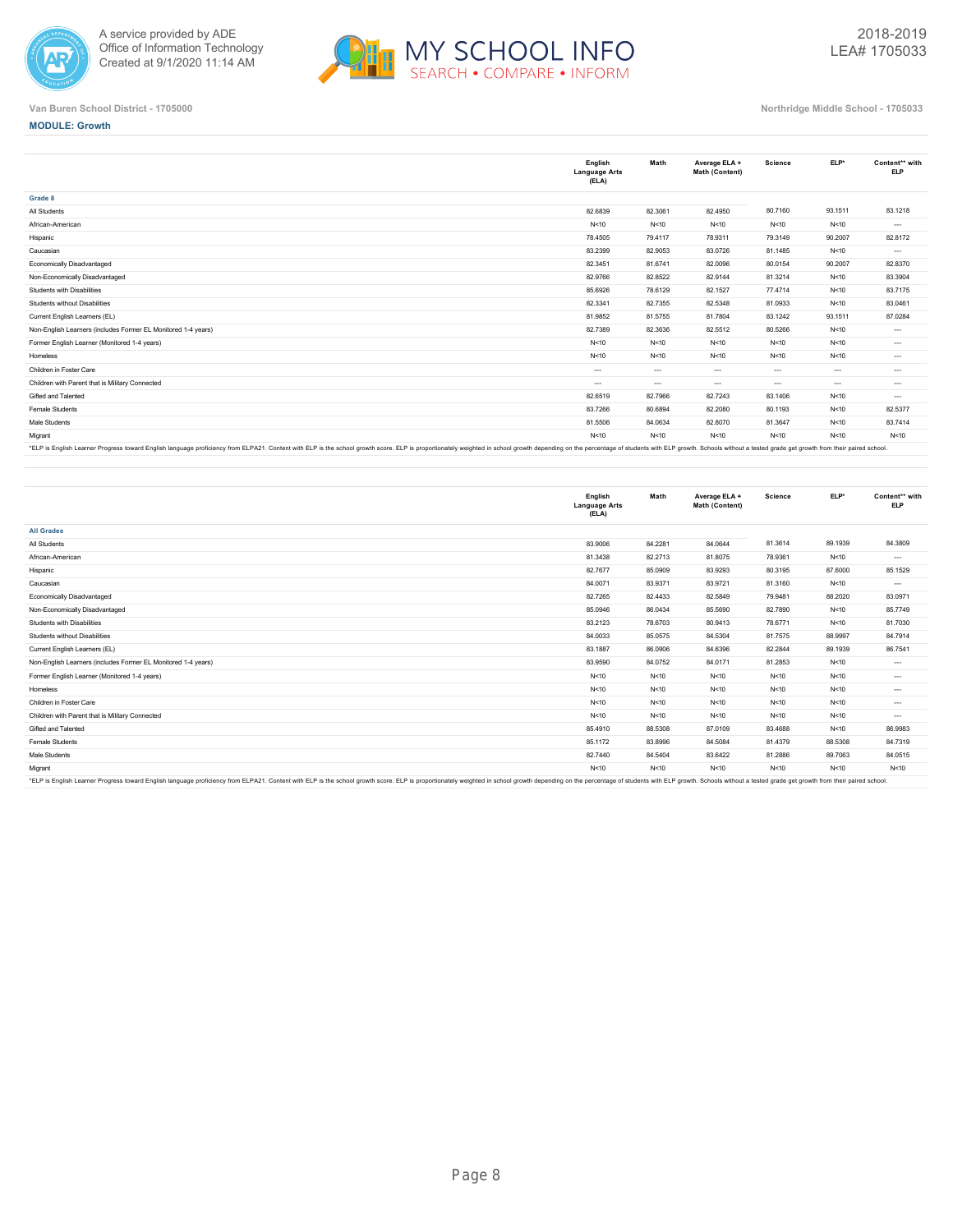



### **MODULE: Growth**

|                                                               | English<br><b>Language Arts</b><br>(ELA) | Math     | Average ELA +<br>Math (Content) | <b>Science</b> | ELP*     | Content** with<br><b>ELP</b> |
|---------------------------------------------------------------|------------------------------------------|----------|---------------------------------|----------------|----------|------------------------------|
| Grade 8                                                       |                                          |          |                                 |                |          |                              |
| All Students                                                  | 82.6839                                  | 82.3061  | 82.4950                         | 80.7160        | 93.1511  | 83.1218                      |
| African-American                                              | N < 10                                   | N < 10   | N<10                            | N<10           | N<10     | $\cdots$                     |
| Hispanic                                                      | 78.4505                                  | 79.4117  | 78.9311                         | 79.3149        | 90.2007  | 82.8172                      |
| Caucasian                                                     | 83.2399                                  | 82.9053  | 83.0726                         | 81.1485        | N<10     | $\cdots$                     |
| Economically Disadvantaged                                    | 82.3451                                  | 81.6741  | 82.0096                         | 80.0154        | 90.2007  | 82.8370                      |
| Non-Economically Disadvantaged                                | 82.9766                                  | 82.8522  | 82.9144                         | 81.3214        | N<10     | 83.3904                      |
| Students with Disabilities                                    | 85.6926                                  | 78.6129  | 82.1527                         | 77,4714        | N<10     | 83.7175                      |
| Students without Disabilities                                 | 82.3341                                  | 82.7355  | 82.5348                         | 81.0933        | N < 10   | 83.0461                      |
| Current English Learners (EL)                                 | 81.9852                                  | 81.5755  | 81.7804                         | 83.1242        | 93.1511  | 87.0284                      |
| Non-English Learners (includes Former EL Monitored 1-4 years) | 82.7389                                  | 82.3636  | 82.5512                         | 80.5266        | N<10     | $\cdots$                     |
| Former English Learner (Monitored 1-4 years)                  | N < 10                                   | N < 10   | N<10                            | N < 10         | N<10     | $\cdots$                     |
| Homeless                                                      | N < 10                                   | N < 10   | N<10                            | N < 10         | N<10     | $\cdots$                     |
| Children in Foster Care                                       | $\cdots$                                 | $\cdots$ | $\cdots$                        | $-1$           | $---$    | $\cdots$                     |
| Children with Parent that is Military Connected               | $\cdots$                                 | $\cdots$ | $\cdots$                        | $\cdots$       | $\ldots$ | $\cdots$                     |
| Gifted and Talented                                           | 82.6519                                  | 82.7966  | 82.7243                         | 83.1406        | N<10     | $\cdots$                     |
| Female Students                                               | 83.7266                                  | 80.6894  | 82.2080                         | 80.1193        | N<10     | 82.5377                      |
| Male Students                                                 | 81.5506                                  | 84.0634  | 82.8070                         | 81.3647        | N<10     | 83.7414                      |
| Migrant                                                       | N < 10                                   | N<10     | N<10                            | N < 10         | N < 10   | N<10                         |
|                                                               |                                          |          |                                 |                |          |                              |

ELP is English Learner Progress toward Eng

|                                                                                                                                                                                                                               | English<br><b>Language Arts</b><br>(ELA) | Math    | Average ELA +<br>Math (Content) | <b>Science</b> | ELP*    | Content** with<br><b>ELP</b> |
|-------------------------------------------------------------------------------------------------------------------------------------------------------------------------------------------------------------------------------|------------------------------------------|---------|---------------------------------|----------------|---------|------------------------------|
| <b>All Grades</b>                                                                                                                                                                                                             |                                          |         |                                 |                |         |                              |
| All Students                                                                                                                                                                                                                  | 83.9006                                  | 84.2281 | 84.0644                         | 81.3614        | 89.1939 | 84.3809                      |
| African-American                                                                                                                                                                                                              | 81.3438                                  | 82.2713 | 81.8075                         | 78.9361        | N<10    | $\cdots$                     |
| Hispanic                                                                                                                                                                                                                      | 82.7677                                  | 85,0909 | 83.9293                         | 80.3195        | 87.6000 | 85.1529                      |
| Caucasian                                                                                                                                                                                                                     | 84.0071                                  | 83.9371 | 83.9721                         | 81.3160        | N<10    | $\cdots$                     |
| Economically Disadvantaged                                                                                                                                                                                                    | 82.7265                                  | 82.4433 | 82.5849                         | 79.9481        | 88.2020 | 83.0971                      |
| Non-Economically Disadvantaged                                                                                                                                                                                                | 85.0946                                  | 86.0434 | 85.5690                         | 82.7890        | N<10    | 85.7749                      |
| Students with Disabilities                                                                                                                                                                                                    | 83.2123                                  | 78.6703 | 80.9413                         | 78.6771        | N<10    | 81.7030                      |
| Students without Disabilities                                                                                                                                                                                                 | 84.0033                                  | 85.0575 | 84.5304                         | 81.7575        | 88.9997 | 84.7914                      |
| Current English Learners (EL)                                                                                                                                                                                                 | 83.1887                                  | 86.0906 | 84.6396                         | 82.2844        | 89.1939 | 86.7541                      |
| Non-English Learners (includes Former EL Monitored 1-4 years)                                                                                                                                                                 | 83.9590                                  | 84.0752 | 84.0171                         | 81.2853        | N<10    | $\cdots$                     |
| Former English Learner (Monitored 1-4 years)                                                                                                                                                                                  | N < 10                                   | N<10    | N<10                            | N<10           | N<10    | $\cdots$                     |
| Homeless                                                                                                                                                                                                                      | N < 10                                   | N<10    | N<10                            | N<10           | N<10    | $\cdots$                     |
| Children in Foster Care                                                                                                                                                                                                       | N < 10                                   | N < 10  | N<10                            | N<10           | N<10    | $\cdots$                     |
| Children with Parent that is Military Connected                                                                                                                                                                               | N < 10                                   | N < 10  | N<10                            | N < 10         | N<10    | $\cdots$                     |
| Gifted and Talented                                                                                                                                                                                                           | 85.4910                                  | 88.5308 | 87.0109                         | 83.4688        | N<10    | 86.9983                      |
| Female Students                                                                                                                                                                                                               | 85.1172                                  | 83.8996 | 84.5084                         | 81.4379        | 88.5308 | 84.7319                      |
| Male Students                                                                                                                                                                                                                 | 82.7440                                  | 84.5404 | 83.6422                         | 81.2886        | 89.7063 | 84.0515                      |
| Migrant                                                                                                                                                                                                                       | N < 10                                   | N < 10  | N<10                            | N<10           | N<10    | N < 10                       |
| *El D ie Englieb Lagrage Dragger bward English Januara proficianu from El DA?1. Contant with El D ie the echoal growth ecores. El D ie proportionately weighted in echoal growth departing on the parameters of etudents with |                                          |         |                                 |                |         |                              |

\*ELP is English Learner Progress toward English language proficiency from ELPA21. Content with ELP is the school growth score. ELP is proportionately weighted in school growth depending on the percentage of students with E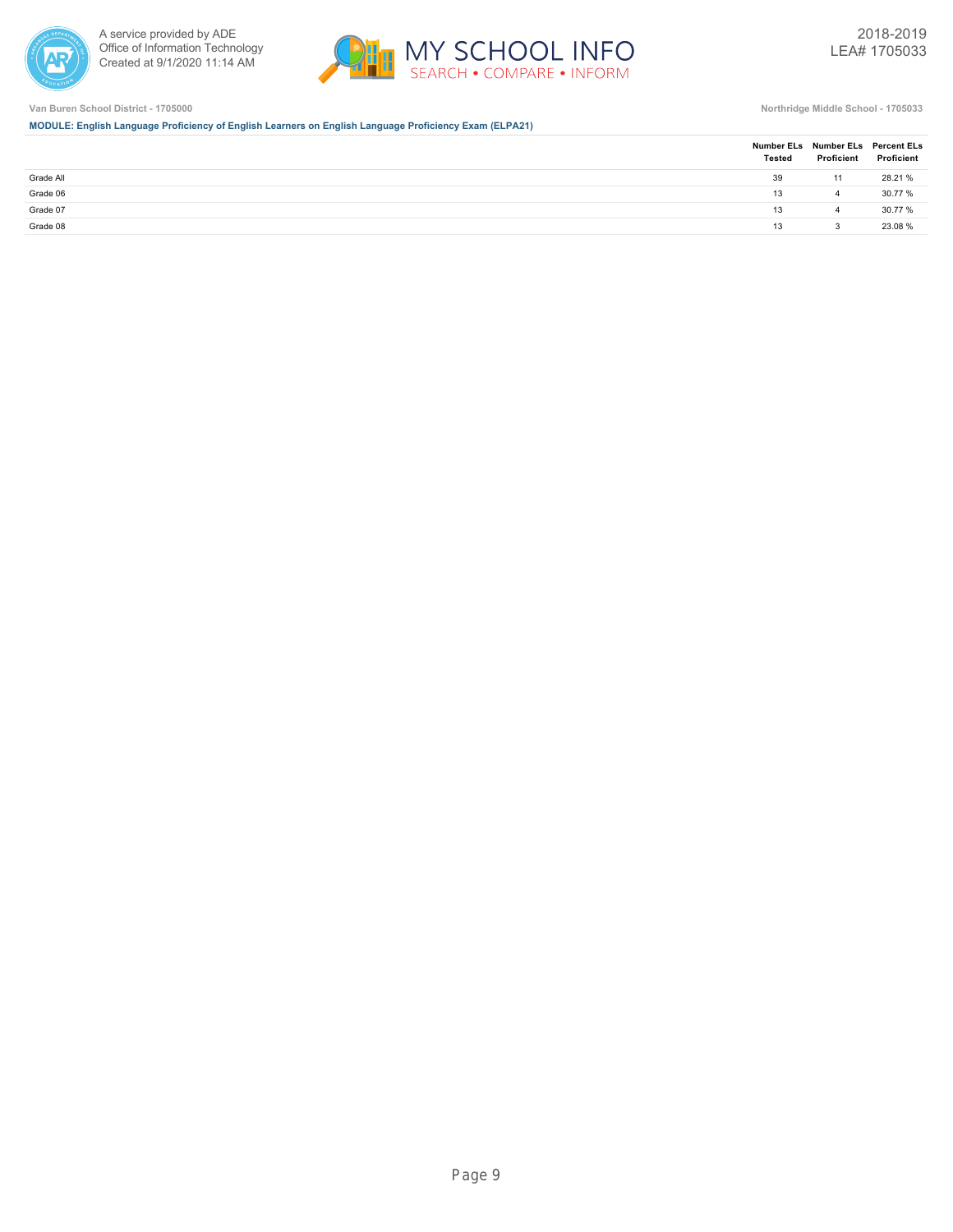



**MODULE: English Language Proficiency of English Learners on English Language Proficiency Exam (ELPA21)**

|           | <b>Tested</b> | Proficient | Number ELs Number ELs Percent ELs<br>Proficient |
|-----------|---------------|------------|-------------------------------------------------|
| Grade All | 39            | 11         | 28.21 %                                         |
| Grade 06  | 13            |            | 30.77 %                                         |
| Grade 07  | 13            |            | 30.77 %                                         |
| Grade 08  | 13            |            | 23.08 %                                         |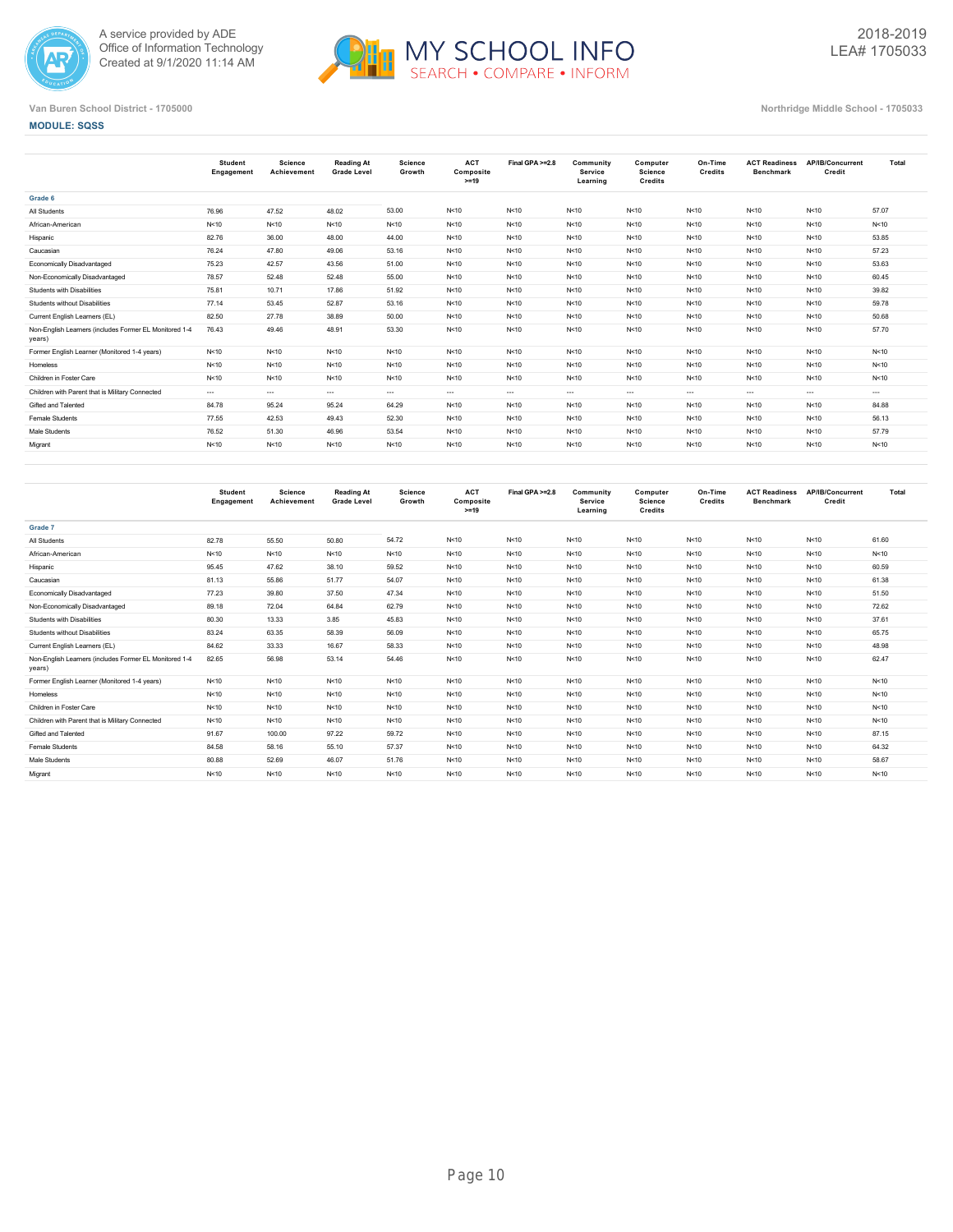



**MODULE: SQSS**

|                                                                  | <b>Student</b><br>Engagement | <b>Science</b><br>Achievement | <b>Reading At</b><br><b>Grade Level</b> | Science<br>Growth | <b>ACT</b><br>Composite<br>$>=19$ | Final GPA >=2.8 | Community<br>Service<br>Learning | Computer<br><b>Science</b><br>Credits | On-Time<br>Credits | <b>ACT Readiness</b><br><b>Benchmark</b> | AP/IB/Concurrent<br>Credit | Total    |
|------------------------------------------------------------------|------------------------------|-------------------------------|-----------------------------------------|-------------------|-----------------------------------|-----------------|----------------------------------|---------------------------------------|--------------------|------------------------------------------|----------------------------|----------|
| Grade 6                                                          |                              |                               |                                         |                   |                                   |                 |                                  |                                       |                    |                                          |                            |          |
| All Students                                                     | 76.96                        | 47.52                         | 48.02                                   | 53.00             | N<10                              | N<10            | N<10                             | N < 10                                | N<10               | N < 10                                   | N<10                       | 57.07    |
| African-American                                                 | N<10                         | N<10                          | N < 10                                  | N<10              | N<10                              | N<10            | N<10                             | N<10                                  | N<10               | N<10                                     | N<10                       | N < 10   |
| Hispanic                                                         | 82.76                        | 36.00                         | 48.00                                   | 44.00             | N<10                              | N<10            | N<10                             | N < 10                                | N<10               | N < 10                                   | N<10                       | 53.85    |
| Caucasian                                                        | 76.24                        | 47.80                         | 49.06                                   | 53.16             | N<10                              | N<10            | N<10                             | N<10                                  | N<10               | N<10                                     | N<10                       | 57.23    |
| <b>Economically Disadvantaged</b>                                | 75.23                        | 42.57                         | 43.56                                   | 51.00             | N<10                              | N<10            | N<10                             | N<10                                  | N<10               | N < 10                                   | N<10                       | 53.63    |
| Non-Economically Disadvantaged                                   | 78.57                        | 52.48                         | 52.48                                   | 55.00             | N<10                              | N<10            | N<10                             | N<10                                  | N<10               | N < 10                                   | N<10                       | 60.45    |
| Students with Disabilities                                       | 75.81                        | 10.71                         | 17.86                                   | 51.92             | N<10                              | N<10            | N<10                             | N < 10                                | N<10               | N<10                                     | N<10                       | 39.82    |
| Students without Disabilities                                    | 77.14                        | 53.45                         | 52.87                                   | 53.16             | N<10                              | N<10            | N<10                             | N<10                                  | N<10               | N < 10                                   | N<10                       | 59.78    |
| Current English Learners (EL)                                    | 82.50                        | 27.78                         | 38.89                                   | 50.00             | N<10                              | N<10            | N<10                             | N < 10                                | N<10               | N<10                                     | N<10                       | 50.68    |
| Non-English Learners (includes Former EL Monitored 1-4<br>years) | 76.43                        | 49.46                         | 48.91                                   | 53.30             | N<10                              | N<10            | N<10                             | N < 10                                | N<10               | N<10                                     | N<10                       | 57.70    |
| Former English Learner (Monitored 1-4 years)                     | N<10                         | N<10                          | N<10                                    | N<10              | N<10                              | N<10            | N<10                             | N < 10                                | N<10               | N < 10                                   | N<10                       | N < 10   |
| Homeless                                                         | N<10                         | N<10                          | N<10                                    | N<10              | N<10                              | N<10            | N<10                             | N<10                                  | N<10               | N < 10                                   | N<10                       | N < 10   |
| Children in Foster Care                                          | N<10                         | N<10                          | N < 10                                  | N<10              | N<10                              | N<10            | N<10                             | N<10                                  | N<10               | N<10                                     | N<10                       | N < 10   |
| Children with Parent that is Military Connected                  | $---$                        | $\cdots$                      | $\sim$                                  | $\sim$ $\sim$     | $\cdots$                          | $---$           | $- - -$                          | $- - -$                               | $-$                | $\cdots$                                 | $\cdots$                   | $\cdots$ |
| Gifted and Talented                                              | 84.78                        | 95.24                         | 95.24                                   | 64.29             | N<10                              | N<10            | N<10                             | N<10                                  | N<10               | N<10                                     | N<10                       | 84.88    |
| Female Students                                                  | 77.55                        | 42.53                         | 49.43                                   | 52.30             | N<10                              | N<10            | N<10                             | N<10                                  | N<10               | N<10                                     | N<10                       | 56.13    |
| Male Students                                                    | 76.52                        | 51.30                         | 46.96                                   | 53.54             | N<10                              | N<10            | N<10                             | N < 10                                | N<10               | N<10                                     | N<10                       | 57.79    |
| Migrant                                                          | N < 10                       | N<10                          | N < 10                                  | N<10              | N<10                              | N<10            | N<10                             | N < 10                                | N<10               | N<10                                     | N<10                       | N < 10   |
|                                                                  |                              |                               |                                         |                   |                                   |                 |                                  |                                       |                    |                                          |                            |          |

|                                                                  | Student<br>Engagement | Science<br>Achievement | <b>Reading At</b><br><b>Grade Level</b> | Science<br>Growth | <b>ACT</b><br>Composite<br>$>=19$ | Final GPA >=2.8 | Community<br>Service<br>Learning | Computer<br><b>Science</b><br>Credits | On-Time<br>Credits | <b>ACT Readiness</b><br><b>Benchmark</b> | AP/IB/Concurrent<br>Credit | Total  |
|------------------------------------------------------------------|-----------------------|------------------------|-----------------------------------------|-------------------|-----------------------------------|-----------------|----------------------------------|---------------------------------------|--------------------|------------------------------------------|----------------------------|--------|
| Grade 7                                                          |                       |                        |                                         |                   |                                   |                 |                                  |                                       |                    |                                          |                            |        |
| All Students                                                     | 82.78                 | 55.50                  | 50.80                                   | 54.72             | N<10                              | N < 10          | N<10                             | N < 10                                | N < 10             | N<10                                     | N<10                       | 61.60  |
| African-American                                                 | N<10                  | N < 10                 | N<10                                    | N<10              | N<10                              | N < 10          | N<10                             | N < 10                                | N<10               | N < 10                                   | N<10                       | N < 10 |
| Hispanic                                                         | 95.45                 | 47.62                  | 38.10                                   | 59.52             | N<10                              | N < 10          | N<10                             | N < 10                                | N<10               | N<10                                     | N<10                       | 60.59  |
| Caucasian                                                        | 81.13                 | 55.86                  | 51.77                                   | 54.07             | N<10                              | N<10            | N<10                             | N < 10                                | N<10               | N<10                                     | N<10                       | 61.38  |
| Economically Disadvantaged                                       | 77.23                 | 39.80                  | 37.50                                   | 47.34             | N<10                              | N<10            | N<10                             | N < 10                                | N<10               | N<10                                     | N<10                       | 51.50  |
| Non-Economically Disadvantaged                                   | 89.18                 | 72.04                  | 64.84                                   | 62.79             | N<10                              | N<10            | N<10                             | N < 10                                | N<10               | N<10                                     | N<10                       | 72.62  |
| Students with Disabilities                                       | 80.30                 | 13.33                  | 3.85                                    | 45.83             | N<10                              | N < 10          | N<10                             | N < 10                                | N<10               | N<10                                     | N<10                       | 37.61  |
| Students without Disabilities                                    | 83.24                 | 63.35                  | 58.39                                   | 56.09             | N<10                              | N<10            | N<10                             | N < 10                                | N<10               | N<10                                     | N<10                       | 65.75  |
| Current English Learners (EL)                                    | 84.62                 | 33.33                  | 16.67                                   | 58.33             | N<10                              | N < 10          | N<10                             | N < 10                                | N<10               | N<10                                     | N<10                       | 48.98  |
| Non-English Learners (includes Former EL Monitored 1-4<br>years) | 82.65                 | 56.98                  | 53.14                                   | 54.46             | N<10                              | N<10            | N<10                             | N < 10                                | N<10               | N<10                                     | N<10                       | 62.47  |
| Former English Learner (Monitored 1-4 years)                     | N<10                  | N < 10                 | N < 10                                  | N<10              | N < 10                            | N<10            | N<10                             | N < 10                                | N<10               | N<10                                     | N<10                       | N<10   |
| Homeless                                                         | N<10                  | N < 10                 | N<10                                    | N<10              | N<10                              | N<10            | N<10                             | N < 10                                | N<10               | N<10                                     | N<10                       | N<10   |
| Children in Foster Care                                          | N<10                  | N < 10                 | N < 10                                  | N < 10            | N<10                              | N<10            | N<10                             | N < 10                                | N < 10             | N<10                                     | N<10                       | N < 10 |
| Children with Parent that is Military Connected                  | N<10                  | N<10                   | N<10                                    | N < 10            | N<10                              | N<10            | N<10                             | N < 10                                | N<10               | N<10                                     | N<10                       | N < 10 |
| Gifted and Talented                                              | 91.67                 | 100.00                 | 97.22                                   | 59.72             | N < 10                            | N<10            | N<10                             | N < 10                                | N < 10             | N<10                                     | N<10                       | 87.15  |
| Female Students                                                  | 84.58                 | 58.16                  | 55.10                                   | 57.37             | N < 10                            | N<10            | N<10                             | N < 10                                | N < 10             | N < 10                                   | N<10                       | 64.32  |
| Male Students                                                    | 80.88                 | 52.69                  | 46.07                                   | 51.76             | N < 10                            | N<10            | N < 10                           | N < 10                                | N<10               | N<10                                     | N<10                       | 58.67  |
| Migrant                                                          | N<10                  | N < 10                 | N<10                                    | N < 10            | N<10                              | N<10            | N<10                             | N < 10                                | N < 10             | N<10                                     | N<10                       | N < 10 |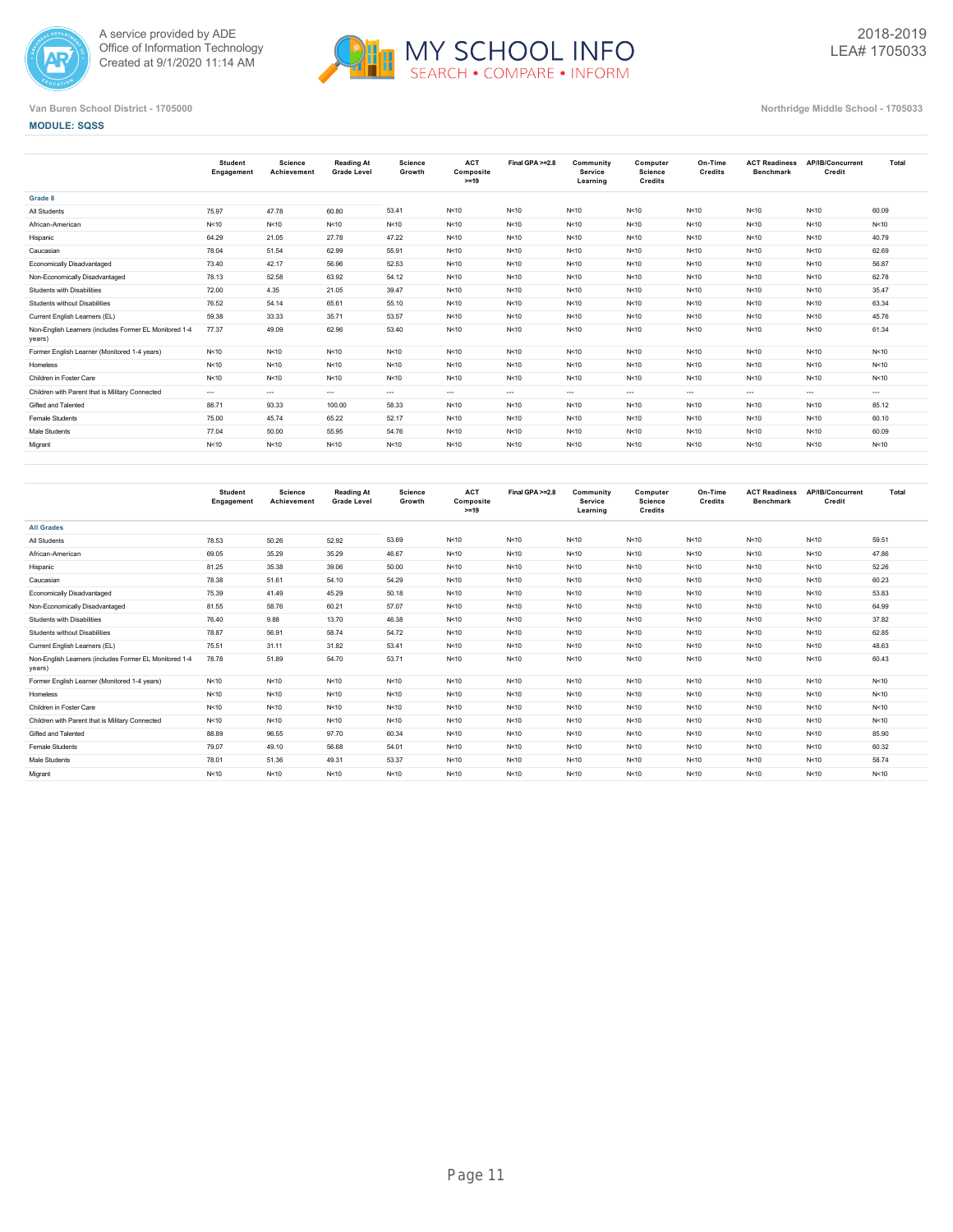



### **MODULE: SQSS**

|                                                                  | <b>Student</b><br>Engagement | <b>Science</b><br>Achievement | Reading At<br><b>Grade Level</b> | <b>Science</b><br>Growth | <b>ACT</b><br>Composite<br>$>=19$ | Final GPA >=2.8 | Community<br>Service<br>Learning | Computer<br>Science<br><b>Credits</b> | On-Time<br>Credits | <b>ACT Readiness</b><br><b>Benchmark</b> | <b>AP/IB/Concurrent</b><br>Credit | Total    |
|------------------------------------------------------------------|------------------------------|-------------------------------|----------------------------------|--------------------------|-----------------------------------|-----------------|----------------------------------|---------------------------------------|--------------------|------------------------------------------|-----------------------------------|----------|
| Grade 8                                                          |                              |                               |                                  |                          |                                   |                 |                                  |                                       |                    |                                          |                                   |          |
| All Students                                                     | 75.97                        | 47.78                         | 60.80                            | 53.41                    | N<10                              | N < 10          | N < 10                           | N < 10                                | N<10               | N < 10                                   | N < 10                            | 60.09    |
| African-American                                                 | N<10                         | N<10                          | N < 10                           | N<10                     | N<10                              | N < 10          | N<10                             | N < 10                                | N<10               | N < 10                                   | N < 10                            | N < 10   |
| Hispanic                                                         | 64.29                        | 21.05                         | 27.78                            | 47.22                    | N<10                              | N < 10          | N<10                             | N < 10                                | N<10               | N<10                                     | N<10                              | 40.79    |
| Caucasian                                                        | 78.04                        | 51.54                         | 62.99                            | 55.91                    | N<10                              | N < 10          | N<10                             | N < 10                                | N<10               | N < 10                                   | N<10                              | 62.69    |
| Economically Disadvantaged                                       | 73.40                        | 42.17                         | 56.96                            | 52.53                    | N<10                              | N < 10          | N<10                             | N < 10                                | N<10               | N < 10                                   | N<10                              | 56.87    |
| Non-Economically Disadvantaged                                   | 78.13                        | 52.58                         | 63.92                            | 54.12                    | N<10                              | N < 10          | N<10                             | N < 10                                | N<10               | N < 10                                   | N<10                              | 62.78    |
| Students with Disabilities                                       | 72.00                        | 4.35                          | 21.05                            | 39.47                    | N<10                              | N < 10          | N < 10                           | N < 10                                | N<10               | N < 10                                   | N<10                              | 35.47    |
| Students without Disabilities                                    | 76.52                        | 54.14                         | 65.61                            | 55.10                    | N<10                              | N < 10          | N < 10                           | N < 10                                | N<10               | N < 10                                   | N<10                              | 63.34    |
| Current English Learners (EL)                                    | 59.38                        | 33.33                         | 35.71                            | 53.57                    | N<10                              | N < 10          | N < 10                           | N < 10                                | N<10               | N<10                                     | N < 10                            | 45.76    |
| Non-English Learners (includes Former EL Monitored 1-4<br>years) | 77.37                        | 49.09                         | 62.96                            | 53.40                    | N<10                              | N < 10          | N<10                             | N < 10                                | N<10               | N<10                                     | N<10                              | 61.34    |
| Former English Learner (Monitored 1-4 years)                     | N<10                         | N<10                          | N < 10                           | N<10                     | N<10                              | N < 10          | N < 10                           | N < 10                                | N<10               | N<10                                     | N<10                              | N < 10   |
| Homeless                                                         | N<10                         | N<10                          | N<10                             | N<10                     | N<10                              | N < 10          | N<10                             | N < 10                                | N<10               | N < 10                                   | N<10                              | N < 10   |
| Children in Foster Care                                          | N<10                         | N<10                          | N < 10                           | N<10                     | N<10                              | N < 10          | N < 10                           | N < 10                                | N<10               | N < 10                                   | N<10                              | N < 10   |
| Children with Parent that is Military Connected                  | $\cdots$                     | $\cdots$                      | $\sim$                           | $\cdots$                 | $\cdots$                          | $\cdots$        | $\cdots$                         | $\cdots$                              | $\cdots$           | $\cdots$                                 | $\sim$ $\sim$                     | $\cdots$ |
| Gifted and Talented                                              | 88.71                        | 93.33                         | 100.00                           | 58.33                    | N<10                              | N < 10          | N < 10                           | N < 10                                | N<10               | N < 10                                   | N < 10                            | 85.12    |
| <b>Female Students</b>                                           | 75.00                        | 45.74                         | 65.22                            | 52.17                    | N<10                              | N < 10          | N < 10                           | N < 10                                | N<10               | N < 10                                   | N < 10                            | 60.10    |
| Male Students                                                    | 77.04                        | 50.00                         | 55.95                            | 54.76                    | N<10                              | N < 10          | N<10                             | N < 10                                | N<10               | N < 10                                   | N<10                              | 60.09    |
| Migrant                                                          | N<10                         | N<10                          | N < 10                           | N<10                     | N<10                              | N < 10          | N<10                             | N < 10                                | N<10               | N<10                                     | N<10                              | N < 10   |
|                                                                  |                              |                               |                                  |                          |                                   |                 |                                  |                                       |                    |                                          |                                   |          |

|                                                                  | <b>Student</b><br>Engagement | Science<br>Achievement | Reading At<br><b>Grade Level</b> | <b>Science</b><br>Growth | <b>ACT</b><br>Composite<br>$>=19$ | Final GPA >=2.8 | Community<br><b>Service</b><br>Learning | Computer<br><b>Science</b><br>Credits | On-Time<br>Credits | <b>ACT Readiness</b><br><b>Benchmark</b> | AP/IB/Concurrent<br>Credit | Total  |
|------------------------------------------------------------------|------------------------------|------------------------|----------------------------------|--------------------------|-----------------------------------|-----------------|-----------------------------------------|---------------------------------------|--------------------|------------------------------------------|----------------------------|--------|
| <b>All Grades</b>                                                |                              |                        |                                  |                          |                                   |                 |                                         |                                       |                    |                                          |                            |        |
| All Students                                                     | 78.53                        | 50.26                  | 52.92                            | 53.69                    | N < 10                            | N<10            | N < 10                                  | N < 10                                | N < 10             | N<10                                     | N<10                       | 59.51  |
| African-American                                                 | 69.05                        | 35.29                  | 35.29                            | 46.67                    | N<10                              | N<10            | N < 10                                  | N<10                                  | N<10               | N<10                                     | N<10                       | 47.86  |
| Hispanic                                                         | 81.25                        | 35.38                  | 39.06                            | 50.00                    | N<10                              | N<10            | N<10                                    | N<10                                  | N<10               | N<10                                     | N<10                       | 52.26  |
| Caucasian                                                        | 78.38                        | 51.61                  | 54.10                            | 54.29                    | N<10                              | N < 10          | N < 10                                  | N<10                                  | N<10               | N<10                                     | N<10                       | 60.23  |
| <b>Economically Disadvantaged</b>                                | 75.39                        | 41.49                  | 45.29                            | 50.18                    | N<10                              | N<10            | N < 10                                  | N<10                                  | N<10               | N<10                                     | N<10                       | 53.83  |
| Non-Economically Disadvantaged                                   | 81.55                        | 58.76                  | 60.21                            | 57.07                    | N < 10                            | N<10            | N < 10                                  | N < 10                                | N<10               | N<10                                     | N<10                       | 64.99  |
| Students with Disabilities                                       | 76.40                        | 9.88                   | 13.70                            | 46.38                    | N<10                              | N<10            | N < 10                                  | N<10                                  | N<10               | N<10                                     | N<10                       | 37.82  |
| Students without Disabilities                                    | 78.87                        | 56.91                  | 58.74                            | 54.72                    | N<10                              | N<10            | N < 10                                  | N<10                                  | N < 10             | N<10                                     | N<10                       | 62.85  |
| Current English Learners (EL)                                    | 75.51                        | 31.11                  | 31.82                            | 53.41                    | N<10                              | N<10            | N < 10                                  | N<10                                  | N<10               | N<10                                     | N<10                       | 48.63  |
| Non-English Learners (includes Former EL Monitored 1-4<br>years) | 78.78                        | 51.89                  | 54.70                            | 53.71                    | N<10                              | N<10            | N<10                                    | N<10                                  | N < 10             | N<10                                     | N<10                       | 60.43  |
| Former English Learner (Monitored 1-4 years)                     | N<10                         | N<10                   | N < 10                           | N<10                     | N<10                              | N<10            | N < 10                                  | N<10                                  | N < 10             | N<10                                     | N<10                       | N<10   |
| Homeless                                                         | N<10                         | N<10                   | N < 10                           | N<10                     | N < 10                            | N<10            | N < 10                                  | N < 10                                | N < 10             | N<10                                     | N<10                       | N < 10 |
| Children in Foster Care                                          | N<10                         | N<10                   | N < 10                           | N<10                     | N<10                              | N<10            | N < 10                                  | N<10                                  | N<10               | N<10                                     | N<10                       | N<10   |
| Children with Parent that is Military Connected                  | N<10                         | N<10                   | N < 10                           | N<10                     | N<10                              | N<10            | N < 10                                  | N<10                                  | N<10               | N<10                                     | N<10                       | N<10   |
| Gifted and Talented                                              | 88.89                        | 96.55                  | 97.70                            | 60.34                    | N<10                              | N<10            | N < 10                                  | N < 10                                | N < 10             | N < 10                                   | N < 10                     | 85.90  |
| Female Students                                                  | 79.07                        | 49.10                  | 56.68                            | 54.01                    | N<10                              | N<10            | N < 10                                  | N<10                                  | N < 10             | N < 10                                   | N<10                       | 60.32  |
| Male Students                                                    | 78.01                        | 51.36                  | 49.31                            | 53.37                    | N<10                              | N<10            | N < 10                                  | N < 10                                | N < 10             | N<10                                     | N<10                       | 58.74  |
| Migrant                                                          | N < 10                       | N<10                   | N < 10                           | N<10                     | N<10                              | N<10            | N<10                                    | N<10                                  | N<10               | N<10                                     | N<10                       | N < 10 |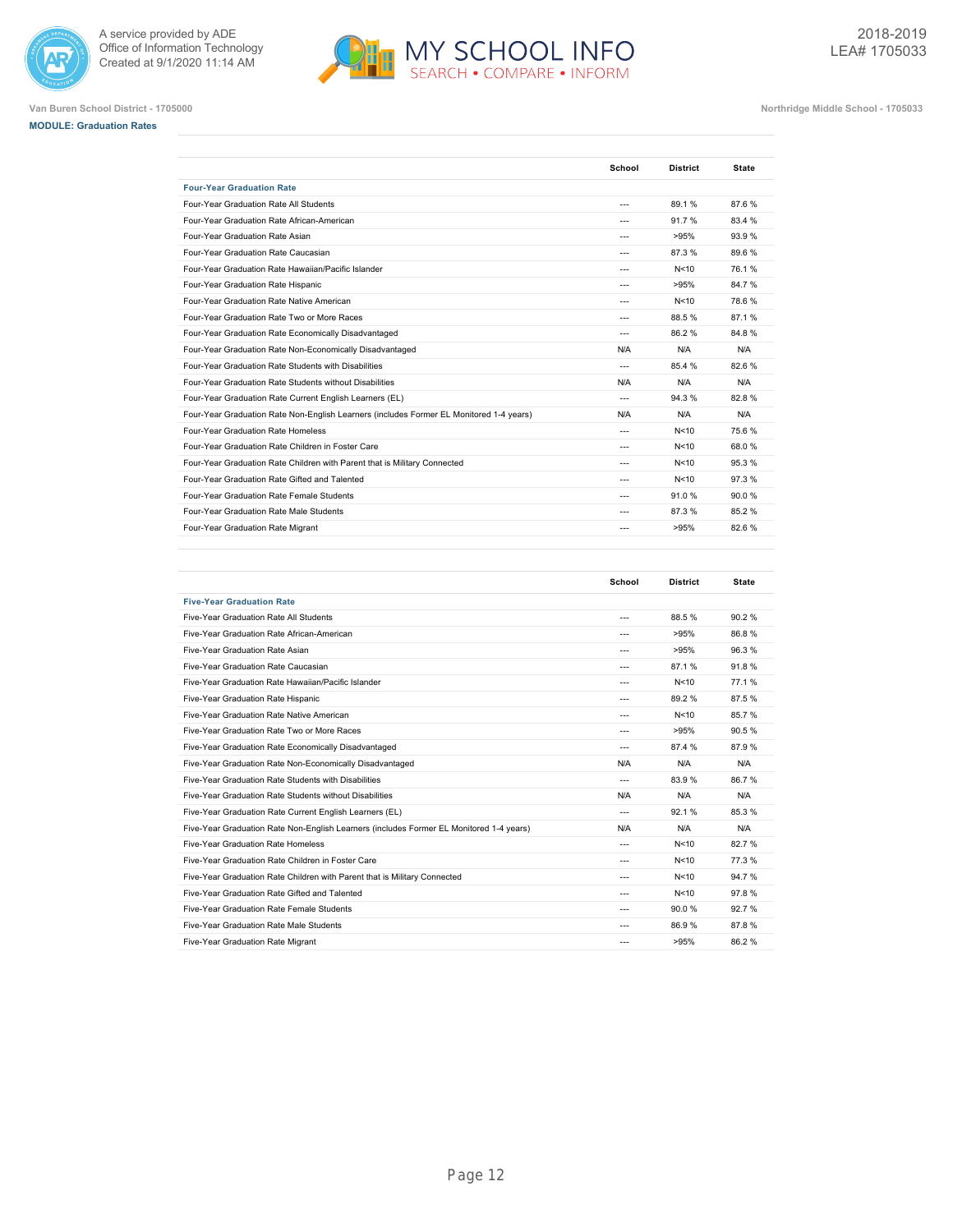







| <b>Four-Year Graduation Rate</b><br>Four-Year Graduation Rate All Students<br>89.1%<br>87.6%<br>$---$<br>Four-Year Graduation Rate African-American<br>91.7%<br>83.4 %<br>Four-Year Graduation Rate Asian<br>93.9%<br>>95%<br>$---$<br>87.3%<br>89.6%<br>Four-Year Graduation Rate Caucasian<br>$\overline{a}$<br>Four-Year Graduation Rate Hawaiian/Pacific Islander<br>76.1%<br>N<10<br>$\overline{a}$<br>>95%<br>84.7%<br>Four-Year Graduation Rate Hispanic<br>$\sim$<br>Four-Year Graduation Rate Native American<br>N<10<br>78.6%<br>$- - -$<br>Four-Year Graduation Rate Two or More Races<br>88.5%<br>87.1%<br>$- - -$<br>Four-Year Graduation Rate Economically Disadvantaged<br>86.2%<br>84.8%<br>N/A<br>N/A<br>Four-Year Graduation Rate Non-Economically Disadvantaged<br>N/A<br>Four-Year Graduation Rate Students with Disabilities<br>85.4 %<br>82.6%<br>$\sim$<br>N/A<br>N/A<br>Four-Year Graduation Rate Students without Disabilities<br>N/A<br>94.3%<br>82.8%<br>Four-Year Graduation Rate Current English Learners (EL)<br>$\overline{a}$<br>Four-Year Graduation Rate Non-English Learners (includes Former EL Monitored 1-4 years)<br>N/A<br>N/A<br>N/A<br>Four-Year Graduation Rate Homeless<br>N<10<br>75.6%<br>$\overline{a}$<br>Four-Year Graduation Rate Children in Foster Care<br>68.0%<br>N<10<br>$- - -$<br>Four-Year Graduation Rate Children with Parent that is Military Connected<br>95.3%<br>N<10<br>$\overline{a}$<br>Four-Year Graduation Rate Gifted and Talented<br>N<10<br>97.3%<br>$\overline{a}$<br>Four-Year Graduation Rate Female Students<br>91.0%<br>90.0%<br>$- - -$<br>85.2%<br>Four-Year Graduation Rate Male Students<br>87.3%<br>$\overline{a}$<br>Four-Year Graduation Rate Migrant<br>>95%<br>82.6%<br>$---$ | School | <b>District</b> | <b>State</b> |
|---------------------------------------------------------------------------------------------------------------------------------------------------------------------------------------------------------------------------------------------------------------------------------------------------------------------------------------------------------------------------------------------------------------------------------------------------------------------------------------------------------------------------------------------------------------------------------------------------------------------------------------------------------------------------------------------------------------------------------------------------------------------------------------------------------------------------------------------------------------------------------------------------------------------------------------------------------------------------------------------------------------------------------------------------------------------------------------------------------------------------------------------------------------------------------------------------------------------------------------------------------------------------------------------------------------------------------------------------------------------------------------------------------------------------------------------------------------------------------------------------------------------------------------------------------------------------------------------------------------------------------------------------------------------------------------------------------------------------------------------------------------------|--------|-----------------|--------------|
|                                                                                                                                                                                                                                                                                                                                                                                                                                                                                                                                                                                                                                                                                                                                                                                                                                                                                                                                                                                                                                                                                                                                                                                                                                                                                                                                                                                                                                                                                                                                                                                                                                                                                                                                                                     |        |                 |              |
|                                                                                                                                                                                                                                                                                                                                                                                                                                                                                                                                                                                                                                                                                                                                                                                                                                                                                                                                                                                                                                                                                                                                                                                                                                                                                                                                                                                                                                                                                                                                                                                                                                                                                                                                                                     |        |                 |              |
|                                                                                                                                                                                                                                                                                                                                                                                                                                                                                                                                                                                                                                                                                                                                                                                                                                                                                                                                                                                                                                                                                                                                                                                                                                                                                                                                                                                                                                                                                                                                                                                                                                                                                                                                                                     |        |                 |              |
|                                                                                                                                                                                                                                                                                                                                                                                                                                                                                                                                                                                                                                                                                                                                                                                                                                                                                                                                                                                                                                                                                                                                                                                                                                                                                                                                                                                                                                                                                                                                                                                                                                                                                                                                                                     |        |                 |              |
|                                                                                                                                                                                                                                                                                                                                                                                                                                                                                                                                                                                                                                                                                                                                                                                                                                                                                                                                                                                                                                                                                                                                                                                                                                                                                                                                                                                                                                                                                                                                                                                                                                                                                                                                                                     |        |                 |              |
|                                                                                                                                                                                                                                                                                                                                                                                                                                                                                                                                                                                                                                                                                                                                                                                                                                                                                                                                                                                                                                                                                                                                                                                                                                                                                                                                                                                                                                                                                                                                                                                                                                                                                                                                                                     |        |                 |              |
|                                                                                                                                                                                                                                                                                                                                                                                                                                                                                                                                                                                                                                                                                                                                                                                                                                                                                                                                                                                                                                                                                                                                                                                                                                                                                                                                                                                                                                                                                                                                                                                                                                                                                                                                                                     |        |                 |              |
|                                                                                                                                                                                                                                                                                                                                                                                                                                                                                                                                                                                                                                                                                                                                                                                                                                                                                                                                                                                                                                                                                                                                                                                                                                                                                                                                                                                                                                                                                                                                                                                                                                                                                                                                                                     |        |                 |              |
|                                                                                                                                                                                                                                                                                                                                                                                                                                                                                                                                                                                                                                                                                                                                                                                                                                                                                                                                                                                                                                                                                                                                                                                                                                                                                                                                                                                                                                                                                                                                                                                                                                                                                                                                                                     |        |                 |              |
|                                                                                                                                                                                                                                                                                                                                                                                                                                                                                                                                                                                                                                                                                                                                                                                                                                                                                                                                                                                                                                                                                                                                                                                                                                                                                                                                                                                                                                                                                                                                                                                                                                                                                                                                                                     |        |                 |              |
|                                                                                                                                                                                                                                                                                                                                                                                                                                                                                                                                                                                                                                                                                                                                                                                                                                                                                                                                                                                                                                                                                                                                                                                                                                                                                                                                                                                                                                                                                                                                                                                                                                                                                                                                                                     |        |                 |              |
|                                                                                                                                                                                                                                                                                                                                                                                                                                                                                                                                                                                                                                                                                                                                                                                                                                                                                                                                                                                                                                                                                                                                                                                                                                                                                                                                                                                                                                                                                                                                                                                                                                                                                                                                                                     |        |                 |              |
|                                                                                                                                                                                                                                                                                                                                                                                                                                                                                                                                                                                                                                                                                                                                                                                                                                                                                                                                                                                                                                                                                                                                                                                                                                                                                                                                                                                                                                                                                                                                                                                                                                                                                                                                                                     |        |                 |              |
|                                                                                                                                                                                                                                                                                                                                                                                                                                                                                                                                                                                                                                                                                                                                                                                                                                                                                                                                                                                                                                                                                                                                                                                                                                                                                                                                                                                                                                                                                                                                                                                                                                                                                                                                                                     |        |                 |              |
|                                                                                                                                                                                                                                                                                                                                                                                                                                                                                                                                                                                                                                                                                                                                                                                                                                                                                                                                                                                                                                                                                                                                                                                                                                                                                                                                                                                                                                                                                                                                                                                                                                                                                                                                                                     |        |                 |              |
|                                                                                                                                                                                                                                                                                                                                                                                                                                                                                                                                                                                                                                                                                                                                                                                                                                                                                                                                                                                                                                                                                                                                                                                                                                                                                                                                                                                                                                                                                                                                                                                                                                                                                                                                                                     |        |                 |              |
|                                                                                                                                                                                                                                                                                                                                                                                                                                                                                                                                                                                                                                                                                                                                                                                                                                                                                                                                                                                                                                                                                                                                                                                                                                                                                                                                                                                                                                                                                                                                                                                                                                                                                                                                                                     |        |                 |              |
|                                                                                                                                                                                                                                                                                                                                                                                                                                                                                                                                                                                                                                                                                                                                                                                                                                                                                                                                                                                                                                                                                                                                                                                                                                                                                                                                                                                                                                                                                                                                                                                                                                                                                                                                                                     |        |                 |              |
|                                                                                                                                                                                                                                                                                                                                                                                                                                                                                                                                                                                                                                                                                                                                                                                                                                                                                                                                                                                                                                                                                                                                                                                                                                                                                                                                                                                                                                                                                                                                                                                                                                                                                                                                                                     |        |                 |              |
|                                                                                                                                                                                                                                                                                                                                                                                                                                                                                                                                                                                                                                                                                                                                                                                                                                                                                                                                                                                                                                                                                                                                                                                                                                                                                                                                                                                                                                                                                                                                                                                                                                                                                                                                                                     |        |                 |              |
|                                                                                                                                                                                                                                                                                                                                                                                                                                                                                                                                                                                                                                                                                                                                                                                                                                                                                                                                                                                                                                                                                                                                                                                                                                                                                                                                                                                                                                                                                                                                                                                                                                                                                                                                                                     |        |                 |              |
|                                                                                                                                                                                                                                                                                                                                                                                                                                                                                                                                                                                                                                                                                                                                                                                                                                                                                                                                                                                                                                                                                                                                                                                                                                                                                                                                                                                                                                                                                                                                                                                                                                                                                                                                                                     |        |                 |              |

|                                                                                         | School         | <b>District</b> | <b>State</b> |
|-----------------------------------------------------------------------------------------|----------------|-----------------|--------------|
| <b>Five-Year Graduation Rate</b>                                                        |                |                 |              |
| Five-Year Graduation Rate All Students                                                  | $---$          | 88.5%           | 90.2%        |
| Five-Year Graduation Rate African-American                                              | ---            | >95%            | 86.8%        |
| Five-Year Graduation Rate Asian                                                         | $- - -$        | >95%            | 96.3%        |
| Five-Year Graduation Rate Caucasian                                                     | $---$          | 87.1%           | 91.8%        |
| Five-Year Graduation Rate Hawaiian/Pacific Islander                                     | $- - -$        | N<10            | 77.1%        |
| Five-Year Graduation Rate Hispanic                                                      | $---$          | 89.2%           | 87.5%        |
| Five-Year Graduation Rate Native American                                               | $---$          | N<10            | 85.7%        |
| Five-Year Graduation Rate Two or More Races                                             | $---$          | >95%            | 90.5%        |
| Five-Year Graduation Rate Economically Disadvantaged                                    | $---$          | 87.4 %          | 87.9%        |
| Five-Year Graduation Rate Non-Economically Disadvantaged                                | N/A            | N/A             | N/A          |
| Five-Year Graduation Rate Students with Disabilities                                    | $\overline{a}$ | 83.9%           | 86.7%        |
| Five-Year Graduation Rate Students without Disabilities                                 | N/A            | N/A             | N/A          |
| Five-Year Graduation Rate Current English Learners (EL)                                 | $---$          | 92.1%           | 85.3%        |
| Five-Year Graduation Rate Non-English Learners (includes Former EL Monitored 1-4 years) | N/A            | N/A             | N/A          |
| Five-Year Graduation Rate Homeless                                                      | $\overline{a}$ | N<10            | 82.7%        |
| Five-Year Graduation Rate Children in Foster Care                                       | $\overline{a}$ | N<10            | 77.3%        |
| Five-Year Graduation Rate Children with Parent that is Military Connected               | $- - -$        | N<10            | 94.7%        |
| Five-Year Graduation Rate Gifted and Talented                                           | $---$          | N<10            | 97.8%        |
| Five-Year Graduation Rate Female Students                                               | $- - -$        | 90.0%           | 92.7%        |
| Five-Year Graduation Rate Male Students                                                 | $\overline{a}$ | 86.9%           | 87.8%        |
| Five-Year Graduation Rate Migrant                                                       | $- - -$        | >95%            | 86.2%        |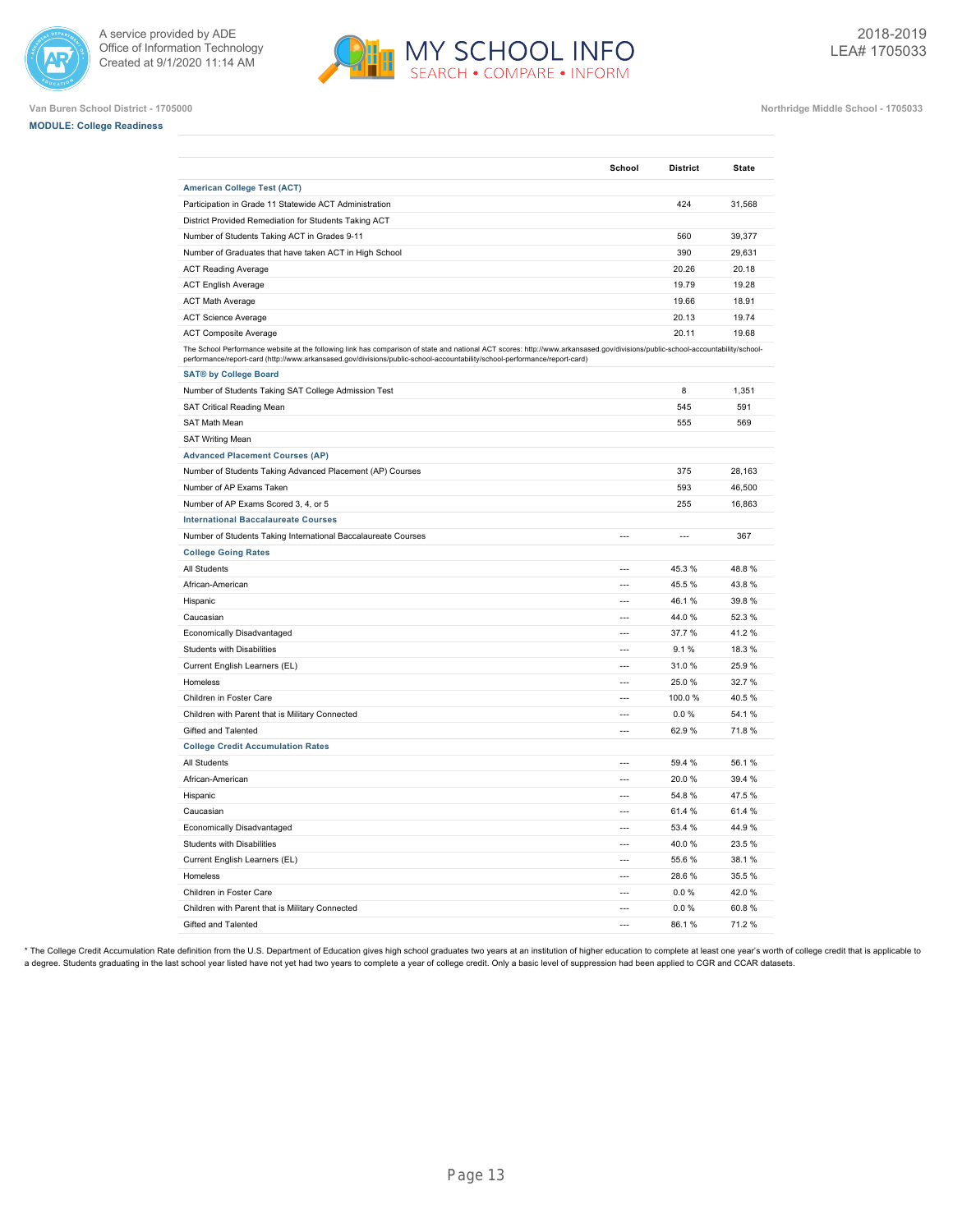



**Van Buren School District - 1705000 Northridge Middle School - 1705033**

|  |  | <b>MODULE: College Readiness</b> |  |
|--|--|----------------------------------|--|
|--|--|----------------------------------|--|

|                                                                                                                                                                                                                                                                                                             | School                   | <b>District</b>          | State  |
|-------------------------------------------------------------------------------------------------------------------------------------------------------------------------------------------------------------------------------------------------------------------------------------------------------------|--------------------------|--------------------------|--------|
| <b>American College Test (ACT)</b>                                                                                                                                                                                                                                                                          |                          |                          |        |
| Participation in Grade 11 Statewide ACT Administration                                                                                                                                                                                                                                                      |                          | 424                      | 31,568 |
| District Provided Remediation for Students Taking ACT                                                                                                                                                                                                                                                       |                          |                          |        |
| Number of Students Taking ACT in Grades 9-11                                                                                                                                                                                                                                                                |                          | 560                      | 39,377 |
| Number of Graduates that have taken ACT in High School                                                                                                                                                                                                                                                      |                          | 390                      | 29,631 |
| <b>ACT Reading Average</b>                                                                                                                                                                                                                                                                                  |                          | 20.26                    | 20.18  |
| <b>ACT English Average</b>                                                                                                                                                                                                                                                                                  |                          | 19.79                    | 19.28  |
| <b>ACT Math Average</b>                                                                                                                                                                                                                                                                                     |                          | 19.66                    | 18.91  |
| <b>ACT Science Average</b>                                                                                                                                                                                                                                                                                  |                          | 20.13                    | 19.74  |
| <b>ACT Composite Average</b>                                                                                                                                                                                                                                                                                |                          | 20.11                    | 19.68  |
| The School Performance website at the following link has comparison of state and national ACT scores: http://www.arkansased.gov/divisions/public-school-accountability/school-<br>performance/report-card (http://www.arkansased.gov/divisions/public-school-accountability/school-performance/report-card) |                          |                          |        |
| <b>SAT® by College Board</b>                                                                                                                                                                                                                                                                                |                          |                          |        |
| Number of Students Taking SAT College Admission Test                                                                                                                                                                                                                                                        |                          | 8                        | 1,351  |
| SAT Critical Reading Mean                                                                                                                                                                                                                                                                                   |                          | 545                      | 591    |
| SAT Math Mean                                                                                                                                                                                                                                                                                               |                          | 555                      | 569    |
| <b>SAT Writing Mean</b>                                                                                                                                                                                                                                                                                     |                          |                          |        |
| <b>Advanced Placement Courses (AP)</b>                                                                                                                                                                                                                                                                      |                          |                          |        |
| Number of Students Taking Advanced Placement (AP) Courses                                                                                                                                                                                                                                                   |                          | 375                      | 28,163 |
| Number of AP Exams Taken                                                                                                                                                                                                                                                                                    |                          | 593                      | 46,500 |
| Number of AP Exams Scored 3, 4, or 5                                                                                                                                                                                                                                                                        |                          | 255                      | 16,863 |
| <b>International Baccalaureate Courses</b>                                                                                                                                                                                                                                                                  |                          |                          |        |
| Number of Students Taking International Baccalaureate Courses                                                                                                                                                                                                                                               | $\overline{a}$           | $\overline{\phantom{a}}$ | 367    |
| <b>College Going Rates</b>                                                                                                                                                                                                                                                                                  |                          |                          |        |
| All Students                                                                                                                                                                                                                                                                                                | $\overline{\phantom{a}}$ | 45.3%                    | 48.8%  |
| African-American                                                                                                                                                                                                                                                                                            | $\overline{a}$           | 45.5 %                   | 43.8%  |
| Hispanic                                                                                                                                                                                                                                                                                                    | $\overline{a}$           | 46.1%                    | 39.8%  |
| Caucasian                                                                                                                                                                                                                                                                                                   | $\overline{a}$           | 44.0%                    | 52.3%  |
| Economically Disadvantaged                                                                                                                                                                                                                                                                                  | $\overline{a}$           | 37.7%                    | 41.2%  |
| Students with Disabilities                                                                                                                                                                                                                                                                                  | $\overline{a}$           | 9.1%                     | 18.3%  |
| Current English Learners (EL)                                                                                                                                                                                                                                                                               |                          | 31.0%                    | 25.9%  |
| Homeless                                                                                                                                                                                                                                                                                                    | $\overline{a}$           | 25.0%                    | 32.7%  |
| Children in Foster Care                                                                                                                                                                                                                                                                                     | $\overline{a}$           | 100.0%                   | 40.5%  |
| Children with Parent that is Military Connected                                                                                                                                                                                                                                                             | $\overline{a}$           | 0.0%                     | 54.1%  |
| Gifted and Talented                                                                                                                                                                                                                                                                                         | $\overline{\phantom{a}}$ | 62.9%                    | 71.8%  |
| <b>College Credit Accumulation Rates</b>                                                                                                                                                                                                                                                                    |                          |                          |        |
| All Students                                                                                                                                                                                                                                                                                                | $\overline{a}$           | 59.4 %                   | 56.1%  |
| African-American                                                                                                                                                                                                                                                                                            |                          | 20.0%                    | 39.4 % |
| Hispanic                                                                                                                                                                                                                                                                                                    | $\overline{a}$           | 54.8%                    | 47.5%  |
| Caucasian                                                                                                                                                                                                                                                                                                   | $\overline{a}$           | 61.4 %                   | 61.4%  |
| Economically Disadvantaged                                                                                                                                                                                                                                                                                  | $\overline{a}$           | 53.4 %                   | 44.9%  |
| <b>Students with Disabilities</b>                                                                                                                                                                                                                                                                           | $\overline{a}$           | 40.0%                    | 23.5%  |
| Current English Learners (EL)                                                                                                                                                                                                                                                                               | $\overline{a}$           | 55.6 %                   | 38.1%  |
| Homeless                                                                                                                                                                                                                                                                                                    | $\overline{a}$           | 28.6%                    | 35.5%  |
| Children in Foster Care                                                                                                                                                                                                                                                                                     | $\sim$                   | 0.0 %                    | 42.0%  |
| Children with Parent that is Military Connected                                                                                                                                                                                                                                                             | $---$                    | 0.0%                     | 60.8%  |
| Gifted and Talented                                                                                                                                                                                                                                                                                         | $\overline{a}$           | 86.1%                    | 71.2%  |

\* The College Credit Accumulation Rate definition from the U.S. Department of Education gives high school graduates two years at an institution of higher education to complete at least one year's worth of college credit th a degree. Students graduating in the last school year listed have not yet had two years to complete a year of college credit. Only a basic level of suppression had been applied to CGR and CCAR datasets.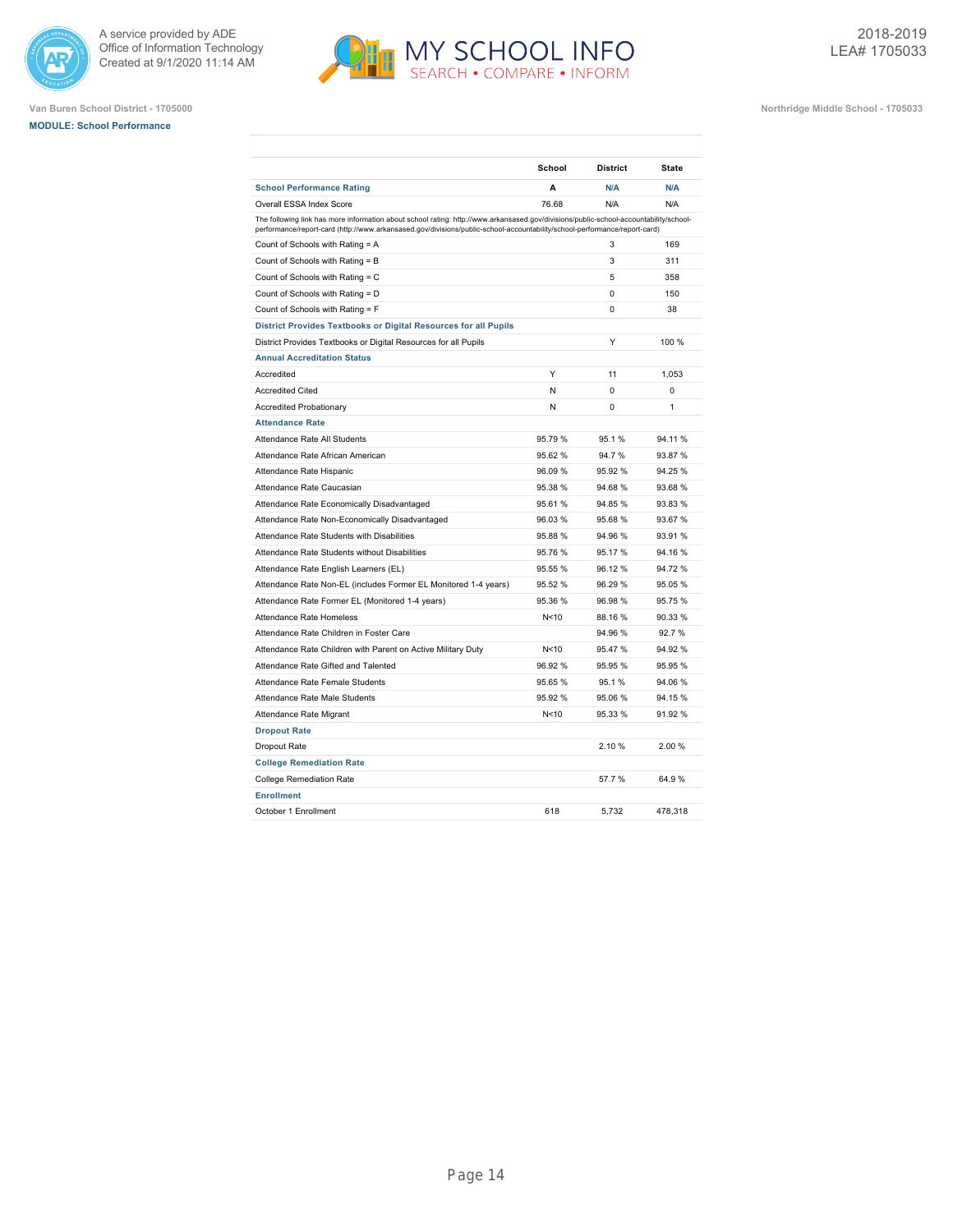





|                                                                                                                                                                                                                                                                    | School  | <b>District</b> | <b>State</b> |
|--------------------------------------------------------------------------------------------------------------------------------------------------------------------------------------------------------------------------------------------------------------------|---------|-----------------|--------------|
| <b>School Performance Rating</b>                                                                                                                                                                                                                                   | A       | N/A             | N/A          |
| Overall ESSA Index Score                                                                                                                                                                                                                                           | 76.68   | N/A             | N/A          |
| The following link has more information about school rating: http://www.arkansased.gov/divisions/public-school-accountability/school-<br>performance/report-card (http://www.arkansased.gov/divisions/public-school-accountability/school-performance/report-card) |         |                 |              |
| Count of Schools with Rating = A                                                                                                                                                                                                                                   |         | 3               | 169          |
| Count of Schools with Rating = B                                                                                                                                                                                                                                   |         | 3               | 311          |
| Count of Schools with Rating = C                                                                                                                                                                                                                                   |         | 5               | 358          |
| Count of Schools with Rating = D                                                                                                                                                                                                                                   |         | $\Omega$        | 150          |
| Count of Schools with Rating = F                                                                                                                                                                                                                                   |         | 0               | 38           |
| District Provides Textbooks or Digital Resources for all Pupils                                                                                                                                                                                                    |         |                 |              |
| District Provides Textbooks or Digital Resources for all Pupils                                                                                                                                                                                                    |         | Y               | 100 %        |
| <b>Annual Accreditation Status</b>                                                                                                                                                                                                                                 |         |                 |              |
| Accredited                                                                                                                                                                                                                                                         | Y       | 11              | 1,053        |
| <b>Accredited Cited</b>                                                                                                                                                                                                                                            | N       | 0               | 0            |
| <b>Accredited Probationary</b>                                                                                                                                                                                                                                     | N       | $\Omega$        | 1            |
| <b>Attendance Rate</b>                                                                                                                                                                                                                                             |         |                 |              |
| Attendance Rate All Students                                                                                                                                                                                                                                       | 95.79%  | 95.1%           | 94.11%       |
| Attendance Rate African American                                                                                                                                                                                                                                   | 95.62%  | 94.7%           | 93.87 %      |
| Attendance Rate Hispanic                                                                                                                                                                                                                                           | 96.09 % | 95.92%          | 94.25 %      |
| Attendance Rate Caucasian                                                                                                                                                                                                                                          | 95.38 % | 94.68%          | 93.68%       |
| Attendance Rate Economically Disadvantaged                                                                                                                                                                                                                         | 95.61%  | 94.85%          | 93.83%       |
| Attendance Rate Non-Economically Disadvantaged                                                                                                                                                                                                                     | 96.03%  | 95.68%          | 93.67 %      |
| Attendance Rate Students with Disabilities                                                                                                                                                                                                                         | 95.88 % | 94.96%          | 93.91 %      |
| Attendance Rate Students without Disabilities                                                                                                                                                                                                                      | 95.76 % | 95.17%          | 94.16 %      |
| Attendance Rate English Learners (EL)                                                                                                                                                                                                                              | 95.55 % | 96.12%          | 94.72%       |
| Attendance Rate Non-EL (includes Former EL Monitored 1-4 years)                                                                                                                                                                                                    | 95.52 % | 96.29%          | 95.05 %      |
| Attendance Rate Former EL (Monitored 1-4 years)                                                                                                                                                                                                                    | 95.36 % | 96.98%          | 95.75 %      |
| <b>Attendance Rate Homeless</b>                                                                                                                                                                                                                                    | N<10    | 88.16%          | 90.33 %      |
| Attendance Rate Children in Foster Care                                                                                                                                                                                                                            |         | 94.96%          | 92.7%        |
| Attendance Rate Children with Parent on Active Military Duty                                                                                                                                                                                                       | N<10    | 95.47%          | 94.92 %      |
| Attendance Rate Gifted and Talented                                                                                                                                                                                                                                | 96.92%  | 95.95%          | 95.95 %      |
| Attendance Rate Female Students                                                                                                                                                                                                                                    | 95.65 % | 95.1%           | 94.06 %      |
| Attendance Rate Male Students                                                                                                                                                                                                                                      | 95.92 % | 95.06%          | 94.15 %      |
| Attendance Rate Migrant                                                                                                                                                                                                                                            | N<10    | 95.33%          | 91.92 %      |
| <b>Dropout Rate</b>                                                                                                                                                                                                                                                |         |                 |              |
| Dropout Rate                                                                                                                                                                                                                                                       |         | 2.10%           | 2.00%        |
| <b>College Remediation Rate</b>                                                                                                                                                                                                                                    |         |                 |              |
| <b>College Remediation Rate</b>                                                                                                                                                                                                                                    |         | 57.7 %          | 64.9%        |
| <b>Enrollment</b>                                                                                                                                                                                                                                                  |         |                 |              |
| October 1 Enrollment                                                                                                                                                                                                                                               | 618     | 5,732           | 478,318      |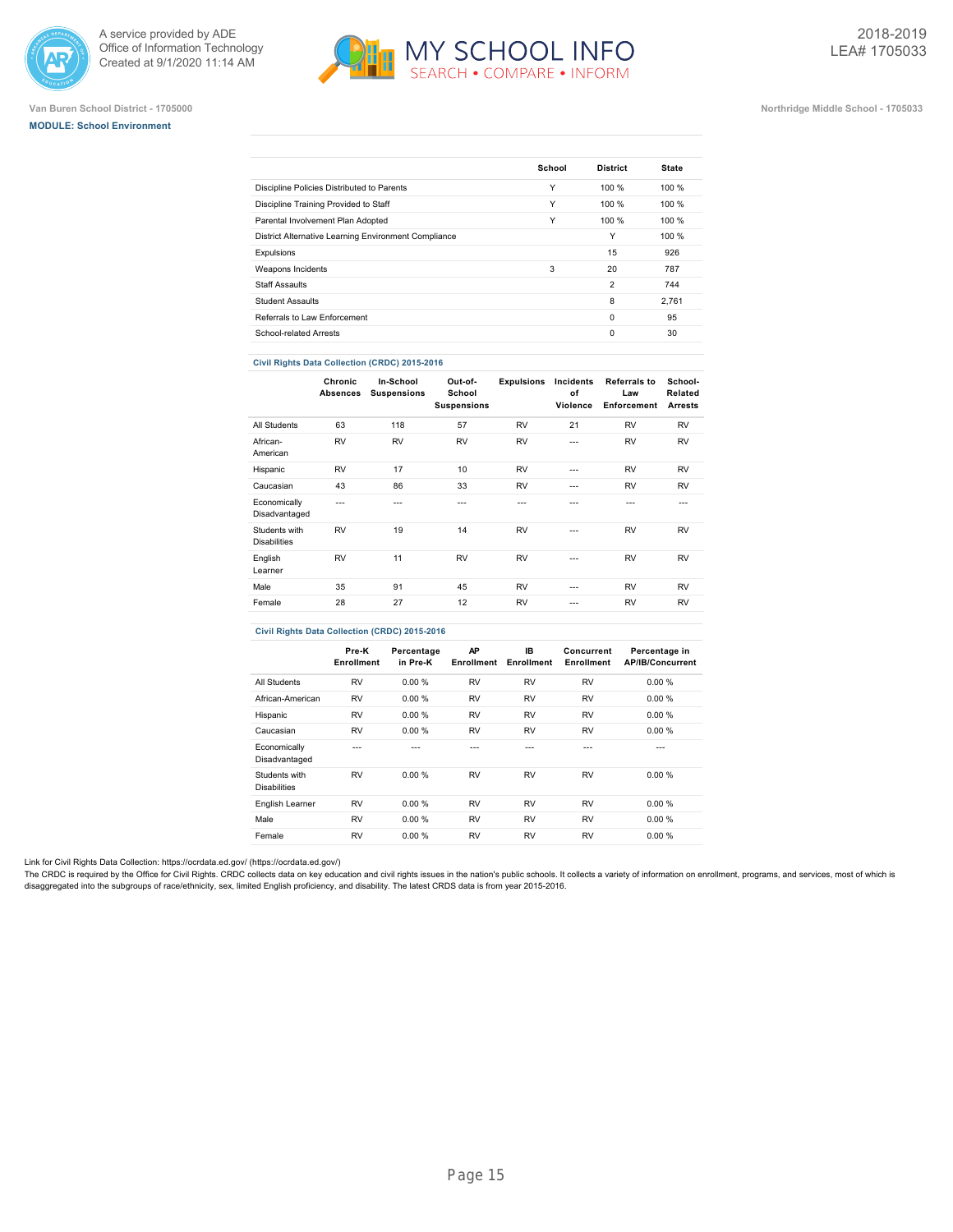





### **Van Buren School District - 1705000 Northridge Middle School - 1705033**

|                                                      | School | <b>District</b> | <b>State</b> |
|------------------------------------------------------|--------|-----------------|--------------|
| Discipline Policies Distributed to Parents           | Υ      | 100 %           | 100 %        |
| Discipline Training Provided to Staff                | Υ      | 100 %           | 100%         |
| Parental Involvement Plan Adopted                    | Υ      | 100 %           | 100%         |
| District Alternative Learning Environment Compliance |        | Υ               | 100 %        |
| Expulsions                                           |        | 15              | 926          |
| Weapons Incidents                                    | 3      | 20              | 787          |
| <b>Staff Assaults</b>                                |        | $\overline{2}$  | 744          |
| <b>Student Assaults</b>                              |        | 8               | 2.761        |
| Referrals to Law Enforcement                         |        | $\Omega$        | 95           |
| School-related Arrests                               |        | $\Omega$        | 30           |

### **Civil Rights Data Collection (CRDC) 2015-2016**

|                                      | Chronic<br><b>Absences</b> | In-School<br><b>Suspensions</b> | Out-of-<br>School<br><b>Suspensions</b> | <b>Expulsions</b> | Incidents<br>of<br>Violence | <b>Referrals to</b><br>Law<br>Enforcement | School-<br>Related<br><b>Arrests</b> |
|--------------------------------------|----------------------------|---------------------------------|-----------------------------------------|-------------------|-----------------------------|-------------------------------------------|--------------------------------------|
| All Students                         | 63                         | 118                             | 57                                      | <b>RV</b>         | 21                          | <b>RV</b>                                 | <b>RV</b>                            |
| African-<br>American                 | <b>RV</b>                  | <b>RV</b>                       | <b>RV</b>                               | <b>RV</b>         | $\overline{a}$              | <b>RV</b>                                 | <b>RV</b>                            |
| Hispanic                             | <b>RV</b>                  | 17                              | 10                                      | <b>RV</b>         | ---                         | <b>RV</b>                                 | <b>RV</b>                            |
| Caucasian                            | 43                         | 86                              | 33                                      | <b>RV</b>         | ---                         | <b>RV</b>                                 | <b>RV</b>                            |
| Economically<br>Disadvantaged        | $- - -$                    | ---                             | ---                                     | ---               | ---                         | $- - -$                                   | ---                                  |
| Students with<br><b>Disabilities</b> | <b>RV</b>                  | 19                              | 14                                      | <b>RV</b>         | ---                         | <b>RV</b>                                 | <b>RV</b>                            |
| English<br>Learner                   | <b>RV</b>                  | 11                              | <b>RV</b>                               | <b>RV</b>         | $\overline{a}$              | <b>RV</b>                                 | <b>RV</b>                            |
| Male                                 | 35                         | 91                              | 45                                      | <b>RV</b>         | ---                         | <b>RV</b>                                 | <b>RV</b>                            |
| Female                               | 28                         | 27                              | 12                                      | <b>RV</b>         | ---                         | <b>RV</b>                                 | <b>RV</b>                            |

### **Civil Rights Data Collection (CRDC) 2015-2016**

|                                      | Pre-K<br>Enrollment | Percentage<br>in Pre-K | AP<br>Enrollment | IB.<br>Enrollment | Concurrent<br>Enrollment | Percentage in<br><b>AP/IB/Concurrent</b> |
|--------------------------------------|---------------------|------------------------|------------------|-------------------|--------------------------|------------------------------------------|
| <b>All Students</b>                  | <b>RV</b>           | 0.00%                  | <b>RV</b>        | <b>RV</b>         | <b>RV</b>                | 0.00%                                    |
| African-American                     | <b>RV</b>           | 0.00%                  | <b>RV</b>        | <b>RV</b>         | <b>RV</b>                | 0.00%                                    |
| Hispanic                             | <b>RV</b>           | 0.00%                  | <b>RV</b>        | <b>RV</b>         | <b>RV</b>                | 0.00%                                    |
| Caucasian                            | <b>RV</b>           | 0.00%                  | <b>RV</b>        | <b>RV</b>         | <b>RV</b>                | 0.00%                                    |
| Economically<br>Disadvantaged        | ---                 |                        | ---              | ---               | ---                      | ---                                      |
| Students with<br><b>Disabilities</b> | <b>RV</b>           | 0.00%                  | <b>RV</b>        | <b>RV</b>         | <b>RV</b>                | 0.00%                                    |
| English Learner                      | <b>RV</b>           | 0.00 %                 | <b>RV</b>        | <b>RV</b>         | <b>RV</b>                | 0.00%                                    |
| Male                                 | <b>RV</b>           | 0.00%                  | <b>RV</b>        | <b>RV</b>         | <b>RV</b>                | 0.00%                                    |
| Female                               | <b>RV</b>           | 0.00%                  | <b>RV</b>        | <b>RV</b>         | <b>RV</b>                | 0.00%                                    |

Link for Civil Rights Data Collection: [https://ocrdata.ed.gov/ \(https://ocrdata.ed.gov/\)](https://ocrdata.ed.gov/)

The CRDC is required by the Office for Civil Rights. CRDC collects data on key education and civil rights issues in the nation's public schools. It collects a variety of information on enrollment, programs, and services, m disaggregated into the subgroups of race/ethnicity, sex, limited English proficiency, and disability. The latest CRDS data is from year 2015-2016.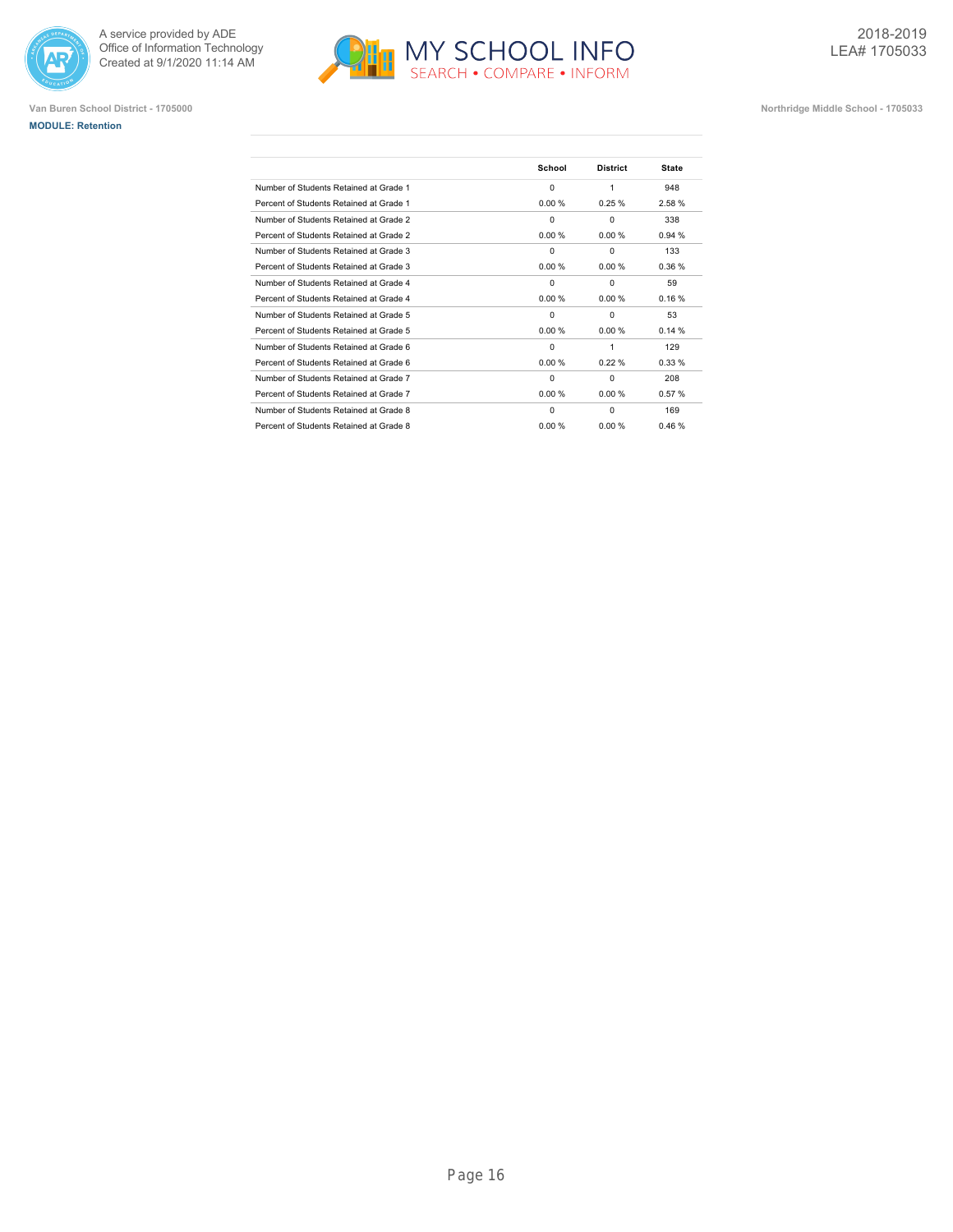





|                                         | School   | <b>District</b> | <b>State</b> |
|-----------------------------------------|----------|-----------------|--------------|
| Number of Students Retained at Grade 1  | $\Omega$ | 1               | 948          |
| Percent of Students Retained at Grade 1 | 0.00%    | 0.25%           | 2.58%        |
| Number of Students Retained at Grade 2  | $\Omega$ | $\Omega$        | 338          |
| Percent of Students Retained at Grade 2 | 0.00%    | 0.00%           | 0.94%        |
| Number of Students Retained at Grade 3  | $\Omega$ | $\Omega$        | 133          |
| Percent of Students Retained at Grade 3 | 0.00%    | 0.00%           | 0.36%        |
| Number of Students Retained at Grade 4  | $\Omega$ | $\Omega$        | 59           |
| Percent of Students Retained at Grade 4 | 0.00%    | 0.00%           | 0.16%        |
| Number of Students Retained at Grade 5  | $\Omega$ | $\Omega$        | 53           |
| Percent of Students Retained at Grade 5 | 0.00%    | 0.00%           | 0.14%        |
| Number of Students Retained at Grade 6  | $\Omega$ | 1               | 129          |
| Percent of Students Retained at Grade 6 | 0.00%    | 0.22%           | 0.33%        |
| Number of Students Retained at Grade 7  | $\Omega$ | $\Omega$        | 208          |
| Percent of Students Retained at Grade 7 | 0.00%    | 0.00%           | 0.57%        |
| Number of Students Retained at Grade 8  | $\Omega$ | $\Omega$        | 169          |
| Percent of Students Retained at Grade 8 | 0.00 %   | 0.00%           | 0.46%        |
|                                         |          |                 |              |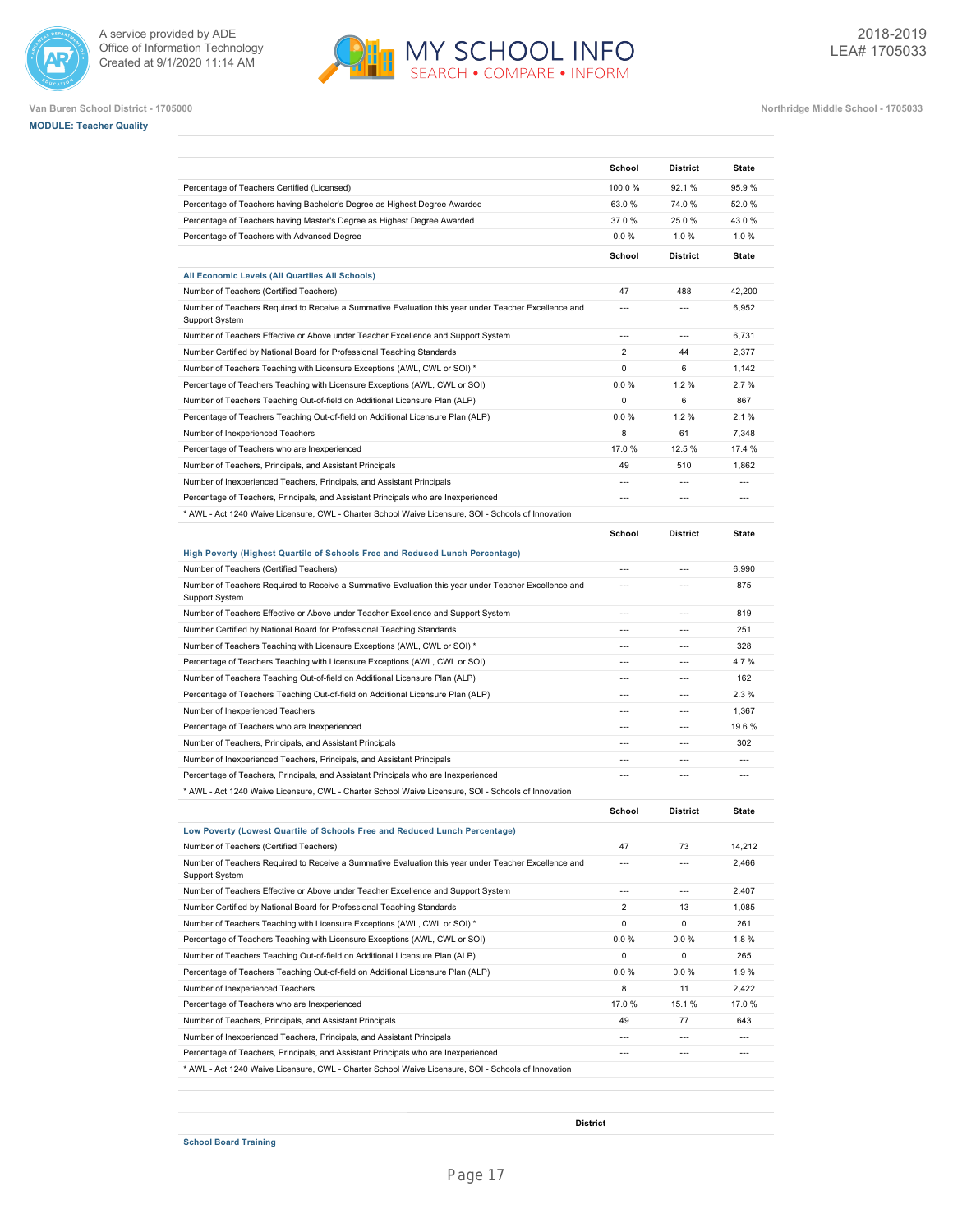







**Van Buren School District - 1705000 Northridge Middle School - 1705033**

|                                                                                                                        | School                   | <b>District</b>          | State          |
|------------------------------------------------------------------------------------------------------------------------|--------------------------|--------------------------|----------------|
| Percentage of Teachers Certified (Licensed)                                                                            | 100.0%                   | 92.1 %                   | 95.9%          |
| Percentage of Teachers having Bachelor's Degree as Highest Degree Awarded                                              | 63.0%                    | 74.0%                    | 52.0%          |
| Percentage of Teachers having Master's Degree as Highest Degree Awarded                                                | 37.0%                    | 25.0%                    | 43.0%          |
| Percentage of Teachers with Advanced Degree                                                                            | 0.0%                     | 1.0%                     | 1.0%           |
|                                                                                                                        | School                   | <b>District</b>          | <b>State</b>   |
| All Economic Levels (All Quartiles All Schools)                                                                        |                          |                          |                |
| Number of Teachers (Certified Teachers)                                                                                | 47                       | 488                      | 42,200         |
| Number of Teachers Required to Receive a Summative Evaluation this year under Teacher Excellence and<br>Support System | $\overline{a}$           | $\overline{a}$           | 6,952          |
| Number of Teachers Effective or Above under Teacher Excellence and Support System                                      | $\overline{a}$           | $\overline{a}$           | 6,731          |
| Number Certified by National Board for Professional Teaching Standards                                                 | $\overline{2}$           | 44                       | 2,377          |
| Number of Teachers Teaching with Licensure Exceptions (AWL, CWL or SOI) *                                              | $\Omega$                 | 6                        | 1,142          |
| Percentage of Teachers Teaching with Licensure Exceptions (AWL, CWL or SOI)                                            | 0.0%                     | 1.2%                     | 2.7%           |
| Number of Teachers Teaching Out-of-field on Additional Licensure Plan (ALP)                                            | $\mathbf 0$              | 6                        | 867            |
| Percentage of Teachers Teaching Out-of-field on Additional Licensure Plan (ALP)                                        | 0.0%                     | 1.2%                     | 2.1%           |
| Number of Inexperienced Teachers                                                                                       | 8                        | 61                       | 7.348          |
| Percentage of Teachers who are Inexperienced                                                                           | 17.0%                    | 12.5 %                   | 17.4 %         |
| Number of Teachers, Principals, and Assistant Principals                                                               | 49                       | 510                      | 1,862          |
| Number of Inexperienced Teachers, Principals, and Assistant Principals                                                 | $\overline{a}$           | $\overline{a}$           | $\overline{a}$ |
| Percentage of Teachers, Principals, and Assistant Principals who are Inexperienced                                     | $\overline{a}$           | $\overline{a}$           | $\overline{a}$ |
| * AWL - Act 1240 Waive Licensure, CWL - Charter School Waive Licensure, SOI - Schools of Innovation                    |                          |                          |                |
|                                                                                                                        | School                   | <b>District</b>          | <b>State</b>   |
| High Poverty (Highest Quartile of Schools Free and Reduced Lunch Percentage)                                           |                          |                          |                |
| Number of Teachers (Certified Teachers)                                                                                | $---$                    | $---$                    | 6,990          |
| Number of Teachers Required to Receive a Summative Evaluation this year under Teacher Excellence and<br>Support System | ---                      | $\overline{a}$           | 875            |
| Number of Teachers Effective or Above under Teacher Excellence and Support System                                      | ---                      | $\overline{a}$           | 819            |
| Number Certified by National Board for Professional Teaching Standards                                                 | $\overline{a}$           | $\overline{a}$           | 251            |
| Number of Teachers Teaching with Licensure Exceptions (AWL, CWL or SOI) *                                              | $---$                    | $---$                    | 328            |
| Percentage of Teachers Teaching with Licensure Exceptions (AWL, CWL or SOI)                                            | $\overline{a}$           | $\overline{a}$           | 4.7%           |
| Number of Teachers Teaching Out-of-field on Additional Licensure Plan (ALP)                                            |                          | $\overline{a}$           | 162            |
| Percentage of Teachers Teaching Out-of-field on Additional Licensure Plan (ALP)                                        | $\overline{a}$           | $\overline{\phantom{a}}$ | 2.3%           |
| Number of Inexperienced Teachers                                                                                       | $\overline{a}$           | $\overline{a}$           | 1,367          |
| Percentage of Teachers who are Inexperienced                                                                           | ---                      | $\overline{a}$           | 19.6%          |
| Number of Teachers, Principals, and Assistant Principals                                                               |                          | $\overline{a}$           | 302            |
| Number of Inexperienced Teachers, Principals, and Assistant Principals                                                 | $\overline{a}$           | $\overline{a}$           | $\overline{a}$ |
| Percentage of Teachers, Principals, and Assistant Principals who are Inexperienced                                     | $\overline{a}$           | $\overline{a}$           | $\overline{a}$ |
| MWL - Act 1240 Waive Licensure, CWL - Charter School Waive Licensure, SOI - Schools of Innovation *                    |                          |                          |                |
|                                                                                                                        | School                   | <b>District</b>          | <b>State</b>   |
| Low Poverty (Lowest Quartile of Schools Free and Reduced Lunch Percentage)                                             |                          |                          |                |
| Number of Teachers (Certified Teachers)                                                                                | 47                       | 73                       | 14,212         |
| Number of Teachers Required to Receive a Summative Evaluation this year under Teacher Excellence and<br>Support System | $---$                    | $\overline{a}$           | 2,466          |
| Number of Teachers Effective or Above under Teacher Excellence and Support System                                      | $\overline{a}$           | $\overline{\phantom{a}}$ | 2,407          |
| Number Certified by National Board for Professional Teaching Standards                                                 | $\overline{2}$           | 13                       | 1,085          |
| Number of Teachers Teaching with Licensure Exceptions (AWL, CWL or SOI) *                                              | $\mathsf{O}\xspace$      | 0                        | 261            |
| Percentage of Teachers Teaching with Licensure Exceptions (AWL, CWL or SOI)                                            | 0.0%                     | 0.0 %                    | 1.8%           |
| Number of Teachers Teaching Out-of-field on Additional Licensure Plan (ALP)                                            | $\mathbf 0$              | 0                        | 265            |
| Percentage of Teachers Teaching Out-of-field on Additional Licensure Plan (ALP)                                        | 0.0%                     | 0.0 %                    | 1.9%           |
| Number of Inexperienced Teachers                                                                                       | 8                        | 11                       | 2,422          |
| Percentage of Teachers who are Inexperienced                                                                           | 17.0 %                   | 15.1 %                   | 17.0%          |
| Number of Teachers, Principals, and Assistant Principals                                                               | 49                       | 77                       | 643            |
| Number of Inexperienced Teachers, Principals, and Assistant Principals                                                 | $\overline{a}$           | ---                      | ---            |
|                                                                                                                        |                          | $\overline{\phantom{a}}$ |                |
| Percentage of Teachers, Principals, and Assistant Principals who are Inexperienced                                     | $\overline{\phantom{a}}$ |                          | ---            |

**District**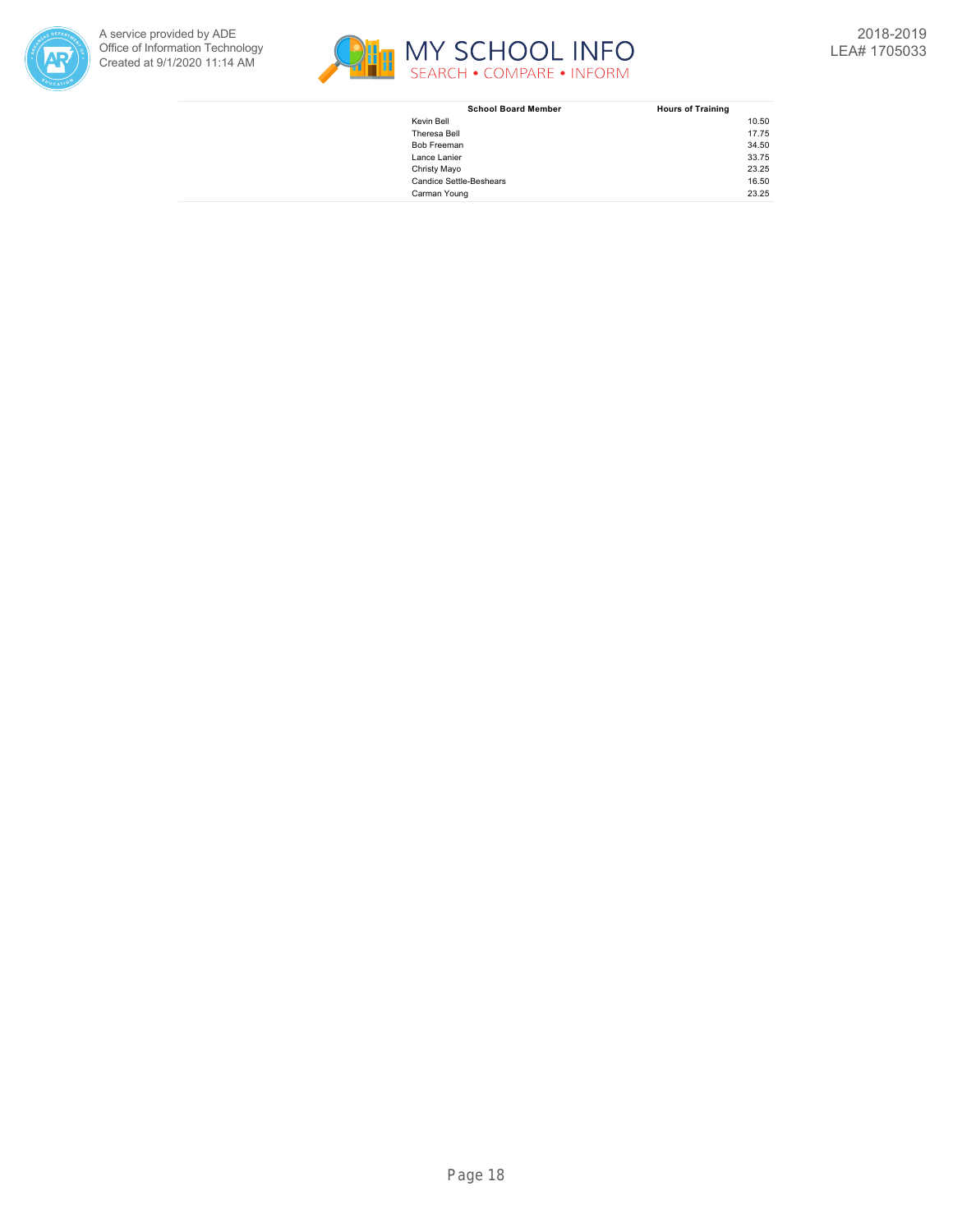



| <b>School Board Member</b>     | <b>Hours of Training</b> |
|--------------------------------|--------------------------|
| Kevin Bell                     | 10.50                    |
| Theresa Bell                   | 17.75                    |
| <b>Bob Freeman</b>             | 34.50                    |
| Lance Lanier                   | 33.75                    |
| Christy Mayo                   | 23.25                    |
| <b>Candice Settle-Beshears</b> | 16.50                    |
| Carman Young                   | 23.25                    |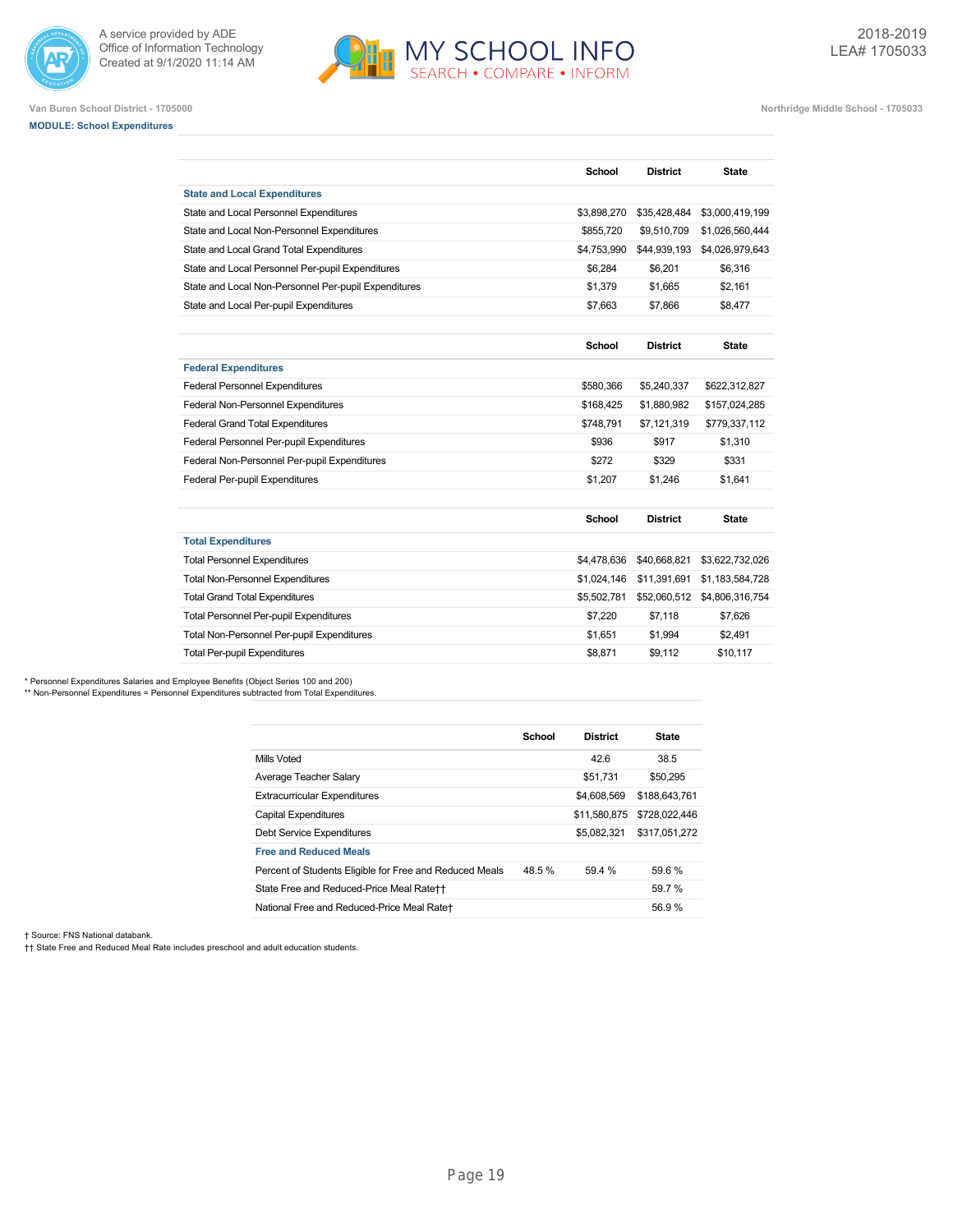



**Van Buren School District - 1705000 Northridge Middle School - 1705033**

**School District State**

## **MODULE: School Expenditures**

| <b>State and Local Expenditures</b>                  |               |                 |                 |
|------------------------------------------------------|---------------|-----------------|-----------------|
| State and Local Personnel Expenditures               | \$3,898,270   | \$35,428,484    | \$3,000,419,199 |
| State and Local Non-Personnel Expenditures           | \$855,720     | \$9,510,709     | \$1,026,560,444 |
| State and Local Grand Total Expenditures             | \$4,753,990   | \$44,939,193    | \$4,026,979,643 |
| State and Local Personnel Per-pupil Expenditures     | \$6,284       | \$6,201         | \$6,316         |
| State and Local Non-Personnel Per-pupil Expenditures | \$1,379       | \$1,665         | \$2,161         |
| State and Local Per-pupil Expenditures               | \$7.663       | \$7.866         | \$8,477         |
|                                                      | School        | <b>District</b> | <b>State</b>    |
| <b>Federal Expenditures</b>                          |               |                 |                 |
| <b>Federal Personnel Expenditures</b>                | \$580,366     | \$5,240,337     | \$622,312,827   |
| Federal Non-Personnel Expenditures                   | \$168,425     | \$1,880,982     | \$157,024,285   |
| <b>Federal Grand Total Expenditures</b>              | \$748,791     | \$7,121,319     | \$779,337,112   |
| Federal Personnel Per-pupil Expenditures             | \$936         | \$917           | \$1,310         |
| Federal Non-Personnel Per-pupil Expenditures         | \$272         | \$329           | \$331           |
| Federal Per-pupil Expenditures                       | \$1,207       | \$1,246         | \$1,641         |
|                                                      | <b>School</b> | <b>District</b> | <b>State</b>    |
| <b>Total Expenditures</b>                            |               |                 |                 |
| <b>Total Personnel Expenditures</b>                  | \$4,478,636   | \$40,668,821    | \$3,622,732,026 |
| <b>Total Non-Personnel Expenditures</b>              | \$1,024,146   | \$11,391,691    | \$1,183,584,728 |
| <b>Total Grand Total Expenditures</b>                | \$5,502,781   | \$52,060,512    | \$4,806,316,754 |
| Total Personnel Per-pupil Expenditures               | \$7,220       | \$7,118         | \$7,626         |
| Total Non-Personnel Per-pupil Expenditures           | \$1,651       | \$1,994         | \$2,491         |
| <b>Total Per-pupil Expenditures</b>                  | \$8.871       | \$9.112         | \$10.117        |

\* Personnel Expenditures Salaries and Employee Benefits (Object Series 100 and 200)

\*\* Non-Personnel Expenditures = Personnel Expenditures subtracted from Total Expenditures.

|                                                         | School | <b>District</b> | <b>State</b>  |
|---------------------------------------------------------|--------|-----------------|---------------|
| Mills Voted                                             |        | 42.6            | 38.5          |
| Average Teacher Salary                                  |        | \$51.731        | \$50,295      |
| <b>Extracurricular Expenditures</b>                     |        | \$4,608,569     | \$188,643,761 |
| Capital Expenditures                                    |        | \$11.580.875    | \$728,022,446 |
| Debt Service Expenditures                               |        | \$5,082,321     | \$317.051.272 |
| <b>Free and Reduced Meals</b>                           |        |                 |               |
| Percent of Students Eligible for Free and Reduced Meals | 48.5%  | 59.4 %          | 59.6 %        |
| State Free and Reduced-Price Meal Rate++                |        |                 | 59.7 %        |
| National Free and Reduced-Price Meal Rate+              |        |                 | 56.9%         |

† Source: FNS National databank.

†† State Free and Reduced Meal Rate includes preschool and adult education students.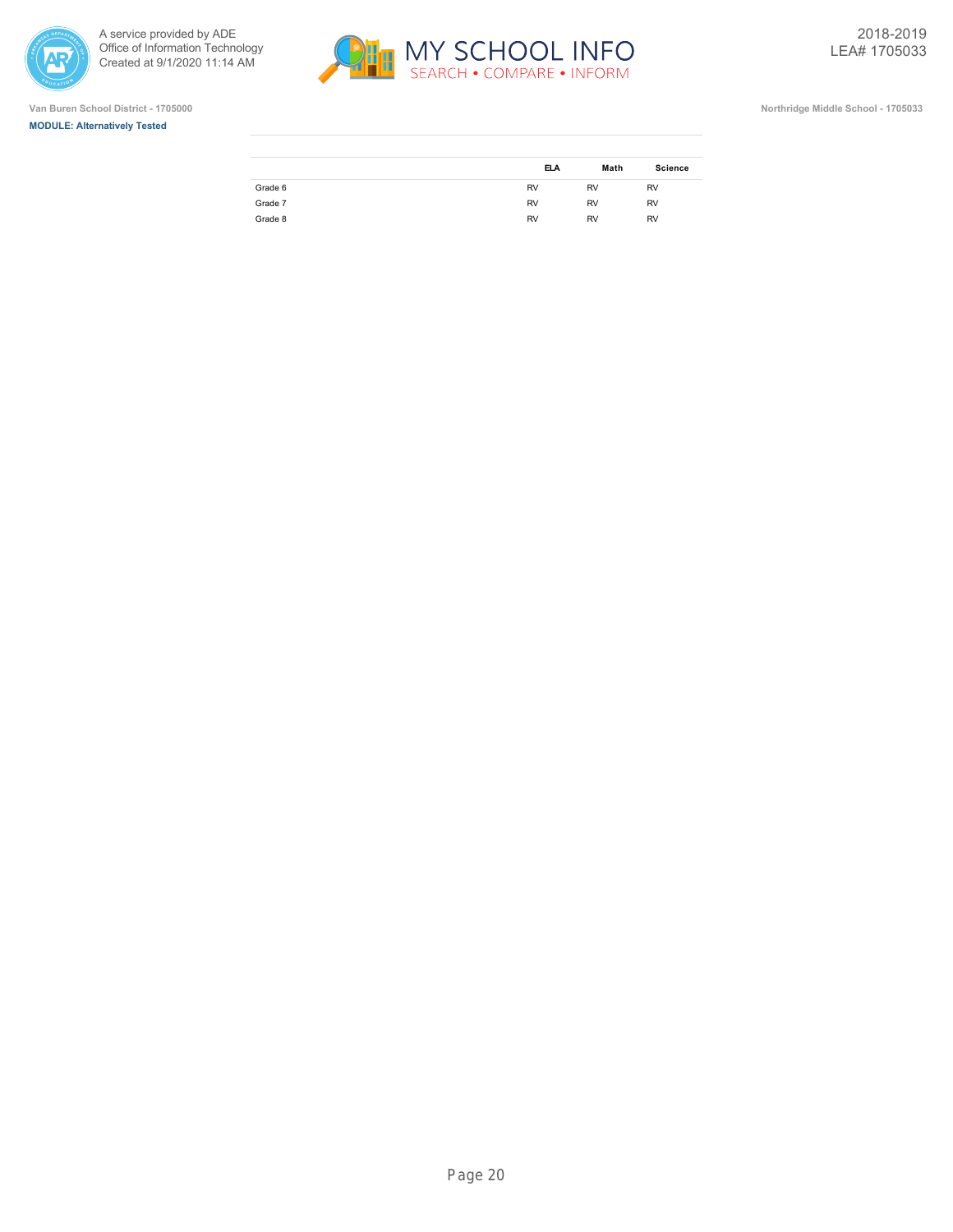

ł.







|         | <b>ELA</b> | Math      | <b>Science</b> |
|---------|------------|-----------|----------------|
| Grade 6 | <b>RV</b>  | <b>RV</b> | <b>RV</b>      |
| Grade 7 | <b>RV</b>  | <b>RV</b> | <b>RV</b>      |
| Grade 8 | <b>RV</b>  | <b>RV</b> | <b>RV</b>      |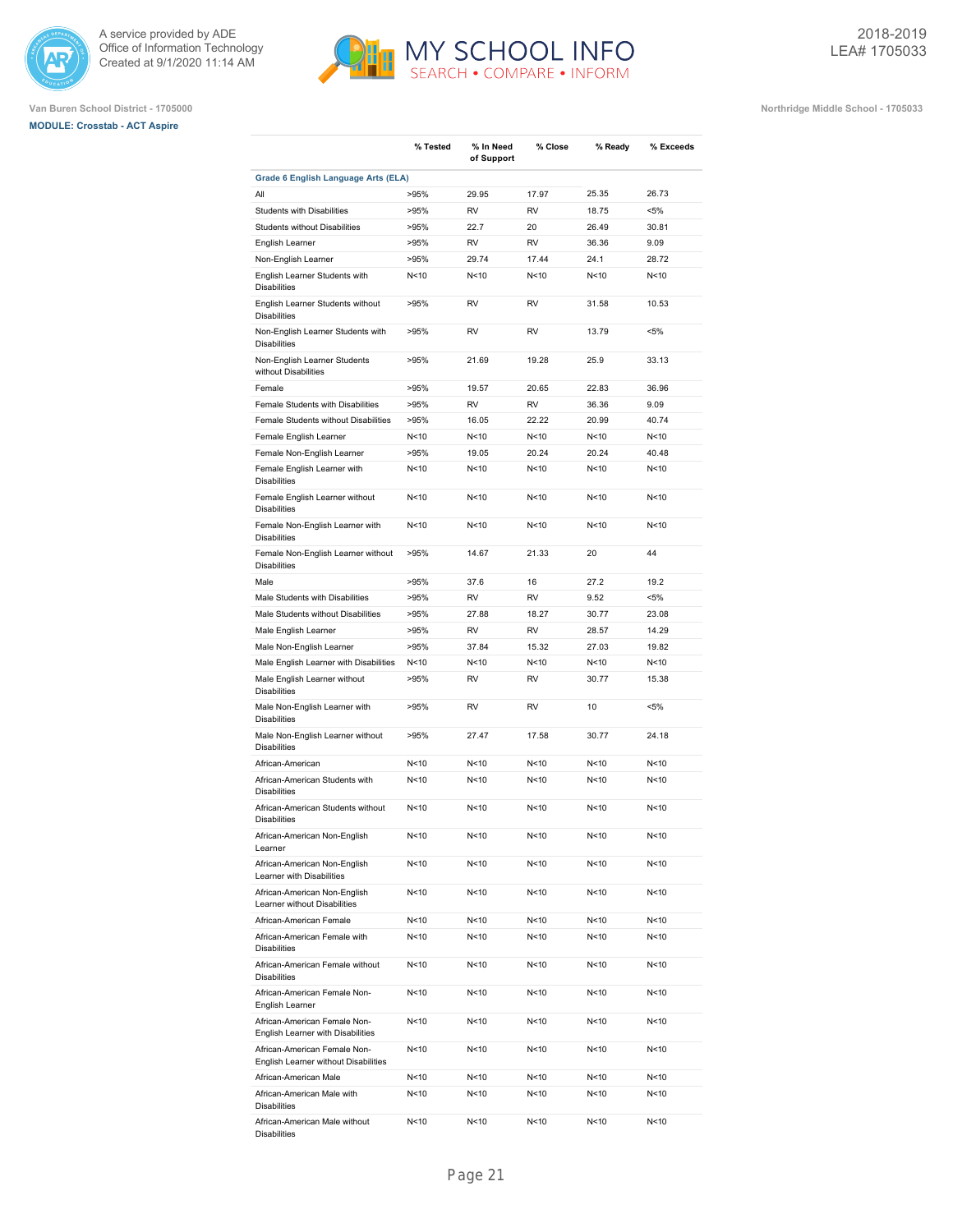





|                                                                      | % Tested        | % In Need<br>of Support | % Close         | % Ready         | % Exceeds |
|----------------------------------------------------------------------|-----------------|-------------------------|-----------------|-----------------|-----------|
| Grade 6 English Language Arts (ELA)                                  |                 |                         |                 |                 |           |
| All                                                                  | >95%            | 29.95                   | 17.97           | 25.35           | 26.73     |
| <b>Students with Disabilities</b>                                    | >95%            | <b>RV</b>               | <b>RV</b>       | 18.75           | $< 5\%$   |
| <b>Students without Disabilities</b>                                 | >95%            | 22.7                    | 20              | 26.49           | 30.81     |
| English Learner                                                      | >95%            | <b>RV</b>               | <b>RV</b>       | 36.36           | 9.09      |
| Non-English Learner                                                  | >95%            | 29.74                   | 17.44           | 24.1            | 28.72     |
| English Learner Students with<br><b>Disabilities</b>                 | N<10            | N<10                    | N < 10          | N <sub>10</sub> | N<10      |
| English Learner Students without<br><b>Disabilities</b>              | >95%            | <b>RV</b>               | <b>RV</b>       | 31.58           | 10.53     |
| Non-English Learner Students with<br><b>Disabilities</b>             | >95%            | <b>RV</b>               | RV              | 13.79           | <5%       |
| Non-English Learner Students<br>without Disabilities                 | >95%            | 21.69                   | 19.28           | 25.9            | 33.13     |
| Female                                                               | >95%            | 19.57                   | 20.65           | 22.83           | 36.96     |
| Female Students with Disabilities                                    | >95%            | <b>RV</b>               | <b>RV</b>       | 36.36           | 9.09      |
| Female Students without Disabilities                                 | >95%            | 16.05                   | 22.22           | 20.99           | 40.74     |
| Female English Learner                                               | N<10            | N<10                    | N <sub>10</sub> | N <sub>10</sub> | N<10      |
| Female Non-English Learner                                           | >95%            | 19.05                   | 20.24           | 20.24           | 40.48     |
| Female English Learner with<br><b>Disabilities</b>                   | N <sub>10</sub> | N<10                    | N < 10          | N <sub>10</sub> | N<10      |
| Female English Learner without<br><b>Disabilities</b>                | N<10            | N<10                    | N<10            | N < 10          | N<10      |
| Female Non-English Learner with<br><b>Disabilities</b>               | N<10            | N<10                    | N<10            | N <sub>10</sub> | N<10      |
| Female Non-English Learner without<br><b>Disabilities</b>            | >95%            | 14.67                   | 21.33           | 20              | 44        |
| Male                                                                 | >95%            | 37.6                    | 16              | 27.2            | 19.2      |
| Male Students with Disabilities                                      | >95%            | <b>RV</b>               | <b>RV</b>       | 9.52            | <5%       |
| Male Students without Disabilities                                   | >95%            | 27.88                   | 18.27           | 30.77           | 23.08     |
| Male English Learner                                                 | >95%            | <b>RV</b>               | <b>RV</b>       | 28.57           | 14.29     |
| Male Non-English Learner                                             | >95%            | 37.84                   | 15.32           | 27.03           | 19.82     |
| Male English Learner with Disabilities                               | N<10            | N<10                    | N<10            | N<10            | N<10      |
| Male English Learner without<br><b>Disabilities</b>                  | >95%            | RV                      | RV              | 30.77           | 15.38     |
| Male Non-English Learner with<br><b>Disabilities</b>                 | >95%            | RV                      | <b>RV</b>       | 10              | <5%       |
| Male Non-English Learner without<br><b>Disabilities</b>              | >95%            | 27.47                   | 17.58           | 30.77           | 24.18     |
| African-American                                                     | N<10            | N<10                    | N<10            | N < 10          | N<10      |
| African-American Students with<br><b>Disabilities</b>                | N<10            | N<10                    | N < 10          | N<10            | N<10      |
| African-American Students without<br><b>Disabilities</b>             | N <sub>10</sub> | N<10                    | N < 10          | N <sub>10</sub> | N<10      |
| African-American Non-English<br>Learner                              | N<10            | N<10                    | N<10            | N<10            | N<10      |
| African-American Non-English<br>Learner with Disabilities            | N<10            | N<10                    | N<10            | N<10            | N<10      |
| African-American Non-English<br>Learner without Disabilities         | N<10            | N<10                    | N<10            | N<10            | N<10      |
| African-American Female                                              | N<10            | N<10                    | N<10            | N<10            | N<10      |
| African-American Female with<br><b>Disabilities</b>                  | N<10            | N<10                    | N<10            | N<10            | N<10      |
| African-American Female without<br><b>Disabilities</b>               | N<10            | N<10                    | N<10            | N <sub>10</sub> | N<10      |
| African-American Female Non-<br>English Learner                      | N<10            | N<10                    | N<10            | N<10            | N<10      |
| African-American Female Non-<br>English Learner with Disabilities    | N <sub>10</sub> | N<10                    | N<10            | N<10            | N<10      |
| African-American Female Non-<br>English Learner without Disabilities | N<10            | N<10                    | N<10            | N<10            | N<10      |
| African-American Male                                                | N<10            | N<10                    | N<10            | N<10            | N<10      |
| African-American Male with<br><b>Disabilities</b>                    | N<10            | N<10                    | N<10            | N<10            | N<10      |
| African-American Male without<br>Disabilities                        | N<10            | N<10                    | N<10            | N<10            | N<10      |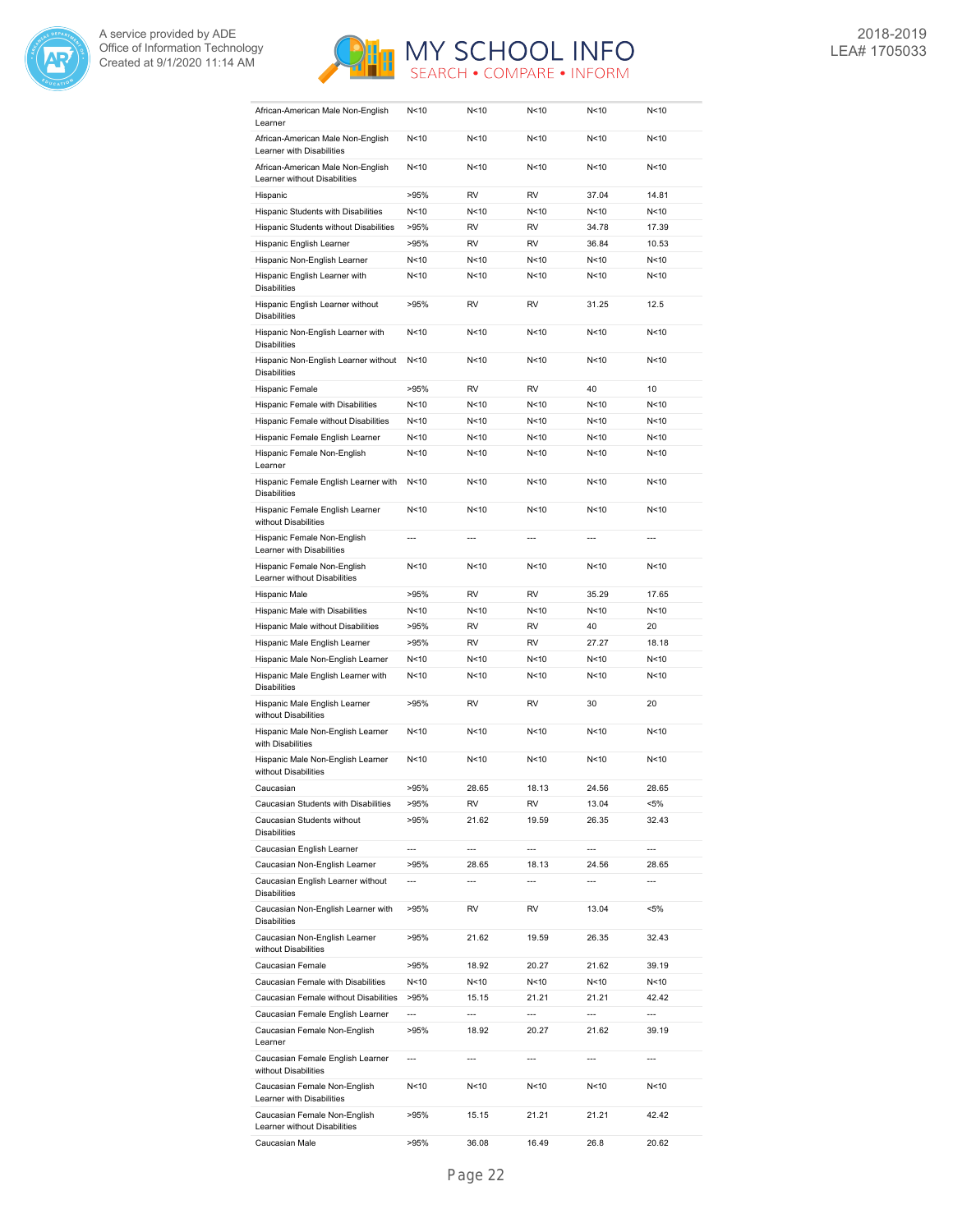



| African-American Male Non-English<br>Learner                                              | N<10                     | N<10           | N<10           | N<10            | N < 10 |
|-------------------------------------------------------------------------------------------|--------------------------|----------------|----------------|-----------------|--------|
| African-American Male Non-English<br>Learner with Disabilities                            | N<10                     | N<10           | N<10           | N<10            | N<10   |
| African-American Male Non-English<br>Learner without Disabilities                         | N<10                     | N<10           | N<10           | N <sub>10</sub> | N<10   |
| Hispanic                                                                                  | >95%                     | <b>RV</b>      | <b>RV</b>      | 37.04           | 14.81  |
| Hispanic Students with Disabilities                                                       | N <sub>10</sub>          | N<10           | N<10           | N <sub>10</sub> | N<10   |
| Hispanic Students without Disabilities                                                    | >95%                     | <b>RV</b>      | <b>RV</b>      | 34.78           | 17.39  |
|                                                                                           | >95%                     | RV             | <b>RV</b>      | 36.84           | 10.53  |
| Hispanic English Learner                                                                  |                          |                |                |                 |        |
| Hispanic Non-English Learner                                                              | N<10                     | N<10           | N<10           | N<10            | N<10   |
| Hispanic English Learner with<br><b>Disabilities</b>                                      | N<10                     | N<10           | N < 10         | N<10            | N<10   |
| Hispanic English Learner without<br><b>Disabilities</b>                                   | >95%                     | <b>RV</b>      | <b>RV</b>      | 31.25           | 12.5   |
| Hispanic Non-English Learner with<br><b>Disabilities</b>                                  | N < 10                   | N<10           | N < 10         | N < 10          | N<10   |
| Hispanic Non-English Learner without<br><b>Disabilities</b>                               | N < 10                   | N<10           | N<10           | N < 10          | N<10   |
| Hispanic Female                                                                           | >95%                     | <b>RV</b>      | <b>RV</b>      | 40              | 10     |
| Hispanic Female with Disabilities                                                         | N<10                     | N<10           | N<10           | N<10            | N<10   |
| Hispanic Female without Disabilities                                                      | N<10                     | N<10           | N<10           | N<10            | N<10   |
| Hispanic Female English Learner                                                           | N<10                     | N<10           | N<10           | N<10            | N<10   |
| Hispanic Female Non-English                                                               | N < 10                   | N<10           | N < 10         | N<10            | N<10   |
| Learner                                                                                   |                          |                |                |                 |        |
| Hispanic Female English Learner with<br><b>Disabilities</b>                               | N < 10                   | N<10           | N<10           | N < 10          | N<10   |
| Hispanic Female English Learner<br>without Disabilities                                   | N < 10                   | N < 10         | N < 10         | N<10            | N<10   |
| Hispanic Female Non-English<br>Learner with Disabilities                                  |                          | $\overline{a}$ |                | $\overline{a}$  |        |
| Hispanic Female Non-English<br>Learner without Disabilities                               | N<10                     | N<10           | N < 10         | N <sub>10</sub> | N<10   |
| Hispanic Male                                                                             | >95%                     | <b>RV</b>      | <b>RV</b>      | 35.29           | 17.65  |
| Hispanic Male with Disabilities                                                           | N<10                     | N<10           | N<10           | N<10            | N<10   |
|                                                                                           |                          |                |                |                 |        |
| Hispanic Male without Disabilities                                                        | >95%                     | <b>RV</b>      | <b>RV</b>      | 40              | 20     |
| Hispanic Male English Learner                                                             | >95%                     | <b>RV</b>      | <b>RV</b>      | 27.27           | 18.18  |
|                                                                                           | N < 10                   | N<10           | N<10           | N<10            | N<10   |
| Hispanic Male Non-English Learner<br>Hispanic Male English Learner with                   | N < 10                   | N<10           | N < 10         | N < 10          | N<10   |
| <b>Disabilities</b><br>Hispanic Male English Learner                                      | >95%                     | RV             | RV             | 30              | 20     |
| without Disabilities<br>Hispanic Male Non-English Learner                                 | N<10                     | N<10           | N<10           | N<10            | N<10   |
| with Disabilities<br>Hispanic Male Non-English Learner                                    | N < 10                   | N<10           | N<10           | N <sub>10</sub> | N<10   |
| without Disabilities                                                                      |                          |                |                |                 |        |
| Caucasian                                                                                 | >95%                     | 28.65          | 18.13          | 24.56           | 28.65  |
| Caucasian Students with Disabilities                                                      | >95%                     | RV             | RV             | 13.04           | <5%    |
| Caucasian Students without<br><b>Disabilities</b>                                         | >95%                     | 21.62          | 19.59          | 26.35           | 32.43  |
| Caucasian English Learner                                                                 | ---                      | ---            | ---            | ---             | ---    |
| Caucasian Non-English Learner                                                             | >95%                     | 28.65          | 18.13          | 24.56           | 28.65  |
| Caucasian English Learner without<br><b>Disabilities</b>                                  | $\overline{a}$           | $\overline{a}$ | $\overline{a}$ | ---             | ---    |
| Caucasian Non-English Learner with<br><b>Disabilities</b>                                 | >95%                     | RV             | RV             | 13.04           | <5%    |
| Caucasian Non-English Learner<br>without Disabilities                                     | >95%                     | 21.62          | 19.59          | 26.35           | 32.43  |
| Caucasian Female                                                                          | >95%                     | 18.92          | 20.27          | 21.62           | 39.19  |
| Caucasian Female with Disabilities                                                        | N<10                     | N<10           | N<10           | N<10            | N<10   |
| Caucasian Female without Disabilities                                                     | >95%                     | 15.15          | 21.21          | 21.21           | 42.42  |
|                                                                                           | ---                      | $\overline{a}$ | $\overline{a}$ | ---             | ---    |
| Caucasian Female English Learner<br>Caucasian Female Non-English                          | >95%                     | 18.92          | 20.27          | 21.62           | 39.19  |
| Learner<br>Caucasian Female English Learner                                               | $\overline{\phantom{a}}$ | $\overline{a}$ | $\overline{a}$ | ---             | ---    |
| without Disabilities<br>Caucasian Female Non-English                                      | N<10                     | N<10           | N<10           | N<10            | N<10   |
| Learner with Disabilities<br>Caucasian Female Non-English<br>Learner without Disabilities | >95%                     | 15.15          | 21.21          | 21.21           | 42.42  |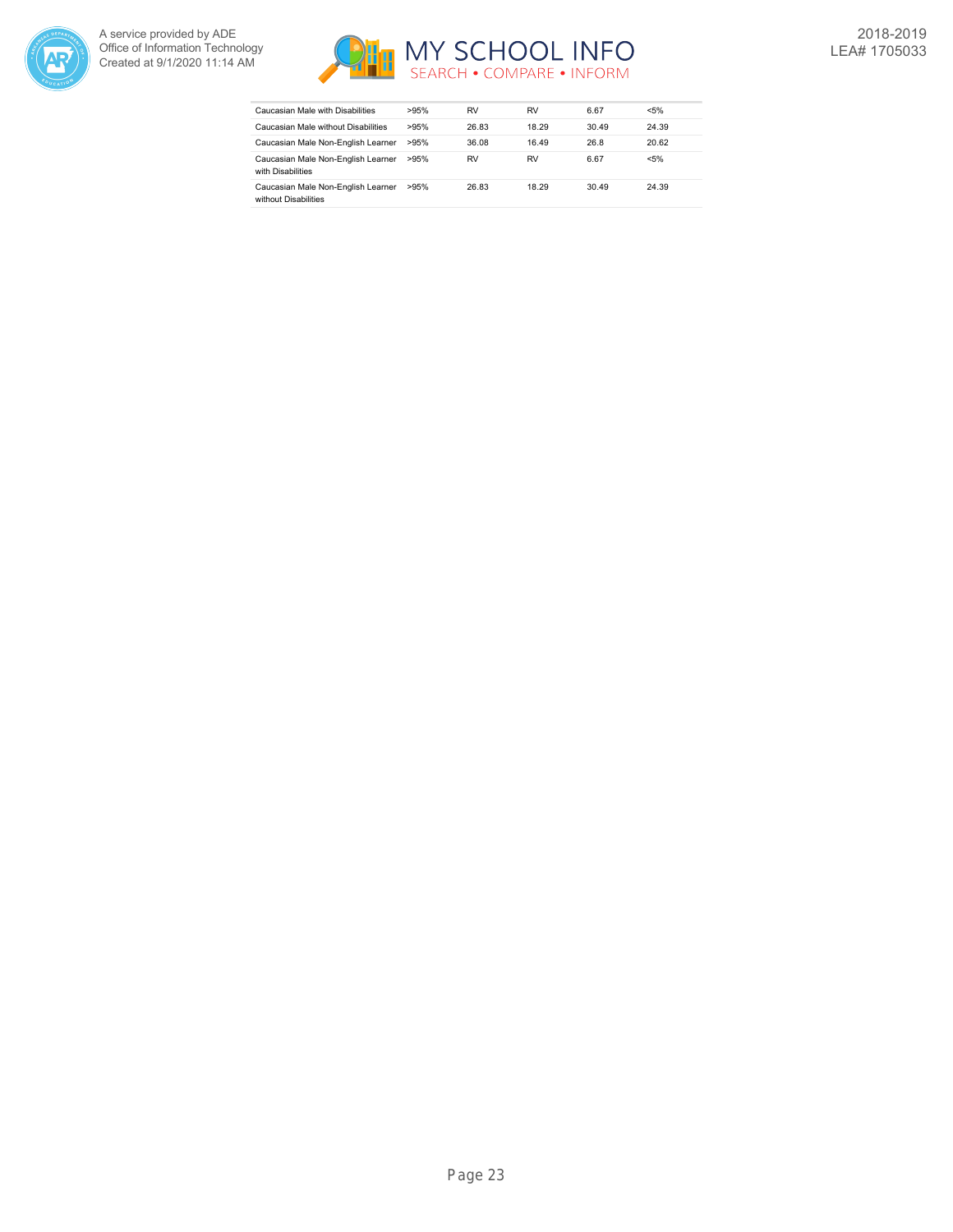



| Caucasian Male with Disabilities                           | >95% | RV    | RV    | 6.67  | $< 5\%$ |
|------------------------------------------------------------|------|-------|-------|-------|---------|
| Caucasian Male without Disabilities                        | >95% | 26.83 | 18.29 | 30.49 | 24.39   |
| Caucasian Male Non-English Learner                         | >95% | 36.08 | 16.49 | 26.8  | 20.62   |
| Caucasian Male Non-English Learner<br>with Disabilities    | >95% | RV    | RV    | 6.67  | $< 5\%$ |
| Caucasian Male Non-English Learner<br>without Disabilities | >95% | 26.83 | 18.29 | 30.49 | 24.39   |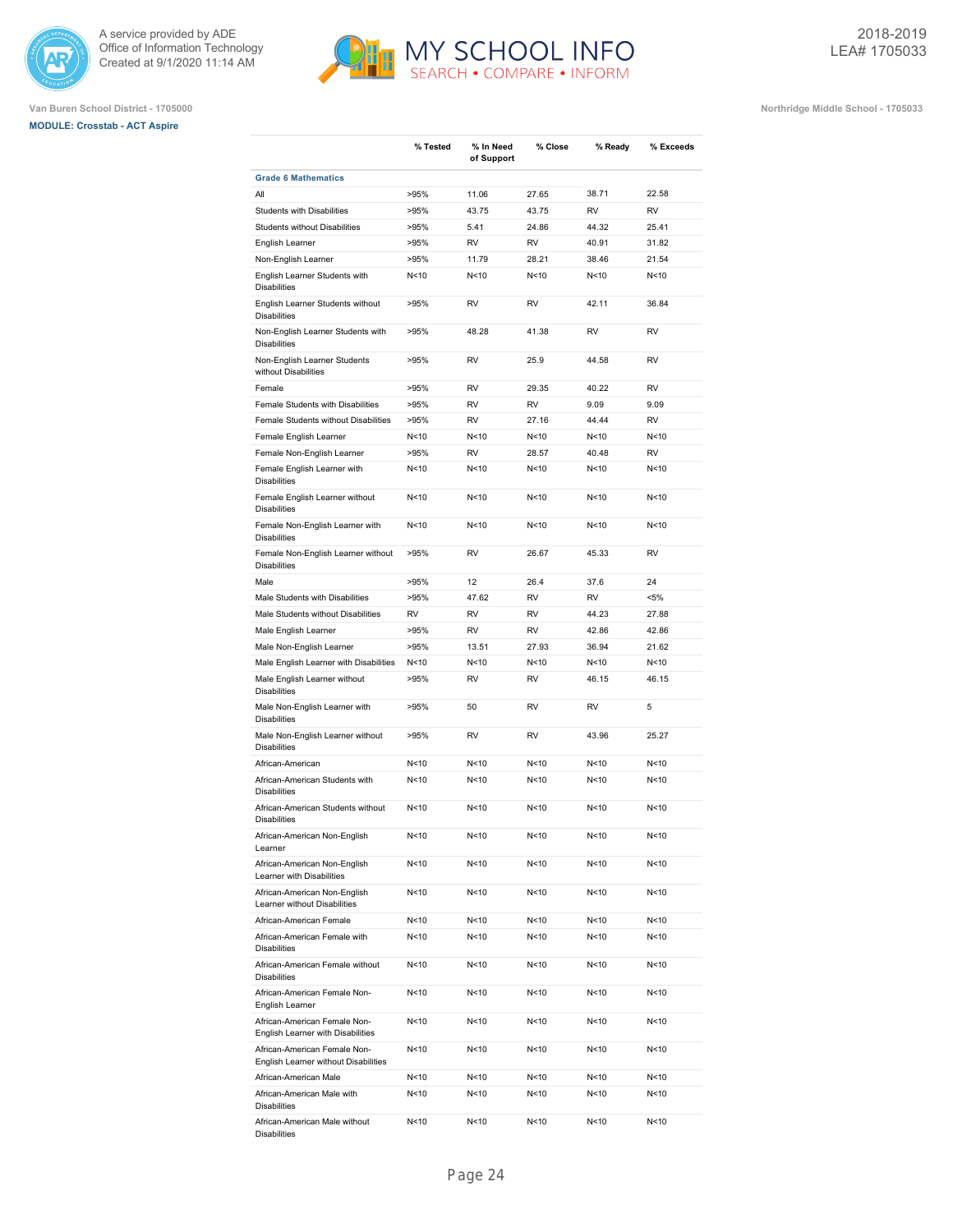





|                                                                      | % Tested        | % In Need<br>of Support | % Close         | % Ready         | % Exceeds |
|----------------------------------------------------------------------|-----------------|-------------------------|-----------------|-----------------|-----------|
| <b>Grade 6 Mathematics</b>                                           |                 |                         |                 |                 |           |
| All                                                                  | >95%            | 11.06                   | 27.65           | 38.71           | 22.58     |
| Students with Disabilities                                           | >95%            | 43.75                   | 43.75           | <b>RV</b>       | <b>RV</b> |
| <b>Students without Disabilities</b>                                 | >95%            | 5.41                    | 24.86           | 44.32           | 25.41     |
| English Learner                                                      | >95%            | <b>RV</b>               | <b>RV</b>       | 40.91           | 31.82     |
| Non-English Learner                                                  | >95%            | 11.79                   | 28.21           | 38.46           | 21.54     |
| English Learner Students with<br><b>Disabilities</b>                 | N<10            | N<10                    | N<10            | N <sub>10</sub> | N<10      |
| English Learner Students without<br><b>Disabilities</b>              | >95%            | <b>RV</b>               | <b>RV</b>       | 42.11           | 36.84     |
| Non-English Learner Students with<br><b>Disabilities</b>             | >95%            | 48.28                   | 41.38           | <b>RV</b>       | <b>RV</b> |
| Non-English Learner Students<br>without Disabilities                 | >95%            | <b>RV</b>               | 25.9            | 44.58           | <b>RV</b> |
| Female                                                               | >95%            | <b>RV</b>               | 29.35           | 40.22           | <b>RV</b> |
| Female Students with Disabilities                                    | >95%            | <b>RV</b>               | <b>RV</b>       | 9.09            | 9.09      |
| Female Students without Disabilities                                 | >95%            | <b>RV</b>               | 27.16           | 44.44           | <b>RV</b> |
| Female English Learner                                               | N <sub>10</sub> | N<10                    | N<10            | N<10            | N<10      |
| Female Non-English Learner                                           | >95%            | <b>RV</b>               | 28.57           | 40.48           | <b>RV</b> |
| Female English Learner with                                          |                 | N<10                    | N<10            | N<10            | N<10      |
| <b>Disabilities</b>                                                  | N<10            |                         |                 |                 |           |
| Female English Learner without<br><b>Disabilities</b>                | N<10            | N<10                    | N<10            | N <sub>10</sub> | N<10      |
| Female Non-English Learner with<br><b>Disabilities</b>               | N<10            | N<10                    | N<10            | N <sub>10</sub> | N<10      |
| Female Non-English Learner without<br><b>Disabilities</b>            | >95%            | <b>RV</b>               | 26.67           | 45.33           | <b>RV</b> |
| Male                                                                 | >95%            | 12                      | 26.4            | 37.6            | 24        |
| Male Students with Disabilities                                      | >95%            | 47.62                   | <b>RV</b>       | <b>RV</b>       | $< 5\%$   |
| Male Students without Disabilities                                   | <b>RV</b>       | <b>RV</b>               | <b>RV</b>       | 44.23           | 27.88     |
| Male English Learner                                                 | >95%            | <b>RV</b>               | RV              | 42.86           | 42.86     |
| Male Non-English Learner                                             | >95%            | 13.51                   | 27.93           | 36.94           | 21.62     |
| Male English Learner with Disabilities                               | N<10            | N <sub>10</sub>         | N < 10          | N <sub>10</sub> | N<10      |
| Male English Learner without<br><b>Disabilities</b>                  | >95%            | <b>RV</b>               | <b>RV</b>       | 46.15           | 46.15     |
| Male Non-English Learner with<br><b>Disabilities</b>                 | >95%            | 50                      | <b>RV</b>       | <b>RV</b>       | 5         |
| Male Non-English Learner without<br><b>Disabilities</b>              | >95%            | <b>RV</b>               | <b>RV</b>       | 43.96           | 25.27     |
| African-American                                                     | N<10            | N<10                    | N <sub>10</sub> | N<10            | N<10      |
| African-American Students with<br><b>Disabilities</b>                | N<10            | N<10                    | N<10            | N<10            | N<10      |
| African-American Students without<br><b>Disabilities</b>             | N<10            | N<10                    | N <sub>10</sub> | N<10            | N<10      |
| African-American Non-English<br>Learner                              | N<10            | N<10                    | N<10            | N<10            | N<10      |
| African-American Non-English<br>Learner with Disabilities            | N<10            | N<10                    | N<10            | N<10            | N<10      |
| African-American Non-English<br>Learner without Disabilities         | N<10            | N<10                    | N<10            | N<10            | N<10      |
| African-American Female                                              | N<10            | N<10                    | N <sub>10</sub> | N<10            | N<10      |
| African-American Female with<br><b>Disabilities</b>                  | N<10            | N<10                    | N<10            | N<10            | N<10      |
| African-American Female without<br><b>Disabilities</b>               | N<10            | N<10                    | N<10            | N<10            | N<10      |
| African-American Female Non-<br>English Learner                      | N<10            | N<10                    | N<10            | N<10            | N<10      |
| African-American Female Non-<br>English Learner with Disabilities    | N<10            | N<10                    | N<10            | N <sub>10</sub> | N<10      |
| African-American Female Non-<br>English Learner without Disabilities | N <sub>10</sub> | N<10                    | N<10            | N<10            | N<10      |
| African-American Male                                                | N <sub>10</sub> | N<10                    | N<10            | N <sub>10</sub> | N<10      |
| African-American Male with<br><b>Disabilities</b>                    | N<10            | N<10                    | N<10            | N<10            | N<10      |
| African-American Male without<br><b>Disabilities</b>                 | N <sub>10</sub> | N<10                    | N<10            | N <sub>10</sub> | N<10      |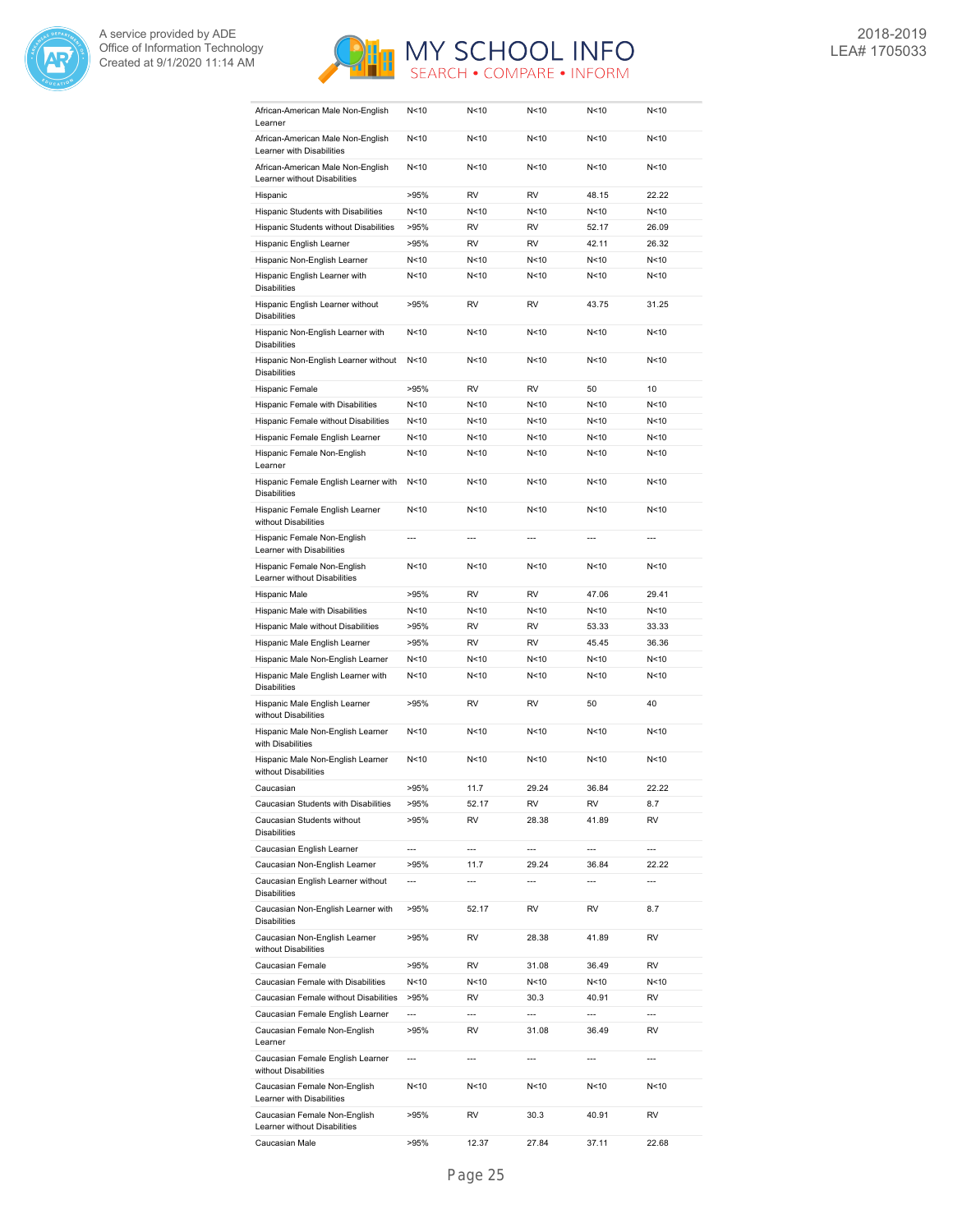



| African-American Male Non-English<br>Learner                                              | N < 10                   | N<10           | N < 10                   | N < 10                   | N<10                     |
|-------------------------------------------------------------------------------------------|--------------------------|----------------|--------------------------|--------------------------|--------------------------|
| African-American Male Non-English<br>Learner with Disabilities                            | N<10                     | N<10           | N<10                     | N<10                     | N<10                     |
| African-American Male Non-English<br>Learner without Disabilities                         | N<10                     | N < 10         | N<10                     | N<10                     | N<10                     |
| Hispanic                                                                                  | >95%                     | <b>RV</b>      | <b>RV</b>                | 48.15                    | 22.22                    |
| Hispanic Students with Disabilities                                                       | N<10                     | N<10           | N <sub>10</sub>          | N<10                     | N<10                     |
| Hispanic Students without Disabilities                                                    | >95%                     | <b>RV</b>      | <b>RV</b>                | 52.17                    | 26.09                    |
| Hispanic English Learner                                                                  | >95%                     | RV             | <b>RV</b>                | 42.11                    | 26.32                    |
| Hispanic Non-English Learner                                                              | N<10                     | N<10           | N<10                     | N<10                     | N<10                     |
| Hispanic English Learner with                                                             | N < 10                   | N<10           | N<10                     | N<10                     | N<10                     |
| <b>Disabilities</b><br>Hispanic English Learner without                                   | >95%                     | <b>RV</b>      | <b>RV</b>                | 43.75                    | 31.25                    |
| <b>Disabilities</b>                                                                       |                          |                |                          |                          |                          |
| Hispanic Non-English Learner with<br><b>Disabilities</b>                                  | N < 10                   | N<10           | N<10                     | N < 10                   | N<10                     |
| Hispanic Non-English Learner without<br><b>Disabilities</b>                               | N<10                     | N<10           | N<10                     | N<10                     | N<10                     |
| Hispanic Female                                                                           | >95%                     | RV             | RV                       | 50                       | 10                       |
| Hispanic Female with Disabilities                                                         | N<10                     | N<10           | N < 10                   | N<10                     | N<10                     |
| Hispanic Female without Disabilities                                                      | N < 10                   | N<10           | N < 10                   | N<10                     | N<10                     |
| Hispanic Female English Learner                                                           | N < 10                   | N<10           | N < 10                   | N<10                     | N<10                     |
| Hispanic Female Non-English<br>Learner                                                    | N < 10                   | N<10           | N < 10                   | N<10                     | N<10                     |
| Hispanic Female English Learner with<br><b>Disabilities</b>                               | N < 10                   | N<10           | N<10                     | N < 10                   | N<10                     |
| Hispanic Female English Learner<br>without Disabilities                                   | N < 10                   | N<10           | N<10                     | N < 10                   | N<10                     |
| Hispanic Female Non-English<br>Learner with Disabilities                                  | ---                      | $\overline{a}$ | $\overline{a}$           | ---                      | $\overline{a}$           |
| Hispanic Female Non-English<br>Learner without Disabilities                               | N<10                     | N<10           | N < 10                   | N<10                     | N<10                     |
| Hispanic Male                                                                             | >95%                     | RV             | RV                       | 47.06                    | 29.41                    |
| Hispanic Male with Disabilities                                                           | N<10                     | N<10           | N < 10                   | N<10                     | N<10                     |
|                                                                                           |                          |                |                          |                          |                          |
| Hispanic Male without Disabilities                                                        | >95%                     | RV             | <b>RV</b>                | 53.33                    | 33.33                    |
| Hispanic Male English Learner                                                             | >95%                     | <b>RV</b>      | <b>RV</b>                | 45.45                    | 36.36                    |
| Hispanic Male Non-English Learner                                                         | N < 10                   | N<10           | N<10                     | N<10                     | N<10                     |
| Hispanic Male English Learner with<br><b>Disabilities</b>                                 | N < 10                   | N<10           | N < 10                   | N < 10                   | N<10                     |
| Hispanic Male English Learner<br>without Disabilities                                     | >95%                     | RV             | RV                       | 50                       | 40                       |
| Hispanic Male Non-English Learner<br>with Disabilities                                    | N <sub>10</sub>          | N<10           | N < 10                   | N<10                     | N<10                     |
| Hispanic Male Non-English Learner<br>without Disabilities                                 | N < 10                   | N < 10         | N < 10                   | N<10                     | N<10                     |
| Caucasian                                                                                 | >95%                     | 11.7           | 29.24                    | 36.84                    | 22.22                    |
| Caucasian Students with Disabilities                                                      | >95%                     | 52.17          | RV                       | RV                       | 8.7                      |
| Caucasian Students without<br><b>Disabilities</b>                                         | >95%                     | RV             | 28.38                    | 41.89                    | RV                       |
|                                                                                           | ---                      | ---            | $\overline{\phantom{a}}$ | $\overline{\phantom{a}}$ | ---                      |
| Caucasian English Learner                                                                 | >95%                     | 11.7           | 29.24                    | 36.84                    | 22.22                    |
| Caucasian Non-English Learner<br>Caucasian English Learner without                        | ---                      | ---            | $\overline{\phantom{a}}$ | ---                      | ---                      |
| <b>Disabilities</b><br>Caucasian Non-English Learner with                                 | >95%                     | 52.17          | RV                       | RV                       | 8.7                      |
| <b>Disabilities</b><br>Caucasian Non-English Learner                                      | >95%                     | RV             | 28.38                    | 41.89                    | RV                       |
| without Disabilities<br>Caucasian Female                                                  | >95%                     | RV             | 31.08                    | 36.49                    | RV                       |
| Caucasian Female with Disabilities                                                        | N<10                     | N<10           | N<10                     | N<10                     | N<10                     |
| Caucasian Female without Disabilities                                                     | >95%                     | RV             | 30.3                     | 40.91                    | RV                       |
| Caucasian Female English Learner                                                          | $\overline{\phantom{a}}$ | ---            | $\overline{a}$           | ---                      | ---                      |
| Caucasian Female Non-English                                                              | >95%                     | RV             | 31.08                    | 36.49                    | RV                       |
| Learner<br>Caucasian Female English Learner                                               | $\overline{\phantom{a}}$ | ---            | $---$                    | ---                      | $\overline{\phantom{a}}$ |
| without Disabilities<br>Caucasian Female Non-English                                      | N<10                     | N<10           | N<10                     | N<10                     | N<10                     |
| Learner with Disabilities<br>Caucasian Female Non-English<br>Learner without Disabilities | >95%                     | RV             | 30.3                     | 40.91                    | RV                       |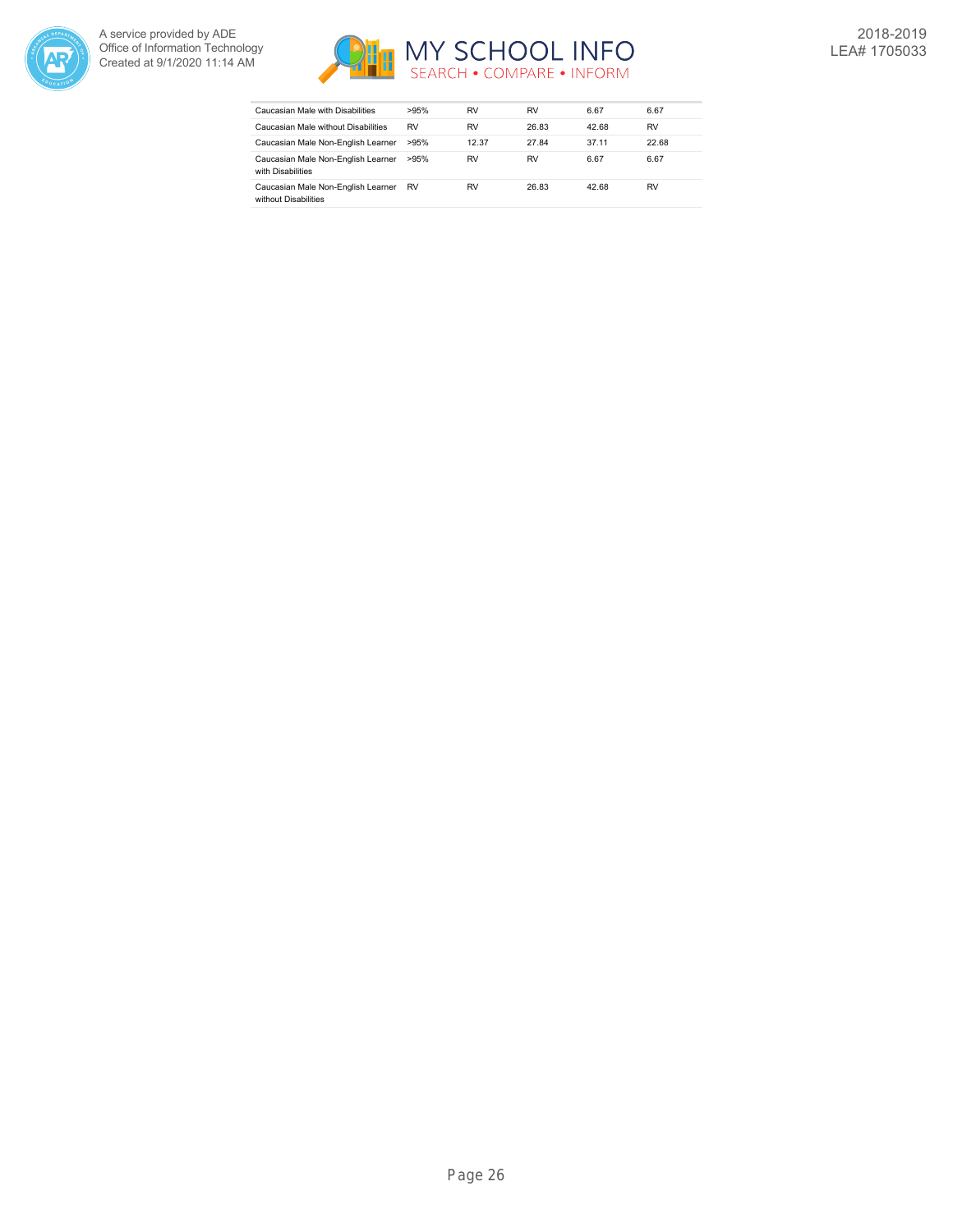



| Caucasian Male with Disabilities                           | >95%      | RV    | RV        | 6.67  | 6.67  |
|------------------------------------------------------------|-----------|-------|-----------|-------|-------|
| Caucasian Male without Disabilities                        | <b>RV</b> | RV    | 26.83     | 42.68 | RV    |
| Caucasian Male Non-English Learner                         | >95%      | 12.37 | 27.84     | 37.11 | 22.68 |
| Caucasian Male Non-English Learner<br>with Disabilities    | >95%      | RV    | <b>RV</b> | 6.67  | 6.67  |
| Caucasian Male Non-English Learner<br>without Disabilities | <b>RV</b> | RV    | 26.83     | 42.68 | RV    |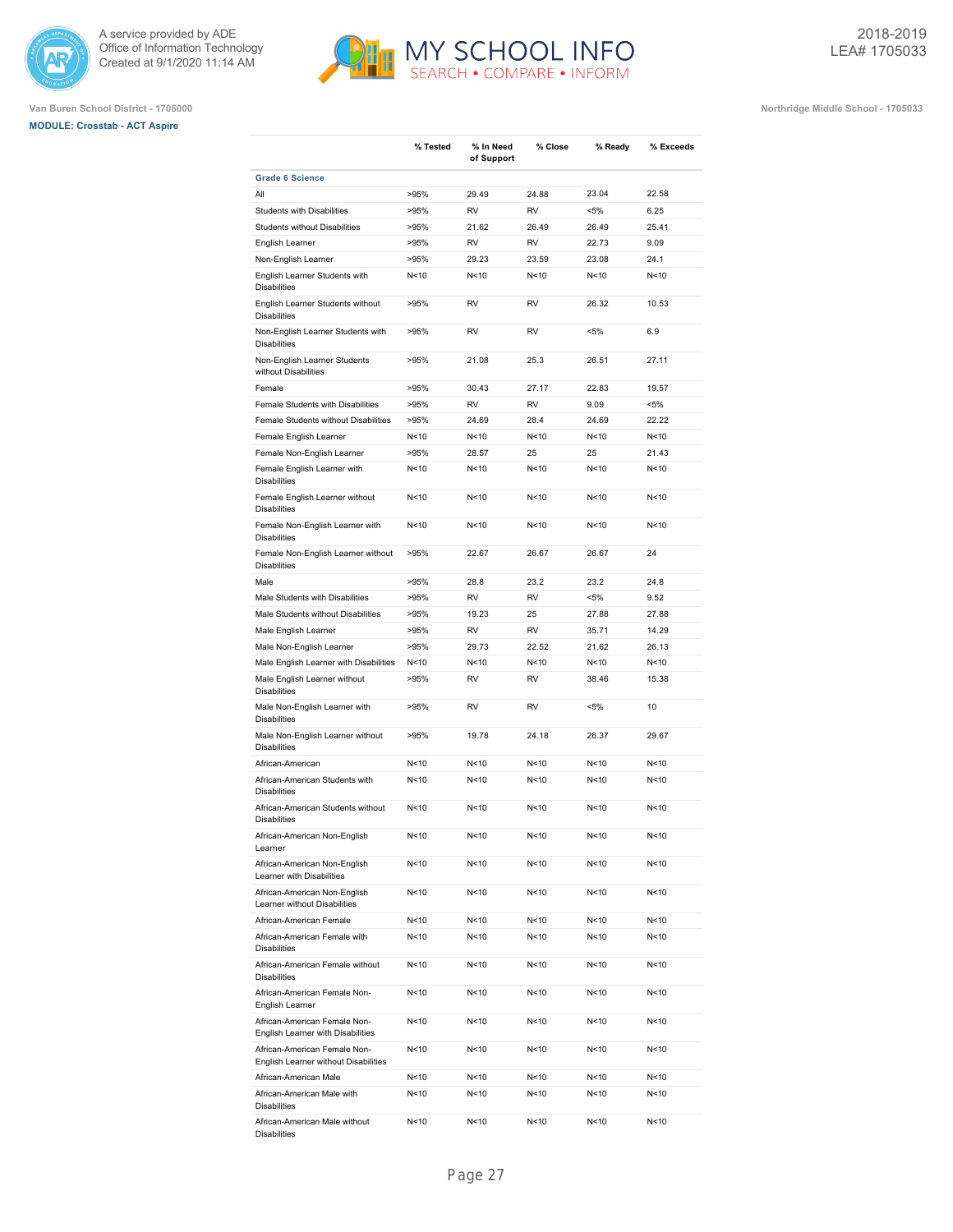





|                                                                      | % Tested        | % In Need<br>of Support | % Close         | % Ready         | % Exceeds |
|----------------------------------------------------------------------|-----------------|-------------------------|-----------------|-----------------|-----------|
| <b>Grade 6 Science</b>                                               |                 |                         |                 |                 |           |
| All                                                                  | >95%            | 29.49                   | 24.88           | 23.04           | 22.58     |
| <b>Students with Disabilities</b>                                    | >95%            | <b>RV</b>               | <b>RV</b>       | $< 5\%$         | 6.25      |
| Students without Disabilities                                        | >95%            | 21.62                   | 26.49           | 26.49           | 25.41     |
| English Learner                                                      | >95%            | <b>RV</b>               | <b>RV</b>       | 22.73           | 9.09      |
| Non-English Learner                                                  | >95%            | 29.23                   | 23.59           | 23.08           | 24.1      |
| English Learner Students with<br><b>Disabilities</b>                 | N <sub>10</sub> | N<10                    | N<10            | N <sub>10</sub> | N<10      |
| English Learner Students without<br><b>Disabilities</b>              | >95%            | <b>RV</b>               | <b>RV</b>       | 26.32           | 10.53     |
| Non-English Learner Students with<br><b>Disabilities</b>             | >95%            | <b>RV</b>               | <b>RV</b>       | $< 5\%$         | 6.9       |
| Non-English Learner Students<br>without Disabilities                 | >95%            | 21.08                   | 25.3            | 26.51           | 27.11     |
| Female                                                               | >95%            | 30.43                   | 27.17           | 22.83           | 19.57     |
| Female Students with Disabilities                                    | >95%            | <b>RV</b>               | <b>RV</b>       | 9.09            | $< 5\%$   |
| Female Students without Disabilities                                 | >95%            | 24.69                   | 28.4            | 24.69           | 22.22     |
| Female English Learner                                               | N<10            | N<10                    | N<10            | N <sub>10</sub> | N<10      |
| Female Non-English Learner                                           | >95%            | 28.57                   | 25              | 25              | 21.43     |
| Female English Learner with<br><b>Disabilities</b>                   | N<10            | N<10                    | N <sub>10</sub> | N <sub>10</sub> | N<10      |
| Female English Learner without<br><b>Disabilities</b>                | N<10            | N<10                    | N<10            | N <sub>10</sub> | N < 10    |
| Female Non-English Learner with<br><b>Disabilities</b>               | N <sub>10</sub> | N<10                    | N <sub>10</sub> | N <sub>10</sub> | N<10      |
| Female Non-English Learner without<br><b>Disabilities</b>            | >95%            | 22.67                   | 26.67           | 26.67           | 24        |
| Male                                                                 | >95%            | 28.8                    | 23.2            | 23.2            | 24.8      |
| Male Students with Disabilities                                      | >95%            | <b>RV</b>               | <b>RV</b>       | $< 5\%$         | 9.52      |
| Male Students without Disabilities                                   | >95%            | 19.23                   | 25              | 27.88           | 27.88     |
| Male English Learner                                                 | >95%            | <b>RV</b>               | <b>RV</b>       | 35.71           | 14.29     |
| Male Non-English Learner                                             | >95%            | 29.73                   | 22.52           | 21.62           | 26.13     |
| Male English Learner with Disabilities                               | N < 10          | N<10                    | N <sub>10</sub> | N <sub>10</sub> | N<10      |
| Male English Learner without<br><b>Disabilities</b>                  | >95%            | <b>RV</b>               | <b>RV</b>       | 38.46           | 15.38     |
| Male Non-English Learner with<br><b>Disabilities</b>                 | >95%            | <b>RV</b>               | <b>RV</b>       | <5%             | 10        |
| Male Non-English Learner without<br><b>Disabilities</b>              | >95%            | 19.78                   | 24.18           | 26.37           | 29.67     |
| African-American                                                     | N <sub>10</sub> | N<10                    | N <sub>10</sub> | N <sub>10</sub> | N<10      |
| African-American Students with<br><b>Disabilities</b>                | N<10            | N<10                    | N <sub>10</sub> | N <sub>10</sub> | N<10      |
| African-American Students without<br><b>Disabilities</b>             | N <sub>10</sub> | N<10                    | N <sub>10</sub> | N <sub>10</sub> | N<10      |
| African-American Non-English<br>Learner                              | N<10            | N<10                    | N<10            | N<10            | N<10      |
| African-American Non-English<br>Learner with Disabilities            | N<10            | N<10                    | N<10            | N<10            | N<10      |
| African-American Non-English<br>Learner without Disabilities         | N<10            | N<10                    | N<10            | N<10            | N<10      |
| African-American Female                                              | N <sub>10</sub> | N<10                    | N<10            | N<10            | N<10      |
| African-American Female with<br><b>Disabilities</b>                  | N<10            | N<10                    | N<10            | N <sub>10</sub> | N<10      |
| African-American Female without<br><b>Disabilities</b>               | N<10            | N<10                    | N<10            | N <sub>10</sub> | N<10      |
| African-American Female Non-<br>English Learner                      | N<10            | N<10                    | N <sub>10</sub> | N<10            | N<10      |
| African-American Female Non-<br>English Learner with Disabilities    | N<10            | N<10                    | N<10            | N<10            | N<10      |
| African-American Female Non-<br>English Learner without Disabilities | N<10            | N<10                    | N<10            | N<10            | N<10      |
| African-American Male                                                | N<10            | N<10                    | N<10            | N<10            | N<10      |
| African-American Male with<br><b>Disabilities</b>                    | N<10            | N<10                    | N<10            | N<10            | N<10      |
| African-American Male without<br>Disabilities                        | N<10            | N<10                    | N<10            | N<10            | N<10      |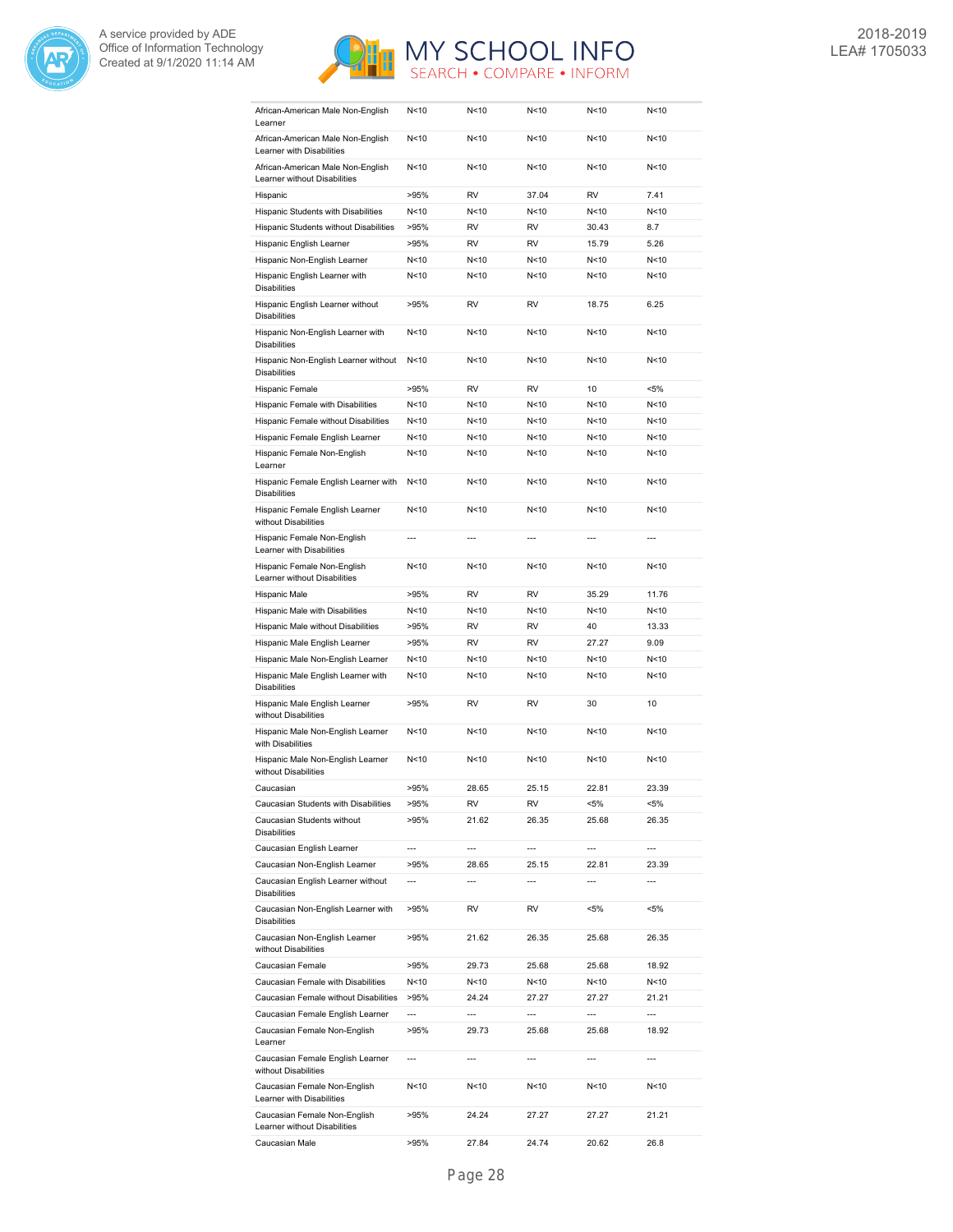



| African-American Male Non-English<br>Learner                                              | N<10            | N<10                     | N<10            | N <sub>10</sub> | N<10           |
|-------------------------------------------------------------------------------------------|-----------------|--------------------------|-----------------|-----------------|----------------|
| African-American Male Non-English<br>Learner with Disabilities                            | N<10            | N<10                     | N <sub>10</sub> | N<10            | N<10           |
| African-American Male Non-English<br>Learner without Disabilities                         | N<10            | N < 10                   | N <sub>10</sub> | N < 10          | N<10           |
| Hispanic                                                                                  | >95%            | <b>RV</b>                | 37.04           | <b>RV</b>       | 7.41           |
| Hispanic Students with Disabilities                                                       | N<10            | N<10                     | N <sub>10</sub> | N <sub>10</sub> | N<10           |
| Hispanic Students without Disabilities                                                    | >95%            | RV                       | <b>RV</b>       | 30.43           | 8.7            |
| Hispanic English Learner                                                                  | >95%            | RV                       | <b>RV</b>       | 15.79           | 5.26           |
| Hispanic Non-English Learner                                                              | N<10            | N<10                     | N < 10          | N<10            | N<10           |
| Hispanic English Learner with                                                             | N<10            | N<10                     | N < 10          | N<10            | N<10           |
| <b>Disabilities</b>                                                                       |                 | RV                       |                 |                 |                |
| Hispanic English Learner without<br><b>Disabilities</b>                                   | >95%            |                          | RV              | 18.75           | 6.25           |
| Hispanic Non-English Learner with<br><b>Disabilities</b>                                  | N<10            | N<10                     | N < 10          | N < 10          | N<10           |
| Hispanic Non-English Learner without<br><b>Disabilities</b>                               | N<10            | N<10                     | N<10            | N<10            | N<10           |
| Hispanic Female                                                                           | >95%            | <b>RV</b>                | <b>RV</b>       | 10              | $< 5\%$        |
| Hispanic Female with Disabilities                                                         | N<10            | N<10                     | N <sub>10</sub> | N <sub>10</sub> | N<10           |
| Hispanic Female without Disabilities                                                      | N<10            | N<10                     | N<10            | N<10            | N<10           |
| Hispanic Female English Learner                                                           | N <sub>10</sub> | N<10                     | N<10            | N<10            | N<10           |
| Hispanic Female Non-English<br>Learner                                                    | N<10            | N<10                     | N<10            | N<10            | N<10           |
| Hispanic Female English Learner with<br><b>Disabilities</b>                               | N<10            | N<10                     | N < 10          | N < 10          | N<10           |
| Hispanic Female English Learner<br>without Disabilities                                   | N < 10          | N<10                     | N < 10          | N<10            | N<10           |
| Hispanic Female Non-English<br>Learner with Disabilities                                  | $\overline{a}$  | $\overline{\phantom{a}}$ | $\overline{a}$  | $\overline{a}$  | $\overline{a}$ |
| Hispanic Female Non-English<br>Learner without Disabilities                               | N <sub>10</sub> | N<10                     | N <sub>10</sub> | N <sub>10</sub> | N<10           |
| Hispanic Male                                                                             | >95%            | <b>RV</b>                | <b>RV</b>       | 35.29           | 11.76          |
| Hispanic Male with Disabilities                                                           | N<10            | N<10                     | N <sub>10</sub> | N <sub>10</sub> | N<10           |
|                                                                                           |                 |                          |                 |                 |                |
| Hispanic Male without Disabilities                                                        | >95%            | <b>RV</b>                | <b>RV</b>       | 40              | 13.33          |
| Hispanic Male English Learner                                                             | >95%            | <b>RV</b>                | <b>RV</b>       | 27.27           | 9.09           |
| Hispanic Male Non-English Learner                                                         | N<10            | N<10                     | N < 10          | N < 10          | N<10           |
| Hispanic Male English Learner with<br><b>Disabilities</b>                                 | N<10            | N<10                     | N<10            | N<10            | N<10           |
| Hispanic Male English Learner<br>without Disabilities                                     | >95%            | RV                       | RV              | 30              | 10             |
| Hispanic Male Non-English Learner<br>with Disabilities                                    | N<10            | N<10                     | N <sub>10</sub> | N <sub>10</sub> | N<10           |
| Hispanic Male Non-English Learner<br>without Disabilities                                 | N<10            | N<10                     | N <sub>10</sub> | N <sub>10</sub> | N<10           |
| Caucasian                                                                                 |                 |                          |                 | 22.81           | 23.39          |
|                                                                                           | >95%            | 28.65                    | 25.15           |                 | <5%            |
| Caucasian Students with Disabilities<br>Caucasian Students without<br><b>Disabilities</b> | >95%<br>>95%    | RV<br>21.62              | RV<br>26.35     | <5%<br>25.68    | 26.35          |
|                                                                                           |                 |                          |                 |                 |                |
| Caucasian English Learner                                                                 | ---             | ---                      | ---             | ---             | ---            |
| Caucasian Non-English Learner<br>Caucasian English Learner without                        | >95%<br>---     | 28.65<br>---             | 25.15<br>---    | 22.81<br>---    | 23.39<br>---   |
| <b>Disabilities</b><br>Caucasian Non-English Learner with                                 | >95%            | RV                       | RV              | $< 5\%$         | <5%            |
| <b>Disabilities</b><br>Caucasian Non-English Learner                                      | >95%            | 21.62                    | 26.35           | 25.68           | 26.35          |
| without Disabilities<br>Caucasian Female                                                  | >95%            | 29.73                    | 25.68           | 25.68           | 18.92          |
| Caucasian Female with Disabilities                                                        | N<10            | N<10                     | N<10            | N<10            | N<10           |
| Caucasian Female without Disabilities                                                     | >95%            | 24.24                    | 27.27           | 27.27           | 21.21          |
| Caucasian Female English Learner                                                          | ---             | ---                      | ---             | ---             | $\overline{a}$ |
| Caucasian Female Non-English<br>Learner                                                   | >95%            | 29.73                    | 25.68           | 25.68           | 18.92          |
| Caucasian Female English Learner<br>without Disabilities                                  | ---             | ---                      | ---             | ---             | ---            |
| Caucasian Female Non-English<br>Learner with Disabilities                                 | N < 10          | N<10                     | N<10            | N<10            | N<10           |
| Caucasian Female Non-English<br>Learner without Disabilities                              | >95%            | 24.24                    | 27.27           | 27.27           | 21.21          |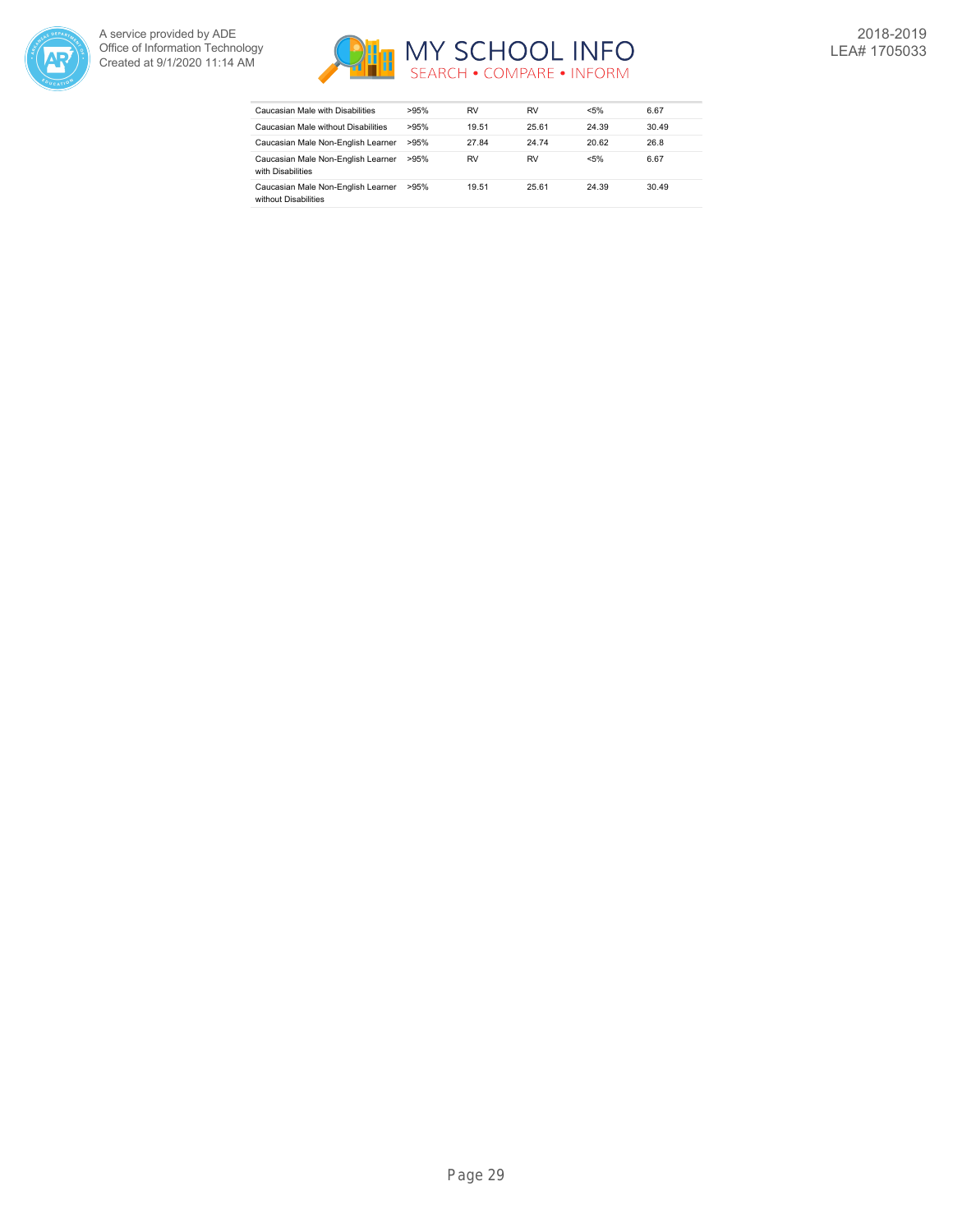



| Caucasian Male with Disabilities                           | >95% | RV    | RV    | $< 5\%$ | 6.67  |
|------------------------------------------------------------|------|-------|-------|---------|-------|
| Caucasian Male without Disabilities                        | >95% | 19.51 | 25.61 | 24.39   | 30.49 |
| Caucasian Male Non-English Learner                         | >95% | 27.84 | 24.74 | 20.62   | 26.8  |
| Caucasian Male Non-English Learner<br>with Disabilities    | >95% | RV    | RV    | $< 5\%$ | 6.67  |
| Caucasian Male Non-English Learner<br>without Disabilities | >95% | 19.51 | 25.61 | 24.39   | 30.49 |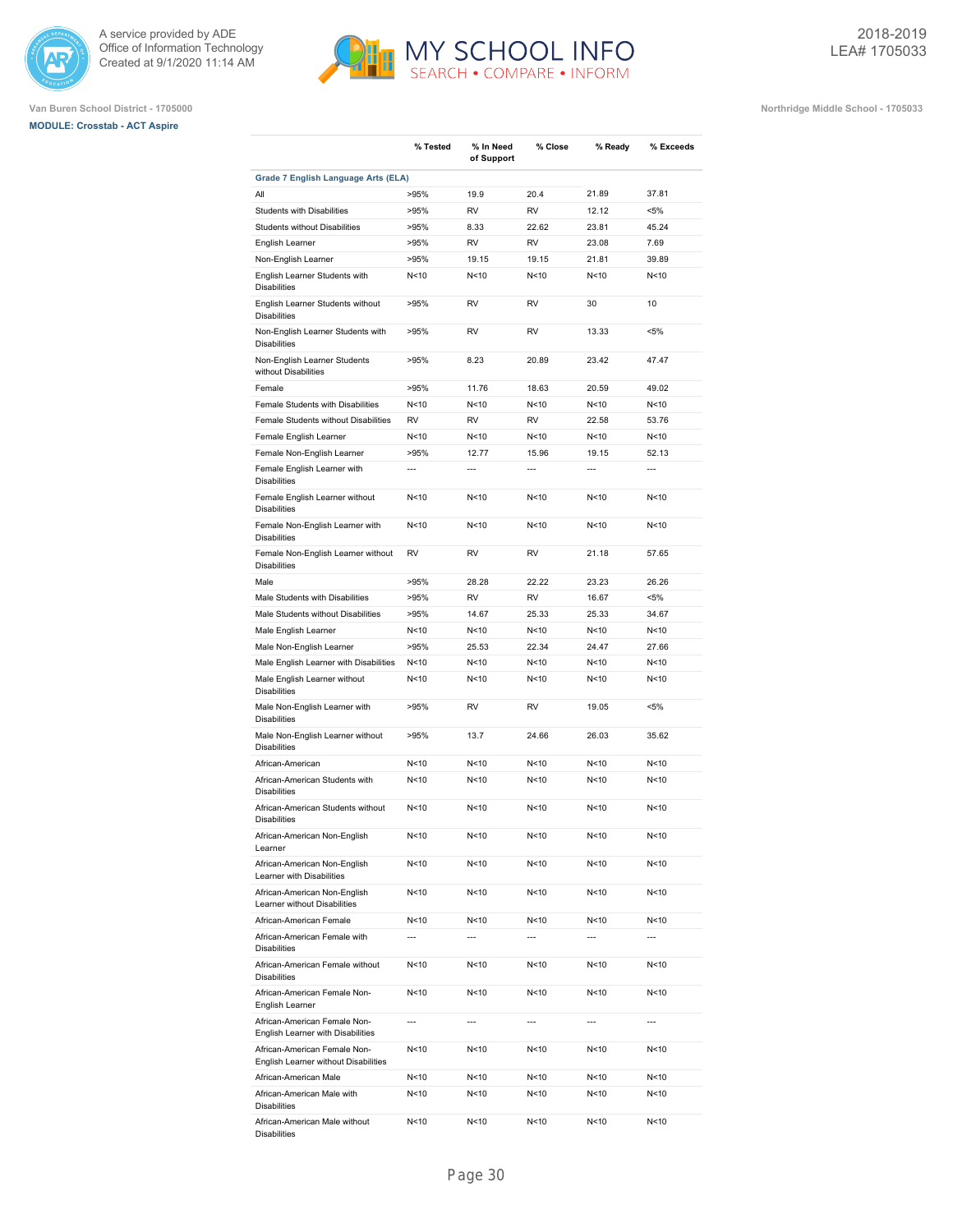





|                                                                      | % Tested        | % In Need<br>of Support | % Close         | % Ready         | % Exceeds      |
|----------------------------------------------------------------------|-----------------|-------------------------|-----------------|-----------------|----------------|
| Grade 7 English Language Arts (ELA)                                  |                 |                         |                 |                 |                |
| All                                                                  | >95%            | 19.9                    | 20.4            | 21.89           | 37.81          |
| <b>Students with Disabilities</b>                                    | >95%            | <b>RV</b>               | <b>RV</b>       | 12.12           | $< 5\%$        |
| <b>Students without Disabilities</b>                                 | >95%            | 8.33                    | 22.62           | 23.81           | 45.24          |
| English Learner                                                      | >95%            | <b>RV</b>               | <b>RV</b>       | 23.08           | 7.69           |
| Non-English Learner                                                  | >95%            | 19.15                   | 19.15           | 21.81           | 39.89          |
| English Learner Students with<br><b>Disabilities</b>                 | N < 10          | N<10                    | N<10            | N<10            | N<10           |
| English Learner Students without<br><b>Disabilities</b>              | >95%            | RV                      | <b>RV</b>       | 30              | 10             |
| Non-English Learner Students with<br><b>Disabilities</b>             | >95%            | RV                      | <b>RV</b>       | 13.33           | $< 5\%$        |
| Non-English Learner Students<br>without Disabilities                 | >95%            | 8.23                    | 20.89           | 23.42           | 47.47          |
| Female                                                               | >95%            | 11.76                   | 18.63           | 20.59           | 49.02          |
| Female Students with Disabilities                                    | N < 10          | N<10                    | N<10            | N <sub>10</sub> | N<10           |
| Female Students without Disabilities                                 | <b>RV</b>       | <b>RV</b>               | <b>RV</b>       | 22.58           | 53.76          |
| Female English Learner                                               | N<10            | N<10                    | N<10            | N <sub>10</sub> | N<10           |
| Female Non-English Learner                                           | >95%            | 12.77                   | 15.96           | 19.15           | 52.13          |
| Female English Learner with                                          | $\overline{a}$  | $\overline{a}$          | $\overline{a}$  | $\overline{a}$  | $\overline{a}$ |
| <b>Disabilities</b>                                                  | N<10            |                         |                 |                 |                |
| Female English Learner without<br><b>Disabilities</b>                |                 | N<10                    | N<10            | N<10            | N<10           |
| Female Non-English Learner with<br><b>Disabilities</b>               | N<10            | N<10                    | N<10            | N <sub>10</sub> | N<10           |
| Female Non-English Learner without<br><b>Disabilities</b>            | RV              | RV                      | <b>RV</b>       | 21.18           | 57.65          |
| Male                                                                 | >95%            | 28.28                   | 22.22           | 23.23           | 26.26          |
| Male Students with Disabilities                                      | >95%            | <b>RV</b>               | <b>RV</b>       | 16.67           | $< 5\%$        |
| Male Students without Disabilities                                   | >95%            | 14.67                   | 25.33           | 25.33           | 34.67          |
| Male English Learner                                                 | N < 10          | N<10                    | N<10            | N <sub>10</sub> | N<10           |
| Male Non-English Learner                                             | >95%            | 25.53                   | 22.34           | 24.47           | 27.66          |
| Male English Learner with Disabilities                               | N<10            | N<10                    | N<10            | N <sub>10</sub> | N<10           |
| Male English Learner without<br><b>Disabilities</b>                  | N<10            | N<10                    | N < 10          | N <sub>10</sub> | N<10           |
| Male Non-English Learner with<br><b>Disabilities</b>                 | >95%            | <b>RV</b>               | <b>RV</b>       | 19.05           | $< 5\%$        |
| Male Non-English Learner without<br><b>Disabilities</b>              | >95%            | 13.7                    | 24.66           | 26.03           | 35.62          |
| African-American                                                     | N <sub>10</sub> | N<10                    | N < 10          | N <sub>10</sub> | N<10           |
| African-American Students with<br><b>Disabilities</b>                | N <sub>10</sub> | N<10                    | N <sub>10</sub> | N <sub>10</sub> | N<10           |
| African-American Students without<br><b>Disabilities</b>             | N <sub>10</sub> | N<10                    | N<10            | N<10            | N<10           |
| African-American Non-English<br>Learner                              | N <sub>10</sub> | N<10                    | N<10            | N<10            | N<10           |
| African-American Non-English<br>Learner with Disabilities            | N<10            | N<10                    | N < 10          | N<10            | N<10           |
| African-American Non-English<br>Learner without Disabilities         | N<10            | N<10                    | N < 10          | N<10            | N<10           |
| African-American Female                                              | N < 10          | N<10                    | N < 10          | N < 10          | N<10           |
| African-American Female with<br><b>Disabilities</b>                  | $\overline{a}$  | $\overline{a}$          | ---             |                 | ---            |
| African-American Female without<br><b>Disabilities</b>               | N<10            | N<10                    | N < 10          | N<10            | N<10           |
| African-American Female Non-<br>English Learner                      | N<10            | N<10                    | N<10            | N<10            | N<10           |
| African-American Female Non-<br>English Learner with Disabilities    | ---             | ---                     | ---             | ---             | ---            |
| African-American Female Non-<br>English Learner without Disabilities | N<10            | N<10                    | N<10            | N<10            | N<10           |
| African-American Male                                                | N <sub>10</sub> | N<10                    | N<10            | N<10            | N<10           |
| African-American Male with<br><b>Disabilities</b>                    | N<10            | N<10                    | N<10            | N<10            | N<10           |
| African-American Male without<br><b>Disabilities</b>                 | N<10            | N<10                    | N<10            | N<10            | N<10           |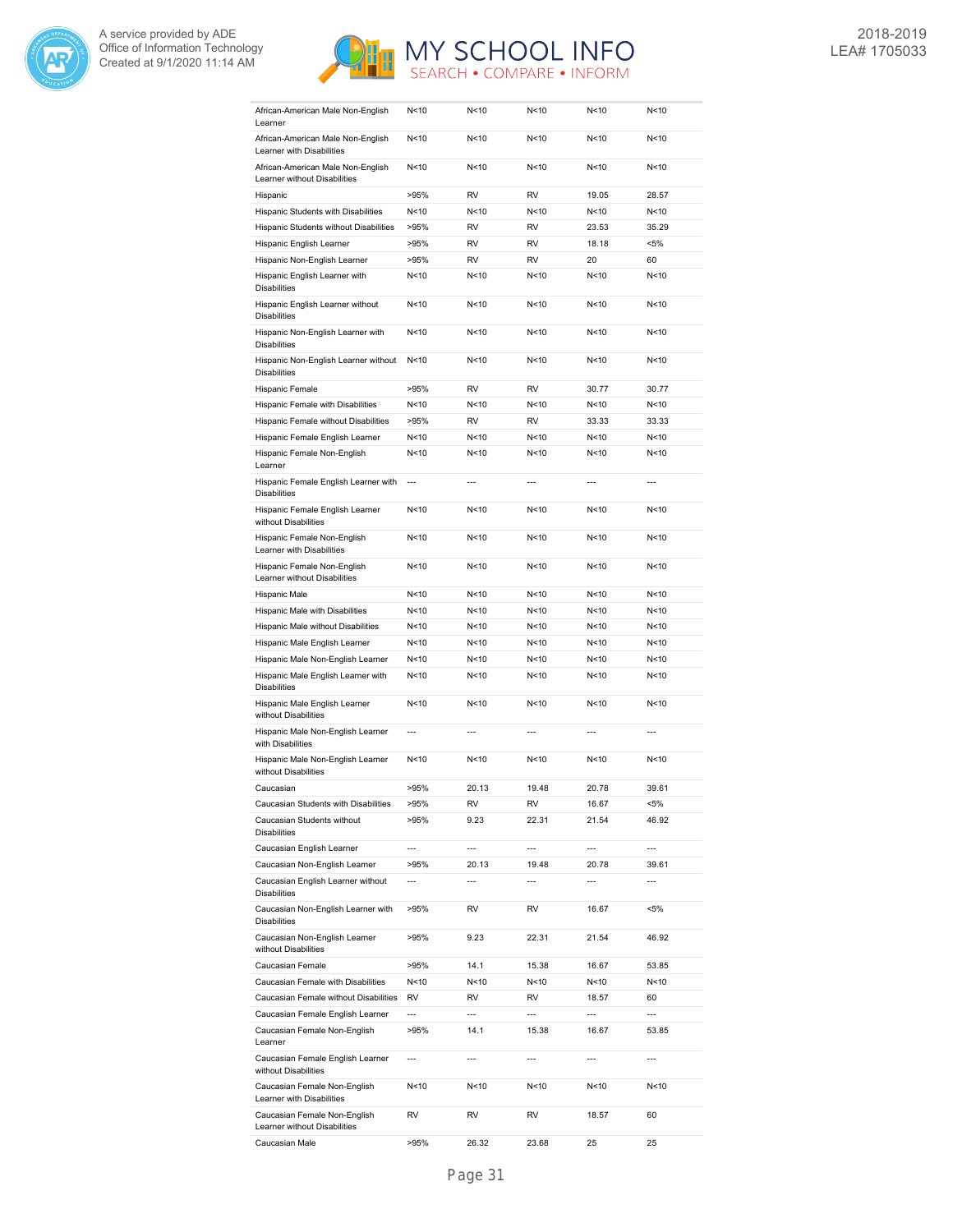



| African-American Male Non-English<br>Learner                      | N < 10                   | N<10                     | N < 10                   | N < 10                   | N<10                     |
|-------------------------------------------------------------------|--------------------------|--------------------------|--------------------------|--------------------------|--------------------------|
| African-American Male Non-English<br>Learner with Disabilities    | N<10                     | N<10                     | N<10                     | N <sub>10</sub>          | N<10                     |
| African-American Male Non-English<br>Learner without Disabilities | N < 10                   | N<10                     | N<10                     | N <sub>10</sub>          | N<10                     |
| Hispanic                                                          | >95%                     | RV                       | <b>RV</b>                | 19.05                    | 28.57                    |
| Hispanic Students with Disabilities                               | N < 10                   | N<10                     | N<10                     | N < 10                   | N<10                     |
| Hispanic Students without Disabilities                            | >95%                     | <b>RV</b>                | <b>RV</b>                | 23.53                    | 35.29                    |
| Hispanic English Learner                                          | >95%                     | RV                       | <b>RV</b>                | 18.18                    | $< 5\%$                  |
| Hispanic Non-English Learner                                      | >95%                     | <b>RV</b>                | <b>RV</b>                | 20                       | 60                       |
| Hispanic English Learner with                                     | N < 10                   | N<10                     | N<10                     | N<10                     | N<10                     |
| <b>Disabilities</b>                                               |                          |                          |                          |                          |                          |
| Hispanic English Learner without<br><b>Disabilities</b>           | N<10                     | N<10                     | N<10                     | N<10                     | N<10                     |
| Hispanic Non-English Learner with<br><b>Disabilities</b>          | N<10                     | N<10                     | N<10                     | N<10                     | N<10                     |
| Hispanic Non-English Learner without<br><b>Disabilities</b>       | N<10                     | N<10                     | N<10                     | N<10                     | N<10                     |
| Hispanic Female                                                   | >95%                     | RV                       | <b>RV</b>                | 30.77                    | 30.77                    |
| Hispanic Female with Disabilities                                 | N<10                     | N<10                     | N<10                     | N<10                     | N<10                     |
| Hispanic Female without Disabilities                              | >95%                     | <b>RV</b>                | <b>RV</b>                | 33.33                    | 33.33                    |
| Hispanic Female English Learner                                   | N < 10                   | N<10                     | N<10                     | N <sub>10</sub>          | N<10                     |
| Hispanic Female Non-English<br>Learner                            | N < 10                   | N<10                     | N<10                     | N < 10                   | N<10                     |
| Hispanic Female English Learner with<br><b>Disabilities</b>       | $\overline{a}$           | $---$                    | $---$                    | ---                      | $\overline{a}$           |
| Hispanic Female English Learner<br>without Disabilities           | N<10                     | N<10                     | N<10                     | N<10                     | N<10                     |
| Hispanic Female Non-English<br>Learner with Disabilities          | N<10                     | N<10                     | N<10                     | N < 10                   | N<10                     |
| Hispanic Female Non-English<br>Learner without Disabilities       | N < 10                   | N<10                     | N < 10                   | N < 10                   | N<10                     |
| Hispanic Male                                                     | N < 10                   | N<10                     | N<10                     | N < 10                   | N<10                     |
| Hispanic Male with Disabilities                                   | N < 10                   | N<10                     | N < 10                   | N < 10                   | N<10                     |
| Hispanic Male without Disabilities                                | N < 10                   | N<10                     | N<10                     | N < 10                   | N<10                     |
| Hispanic Male English Learner                                     | N < 10                   | N<10                     | N<10                     | N < 10                   | N<10                     |
| Hispanic Male Non-English Learner                                 | N < 10                   | N<10                     | N<10                     | N < 10                   | N<10                     |
| Hispanic Male English Learner with<br><b>Disabilities</b>         | N<10                     | N<10                     | N<10                     | N < 10                   | N<10                     |
| Hispanic Male English Learner<br>without Disabilities             | N <sub>10</sub>          | N<10                     | N<10                     | N <sub>10</sub>          | N<10                     |
| Hispanic Male Non-English Learner<br>with Disabilities            | $\overline{\phantom{a}}$ | $\overline{a}$           | $\overline{a}$           | $\overline{a}$           | $\overline{a}$           |
| Hispanic Male Non-English Learner<br>without Disabilities         | N < 10                   | N<10                     | N <sub>10</sub>          | N<10                     | N<10                     |
| Caucasian                                                         | >95%                     | 20.13                    | 19.48                    | 20.78                    | 39.61                    |
| Caucasian Students with Disabilities                              | >95%                     | RV                       | RV                       | 16.67                    | <5%                      |
| Caucasian Students without<br><b>Disabilities</b>                 | >95%                     | 9.23                     | 22.31                    | 21.54                    | 46.92                    |
| Caucasian English Learner                                         | $\overline{a}$           | ---                      | ---                      | $\overline{a}$           | $\overline{a}$           |
| Caucasian Non-English Learner                                     | >95%                     | 20.13                    | 19.48                    | 20.78                    | 39.61                    |
| Caucasian English Learner without                                 | $\overline{\phantom{a}}$ | $\overline{\phantom{a}}$ | ---                      | $\overline{\phantom{a}}$ | $\overline{\phantom{a}}$ |
| <b>Disabilities</b><br>Caucasian Non-English Learner with         | >95%                     | RV                       | RV                       | 16.67                    | $< 5\%$                  |
| <b>Disabilities</b><br>Caucasian Non-English Learner              | >95%                     | 9.23                     | 22.31                    | 21.54                    | 46.92                    |
| without Disabilities<br>Caucasian Female                          | >95%                     | 14.1                     | 15.38                    | 16.67                    | 53.85                    |
| Caucasian Female with Disabilities                                | N<10                     | N<10                     | N<10                     | N<10                     | N<10                     |
| Caucasian Female without Disabilities                             | RV                       | RV                       | RV                       | 18.57                    | 60                       |
| Caucasian Female English Learner                                  | $\overline{a}$           | $\overline{a}$           | $\overline{a}$           | ---                      | ---                      |
| Caucasian Female Non-English<br>Learner                           | >95%                     | 14.1                     | 15.38                    | 16.67                    | 53.85                    |
| Caucasian Female English Learner<br>without Disabilities          | $\overline{\phantom{a}}$ | $\overline{\phantom{a}}$ | $\overline{\phantom{a}}$ | $\overline{\phantom{a}}$ | ---                      |
| Caucasian Female Non-English<br>Learner with Disabilities         | N<10                     | N<10                     | N<10                     | N<10                     | N<10                     |
| Caucasian Female Non-English<br>Learner without Disabilities      | RV                       | RV                       | RV                       | 18.57                    | 60                       |
| Caucasian Male                                                    | >95%                     | 26.32                    | 23.68                    | 25                       | 25                       |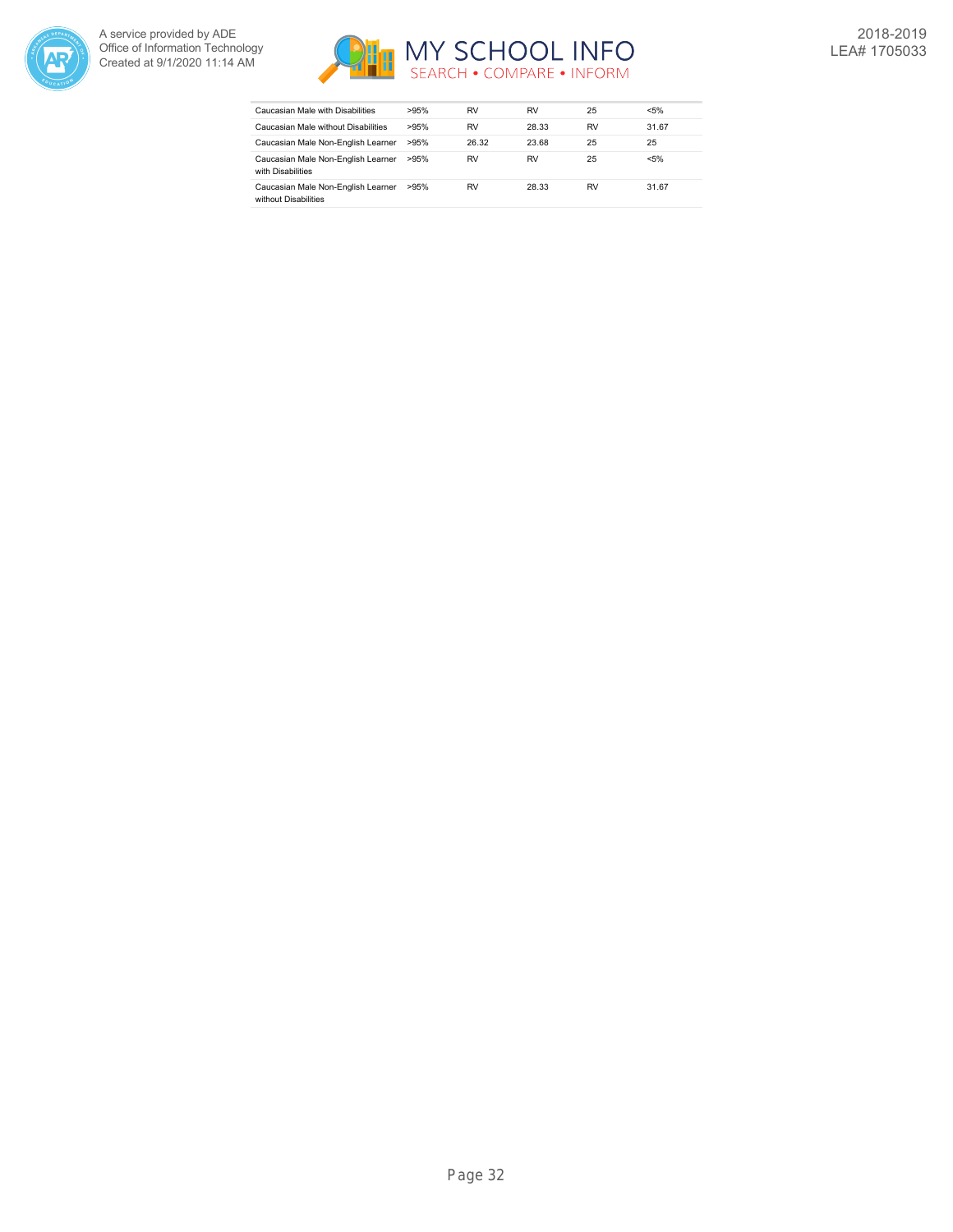



| Caucasian Male with Disabilities                           | >95% | RV    | RV    | 25        | $< 5\%$ |
|------------------------------------------------------------|------|-------|-------|-----------|---------|
| Caucasian Male without Disabilities                        | >95% | RV    | 28.33 | <b>RV</b> | 31.67   |
| Caucasian Male Non-English Learner                         | >95% | 26.32 | 23.68 | 25        | 25      |
| Caucasian Male Non-English Learner<br>with Disabilities    | >95% | RV    | RV    | 25        | $< 5\%$ |
| Caucasian Male Non-English Learner<br>without Disabilities | >95% | RV    | 28.33 | <b>RV</b> | 31.67   |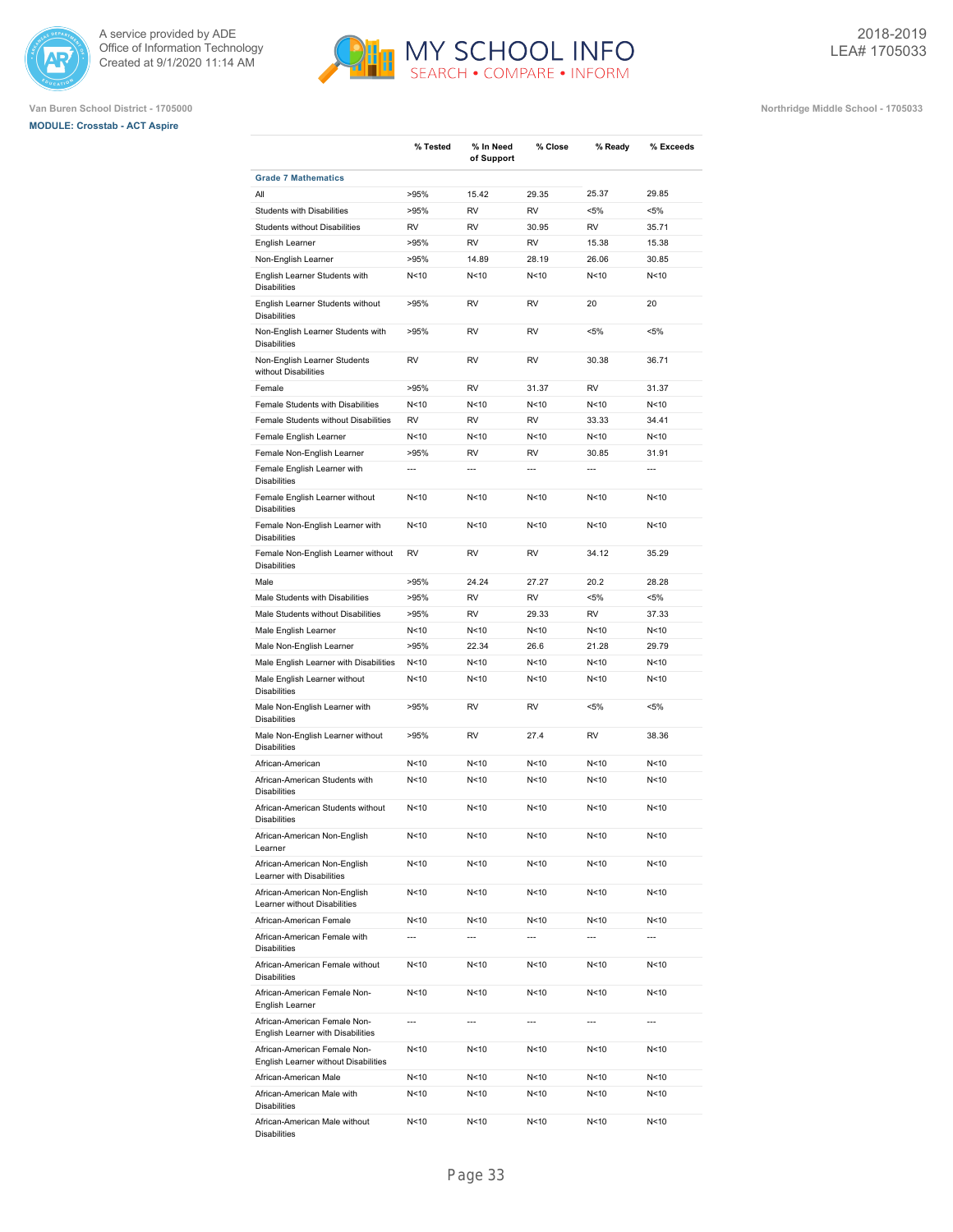

# **MODULE: Crosstab - ACT Aspire**





|                                                                   | % Tested        | % In Need<br>of Support | % Close         | % Ready                                     | % Exceeds      |
|-------------------------------------------------------------------|-----------------|-------------------------|-----------------|---------------------------------------------|----------------|
| <b>Grade 7 Mathematics</b>                                        |                 |                         |                 |                                             |                |
| All                                                               | >95%            | 15.42                   | 29.35           | 25.37                                       | 29.85          |
| Students with Disabilities                                        | >95%            | <b>RV</b>               | <b>RV</b>       | $< 5\%$                                     | $< 5\%$        |
| <b>Students without Disabilities</b>                              | <b>RV</b>       | <b>RV</b>               | 30.95           | <b>RV</b>                                   | 35.71          |
| English Learner                                                   | >95%            | <b>RV</b>               | <b>RV</b>       | 15.38                                       | 15.38          |
| Non-English Learner                                               | >95%            | 14.89                   | 28.19           | 26.06                                       | 30.85          |
| English Learner Students with<br><b>Disabilities</b>              | N<10            | N<10                    | N<10            | N<10                                        | N<10           |
| English Learner Students without<br><b>Disabilities</b>           | >95%            | RV                      | <b>RV</b>       | 20                                          | 20             |
| Non-English Learner Students with<br><b>Disabilities</b>          | >95%            | <b>RV</b>               | RV              | $< 5\%$                                     | <5%            |
| Non-English Learner Students<br>without Disabilities              | <b>RV</b>       | RV                      | <b>RV</b>       | 30.38                                       | 36.71          |
| Female                                                            | >95%            | <b>RV</b>               | 31.37           | RV                                          | 31.37          |
| Female Students with Disabilities                                 | N<10            | N<10                    | N<10            | N < 10                                      | N<10           |
| Female Students without Disabilities                              | <b>RV</b>       | <b>RV</b>               | <b>RV</b>       | 33.33                                       | 34.41          |
| Female English Learner                                            | N<10            | N<10                    | N<10            | N<10                                        | N<10           |
| Female Non-English Learner                                        | >95%            | <b>RV</b>               | <b>RV</b>       | 30.85                                       | 31.91          |
| Female English Learner with<br><b>Disabilities</b>                | $\overline{a}$  | $\overline{a}$          | $\overline{a}$  | $\overline{a}$                              | $\overline{a}$ |
| Female English Learner without<br><b>Disabilities</b>             | N < 10          | N<10                    | N<10            | N<10                                        | N<10           |
| Female Non-English Learner with<br><b>Disabilities</b>            | N<10            | N<10                    | N<10            | N<10                                        | N<10           |
| Female Non-English Learner without<br><b>Disabilities</b>         | <b>RV</b>       | <b>RV</b>               | <b>RV</b>       | 34.12                                       | 35.29          |
| Male                                                              | >95%            | 24.24                   | 27.27           | 20.2                                        | 28.28          |
| Male Students with Disabilities                                   | >95%            | <b>RV</b>               | <b>RV</b>       | $< 5\%$                                     | <5%            |
| Male Students without Disabilities                                | >95%            | <b>RV</b>               | 29.33           | <b>RV</b>                                   | 37.33          |
| Male English Learner                                              | N<10            | N<10                    | N<10            | N < 10                                      | N<10           |
| Male Non-English Learner                                          | >95%            | 22.34                   | 26.6            | 21.28                                       | 29.79          |
| Male English Learner with Disabilities                            | N <sub>10</sub> | N<10                    | N<10            | N <sub>10</sub>                             | N<10           |
| Male English Learner without<br><b>Disabilities</b>               | N<10            | N<10                    | N<10            | N <sub>10</sub>                             | N<10           |
| Male Non-English Learner with<br><b>Disabilities</b>              | >95%            | <b>RV</b>               | <b>RV</b>       | $< 5\%$                                     | <5%            |
| Male Non-English Learner without<br><b>Disabilities</b>           | >95%            | <b>RV</b>               | 27.4            | <b>RV</b>                                   | 38.36          |
| African-American                                                  | N < 10          | N<10                    | N<10            | N < 10                                      | N<10           |
| African-American Students with<br><b>Disabilities</b>             | N<10            | N<10                    | N<10            | N<10                                        | N<10           |
| African-American Students without<br><b>Disabilities</b>          | N < 10          | N<10                    | N<10            | N<10                                        | N<10           |
| African-American Non-English<br>Learner                           | N<10            | N<10                    | N<10            | N<10                                        | N<10           |
| African-American Non-English<br>Learner with Disabilities         | N<10            | N<10                    | N<10            | N <sub>10</sub>                             | N<10           |
| African-American Non-English<br>Learner without Disabilities      | N<10            | N<10                    | N <sub>10</sub> | N < 10                                      | N<10           |
| African-American Female<br>African-American Female with           | N<10<br>---     | N<10<br>---             | N < 10<br>---   | N <sub>10</sub><br>$\overline{\phantom{a}}$ | N<10           |
| <b>Disabilities</b><br>African-American Female without            | N<10            | N<10                    | N < 10          | N < 10                                      | N<10           |
| <b>Disabilities</b><br>African-American Female Non-               | N < 10          | N<10                    | N <sub>10</sub> | N < 10                                      | N<10           |
| English Learner<br>African-American Female Non-                   | ---             | ---                     | ---             | ---                                         | $\overline{a}$ |
| English Learner with Disabilities<br>African-American Female Non- | N<10            | N<10                    | N<10            | N<10                                        | N<10           |
| English Learner without Disabilities                              |                 |                         |                 |                                             |                |
| African-American Male                                             | N<10            | N<10                    | N<10            | N<10                                        | N<10           |
| African-American Male with<br><b>Disabilities</b>                 | N<10            | N<10                    | N<10            | N<10                                        | N<10           |
| African-American Male without<br>Disabilities                     | N<10            | N <sub>10</sub>         | N<10            | N<10                                        | N<10           |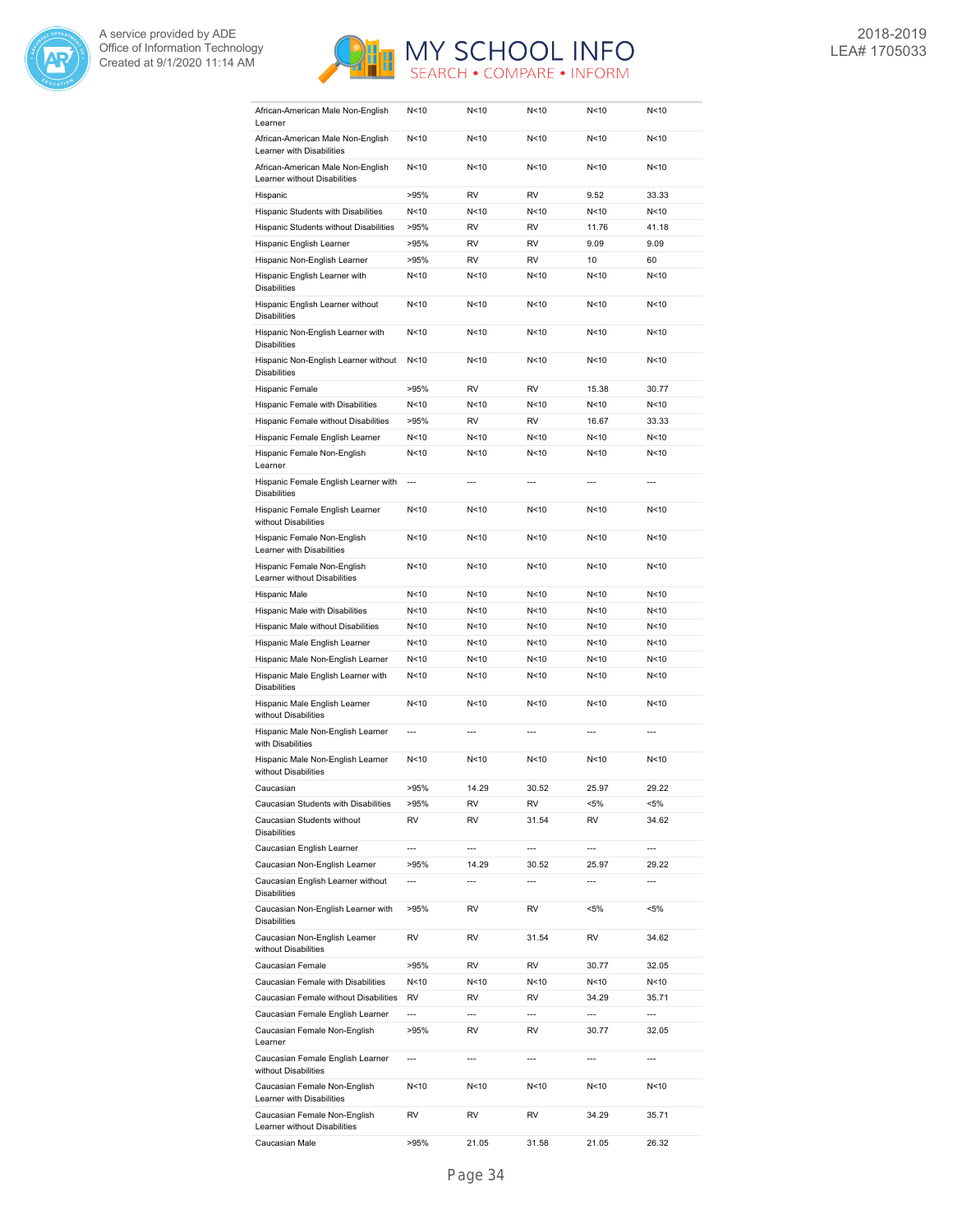



| African-American Male Non-English<br>Learner                      | N < 10                   | N<10           | N < 10                   | N<10            | N < 10                   |
|-------------------------------------------------------------------|--------------------------|----------------|--------------------------|-----------------|--------------------------|
| African-American Male Non-English<br>Learner with Disabilities    | N <sub>10</sub>          | N<10           | N < 10                   | N <sub>10</sub> | N<10                     |
| African-American Male Non-English<br>Learner without Disabilities | N <sub>10</sub>          | N<10           | N < 10                   | N <sub>10</sub> | N<10                     |
| Hispanic                                                          | >95%                     | <b>RV</b>      | <b>RV</b>                | 9.52            | 33.33                    |
| Hispanic Students with Disabilities                               | N < 10                   | N<10           | N<10                     | N <sub>10</sub> | N<10                     |
| Hispanic Students without Disabilities                            | >95%                     | <b>RV</b>      | <b>RV</b>                | 11.76           | 41.18                    |
| Hispanic English Learner                                          | >95%                     | <b>RV</b>      | <b>RV</b>                | 9.09            | 9.09                     |
| Hispanic Non-English Learner                                      | >95%                     | <b>RV</b>      | <b>RV</b>                | 10              | 60                       |
| Hispanic English Learner with                                     | N < 10                   | N<10           | N <sub>10</sub>          | N <sub>10</sub> | N<10                     |
| <b>Disabilities</b><br>Hispanic English Learner without           | N <sub>10</sub>          | N<10           | N<10                     | N <sub>10</sub> | N<10                     |
| <b>Disabilities</b><br>Hispanic Non-English Learner with          | N <sub>10</sub>          | N<10           | N <sub>10</sub>          | N <sub>10</sub> | N<10                     |
| <b>Disabilities</b><br>Hispanic Non-English Learner without       | N <sub>10</sub>          | N<10           | N < 10                   | N <sub>10</sub> | N<10                     |
| <b>Disabilities</b>                                               |                          |                |                          |                 |                          |
| Hispanic Female                                                   | >95%                     | <b>RV</b>      | <b>RV</b>                | 15.38           | 30.77                    |
| Hispanic Female with Disabilities                                 | N<10                     | N<10           | N<10                     | N<10            | N<10                     |
| Hispanic Female without Disabilities                              | >95%                     | <b>RV</b>      | <b>RV</b>                | 16.67           | 33.33                    |
| Hispanic Female English Learner                                   | N < 10                   | N<10           | N < 10                   | N <sub>10</sub> | N<10                     |
| Hispanic Female Non-English<br>Learner                            | N<10                     | N<10           | N<10                     | N <sub>10</sub> | N<10                     |
| Hispanic Female English Learner with<br><b>Disabilities</b>       | $\overline{\phantom{a}}$ | $\overline{a}$ | $\overline{a}$           | $\overline{a}$  | $\overline{a}$           |
| Hispanic Female English Learner<br>without Disabilities           | N<10                     | N<10           | N < 10                   | N <sub>10</sub> | N<10                     |
| Hispanic Female Non-English<br>Learner with Disabilities          | N<10                     | N<10           | N<10                     | N <sub>10</sub> | N<10                     |
| Hispanic Female Non-English<br>Learner without Disabilities       | N<10                     | N<10           | N<10                     | N<10            | N<10                     |
| Hispanic Male                                                     | N<10                     | N<10           | N<10                     | N <sub>10</sub> | N<10                     |
| Hispanic Male with Disabilities                                   | N < 10                   | N<10           | N<10                     | N<10            | N<10                     |
| Hispanic Male without Disabilities                                | N<10                     | N<10           | N<10                     | N<10            | N<10                     |
| Hispanic Male English Learner                                     | N<10                     | N<10           | N<10                     | N <sub>10</sub> | N<10                     |
| Hispanic Male Non-English Learner                                 | N < 10                   | N<10           | N<10                     | N <sub>10</sub> | N<10                     |
| Hispanic Male English Learner with<br><b>Disabilities</b>         | N < 10                   | N<10           | N<10                     | N < 10          | N<10                     |
| Hispanic Male English Learner<br>without Disabilities             | N<10                     | N<10           | N <sub>10</sub>          | N <sub>10</sub> | N<10                     |
| Hispanic Male Non-English Learner<br>with Disabilities            | $\overline{a}$           | $---$          | $---$                    | ---             | $\overline{a}$           |
| Hispanic Male Non-English Learner<br>without Disabilities         | N<10                     | N<10           | N<10                     | N <sub>10</sub> | N<10                     |
| Caucasian                                                         | >95%                     | 14.29          | 30.52                    | 25.97           | 29.22                    |
| Caucasian Students with Disabilities                              | >95%                     | RV             | RV                       | $< 5\%$         | <5%                      |
| Caucasian Students without<br><b>Disabilities</b>                 | <b>RV</b>                | RV             | 31.54                    | RV              | 34.62                    |
| Caucasian English Learner                                         | $\overline{\phantom{a}}$ | $\overline{a}$ | $\overline{a}$           | ---             | ---                      |
| Caucasian Non-English Learner                                     | >95%                     | 14.29          | 30.52                    | 25.97           | 29.22                    |
| Caucasian English Learner without<br><b>Disabilities</b>          | $\overline{\phantom{a}}$ | ---            | $\overline{a}$           | ---             | $\overline{a}$           |
| Caucasian Non-English Learner with                                | >95%                     | RV             | RV                       | <5%             | <5%                      |
| <b>Disabilities</b><br>Caucasian Non-English Learner              | RV                       | RV             | 31.54                    | RV              | 34.62                    |
| without Disabilities<br>Caucasian Female                          | >95%                     | RV             | RV                       | 30.77           | 32.05                    |
| Caucasian Female with Disabilities                                | N <sub>10</sub>          | N<10           | N<10                     | N<10            | N<10                     |
| Caucasian Female without Disabilities                             | RV                       | RV             | RV                       | 34.29           | 35.71                    |
| Caucasian Female English Learner                                  | $\overline{a}$           | ---            | $\overline{\phantom{a}}$ | ---             | $\overline{a}$           |
| Caucasian Female Non-English<br>Learner                           | >95%                     | RV             | RV                       | 30.77           | 32.05                    |
| Caucasian Female English Learner<br>without Disabilities          | $\overline{\phantom{a}}$ | ---            | $---$                    | ---             | $\overline{\phantom{a}}$ |
| Caucasian Female Non-English<br>Learner with Disabilities         | N<10                     | N<10           | N<10                     | N<10            | N<10                     |
| Caucasian Female Non-English<br>Learner without Disabilities      | RV                       | RV             | RV                       | 34.29           | 35.71                    |
|                                                                   |                          |                |                          | 21.05           |                          |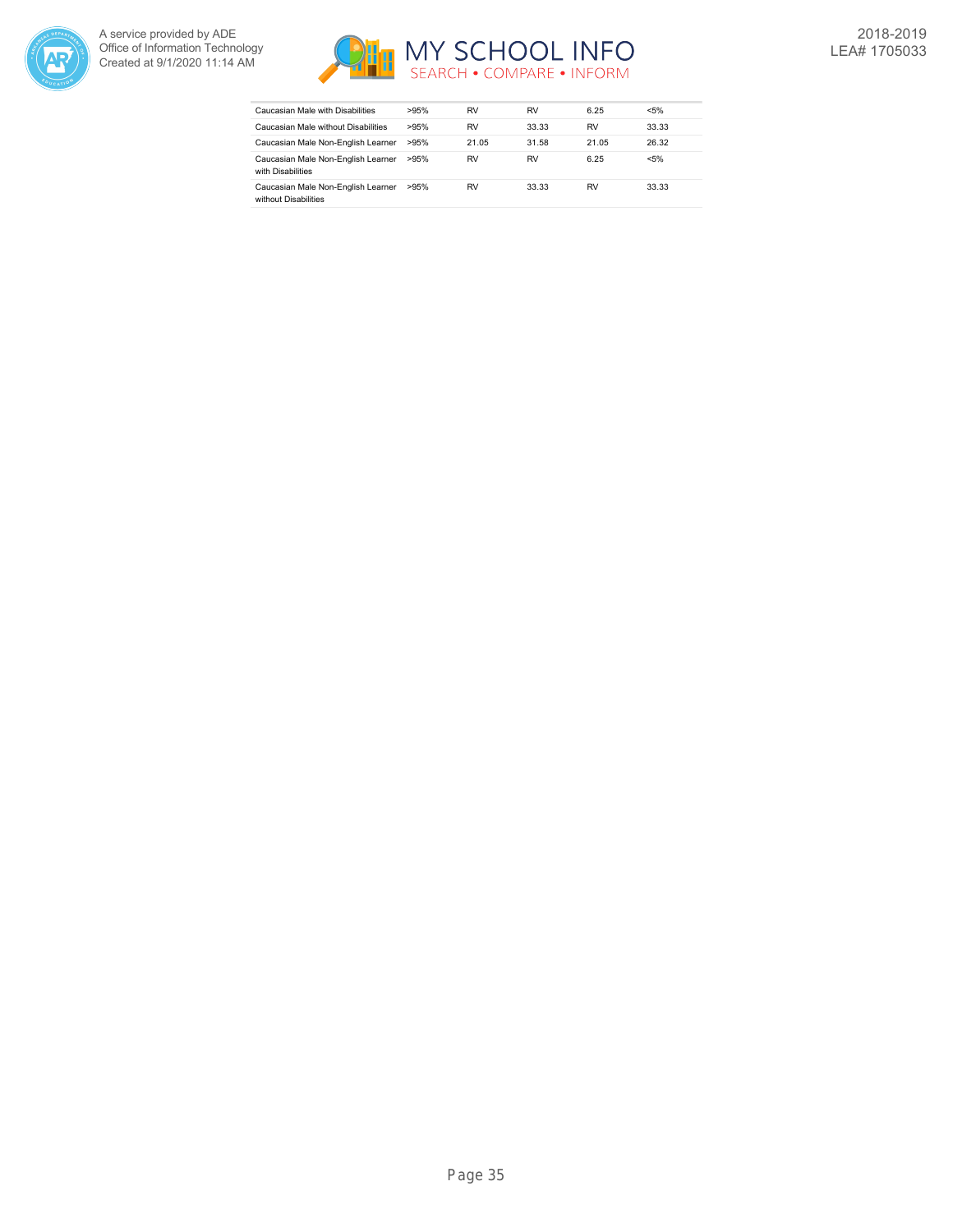



| Caucasian Male with Disabilities                           | >95% | RV    | RV    | 6.25  | $< 5\%$ |
|------------------------------------------------------------|------|-------|-------|-------|---------|
| Caucasian Male without Disabilities                        | >95% | RV    | 33.33 | RV    | 33.33   |
| Caucasian Male Non-English Learner                         | >95% | 21.05 | 31.58 | 21.05 | 26.32   |
| Caucasian Male Non-English Learner<br>with Disabilities    | >95% | RV    | RV    | 6.25  | $< 5\%$ |
| Caucasian Male Non-English Learner<br>without Disabilities | >95% | RV    | 33.33 | RV    | 33.33   |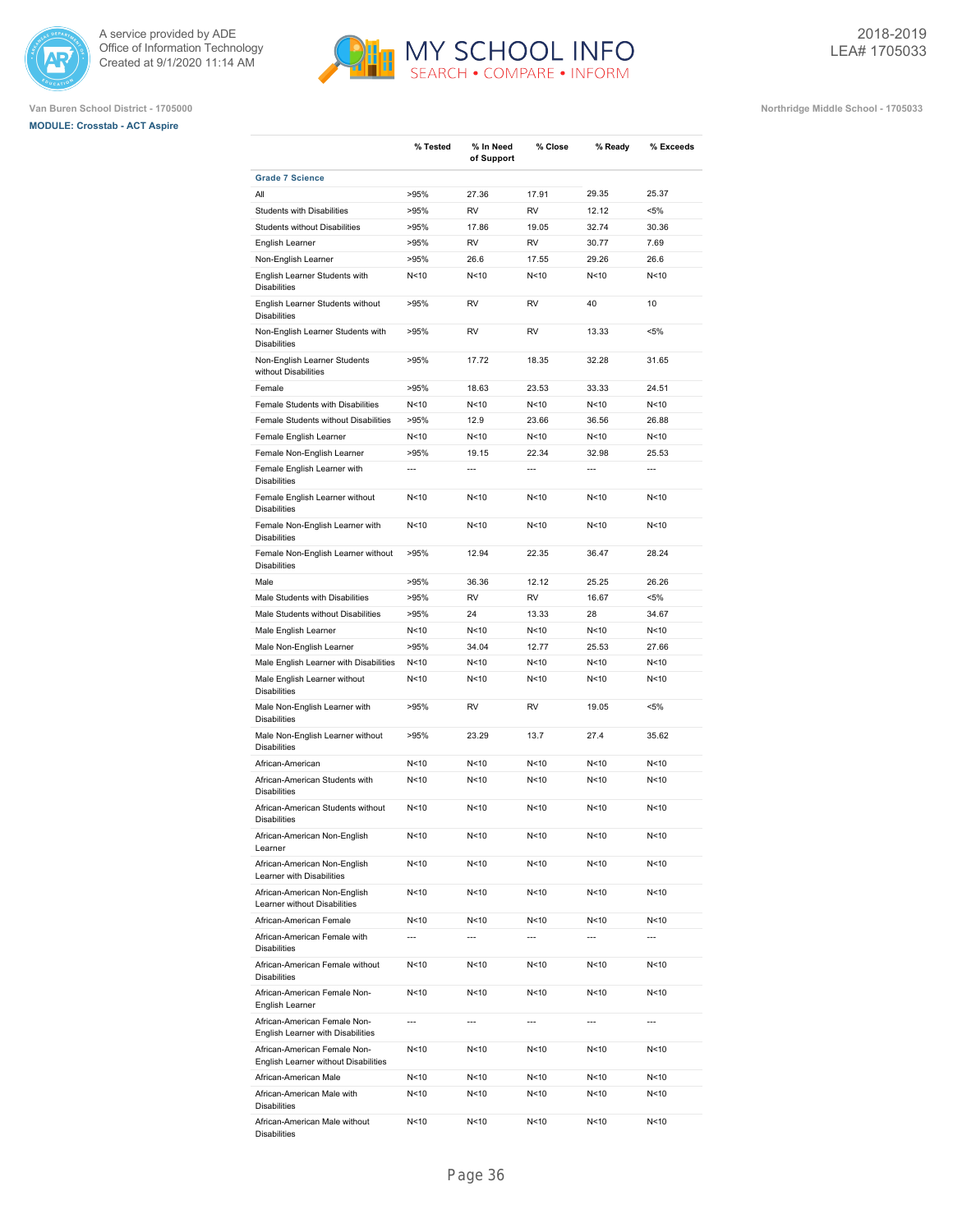





|                                                                      | % Tested        | % In Need<br>of Support | % Close         | % Ready         | % Exceeds      |
|----------------------------------------------------------------------|-----------------|-------------------------|-----------------|-----------------|----------------|
| <b>Grade 7 Science</b>                                               |                 |                         |                 |                 |                |
| All                                                                  | >95%            | 27.36                   | 17.91           | 29.35           | 25.37          |
| Students with Disabilities                                           | >95%            | <b>RV</b>               | <b>RV</b>       | 12.12           | $< 5\%$        |
| Students without Disabilities                                        | >95%            | 17.86                   | 19.05           | 32.74           | 30.36          |
| English Learner                                                      | >95%            | <b>RV</b>               | <b>RV</b>       | 30.77           | 7.69           |
| Non-English Learner                                                  | >95%            | 26.6                    | 17.55           | 29.26           | 26.6           |
| English Learner Students with<br><b>Disabilities</b>                 | N<10            | N<10                    | N <sub>10</sub> | N <sub>10</sub> | N<10           |
| English Learner Students without<br><b>Disabilities</b>              | >95%            | <b>RV</b>               | <b>RV</b>       | 40              | 10             |
| Non-English Learner Students with<br><b>Disabilities</b>             | >95%            | <b>RV</b>               | <b>RV</b>       | 13.33           | $< 5\%$        |
| Non-English Learner Students<br>without Disabilities                 | >95%            | 17.72                   | 18.35           | 32.28           | 31.65          |
| Female                                                               | >95%            | 18.63                   | 23.53           | 33.33           | 24.51          |
| Female Students with Disabilities                                    | N<10            | N<10                    | N <sub>10</sub> | N <sub>10</sub> | N<10           |
| Female Students without Disabilities                                 | >95%            | 12.9                    | 23.66           | 36.56           | 26.88          |
| Female English Learner                                               | N<10            | N<10                    | N <sub>10</sub> | N <sub>10</sub> | N<10           |
| Female Non-English Learner                                           | >95%            | 19.15                   | 22.34           | 32.98           | 25.53          |
| Female English Learner with<br><b>Disabilities</b>                   | $\overline{a}$  | $\overline{a}$          | $\overline{a}$  | $\overline{a}$  | $\overline{a}$ |
| Female English Learner without<br><b>Disabilities</b>                | N <sub>10</sub> | N<10                    | N<10            | N <sub>10</sub> | N<10           |
| Female Non-English Learner with<br><b>Disabilities</b>               | N <sub>10</sub> | N<10                    | N<10            | N <sub>10</sub> | N<10           |
| Female Non-English Learner without<br><b>Disabilities</b>            | >95%            | 12.94                   | 22.35           | 36.47           | 28.24          |
| Male                                                                 | >95%            | 36.36                   | 12.12           | 25.25           | 26.26          |
| Male Students with Disabilities                                      | >95%            | <b>RV</b>               | <b>RV</b>       | 16.67           | $< 5\%$        |
| Male Students without Disabilities                                   | >95%            | 24                      | 13.33           | 28              | 34.67          |
| Male English Learner                                                 | N <sub>10</sub> | N<10                    | N <sub>10</sub> | N <sub>10</sub> | N<10           |
| Male Non-English Learner                                             | >95%            | 34.04                   | 12.77           | 25.53           | 27.66          |
| Male English Learner with Disabilities                               | N<10            | N < 10                  | N<10            | N <sub>10</sub> | N<10           |
| Male English Learner without<br><b>Disabilities</b>                  | N<10            | N<10                    | N<10            | N<10            | N<10           |
| Male Non-English Learner with<br><b>Disabilities</b>                 | >95%            | <b>RV</b>               | <b>RV</b>       | 19.05           | $< 5\%$        |
| Male Non-English Learner without<br><b>Disabilities</b>              | >95%            | 23.29                   | 13.7            | 27.4            | 35.62          |
| African-American                                                     | N<10            | N<10                    | N<10            | N <sub>10</sub> | N<10           |
| African-American Students with<br><b>Disabilities</b>                | N<10            | N<10                    | N<10            | N <sub>10</sub> | N<10           |
| African-American Students without<br><b>Disabilities</b>             | N<10            | N<10                    | N<10            | N <sub>10</sub> | N<10           |
| African-American Non-English<br>Learner                              | N <sub>10</sub> | N <sub>10</sub>         | N<10            | N<10            | N<10           |
| African-American Non-English<br>Learner with Disabilities            | N<10            | N<10                    | N<10            | N<10            | N<10           |
| African-American Non-English<br>Learner without Disabilities         | N<10            | N<10                    | N<10            | N<10            | N<10           |
| African-American Female                                              | N<10            | N<10                    | N<10            | N<10            | N<10           |
| African-American Female with<br><b>Disabilities</b>                  | ---             | ---                     | $\overline{a}$  | $---$           | ---            |
| African-American Female without<br><b>Disabilities</b>               | N<10            | N <sub>10</sub>         | N<10            | N<10            | N<10           |
| African-American Female Non-<br>English Learner                      | N < 10          | N<10                    | N<10            | N<10            | N<10           |
| African-American Female Non-<br>English Learner with Disabilities    | $\overline{a}$  | $\overline{a}$          | $\overline{a}$  | ---             | ---            |
| African-American Female Non-<br>English Learner without Disabilities | N < 10          | N<10                    | N<10            | N<10            | N<10           |
| African-American Male                                                | N<10            | N<10                    | N<10            | N<10            | N<10           |
| African-American Male with<br><b>Disabilities</b>                    | N <sub>10</sub> | N <sub>10</sub>         | N<10            | N<10            | N<10           |
| African-American Male without<br><b>Disabilities</b>                 | N<10            | N<10                    | N<10            | N < 10          | N<10           |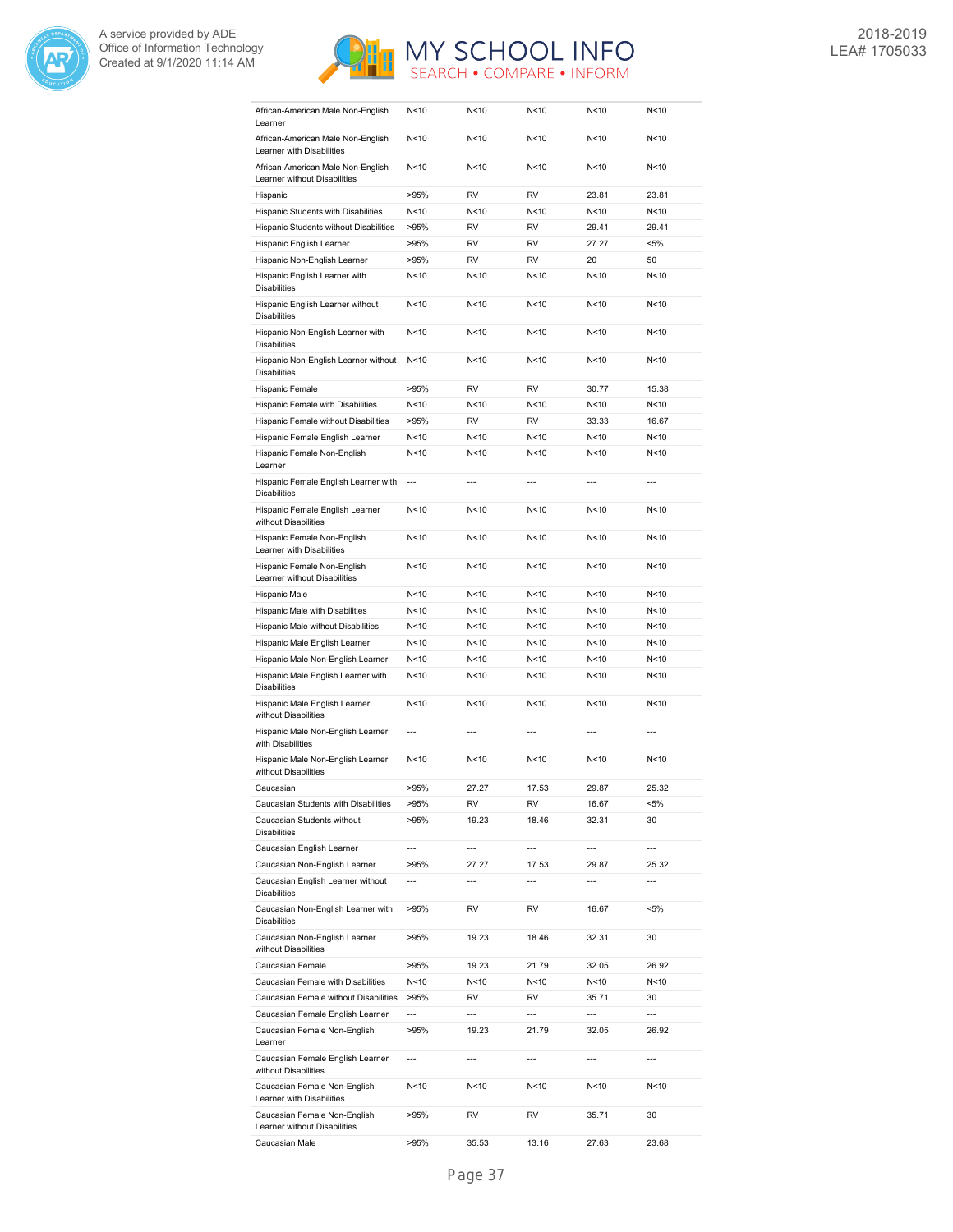



| African-American Male Non-English<br>Learner                      | N < 10                   | N<10                     | N < 10          | N < 10                   | N<10                     |
|-------------------------------------------------------------------|--------------------------|--------------------------|-----------------|--------------------------|--------------------------|
| African-American Male Non-English<br>Learner with Disabilities    | N<10                     | N<10                     | N < 10          | N <sub>10</sub>          | N<10                     |
| African-American Male Non-English<br>Learner without Disabilities | N < 10                   | N<10                     | N < 10          | N < 10                   | N<10                     |
| Hispanic                                                          | >95%                     | RV                       | <b>RV</b>       | 23.81                    | 23.81                    |
| Hispanic Students with Disabilities                               | N < 10                   | N<10                     | N<10            | N < 10                   | N<10                     |
| Hispanic Students without Disabilities                            | >95%                     | <b>RV</b>                | <b>RV</b>       | 29.41                    | 29.41                    |
| Hispanic English Learner                                          | >95%                     | RV                       | <b>RV</b>       | 27.27                    | $< 5\%$                  |
| Hispanic Non-English Learner                                      | >95%                     | <b>RV</b>                | <b>RV</b>       | 20                       | 50                       |
| Hispanic English Learner with                                     | N<10                     | N<10                     | N<10            | N<10                     | N<10                     |
| <b>Disabilities</b>                                               |                          |                          |                 |                          |                          |
| Hispanic English Learner without<br><b>Disabilities</b>           | N<10                     | N<10                     | N<10            | N<10                     | N<10                     |
| Hispanic Non-English Learner with<br><b>Disabilities</b>          | N<10                     | N<10                     | N<10            | N<10                     | N<10                     |
| Hispanic Non-English Learner without<br><b>Disabilities</b>       | N<10                     | N<10                     | N<10            | N<10                     | N<10                     |
| Hispanic Female                                                   | >95%                     | RV                       | <b>RV</b>       | 30.77                    | 15.38                    |
| Hispanic Female with Disabilities                                 | N < 10                   | N<10                     | N<10            | N<10                     | N<10                     |
| Hispanic Female without Disabilities                              | >95%                     | <b>RV</b>                | <b>RV</b>       | 33.33                    | 16.67                    |
| Hispanic Female English Learner                                   | N < 10                   | N<10                     | N<10            | N <sub>10</sub>          | N<10                     |
| Hispanic Female Non-English<br>Learner                            | N < 10                   | N<10                     | N<10            | N < 10                   | N<10                     |
| Hispanic Female English Learner with<br><b>Disabilities</b>       | $\overline{a}$           | $---$                    | $---$           | ---                      | $\overline{a}$           |
| Hispanic Female English Learner<br>without Disabilities           | N < 10                   | N<10                     | N<10            | N<10                     | N<10                     |
| Hispanic Female Non-English<br>Learner with Disabilities          | N<10                     | N<10                     | N<10            | N < 10                   | N<10                     |
| Hispanic Female Non-English<br>Learner without Disabilities       | N < 10                   | N<10                     | N<10            | N < 10                   | N<10                     |
| Hispanic Male                                                     | N < 10                   | N<10                     | N<10            | N < 10                   | N<10                     |
| Hispanic Male with Disabilities                                   | N < 10                   | N<10                     | N<10            | N < 10                   | N<10                     |
| Hispanic Male without Disabilities                                | N < 10                   | N<10                     | N<10            | N < 10                   | N<10                     |
| Hispanic Male English Learner                                     | N < 10                   | N<10                     | N<10            | N < 10                   | N<10                     |
| Hispanic Male Non-English Learner                                 | N < 10                   | N<10                     | N<10            | N < 10                   | N<10                     |
| Hispanic Male English Learner with<br><b>Disabilities</b>         | N < 10                   | N<10                     | N<10            | N < 10                   | N<10                     |
| Hispanic Male English Learner<br>without Disabilities             | N <sub>10</sub>          | N<10                     | N < 10          | N <sub>10</sub>          | N<10                     |
| Hispanic Male Non-English Learner<br>with Disabilities            | $\overline{\phantom{a}}$ | $\overline{a}$           | $\overline{a}$  | $\overline{\phantom{a}}$ | $\overline{a}$           |
| Hispanic Male Non-English Learner<br>without Disabilities         | N < 10                   | N<10                     | N <sub>10</sub> | N<10                     | N<10                     |
| Caucasian                                                         | >95%                     | 27.27                    | 17.53           | 29.87                    | 25.32                    |
| Caucasian Students with Disabilities                              | >95%                     | RV                       | RV              | 16.67                    | <5%                      |
| Caucasian Students without<br><b>Disabilities</b>                 | >95%                     | 19.23                    | 18.46           | 32.31                    | 30                       |
| Caucasian English Learner                                         | $\overline{a}$           | ---                      | $\overline{a}$  | $\overline{a}$           | ---                      |
| Caucasian Non-English Learner                                     | >95%                     | 27.27                    | 17.53           | 29.87                    | 25.32                    |
| Caucasian English Learner without<br><b>Disabilities</b>          | $\overline{\phantom{a}}$ | $\overline{\phantom{a}}$ | ---             | $\overline{\phantom{a}}$ | $\overline{\phantom{a}}$ |
| Caucasian Non-English Learner with<br><b>Disabilities</b>         | >95%                     | RV                       | RV              | 16.67                    | $< 5\%$                  |
| Caucasian Non-English Learner<br>without Disabilities             | >95%                     | 19.23                    | 18.46           | 32.31                    | 30                       |
| Caucasian Female                                                  | >95%                     | 19.23                    | 21.79           | 32.05                    | 26.92                    |
| Caucasian Female with Disabilities                                | N<10                     | N<10                     | N<10            | N<10                     | N<10                     |
| Caucasian Female without Disabilities                             | >95%                     | RV                       | RV              | 35.71                    | 30                       |
| Caucasian Female English Learner                                  | $\overline{a}$           | $\overline{a}$           | $\overline{a}$  | ---                      | ---                      |
| Caucasian Female Non-English<br>Learner                           | >95%                     | 19.23                    | 21.79           | 32.05                    | 26.92                    |
| Caucasian Female English Learner<br>without Disabilities          | $\overline{\phantom{a}}$ | $\overline{\phantom{a}}$ | ---             | $\overline{\phantom{a}}$ | ---                      |
| Caucasian Female Non-English<br>Learner with Disabilities         | N<10                     | N<10                     | N<10            | N<10                     | N<10                     |
| Caucasian Female Non-English<br>Learner without Disabilities      | >95%                     | RV                       | RV              | 35.71                    | 30                       |
| Caucasian Male                                                    | >95%                     | 35.53                    | 13.16           | 27.63                    | 23.68                    |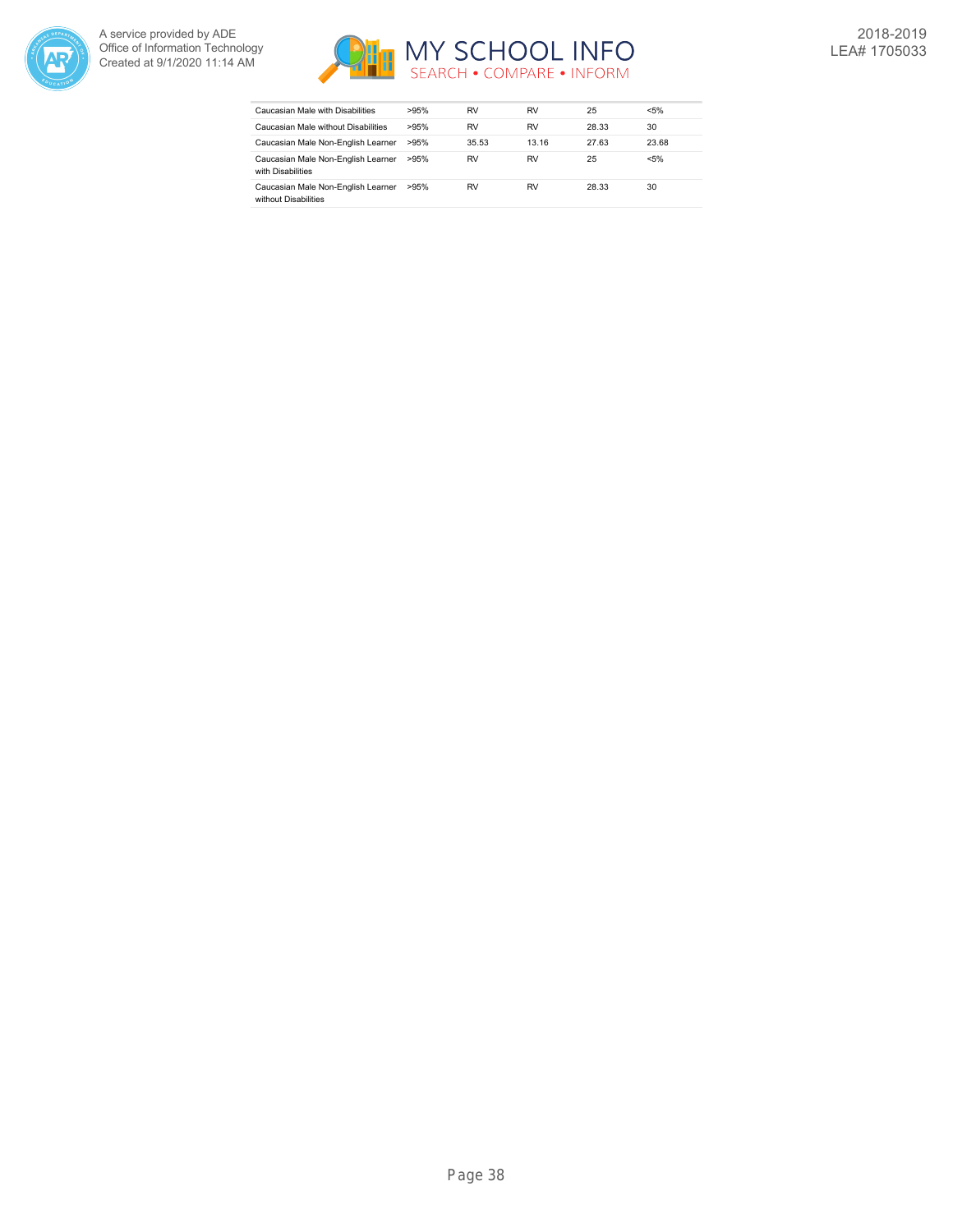



| Caucasian Male with Disabilities                           | >95% | RV    | RV    | 25    | < 5%    |
|------------------------------------------------------------|------|-------|-------|-------|---------|
| Caucasian Male without Disabilities                        | >95% | RV    | RV    | 28.33 | 30      |
| Caucasian Male Non-English Learner                         | >95% | 35.53 | 13.16 | 27.63 | 23.68   |
| Caucasian Male Non-English Learner<br>with Disabilities    | >95% | RV    | RV    | 25    | $< 5\%$ |
| Caucasian Male Non-English Learner<br>without Disabilities | >95% | RV    | RV    | 28.33 | 30      |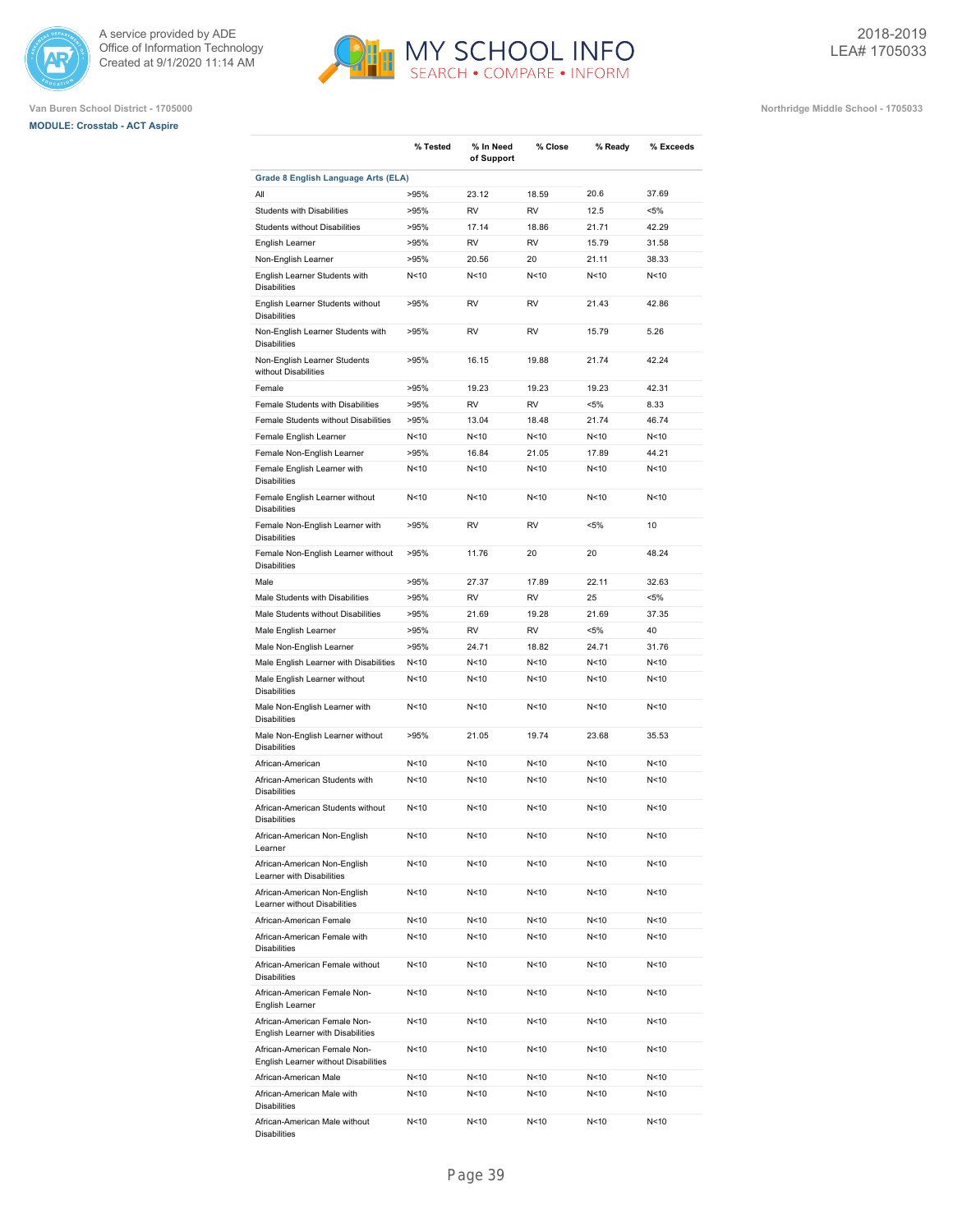





|                                                                                                   | % Tested                | % In Need<br>of Support | % Close         | % Ready                            | % Exceeds    |
|---------------------------------------------------------------------------------------------------|-------------------------|-------------------------|-----------------|------------------------------------|--------------|
| Grade 8 English Language Arts (ELA)                                                               |                         |                         |                 |                                    |              |
| All                                                                                               | >95%                    | 23.12                   | 18.59           | 20.6                               | 37.69        |
| <b>Students with Disabilities</b>                                                                 | >95%                    | <b>RV</b>               | <b>RV</b>       | 12.5                               | $< 5\%$      |
| Students without Disabilities                                                                     | >95%                    | 17.14                   | 18.86           | 21.71                              | 42.29        |
| English Learner                                                                                   | >95%                    | <b>RV</b>               | <b>RV</b>       | 15.79                              | 31.58        |
| Non-English Learner                                                                               | >95%                    | 20.56                   | 20              | 21.11                              | 38.33        |
| English Learner Students with<br><b>Disabilities</b>                                              | N<10                    | N<10                    | N < 10          | N<10                               | N<10         |
| English Learner Students without<br><b>Disabilities</b>                                           | >95%                    | <b>RV</b>               | <b>RV</b>       | 21.43                              | 42.86        |
| Non-English Learner Students with<br><b>Disabilities</b>                                          | >95%                    | <b>RV</b>               | <b>RV</b>       | 15.79                              | 5.26         |
| Non-English Learner Students<br>without Disabilities                                              | >95%                    | 16.15                   | 19.88           | 21.74                              | 42.24        |
| Female                                                                                            | >95%                    | 19.23                   | 19.23           | 19.23                              | 42.31        |
| Female Students with Disabilities                                                                 | >95%                    | <b>RV</b>               | <b>RV</b>       | $< 5\%$                            | 8.33         |
| Female Students without Disabilities                                                              | >95%                    | 13.04                   | 18.48           | 21.74                              | 46.74        |
| Female English Learner                                                                            | N<10                    | N<10                    | N <sub>10</sub> | N<10                               | N<10         |
| Female Non-English Learner                                                                        | >95%                    | 16.84                   | 21.05           | 17.89                              | 44.21        |
| Female English Learner with<br><b>Disabilities</b>                                                | N<10                    | N<10                    | N<10            | N <sub>10</sub>                    | N<10         |
| Female English Learner without<br><b>Disabilities</b>                                             | N<10                    | N<10                    | N<10            | N<10                               | N<10         |
| Female Non-English Learner with<br><b>Disabilities</b>                                            | >95%                    | <b>RV</b>               | <b>RV</b>       | $< 5\%$                            | 10           |
| Female Non-English Learner without<br><b>Disabilities</b>                                         | >95%                    | 11.76                   | 20              | 20                                 | 48.24        |
| Male                                                                                              | >95%                    | 27.37                   | 17.89           | 22.11                              | 32.63        |
| Male Students with Disabilities                                                                   | >95%                    | <b>RV</b>               | <b>RV</b>       | 25                                 | $< 5\%$      |
| Male Students without Disabilities                                                                | >95%                    | 21.69                   | 19.28           | 21.69                              | 37.35        |
| Male English Learner                                                                              | >95%                    | <b>RV</b>               | <b>RV</b>       | $< 5\%$                            | 40           |
| Male Non-English Learner                                                                          | >95%                    | 24.71                   | 18.82           | 24.71                              | 31.76        |
| Male English Learner with Disabilities                                                            | N<10                    | N<10                    | N <sub>10</sub> | N <sub>10</sub>                    | N<10         |
| Male English Learner without<br><b>Disabilities</b>                                               | N<10                    | N<10                    | N <sub>10</sub> | N <sub>10</sub>                    | N<10         |
| Male Non-English Learner with<br><b>Disabilities</b>                                              | N <sub>10</sub>         | N<10                    | N<10            | N<10                               | N<10         |
| Male Non-English Learner without<br><b>Disabilities</b>                                           | >95%                    | 21.05                   | 19.74           | 23.68                              | 35.53        |
| African-American                                                                                  | N<10                    | N<10                    | N <sub>10</sub> | N <sub>10</sub>                    | N<10         |
| African-American Students with<br><b>Disabilities</b>                                             | N<10                    | N<10                    | N <sub>10</sub> | N<10                               | N < 10       |
| African-American Students without<br><b>Disabilities</b>                                          | N <sub>10</sub>         | N<10                    | N <sub>10</sub> | N<10                               | N<10         |
| African-American Non-English<br>Learner                                                           | N<10                    | N<10                    | N<10            | N<10                               | N<10         |
| African-American Non-English<br>Learner with Disabilities                                         | N<10                    | N<10                    | N<10            | N<10                               | N<10         |
| African-American Non-English<br>Learner without Disabilities                                      | N<10                    | N<10                    | N<10            | N<10                               | N<10         |
| African-American Female                                                                           | N<10                    | N<10                    | N<10            | N<10                               | N<10         |
| African-American Female with<br><b>Disabilities</b>                                               | N<10                    | N<10                    | N<10            | N<10                               | N<10         |
| African-American Female without<br><b>Disabilities</b>                                            | N<10                    | N<10                    | N<10            | N<10                               | N<10         |
| African-American Female Non-<br>English Learner                                                   | N<10<br>N <sub>10</sub> | N<10                    | N<10            | N <sub>10</sub><br>N <sub>10</sub> | N<10         |
| African-American Female Non-<br>English Learner with Disabilities<br>African-American Female Non- | N<10                    | N<10<br>N<10            | N<10<br>N<10    | N<10                               | N<10<br>N<10 |
| English Learner without Disabilities                                                              |                         |                         |                 |                                    |              |
| African-American Male                                                                             | N <sub>10</sub>         | N <sub>10</sub>         | N<10            | N <sub>10</sub>                    | N<10         |
| African-American Male with<br><b>Disabilities</b>                                                 | N<10                    | N<10                    | N<10            | N<10                               | N<10         |
| African-American Male without<br>Disabilities                                                     | N<10                    | N<10                    | N<10            | N<10                               | N<10         |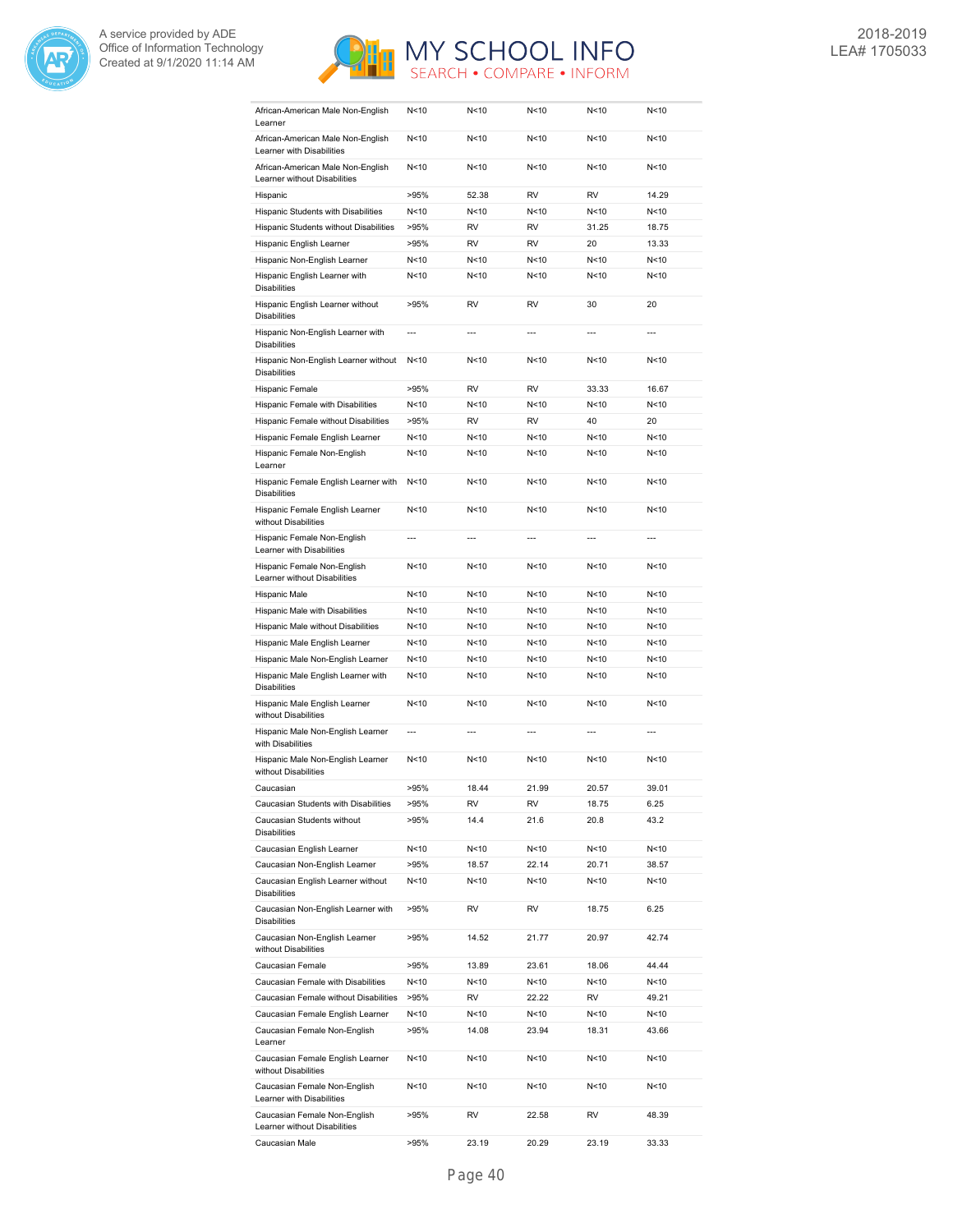



| African-American Male Non-English<br>Learner                      | N<10                     | N<10           | N<10            | N<10            | N < 10         |
|-------------------------------------------------------------------|--------------------------|----------------|-----------------|-----------------|----------------|
| African-American Male Non-English<br>Learner with Disabilities    | N < 10                   | N<10           | N<10            | N<10            | N<10           |
| African-American Male Non-English<br>Learner without Disabilities | N<10                     | N<10           | N <sub>10</sub> | N <sub>10</sub> | N<10           |
| Hispanic                                                          | >95%                     | 52.38          | <b>RV</b>       | <b>RV</b>       | 14.29          |
| Hispanic Students with Disabilities                               | N<10                     | N<10           | N<10            | N <sub>10</sub> | N<10           |
| Hispanic Students without Disabilities                            | >95%                     | RV             | <b>RV</b>       | 31.25           | 18.75          |
| Hispanic English Learner                                          | >95%                     | RV             | <b>RV</b>       | 20              | 13.33          |
| Hispanic Non-English Learner                                      | N<10                     | N<10           | N<10            | N<10            | N<10           |
| Hispanic English Learner with                                     | N<10                     | N<10           | N < 10          | N<10            | N<10           |
| <b>Disabilities</b>                                               |                          |                |                 |                 |                |
| Hispanic English Learner without<br><b>Disabilities</b>           | >95%                     | <b>RV</b>      | <b>RV</b>       | 30              | 20             |
| Hispanic Non-English Learner with<br><b>Disabilities</b>          | $\overline{a}$           | ---            | ---             |                 |                |
| Hispanic Non-English Learner without<br><b>Disabilities</b>       | N < 10                   | N<10           | N < 10          | N < 10          | N < 10         |
| Hispanic Female                                                   | >95%                     | <b>RV</b>      | <b>RV</b>       | 33.33           | 16.67          |
| Hispanic Female with Disabilities                                 | N<10                     | N<10           | N<10            | N<10            | N<10           |
| Hispanic Female without Disabilities                              | >95%                     | <b>RV</b>      | <b>RV</b>       | 40              | 20             |
| Hispanic Female English Learner                                   | N<10                     | N<10           | N<10            | N<10            | N<10           |
| Hispanic Female Non-English<br>Learner                            | N<10                     | N<10           | N < 10          | N <sub>10</sub> | N<10           |
| Hispanic Female English Learner with<br><b>Disabilities</b>       | N < 10                   | N<10           | N < 10          | N < 10          | N<10           |
| Hispanic Female English Learner<br>without Disabilities           | N < 10                   | N<10           | N < 10          | N < 10          | N<10           |
| Hispanic Female Non-English<br>Learner with Disabilities          | $\overline{a}$           | $\overline{a}$ |                 | $\overline{a}$  |                |
| Hispanic Female Non-English<br>Learner without Disabilities       | N <sub>10</sub>          | N<10           | N <sub>10</sub> | N <sub>10</sub> | N<10           |
| Hispanic Male                                                     | N <sub>10</sub>          | N<10           | N<10            | N <sub>10</sub> | N<10           |
| Hispanic Male with Disabilities                                   | N < 10                   | N<10           | N<10            | N<10            | N<10           |
| Hispanic Male without Disabilities                                | N < 10                   | N < 10         | N<10            | N <sub>10</sub> | N<10           |
| Hispanic Male English Learner                                     | N < 10                   | N < 10         | N <sub>10</sub> | N<10            | N<10           |
| Hispanic Male Non-English Learner                                 | N < 10                   | N<10           | N < 10          | N<10            | N<10           |
| Hispanic Male English Learner with                                | N<10                     | N<10           | N < 10          | N < 10          | N<10           |
| <b>Disabilities</b><br>Hispanic Male English Learner              | N<10                     | N<10           | N<10            | N<10            | N<10           |
| without Disabilities                                              |                          |                |                 |                 |                |
| Hispanic Male Non-English Learner<br>with Disabilities            | $\overline{\phantom{a}}$ | $\overline{a}$ | $\overline{a}$  | $\overline{a}$  | $\overline{a}$ |
| Hispanic Male Non-English Learner<br>without Disabilities         | N < 10                   | N<10           | N<10            | N < 10          | N<10           |
| Caucasian                                                         | >95%                     | 18.44          | 21.99           | 20.57           | 39.01          |
| Caucasian Students with Disabilities                              | >95%                     | RV             | RV              | 18.75           | 6.25           |
| Caucasian Students without<br><b>Disabilities</b>                 | >95%                     | 14.4           | 21.6            | 20.8            | 43.2           |
| Caucasian English Learner                                         | N<10                     | N<10           | N<10            | N<10            | N<10           |
| Caucasian Non-English Learner                                     | >95%                     | 18.57          | 22.14           | 20.71           | 38.57          |
| Caucasian English Learner without<br><b>Disabilities</b>          | N<10                     | N<10           | N<10            | N<10            | N<10           |
| Caucasian Non-English Learner with<br><b>Disabilities</b>         | >95%                     | RV             | RV              | 18.75           | 6.25           |
| Caucasian Non-English Learner<br>without Disabilities             | >95%                     | 14.52          | 21.77           | 20.97           | 42.74          |
| Caucasian Female                                                  | >95%                     | 13.89          | 23.61           | 18.06           | 44.44          |
| Caucasian Female with Disabilities                                | N<10                     | N<10           | N<10            | N<10            | N<10           |
| Caucasian Female without Disabilities                             | >95%                     | RV             | 22.22           | RV              | 49.21          |
| Caucasian Female English Learner                                  | N<10                     | N<10           | N<10            | N<10            | N<10           |
| Caucasian Female Non-English<br>Learner                           | >95%                     | 14.08          | 23.94           | 18.31           | 43.66          |
| Caucasian Female English Learner<br>without Disabilities          | N <sub>10</sub>          | N<10           | N<10            | N<10            | N<10           |
| Caucasian Female Non-English<br>Learner with Disabilities         | N<10                     | N<10           | N<10            | N<10            | N<10           |
| Caucasian Female Non-English<br>Learner without Disabilities      | >95%                     | RV             | 22.58           | RV              | 48.39          |
| Caucasian Male                                                    | >95%                     | 23.19          | 20.29           | 23.19           | 33.33          |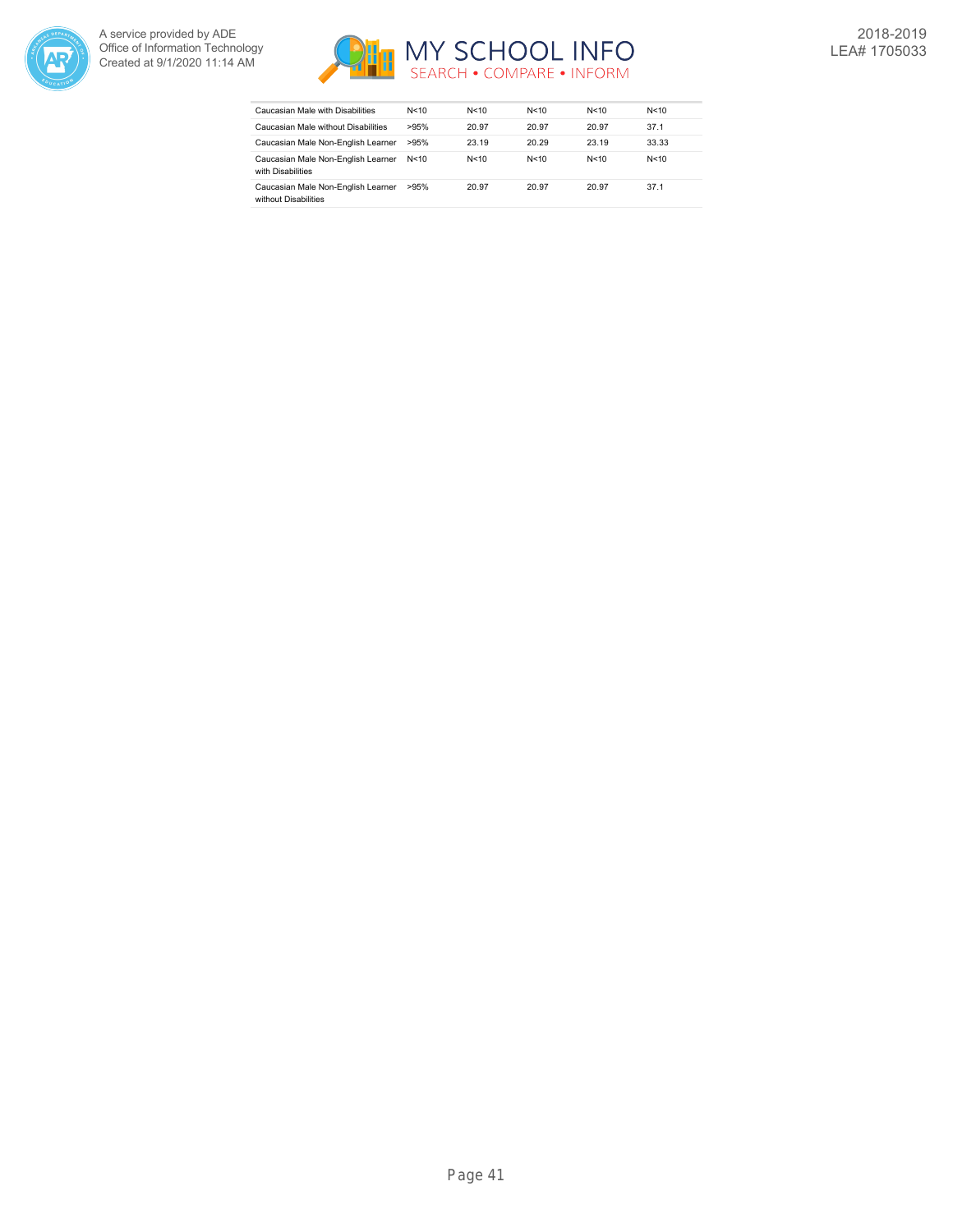



| Caucasian Male with Disabilities                           | N<10   | N < 10 | N<10   | N<10  | N < 10 |
|------------------------------------------------------------|--------|--------|--------|-------|--------|
| Caucasian Male without Disabilities                        | >95%   | 20.97  | 20.97  | 20.97 | 37.1   |
| Caucasian Male Non-English Learner                         | >95%   | 23.19  | 20.29  | 23.19 | 33.33  |
| Caucasian Male Non-English Learner<br>with Disabilities    | N < 10 | N<10   | N < 10 | N<10  | N < 10 |
| Caucasian Male Non-English Learner<br>without Disabilities | >95%   | 20.97  | 20.97  | 20.97 | 37.1   |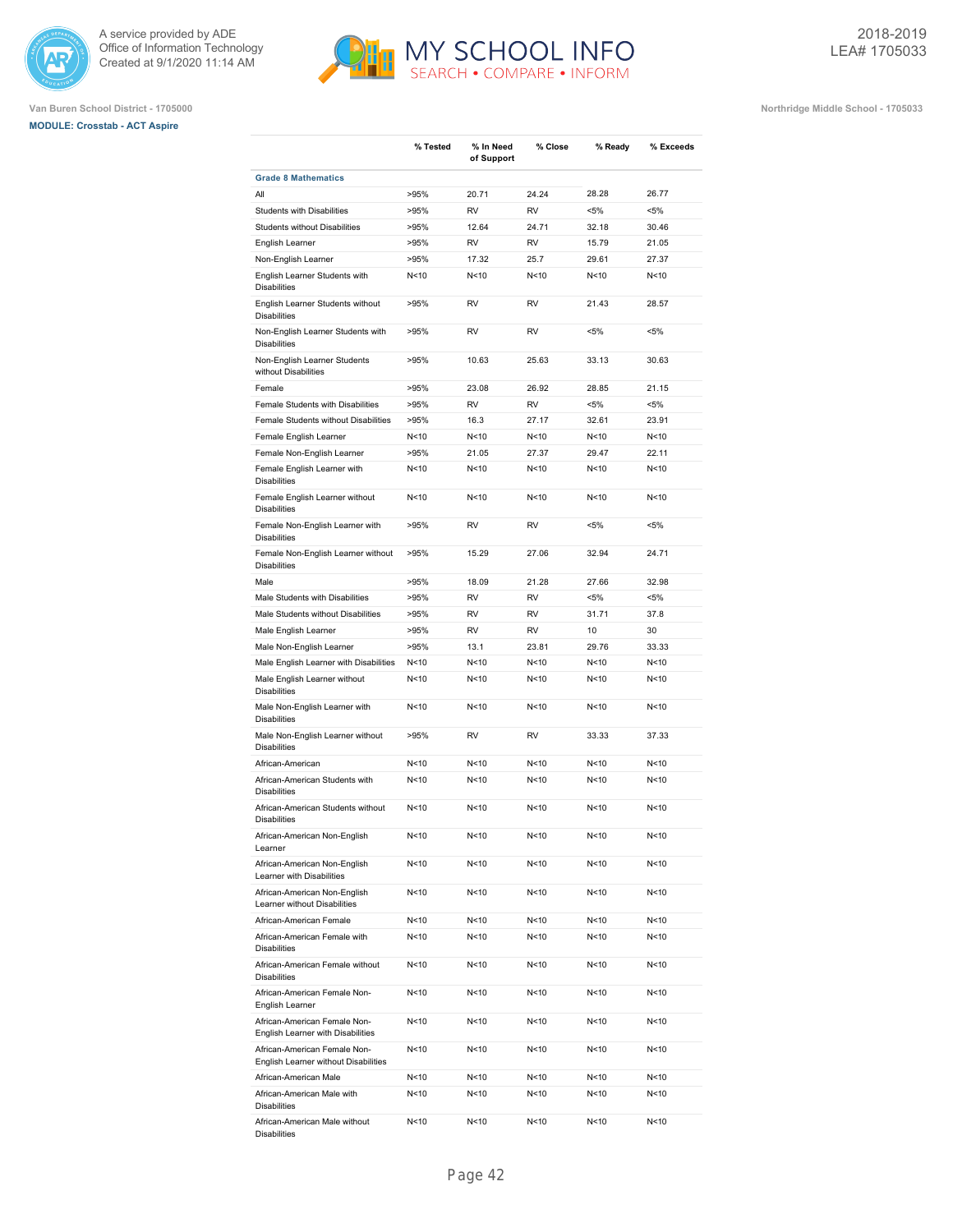





|                                                                      | % Tested        | % In Need<br>of Support | % Close                      | % Ready         | % Exceeds       |
|----------------------------------------------------------------------|-----------------|-------------------------|------------------------------|-----------------|-----------------|
| <b>Grade 8 Mathematics</b>                                           |                 |                         |                              |                 |                 |
| All                                                                  | >95%            | 20.71                   | 24.24                        | 28.28           | 26.77           |
| <b>Students with Disabilities</b>                                    | >95%            | <b>RV</b>               | <b>RV</b>                    | $< 5\%$         | $< 5\%$         |
| <b>Students without Disabilities</b>                                 | >95%            | 12.64                   | 24.71                        | 32.18           | 30.46           |
| English Learner                                                      | >95%            | <b>RV</b>               | <b>RV</b>                    | 15.79           | 21.05           |
| Non-English Learner                                                  | >95%            | 17.32                   | 25.7                         | 29.61           | 27.37           |
| English Learner Students with<br><b>Disabilities</b>                 | N<10            | N<10                    | N <sub>10</sub>              | N <sub>10</sub> | N<10            |
| English Learner Students without<br><b>Disabilities</b>              | >95%            | <b>RV</b>               | <b>RV</b>                    | 21.43           | 28.57           |
| Non-English Learner Students with<br><b>Disabilities</b>             | >95%            | <b>RV</b>               | <b>RV</b>                    | $< 5\%$         | $< 5\%$         |
| Non-English Learner Students<br>without Disabilities                 | >95%            | 10.63                   | 25.63                        | 33.13           | 30.63           |
| Female                                                               | >95%            | 23.08                   | 26.92                        | 28.85           | 21.15           |
| Female Students with Disabilities                                    | >95%            | <b>RV</b>               | <b>RV</b>                    | $< 5\%$         | $< 5\%$         |
| Female Students without Disabilities                                 | >95%            | 16.3                    | 27.17                        | 32.61           | 23.91           |
| Female English Learner                                               | N<10            | N<10                    | N <sub>10</sub>              | N <sub>10</sub> | N<10            |
| Female Non-English Learner                                           | >95%            | 21.05                   | 27.37                        | 29.47           | 22.11           |
| Female English Learner with                                          | N <sub>10</sub> | N<10                    | N <sub>10</sub>              | N <sub>10</sub> | N<10            |
| <b>Disabilities</b>                                                  |                 |                         |                              | N<10            |                 |
| Female English Learner without<br><b>Disabilities</b>                | N<10<br>>95%    | N<10<br><b>RV</b>       | N <sub>10</sub><br><b>RV</b> | $< 5\%$         | N<10<br>$< 5\%$ |
| Female Non-English Learner with<br><b>Disabilities</b>               | >95%            | 15.29                   | 27.06                        | 32.94           | 24.71           |
| Female Non-English Learner without<br><b>Disabilities</b>            |                 |                         |                              |                 |                 |
| Male                                                                 | >95%            | 18.09                   | 21.28                        | 27.66           | 32.98           |
| Male Students with Disabilities                                      | >95%            | <b>RV</b>               | <b>RV</b>                    | $< 5\%$         | $< 5\%$         |
| Male Students without Disabilities                                   | >95%            | <b>RV</b>               | <b>RV</b>                    | 31.71           | 37.8            |
| Male English Learner                                                 | >95%            | <b>RV</b>               | <b>RV</b>                    | 10              | 30              |
| Male Non-English Learner                                             | >95%            | 13.1                    | 23.81                        | 29.76           | 33.33           |
| Male English Learner with Disabilities                               | N<10            | N < 10                  | N < 10                       | N < 10          | N<10            |
| Male English Learner without<br><b>Disabilities</b>                  | N<10            | N<10                    | N<10                         | N<10            | N<10            |
| Male Non-English Learner with<br><b>Disabilities</b>                 | N<10            | N<10                    | N <sub>10</sub>              | N <sub>10</sub> | N<10            |
| Male Non-English Learner without<br><b>Disabilities</b>              | >95%            | <b>RV</b>               | <b>RV</b>                    | 33.33           | 37.33           |
| African-American                                                     | N<10            | N<10                    | N <sub>10</sub>              | N <sub>10</sub> | N<10            |
| African-American Students with<br><b>Disabilities</b>                | N<10            | N<10                    | N <sub>10</sub>              | N <sub>10</sub> | N<10            |
| African-American Students without<br><b>Disabilities</b>             | N <sub>10</sub> | N<10                    | N<10                         | N <sub>10</sub> | N<10            |
| African-American Non-English<br>Learner                              | N<10            | N<10                    | N<10                         | N<10            | N<10            |
| African-American Non-English<br>Learner with Disabilities            | N<10            | N<10                    | N<10                         | N<10            | N<10            |
| African-American Non-English<br>Learner without Disabilities         | N <sub>10</sub> | N<10                    | N<10                         | N <sub>10</sub> | N<10            |
| African-American Female                                              | N<10            | N<10                    | N <sub>10</sub>              | N<10            | N<10            |
| African-American Female with<br><b>Disabilities</b>                  | N <sub>10</sub> | N<10                    | N<10                         | N<10            | N<10            |
| African-American Female without<br><b>Disabilities</b>               | N<10            | N<10                    | N<10                         | N<10            | N<10            |
| African-American Female Non-<br>English Learner                      | N<10            | N<10                    | N<10                         | N<10            | N<10            |
| African-American Female Non-<br>English Learner with Disabilities    | N<10            | N<10                    | N<10                         | N<10            | N<10            |
| African-American Female Non-<br>English Learner without Disabilities | N<10            | N<10                    | N<10                         | N<10            | N<10            |
| African-American Male                                                | N<10            | N<10                    | N<10                         | N<10            | N<10            |
| African-American Male with<br><b>Disabilities</b>                    | N<10            | N<10                    | N<10                         | N<10            | N<10            |
| African-American Male without<br><b>Disabilities</b>                 | N<10            | N<10                    | N<10                         | N<10            | N<10            |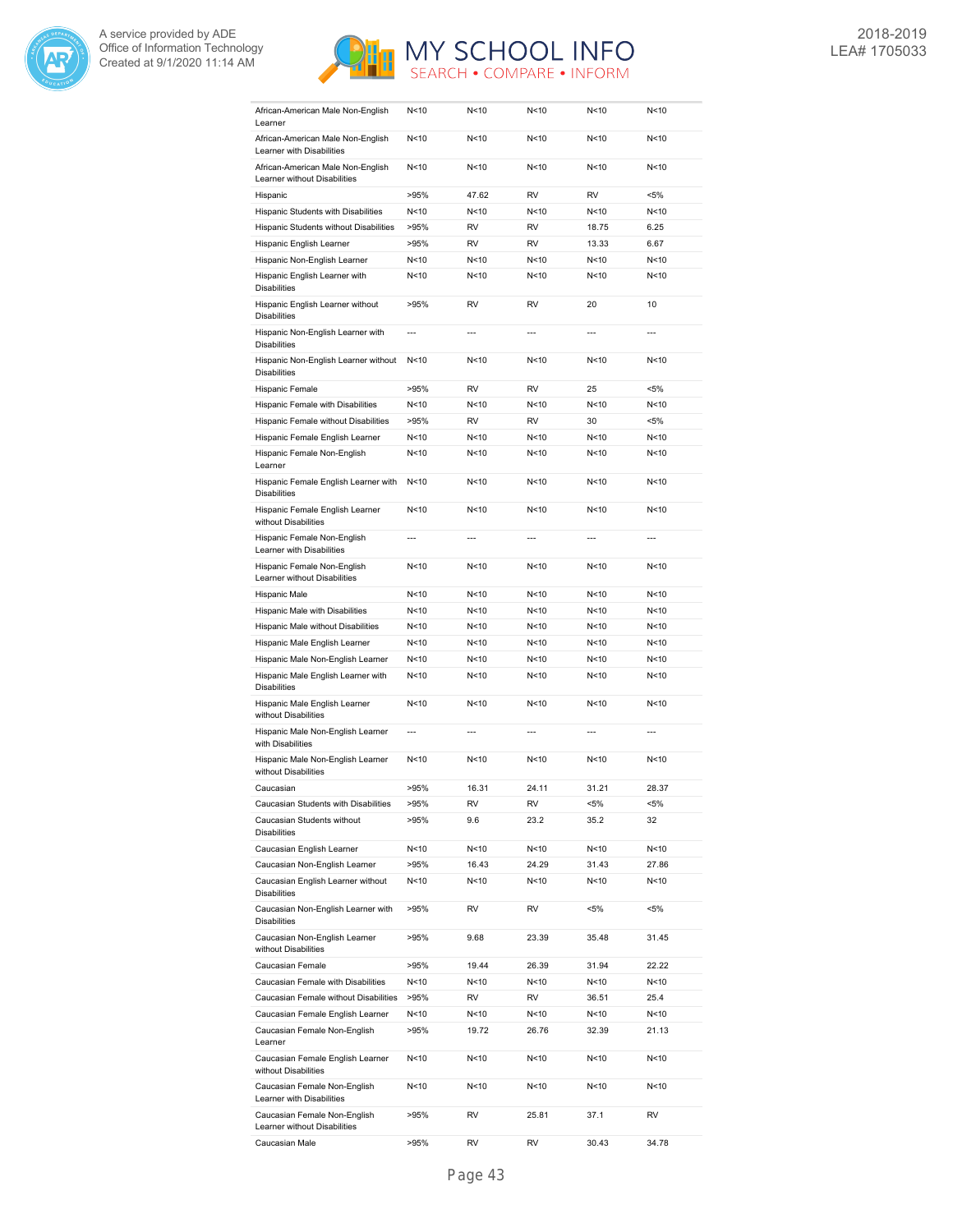



| African-American Male Non-English<br>Learner                      | N<10           | N<10           | N<10            | N<10            | N<10           |
|-------------------------------------------------------------------|----------------|----------------|-----------------|-----------------|----------------|
| African-American Male Non-English<br>Learner with Disabilities    | N<10           | N<10           | N <sub>10</sub> | N<10            | N<10           |
| African-American Male Non-English<br>Learner without Disabilities | N<10           | N<10           | N <sub>10</sub> | N <sub>10</sub> | N<10           |
| Hispanic                                                          | >95%           | 47.62          | <b>RV</b>       | <b>RV</b>       | $< 5\%$        |
| Hispanic Students with Disabilities                               | N<10           | N<10           | N <sub>10</sub> | N <sub>10</sub> | N<10           |
| Hispanic Students without Disabilities                            | >95%           | <b>RV</b>      | <b>RV</b>       | 18.75           | 6.25           |
| Hispanic English Learner                                          | >95%           | <b>RV</b>      | <b>RV</b>       | 13.33           | 6.67           |
| Hispanic Non-English Learner                                      | N<10           | N<10           | N <sub>10</sub> | N <sub>10</sub> | N<10           |
| Hispanic English Learner with                                     | N<10           | N<10           | N <sub>10</sub> | N <sub>10</sub> | N<10           |
| <b>Disabilities</b>                                               |                |                |                 |                 |                |
| Hispanic English Learner without<br><b>Disabilities</b>           | >95%           | <b>RV</b>      | <b>RV</b>       | 20              | 10             |
| Hispanic Non-English Learner with<br><b>Disabilities</b>          | $\overline{a}$ |                |                 | $\overline{a}$  |                |
| Hispanic Non-English Learner without<br><b>Disabilities</b>       | N<10           | N<10           | N <sub>10</sub> | N <sub>10</sub> | N<10           |
| Hispanic Female                                                   | >95%           | <b>RV</b>      | <b>RV</b>       | 25              | $< 5\%$        |
| Hispanic Female with Disabilities                                 | N<10           | N<10           | N<10            | N <sub>10</sub> | N<10           |
| Hispanic Female without Disabilities                              | >95%           | <b>RV</b>      | <b>RV</b>       | 30              | $< 5\%$        |
| Hispanic Female English Learner                                   | N<10           | N<10           | N <sub>10</sub> | N <sub>10</sub> | N<10           |
| Hispanic Female Non-English                                       | N<10           | N<10           | N <sub>10</sub> | N <sub>10</sub> | N<10           |
| Learner                                                           |                |                |                 |                 |                |
| Hispanic Female English Learner with<br><b>Disabilities</b>       | N<10           | N<10           | N <sub>10</sub> | N <sub>10</sub> | N<10           |
| Hispanic Female English Learner<br>without Disabilities           | N<10           | N<10           | N <sub>10</sub> | N <sub>10</sub> | N<10           |
| Hispanic Female Non-English<br>Learner with Disabilities          | ---            | $\overline{a}$ | $\overline{a}$  | $---$           | $---$          |
| Hispanic Female Non-English<br>Learner without Disabilities       | N<10           | N<10           | N <sub>10</sub> | N <sub>10</sub> | N<10           |
| Hispanic Male                                                     | N<10           | N<10           | N<10            | N <sub>10</sub> | N<10           |
| Hispanic Male with Disabilities                                   | N<10           | N<10           | N<10            | N<10            | N<10           |
| Hispanic Male without Disabilities                                | N<10           | N<10           | N <sub>10</sub> | N<10            | N<10           |
| Hispanic Male English Learner                                     | N<10           | N<10           | N <sub>10</sub> | N <sub>10</sub> | N<10           |
| Hispanic Male Non-English Learner                                 | N<10           | N<10           | N <sub>10</sub> | N <sub>10</sub> | N<10           |
| Hispanic Male English Learner with                                | N<10           | N<10           | N<10            | N < 10          | N<10           |
| <b>Disabilities</b><br>Hispanic Male English Learner              | N<10           | N<10           | N <sub>10</sub> | N <sub>10</sub> | N<10           |
| without Disabilities                                              |                |                |                 |                 |                |
| Hispanic Male Non-English Learner<br>with Disabilities            | ---            | ---            | $\overline{a}$  | ---             | $\overline{a}$ |
| Hispanic Male Non-English Learner<br>without Disabilities         | N<10           | N<10           | N <sub>10</sub> | N<10            | N<10           |
| Caucasian                                                         | >95%           | 16.31          | 24.11           | 31.21           | 28.37          |
| Caucasian Students with Disabilities                              | >95%           | RV             | RV              | <5%             | <5%            |
| Caucasian Students without<br><b>Disabilities</b>                 | >95%           | 9.6            | 23.2            | 35.2            | 32             |
| Caucasian English Learner                                         | N<10           | N<10           | N<10            | N<10            | N<10           |
| Caucasian Non-English Learner                                     | >95%           | 16.43          | 24.29           | 31.43           | 27.86          |
| Caucasian English Learner without<br><b>Disabilities</b>          | N<10           | N<10           | N<10            | N<10            | N<10           |
| Caucasian Non-English Learner with                                | >95%           | RV             | RV              | <5%             | <5%            |
| <b>Disabilities</b><br>Caucasian Non-English Learner              | >95%           | 9.68           | 23.39           | 35.48           | 31.45          |
| without Disabilities<br>Caucasian Female                          | >95%           | 19.44          | 26.39           | 31.94           | 22.22          |
| Caucasian Female with Disabilities                                | N<10           | N<10           | N<10            | N<10            | N<10           |
| Caucasian Female without Disabilities                             | >95%           | RV             | RV              | 36.51           | 25.4           |
| Caucasian Female English Learner                                  | N<10           | N<10           | N<10            | N<10            | N<10           |
| Caucasian Female Non-English                                      | >95%           | 19.72          | 26.76           | 32.39           | 21.13          |
| Learner<br>Caucasian Female English Learner                       | N<10           | N<10           | N <sub>10</sub> | N<10            | N<10           |
| without Disabilities<br>Caucasian Female Non-English              | N<10           | N<10           | N<10            | N<10            | N<10           |
| Learner with Disabilities<br>Caucasian Female Non-English         | >95%           | RV             | 25.81           | 37.1            | RV             |
| Learner without Disabilities<br>Caucasian Male                    | >95%           | RV             | RV              | 30.43           | 34.78          |
|                                                                   |                |                |                 |                 |                |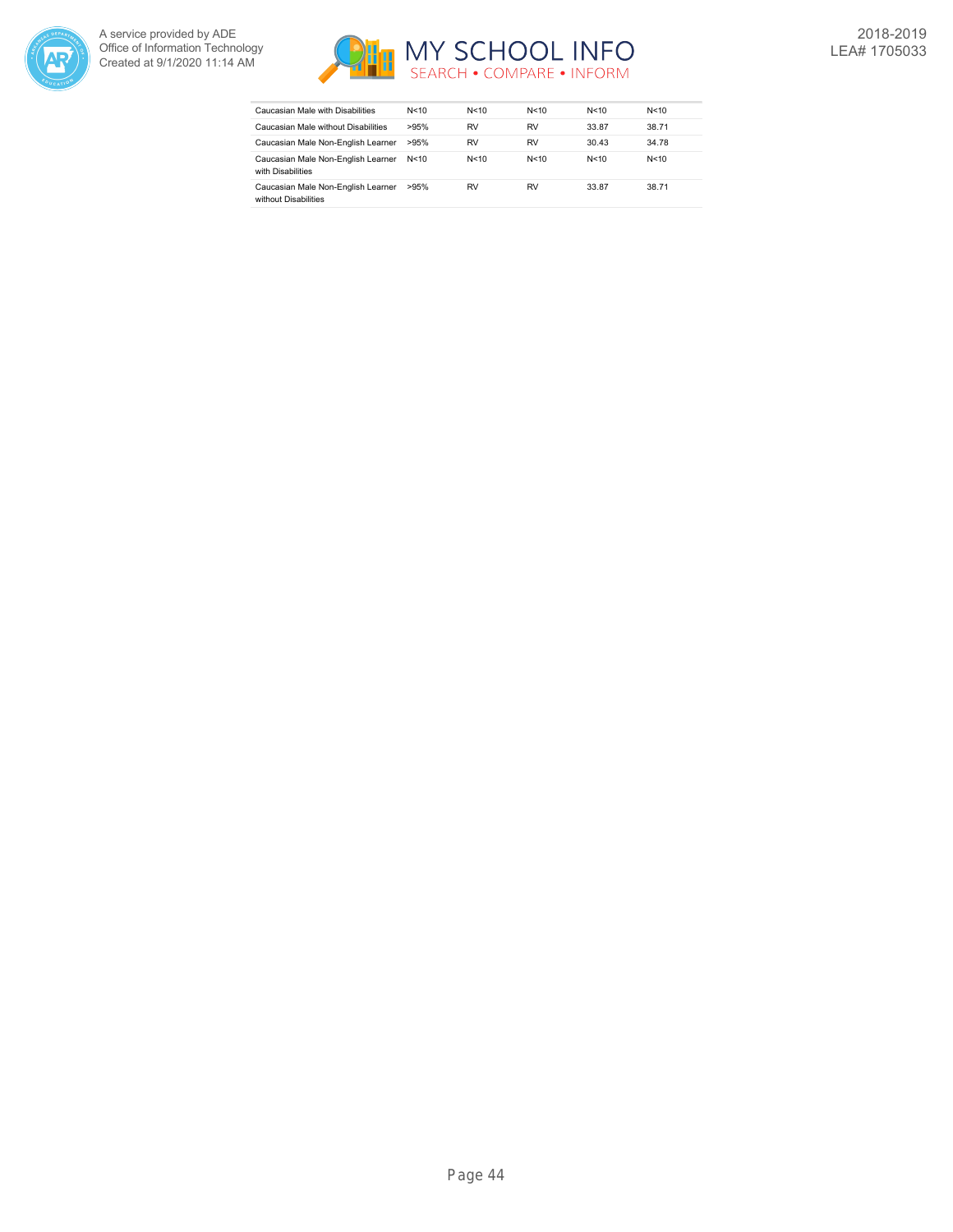



| Caucasian Male with Disabilities                           | N<10   | N < 10    | N<10   | N<10  | N < 10 |
|------------------------------------------------------------|--------|-----------|--------|-------|--------|
| Caucasian Male without Disabilities                        | >95%   | RV        | RV     | 33.87 | 38.71  |
| Caucasian Male Non-English Learner                         | >95%   | RV        | RV     | 30.43 | 34.78  |
| Caucasian Male Non-English Learner<br>with Disabilities    | N < 10 | N<10      | N < 10 | N<10  | N < 10 |
| Caucasian Male Non-English Learner<br>without Disabilities | >95%   | <b>RV</b> | RV     | 33.87 | 38.71  |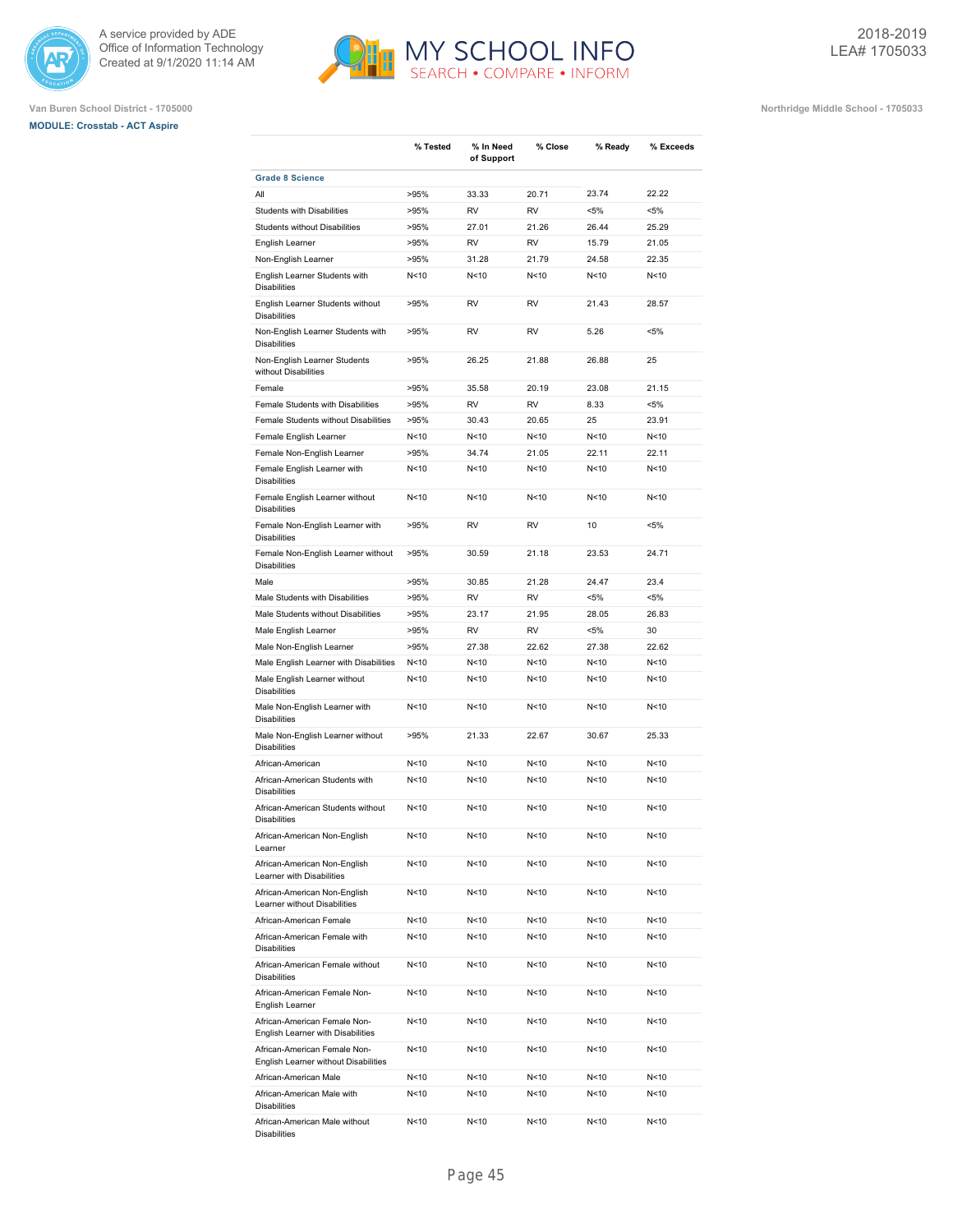





|                                                                                          | % Tested        | % In Need<br>of Support | % Close         | % Ready                 | % Exceeds    |
|------------------------------------------------------------------------------------------|-----------------|-------------------------|-----------------|-------------------------|--------------|
| <b>Grade 8 Science</b>                                                                   |                 |                         |                 |                         |              |
| All                                                                                      | >95%            | 33.33                   | 20.71           | 23.74                   | 22.22        |
| <b>Students with Disabilities</b>                                                        | >95%            | <b>RV</b>               | <b>RV</b>       | $< 5\%$                 | $< 5\%$      |
| <b>Students without Disabilities</b>                                                     | >95%            | 27.01                   | 21.26           | 26.44                   | 25.29        |
| English Learner                                                                          | >95%            | <b>RV</b>               | <b>RV</b>       | 15.79                   | 21.05        |
| Non-English Learner                                                                      | >95%            | 31.28                   | 21.79           | 24.58                   | 22.35        |
| English Learner Students with<br><b>Disabilities</b>                                     | N<10            | N<10                    | N <sub>10</sub> | N <sub>10</sub>         | N<10         |
| English Learner Students without<br><b>Disabilities</b>                                  | >95%            | <b>RV</b>               | <b>RV</b>       | 21.43                   | 28.57        |
| Non-English Learner Students with<br><b>Disabilities</b>                                 | >95%            | <b>RV</b>               | <b>RV</b>       | 5.26                    | $< 5\%$      |
| Non-English Learner Students<br>without Disabilities                                     | >95%            | 26.25                   | 21.88           | 26.88                   | 25           |
| Female                                                                                   | >95%            | 35.58                   | 20.19           | 23.08                   | 21.15        |
| Female Students with Disabilities                                                        | >95%            | <b>RV</b>               | <b>RV</b>       | 8.33                    | $< 5\%$      |
| Female Students without Disabilities                                                     | >95%            | 30.43                   | 20.65           | 25                      | 23.91        |
| Female English Learner                                                                   | N<10            | N<10                    | N <sub>10</sub> | N <sub>10</sub>         | N<10         |
| Female Non-English Learner                                                               | >95%            | 34.74                   | 21.05           | 22.11                   | 22.11        |
| Female English Learner with                                                              | N<10            | N<10                    | N <sub>10</sub> | N <sub>10</sub>         | N<10         |
| <b>Disabilities</b>                                                                      | N<10            | N<10                    | N<10            | N <sub>10</sub>         | N<10         |
| Female English Learner without<br><b>Disabilities</b><br>Female Non-English Learner with | >95%            | <b>RV</b>               | <b>RV</b>       | 10                      | $< 5\%$      |
| <b>Disabilities</b><br>Female Non-English Learner without                                | >95%            | 30.59                   | 21.18           | 23.53                   | 24.71        |
| <b>Disabilities</b><br>Male                                                              | >95%            | 30.85                   | 21.28           | 24.47                   | 23.4         |
| Male Students with Disabilities                                                          | >95%            | <b>RV</b>               | <b>RV</b>       | $< 5\%$                 | $< 5\%$      |
| Male Students without Disabilities                                                       | >95%            | 23.17                   | 21.95           | 28.05                   | 26.83        |
|                                                                                          |                 |                         |                 |                         |              |
| Male English Learner                                                                     | >95%            | <b>RV</b>               | <b>RV</b>       | $< 5\%$                 | 30           |
| Male Non-English Learner                                                                 | >95%            | 27.38                   | 22.62           | 27.38                   | 22.62        |
| Male English Learner with Disabilities                                                   | N<10            | N<10                    | N<10            | N <sub>10</sub>         | N<10         |
| Male English Learner without<br><b>Disabilities</b>                                      | N<10            | N < 10                  | N<10            | N < 10                  | N<10         |
| Male Non-English Learner with<br><b>Disabilities</b>                                     | N <sub>10</sub> | N<10                    | N <sub>10</sub> | N <sub>10</sub>         | N<10         |
| Male Non-English Learner without<br><b>Disabilities</b>                                  | >95%            | 21.33                   | 22.67           | 30.67                   | 25.33        |
| African-American                                                                         | N <sub>10</sub> | N<10                    | N <sub>10</sub> | N <sub>10</sub>         | N<10         |
| African-American Students with<br><b>Disabilities</b>                                    | N<10            | N<10                    | N <sub>10</sub> | N <sub>10</sub>         | N<10         |
| African-American Students without<br><b>Disabilities</b>                                 | N <sub>10</sub> | N <sub>10</sub>         | N<10            | N<10                    | N<10         |
| African-American Non-English<br>Learner                                                  | N<10            | N<10                    | N<10            | N<10                    | N<10         |
| African-American Non-English<br>Learner with Disabilities                                | N <sub>10</sub> | N<10                    | N<10            | N<10<br>N <sub>10</sub> | N<10         |
| African-American Non-English<br>Learner without Disabilities<br>African-American Female  | N<10<br>N<10    | N<10<br>N<10            | N<10<br>N<10    | N<10                    | N<10<br>N<10 |
|                                                                                          |                 |                         |                 |                         |              |
| African-American Female with<br><b>Disabilities</b>                                      | N<10            | N<10                    | N<10            | N<10                    | N<10         |
| African-American Female without<br><b>Disabilities</b>                                   | N<10            | N<10                    | N<10            | N < 10                  | N<10         |
| African-American Female Non-<br>English Learner                                          | N<10            | N<10                    | N<10            | N < 10                  | N<10         |
| African-American Female Non-<br>English Learner with Disabilities                        | N<10            | N<10                    | N<10            | N < 10                  | N<10         |
| African-American Female Non-<br>English Learner without Disabilities                     | N<10            | N<10                    | N<10            | N<10                    | N<10         |
| African-American Male                                                                    | N<10            | N<10                    | N<10            | N < 10                  | N<10         |
| African-American Male with<br><b>Disabilities</b>                                        | N<10            | N<10                    | N<10            | N<10                    | N<10         |
| African-American Male without<br><b>Disabilities</b>                                     | N<10            | N<10                    | N<10            | N < 10                  | N<10         |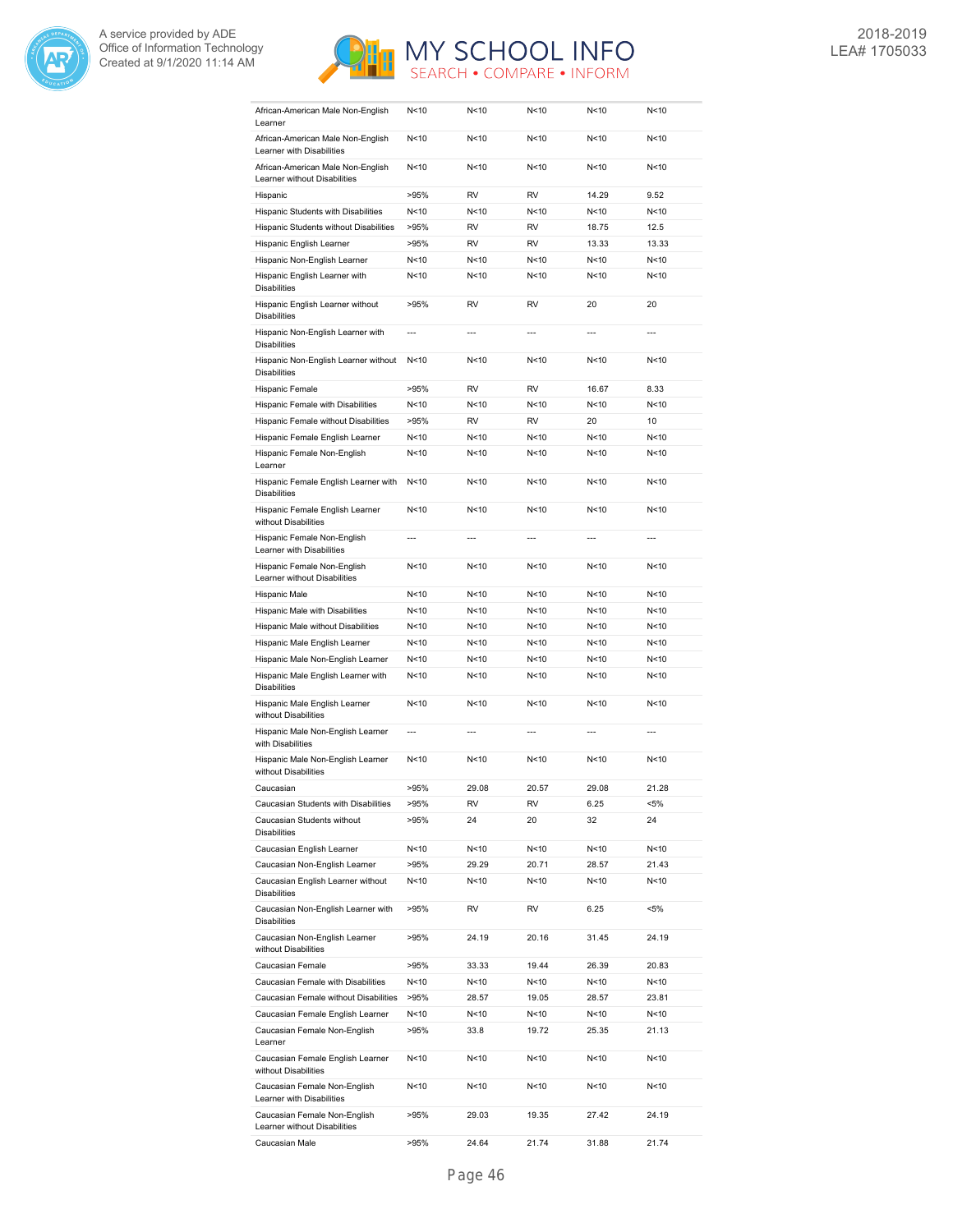



| African-American Male Non-English<br>Learner                                              | N<10            | N<10           | N < 10          | N <sub>10</sub> | N<10           |
|-------------------------------------------------------------------------------------------|-----------------|----------------|-----------------|-----------------|----------------|
| African-American Male Non-English<br>Learner with Disabilities                            | N<10            | N<10           | N < 10          | N <sub>10</sub> | N<10           |
| African-American Male Non-English<br>Learner without Disabilities                         | N<10            | N<10           | N<10            | N < 10          | N<10           |
| Hispanic                                                                                  | >95%            | RV             | <b>RV</b>       | 14.29           | 9.52           |
| Hispanic Students with Disabilities                                                       | N < 10          | N<10           | N < 10          | N < 10          | N<10           |
| Hispanic Students without Disabilities                                                    | >95%            | <b>RV</b>      | <b>RV</b>       | 18.75           | 12.5           |
| Hispanic English Learner                                                                  | >95%            | <b>RV</b>      | <b>RV</b>       | 13.33           | 13.33          |
| Hispanic Non-English Learner                                                              | N < 10          | N<10           | N<10            | N <sub>10</sub> | N<10           |
| Hispanic English Learner with                                                             | N<10            | N<10           | N<10            | N <sub>10</sub> | N<10           |
| <b>Disabilities</b><br>Hispanic English Learner without                                   |                 | <b>RV</b>      | <b>RV</b>       |                 | 20             |
| <b>Disabilities</b>                                                                       | >95%            |                |                 | 20              |                |
| Hispanic Non-English Learner with<br><b>Disabilities</b>                                  | $\overline{a}$  | $\overline{a}$ | $\overline{a}$  | $\overline{a}$  | $\overline{a}$ |
| Hispanic Non-English Learner without<br><b>Disabilities</b>                               | N<10            | N<10           | N < 10          | N <sub>10</sub> | N<10           |
| Hispanic Female                                                                           | >95%            | RV             | <b>RV</b>       | 16.67           | 8.33           |
| Hispanic Female with Disabilities                                                         | N < 10          | N<10           | N<10            | N < 10          | N<10           |
| Hispanic Female without Disabilities                                                      | >95%            | <b>RV</b>      | <b>RV</b>       | 20              | 10             |
| Hispanic Female English Learner                                                           | N<10            | N<10           | N<10            | N <sub>10</sub> | N<10           |
| Hispanic Female Non-English<br>Learner                                                    | N <sub>10</sub> | N<10           | N<10            | N <sub>10</sub> | N<10           |
| Hispanic Female English Learner with<br><b>Disabilities</b>                               | N <sub>10</sub> | N<10           | N < 10          | N <sub>10</sub> | N<10           |
| Hispanic Female English Learner<br>without Disabilities                                   | N <sub>10</sub> | N<10           | N <sub>10</sub> | N <sub>10</sub> | N<10           |
| Hispanic Female Non-English<br>Learner with Disabilities                                  | $\overline{a}$  | $---$          | $---$           | $\overline{a}$  | $\overline{a}$ |
| Hispanic Female Non-English<br>Learner without Disabilities                               | N<10            | N<10           | N < 10          | N < 10          | N<10           |
| Hispanic Male                                                                             | N < 10          | N<10           | N < 10          | N < 10          | N<10           |
| Hispanic Male with Disabilities                                                           | N < 10          | N<10           | N < 10          | N < 10          | N<10           |
|                                                                                           |                 |                |                 |                 |                |
| Hispanic Male without Disabilities                                                        | N < 10          | N<10           | N < 10          | N < 10          | N<10           |
| Hispanic Male English Learner                                                             | N < 10          | N<10           | N < 10          | N < 10          | N<10           |
| Hispanic Male Non-English Learner                                                         | N < 10          | N<10           | N<10            | N <sub>10</sub> | N<10           |
| Hispanic Male English Learner with<br><b>Disabilities</b>                                 | N < 10          | N<10           | N<10            | N < 10          | N<10           |
| Hispanic Male English Learner<br>without Disabilities                                     | N<10            | N<10           | N <sub>10</sub> | N <sub>10</sub> | N<10           |
| Hispanic Male Non-English Learner<br>with Disabilities                                    | $\overline{a}$  | $\overline{a}$ | $\overline{a}$  | ---             | $\overline{a}$ |
| Hispanic Male Non-English Learner<br>without Disabilities                                 | N < 10          | N<10           | N < 10          | N<10            | N<10           |
| Caucasian                                                                                 | >95%            | 29.08          | 20.57           | 29.08           | 21.28          |
|                                                                                           |                 |                |                 |                 |                |
| Caucasian Students with Disabilities<br>Caucasian Students without<br><b>Disabilities</b> | >95%<br>>95%    | RV<br>24       | RV<br>20        | 6.25<br>32      | <5%<br>24      |
|                                                                                           |                 |                |                 |                 |                |
| Caucasian English Learner                                                                 | N<10            | N<10           | N<10            | N<10            | N<10           |
| Caucasian Non-English Learner<br>Caucasian English Learner without                        | >95%<br>N < 10  | 29.29<br>N<10  | 20.71<br>N<10   | 28.57<br>N<10   | 21.43<br>N<10  |
| <b>Disabilities</b><br>Caucasian Non-English Learner with                                 | >95%            | RV             | RV              | 6.25            | <5%            |
| <b>Disabilities</b><br>Caucasian Non-English Learner                                      | >95%            | 24.19          | 20.16           | 31.45           | 24.19          |
| without Disabilities<br>Caucasian Female                                                  |                 |                |                 |                 | 20.83          |
|                                                                                           | >95%            | 33.33          | 19.44           | 26.39           |                |
| Caucasian Female with Disabilities                                                        | N<10            | N<10           | N<10            | N<10            | N<10           |
| Caucasian Female without Disabilities                                                     | >95%            | 28.57          | 19.05           | 28.57           | 23.81          |
| Caucasian Female English Learner<br>Caucasian Female Non-English                          | N<10<br>>95%    | N<10<br>33.8   | N<10<br>19.72   | N<10<br>25.35   | N<10<br>21.13  |
| Learner<br>Caucasian Female English Learner                                               | N<10            | N<10           | N<10            | N<10            | N<10           |
| without Disabilities<br>Caucasian Female Non-English                                      | N<10            | N<10           | N<10            | N<10            | N<10           |
| Learner with Disabilities<br>Caucasian Female Non-English<br>Learner without Disabilities | >95%            | 29.03          | 19.35           | 27.42           | 24.19          |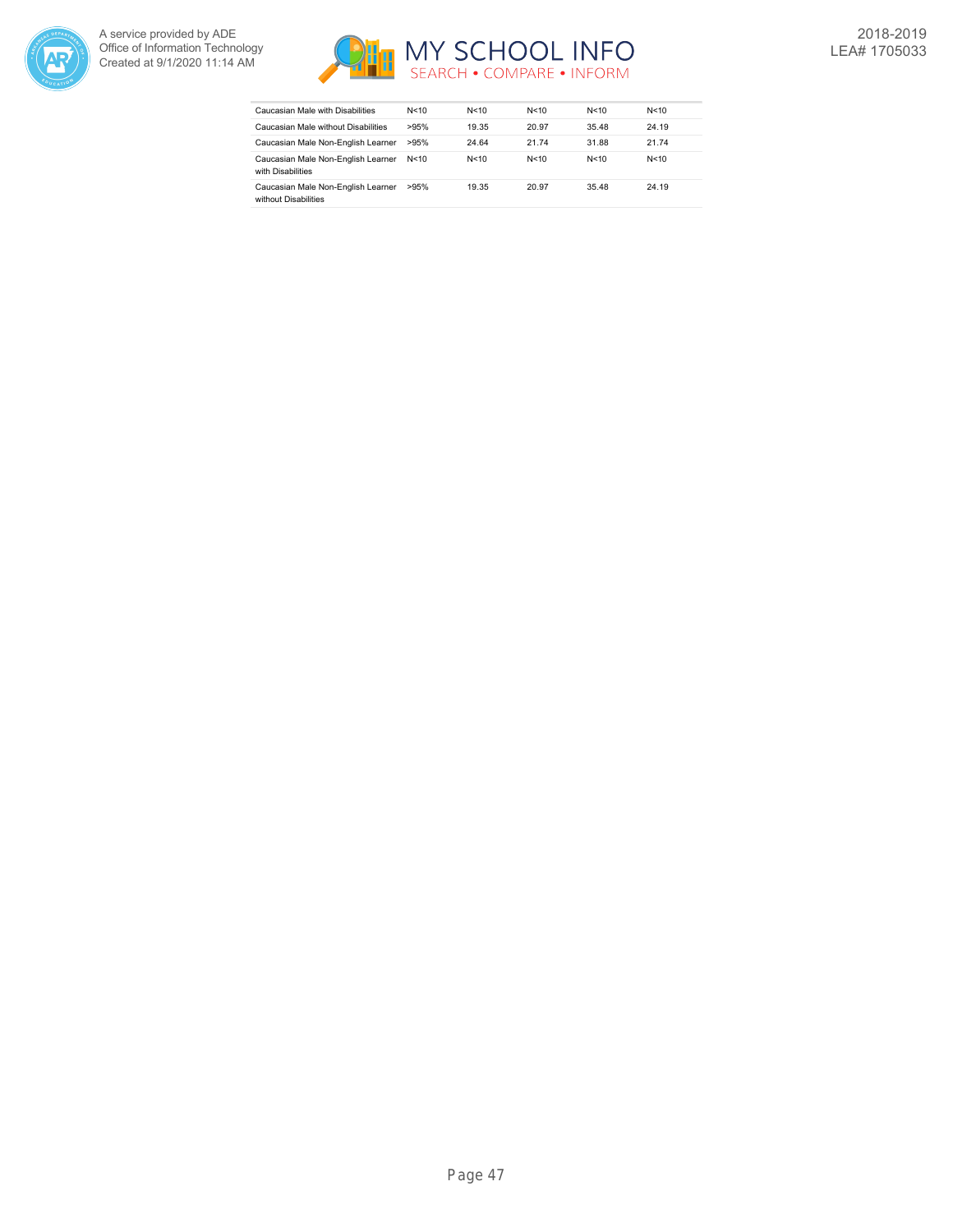



| Caucasian Male with Disabilities                           | N<10   | N < 10 | N<10  | N<10  | N < 10 |
|------------------------------------------------------------|--------|--------|-------|-------|--------|
| Caucasian Male without Disabilities                        | >95%   | 19.35  | 20.97 | 35.48 | 24.19  |
| Caucasian Male Non-English Learner                         | >95%   | 24.64  | 21.74 | 31.88 | 21.74  |
| Caucasian Male Non-English Learner<br>with Disabilities    | N < 10 | N < 10 | N<10  | N<10  | N < 10 |
| Caucasian Male Non-English Learner<br>without Disabilities | >95%   | 19.35  | 20.97 | 35.48 | 24.19  |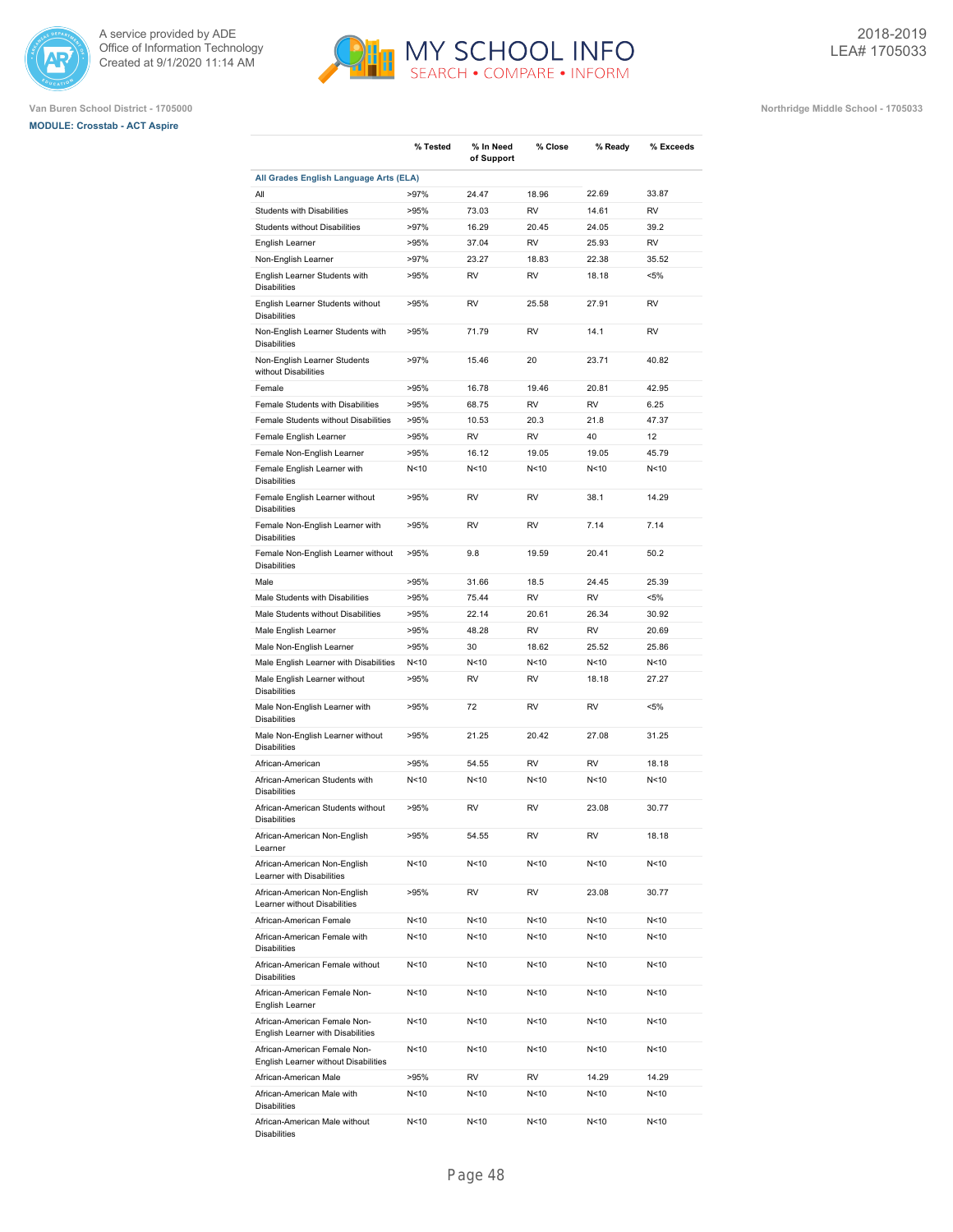





|                                                                      | % Tested        | % In Need<br>of Support | % Close         | % Ready         | % Exceeds |
|----------------------------------------------------------------------|-----------------|-------------------------|-----------------|-----------------|-----------|
| All Grades English Language Arts (ELA)                               |                 |                         |                 |                 |           |
| All                                                                  | $>97\%$         | 24.47                   | 18.96           | 22.69           | 33.87     |
| Students with Disabilities                                           | >95%            | 73.03                   | <b>RV</b>       | 14.61           | <b>RV</b> |
| <b>Students without Disabilities</b>                                 | >97%            | 16.29                   | 20.45           | 24.05           | 39.2      |
| English Learner                                                      | >95%            | 37.04                   | <b>RV</b>       | 25.93           | <b>RV</b> |
| Non-English Learner                                                  | >97%            | 23.27                   | 18.83           | 22.38           | 35.52     |
| English Learner Students with<br><b>Disabilities</b>                 | >95%            | <b>RV</b>               | <b>RV</b>       | 18.18           | $< 5\%$   |
| English Learner Students without<br><b>Disabilities</b>              | >95%            | RV                      | 25.58           | 27.91           | <b>RV</b> |
| Non-English Learner Students with<br><b>Disabilities</b>             | >95%            | 71.79                   | <b>RV</b>       | 14.1            | <b>RV</b> |
| Non-English Learner Students<br>without Disabilities                 | >97%            | 15.46                   | 20              | 23.71           | 40.82     |
| Female                                                               | >95%            | 16.78                   | 19.46           | 20.81           | 42.95     |
| Female Students with Disabilities                                    | >95%            | 68.75                   | <b>RV</b>       | <b>RV</b>       | 6.25      |
| Female Students without Disabilities                                 | >95%            | 10.53                   | 20.3            | 21.8            | 47.37     |
| Female English Learner                                               | >95%            | <b>RV</b>               | <b>RV</b>       | 40              | 12        |
| Female Non-English Learner                                           | >95%            | 16.12                   | 19.05           | 19.05           | 45.79     |
| Female English Learner with                                          | N < 10          | N<10                    | N<10            | N <sub>10</sub> | N<10      |
| <b>Disabilities</b><br>Female English Learner without                | >95%            | <b>RV</b>               | RV              | 38.1            | 14.29     |
| <b>Disabilities</b><br>Female Non-English Learner with               | >95%            | <b>RV</b>               | RV              | 7.14            | 7.14      |
| <b>Disabilities</b><br>Female Non-English Learner without            | >95%            | 9.8                     | 19.59           | 20.41           | 50.2      |
| <b>Disabilities</b><br>Male                                          | >95%            | 31.66                   | 18.5            | 24.45           | 25.39     |
| Male Students with Disabilities                                      | >95%            | 75.44                   | <b>RV</b>       | <b>RV</b>       | $< 5\%$   |
|                                                                      |                 | 22.14                   |                 |                 | 30.92     |
| Male Students without Disabilities                                   | >95%            |                         | 20.61           | 26.34           |           |
| Male English Learner                                                 | >95%            | 48.28                   | RV              | <b>RV</b>       | 20.69     |
| Male Non-English Learner                                             | >95%            | 30                      | 18.62           | 25.52           | 25.86     |
| Male English Learner with Disabilities                               | N<10            | N<10                    | N <sub>10</sub> | N <sub>10</sub> | N<10      |
| Male English Learner without<br><b>Disabilities</b>                  | >95%            | <b>RV</b>               | <b>RV</b>       | 18.18           | 27.27     |
| Male Non-English Learner with<br><b>Disabilities</b>                 | >95%            | 72                      | <b>RV</b>       | <b>RV</b>       | $< 5\%$   |
| Male Non-English Learner without<br><b>Disabilities</b>              | >95%            | 21.25                   | 20.42           | 27.08           | 31.25     |
| African-American                                                     | >95%            | 54.55                   | <b>RV</b>       | <b>RV</b>       | 18.18     |
| African-American Students with<br><b>Disabilities</b>                | N < 10          | N<10                    | N<10            | N<10            | N<10      |
| African-American Students without<br><b>Disabilities</b>             | >95%            | <b>RV</b>               | RV              | 23.08           | 30.77     |
| African-American Non-English<br>Learner                              | >95%            | 54.55                   | RV              | RV              | 18.18     |
| African-American Non-English<br>Learner with Disabilities            | N<10            | N<10                    | N<10            | N <sub>10</sub> | N<10      |
| African-American Non-English<br>Learner without Disabilities         | >95%            | RV                      | RV              | 23.08           | 30.77     |
| African-American Female                                              | N<10            | N<10                    | N<10            | N<10            | N<10      |
| African-American Female with<br><b>Disabilities</b>                  | N<10            | N<10                    | N<10            | N<10            | N<10      |
| African-American Female without<br><b>Disabilities</b>               | N<10            | N <sub>10</sub>         | N<10            | N<10            | N<10      |
| African-American Female Non-<br>English Learner                      | N<10            | N<10                    | N<10            | N<10            | N<10      |
| African-American Female Non-<br>English Learner with Disabilities    | N<10            | N<10                    | N<10            | N<10            | N<10      |
| African-American Female Non-<br>English Learner without Disabilities | N<10            | N<10                    | N<10            | N<10            | N<10      |
| African-American Male                                                | >95%            | RV                      | RV              | 14.29           | 14.29     |
| African-American Male with<br><b>Disabilities</b>                    | N<10            | N<10                    | N<10            | N<10            | N<10      |
| African-American Male without<br><b>Disabilities</b>                 | N <sub>10</sub> | N<10                    | N <sub>10</sub> | N <sub>10</sub> | N<10      |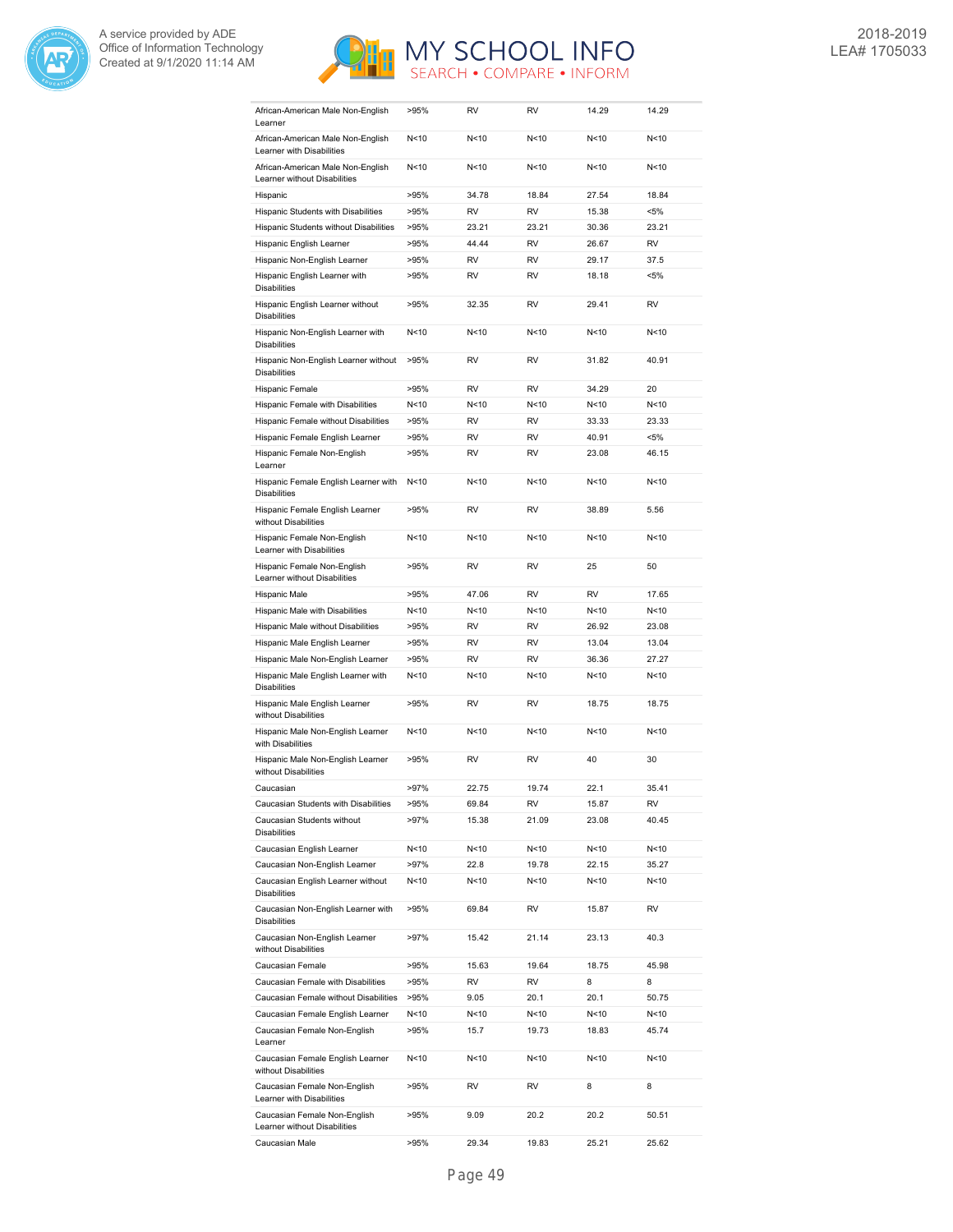



| African-American Male Non-English<br>Learner                      | >95%            | <b>RV</b> | <b>RV</b>       | 14.29           | 14.29     |
|-------------------------------------------------------------------|-----------------|-----------|-----------------|-----------------|-----------|
| African-American Male Non-English<br>Learner with Disabilities    | N < 10          | N<10      | N <sub>10</sub> | N <sub>10</sub> | N<10      |
| African-American Male Non-English<br>Learner without Disabilities | N < 10          | N<10      | N <sub>10</sub> | N <sub>10</sub> | N<10      |
| Hispanic                                                          | >95%            | 34.78     | 18.84           | 27.54           | 18.84     |
| Hispanic Students with Disabilities                               | >95%            | <b>RV</b> | <b>RV</b>       | 15.38           | $< 5\%$   |
| Hispanic Students without Disabilities                            | >95%            | 23.21     | 23.21           | 30.36           | 23.21     |
| Hispanic English Learner                                          | >95%            | 44.44     | <b>RV</b>       | 26.67           | <b>RV</b> |
| Hispanic Non-English Learner                                      | >95%            | <b>RV</b> | <b>RV</b>       | 29.17           | 37.5      |
| Hispanic English Learner with                                     | >95%            | <b>RV</b> | <b>RV</b>       | 18.18           | $< 5\%$   |
| <b>Disabilities</b><br>Hispanic English Learner without           | >95%            | 32.35     | <b>RV</b>       | 29.41           | <b>RV</b> |
| <b>Disabilities</b>                                               |                 |           |                 |                 |           |
| Hispanic Non-English Learner with<br><b>Disabilities</b>          | N < 10          | N<10      | N <sub>10</sub> | N <sub>10</sub> | N<10      |
| Hispanic Non-English Learner without<br><b>Disabilities</b>       | >95%            | <b>RV</b> | <b>RV</b>       | 31.82           | 40.91     |
| Hispanic Female                                                   | >95%            | <b>RV</b> | <b>RV</b>       | 34.29           | 20        |
| Hispanic Female with Disabilities                                 | N<10            | N<10      | N <sub>10</sub> | N <sub>10</sub> | N<10      |
| Hispanic Female without Disabilities                              | >95%            | <b>RV</b> | <b>RV</b>       | 33.33           | 23.33     |
| Hispanic Female English Learner                                   | >95%            | <b>RV</b> | <b>RV</b>       | 40.91           | $< 5\%$   |
| Hispanic Female Non-English<br>Learner                            | >95%            | <b>RV</b> | <b>RV</b>       | 23.08           | 46.15     |
| Hispanic Female English Learner with<br><b>Disabilities</b>       | N<10            | N<10      | N <sub>10</sub> | N <sub>10</sub> | N<10      |
| Hispanic Female English Learner<br>without Disabilities           | >95%            | <b>RV</b> | <b>RV</b>       | 38.89           | 5.56      |
| Hispanic Female Non-English<br>Learner with Disabilities          | N < 10          | N<10      | N<10            | N <sub>10</sub> | N<10      |
| Hispanic Female Non-English<br>Learner without Disabilities       | >95%            | <b>RV</b> | <b>RV</b>       | 25              | 50        |
| Hispanic Male                                                     | >95%            | 47.06     | <b>RV</b>       | <b>RV</b>       | 17.65     |
| Hispanic Male with Disabilities                                   | N<10            | N<10      | N <sub>10</sub> | N <sub>10</sub> | N<10      |
| Hispanic Male without Disabilities                                | >95%            | <b>RV</b> | <b>RV</b>       | 26.92           | 23.08     |
| Hispanic Male English Learner                                     | >95%            | <b>RV</b> | <b>RV</b>       | 13.04           | 13.04     |
| Hispanic Male Non-English Learner                                 | >95%            | <b>RV</b> | <b>RV</b>       | 36.36           | 27.27     |
| Hispanic Male English Learner with<br><b>Disabilities</b>         | N < 10          | N<10      | N <sub>10</sub> | N <sub>10</sub> | N<10      |
| Hispanic Male English Learner<br>without Disabilities             | >95%            | <b>RV</b> | <b>RV</b>       | 18.75           | 18.75     |
| Hispanic Male Non-English Learner<br>with Disabilities            | N<10            | N<10      | N <sub>10</sub> | N <sub>10</sub> | N<10      |
| Hispanic Male Non-English Learner<br>without Disabilities         | >95%            | <b>RV</b> | <b>RV</b>       | 40              | 30        |
| Caucasian                                                         | >97%            | 22.75     | 19.74           | 22.1            | 35.41     |
| Caucasian Students with Disabilities                              | >95%            | 69.84     | RV              | 15.87           | RV        |
| Caucasian Students without<br><b>Disabilities</b>                 | >97%            | 15.38     | 21.09           | 23.08           | 40.45     |
| Caucasian English Learner                                         | N<10            | N<10      | N<10            | N<10            | N<10      |
| Caucasian Non-English Learner                                     | $>97\%$         | 22.8      | 19.78           | 22.15           | 35.27     |
| Caucasian English Learner without<br><b>Disabilities</b>          | N<10            | N<10      | N<10            | N<10            | N<10      |
| Caucasian Non-English Learner with<br><b>Disabilities</b>         | >95%            | 69.84     | RV              | 15.87           | RV        |
| Caucasian Non-English Learner<br>without Disabilities             | $>97\%$         | 15.42     | 21.14           | 23.13           | 40.3      |
| Caucasian Female                                                  | >95%            | 15.63     | 19.64           | 18.75           | 45.98     |
| Caucasian Female with Disabilities                                | >95%            | RV        | RV              | 8               | 8         |
| Caucasian Female without Disabilities                             | >95%            | 9.05      | 20.1            | 20.1            | 50.75     |
| Caucasian Female English Learner                                  | N<10            | N<10      | N<10            | N<10            | N<10      |
| Caucasian Female Non-English<br>Learner                           | >95%            | 15.7      | 19.73           | 18.83           | 45.74     |
| Caucasian Female English Learner<br>without Disabilities          | N <sub>10</sub> | N<10      | N<10            | N<10            | N<10      |
| Caucasian Female Non-English<br>Learner with Disabilities         | >95%            | RV        | RV              | 8               | 8         |
| Caucasian Female Non-English<br>Learner without Disabilities      | >95%            | 9.09      | 20.2            | 20.2            | 50.51     |
| Caucasian Male                                                    | >95%            | 29.34     | 19.83           | 25.21           | 25.62     |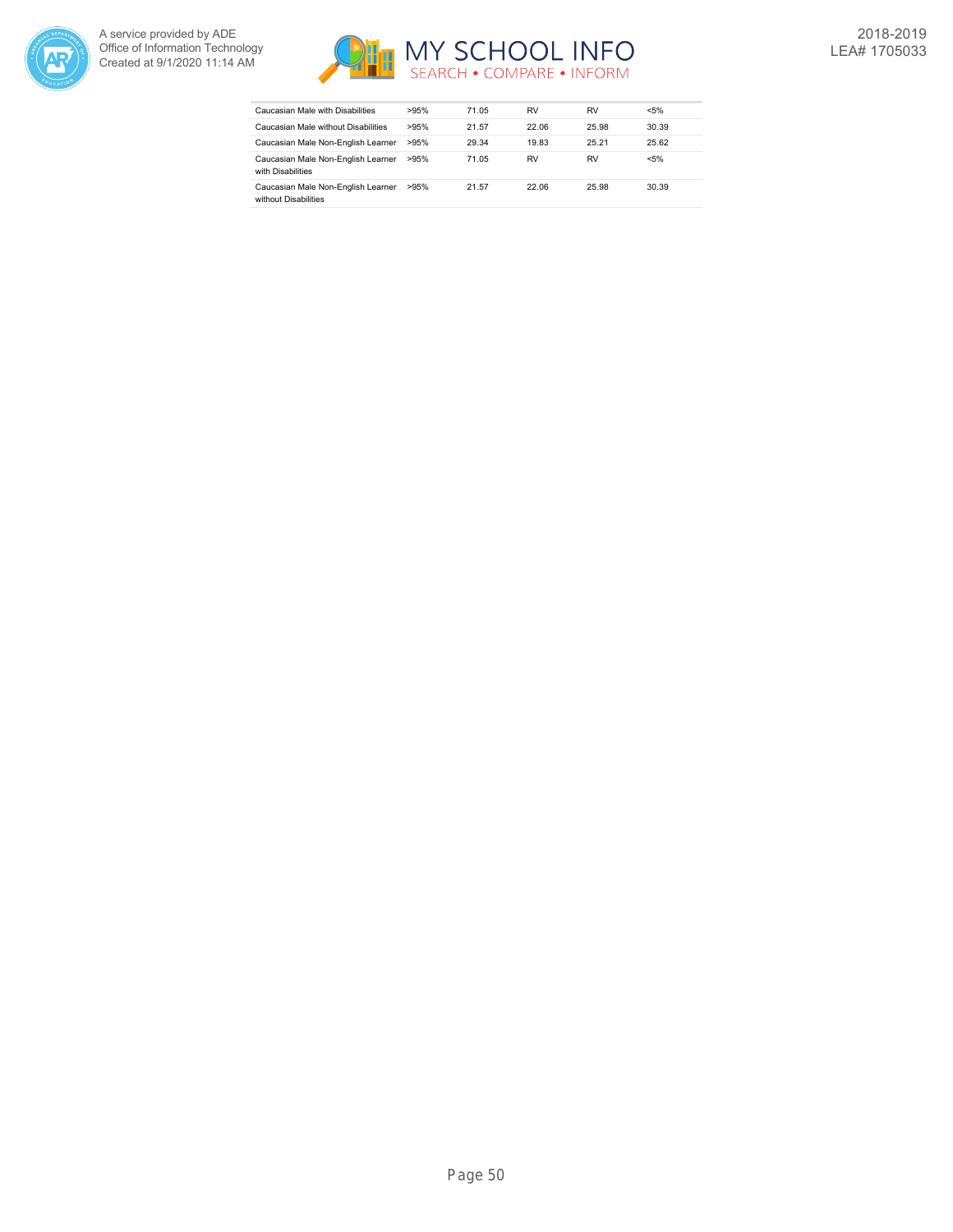



| Caucasian Male with Disabilities                           | >95% | 71.05 | RV    | RV    | $< 5\%$ |
|------------------------------------------------------------|------|-------|-------|-------|---------|
| Caucasian Male without Disabilities                        | >95% | 21.57 | 22.06 | 25.98 | 30.39   |
| Caucasian Male Non-English Learner                         | >95% | 29.34 | 19.83 | 25.21 | 25.62   |
| Caucasian Male Non-English Learner<br>with Disabilities    | >95% | 71.05 | RV    | RV    | $< 5\%$ |
| Caucasian Male Non-English Learner<br>without Disabilities | >95% | 21.57 | 22.06 | 25.98 | 30.39   |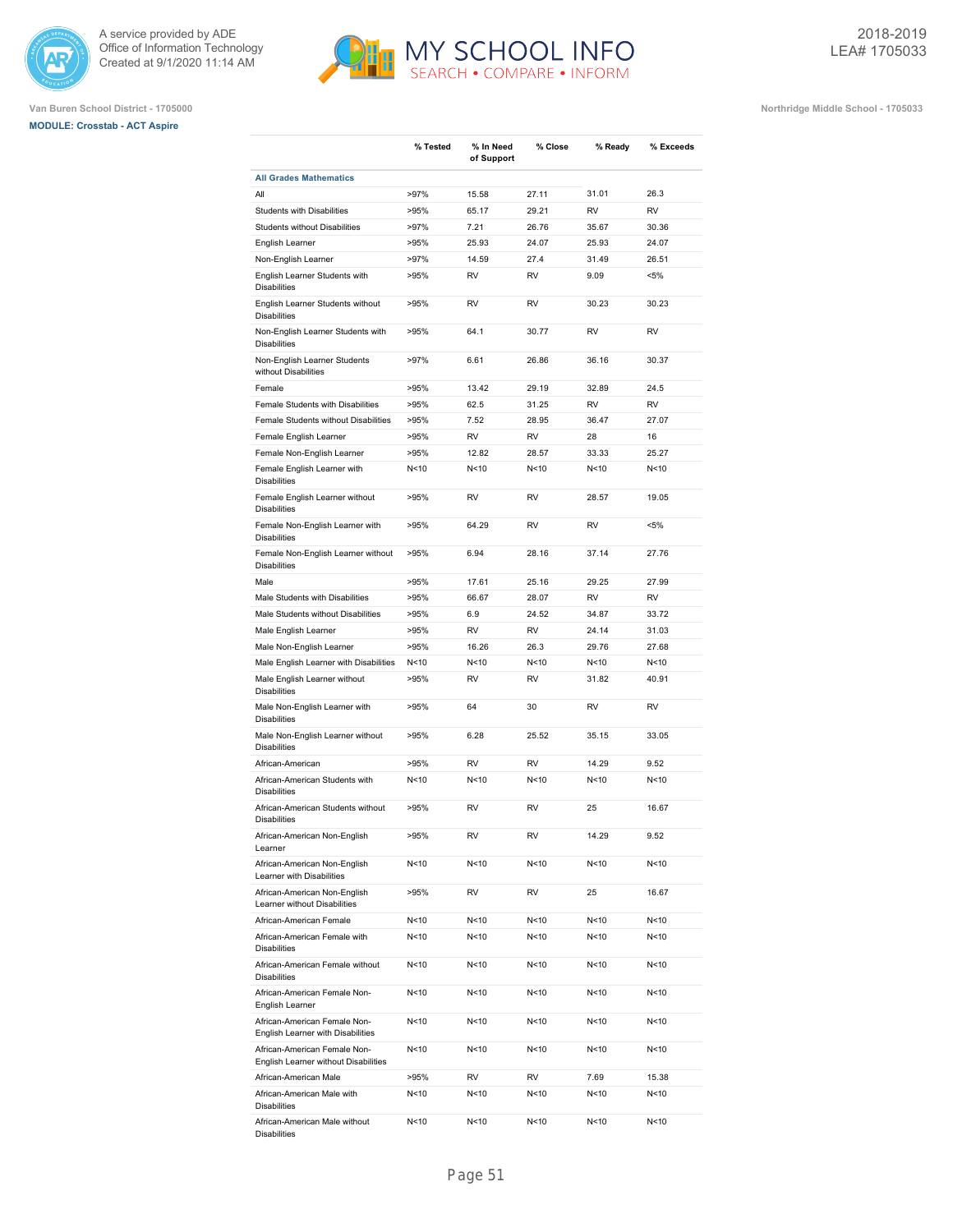





|                                                                      | % Tested        | % In Need<br>of Support | % Close         | % Ready         | % Exceeds |
|----------------------------------------------------------------------|-----------------|-------------------------|-----------------|-----------------|-----------|
| <b>All Grades Mathematics</b>                                        |                 |                         |                 |                 |           |
| All                                                                  | >97%            | 15.58                   | 27.11           | 31.01           | 26.3      |
| Students with Disabilities                                           | >95%            | 65.17                   | 29.21           | <b>RV</b>       | <b>RV</b> |
| Students without Disabilities                                        | >97%            | 7.21                    | 26.76           | 35.67           | 30.36     |
| English Learner                                                      | >95%            | 25.93                   | 24.07           | 25.93           | 24.07     |
| Non-English Learner                                                  | >97%            | 14.59                   | 27.4            | 31.49           | 26.51     |
| English Learner Students with<br><b>Disabilities</b>                 | >95%            | <b>RV</b>               | <b>RV</b>       | 9.09            | $< 5\%$   |
| English Learner Students without<br><b>Disabilities</b>              | >95%            | <b>RV</b>               | <b>RV</b>       | 30.23           | 30.23     |
| Non-English Learner Students with<br><b>Disabilities</b>             | >95%            | 64.1                    | 30.77           | <b>RV</b>       | <b>RV</b> |
| Non-English Learner Students<br>without Disabilities                 | >97%            | 6.61                    | 26.86           | 36.16           | 30.37     |
| Female                                                               | >95%            | 13.42                   | 29.19           | 32.89           | 24.5      |
| Female Students with Disabilities                                    | >95%            | 62.5                    | 31.25           | <b>RV</b>       | <b>RV</b> |
| Female Students without Disabilities                                 | >95%            | 7.52                    | 28.95           | 36.47           | 27.07     |
|                                                                      | >95%            | <b>RV</b>               | <b>RV</b>       | 28              | 16        |
| Female English Learner                                               |                 |                         |                 |                 |           |
| Female Non-English Learner                                           | >95%            | 12.82                   | 28.57           | 33.33           | 25.27     |
| Female English Learner with<br><b>Disabilities</b>                   | N<10            | N<10                    | N <sub>10</sub> | N <sub>10</sub> | N<10      |
| Female English Learner without<br><b>Disabilities</b>                | >95%            | <b>RV</b>               | <b>RV</b>       | 28.57           | 19.05     |
| Female Non-English Learner with<br><b>Disabilities</b>               | >95%            | 64.29                   | <b>RV</b>       | <b>RV</b>       | $< 5\%$   |
| Female Non-English Learner without<br><b>Disabilities</b>            | >95%            | 6.94                    | 28.16           | 37.14           | 27.76     |
| Male                                                                 | >95%            | 17.61                   | 25.16           | 29.25           | 27.99     |
| Male Students with Disabilities                                      | >95%            | 66.67                   | 28.07           | <b>RV</b>       | <b>RV</b> |
| Male Students without Disabilities                                   | >95%            | 6.9                     | 24.52           | 34.87           | 33.72     |
| Male English Learner                                                 | >95%            | <b>RV</b>               | <b>RV</b>       | 24.14           | 31.03     |
| Male Non-English Learner                                             | >95%            | 16.26                   | 26.3            | 29.76           | 27.68     |
| Male English Learner with Disabilities                               | N<10            | N < 10                  | N<10            | N<10            | N<10      |
| Male English Learner without<br><b>Disabilities</b>                  | >95%            | RV                      | RV              | 31.82           | 40.91     |
| Male Non-English Learner with<br><b>Disabilities</b>                 | >95%            | 64                      | 30              | <b>RV</b>       | <b>RV</b> |
| Male Non-English Learner without<br><b>Disabilities</b>              | >95%            | 6.28                    | 25.52           | 35.15           | 33.05     |
| African-American                                                     | >95%            | <b>RV</b>               | <b>RV</b>       | 14.29           | 9.52      |
| African-American Students with<br><b>Disabilities</b>                | N<10            | N<10                    | N <sub>10</sub> | N <sub>10</sub> | N<10      |
| African-American Students without<br><b>Disabilities</b>             | >95%            | <b>RV</b>               | <b>RV</b>       | 25              | 16.67     |
| African-American Non-English<br>Learner                              | >95%            | RV                      | RV              | 14.29           | 9.52      |
| African-American Non-English<br>Learner with Disabilities            | N<10            | N<10                    | N<10            | N<10            | N<10      |
| African-American Non-English<br>Learner without Disabilities         | >95%            | RV                      | RV              | 25              | 16.67     |
| African-American Female                                              | N<10            | N<10                    | N <sub>10</sub> | N<10            | N<10      |
| African-American Female with<br><b>Disabilities</b>                  | N<10            | N<10                    | N <sub>10</sub> | N<10            | N<10      |
| African-American Female without<br><b>Disabilities</b>               | N <sub>10</sub> | N<10                    | N<10            | N <sub>10</sub> | N<10      |
| African-American Female Non-<br>English Learner                      | N<10            | N<10                    | N <sub>10</sub> | N<10            | N<10      |
| African-American Female Non-<br>English Learner with Disabilities    | N<10            | N<10                    | N<10            | N<10            | N<10      |
| African-American Female Non-<br>English Learner without Disabilities | N<10            | N<10                    | N<10            | N<10            | N<10      |
| African-American Male                                                | >95%            | RV                      | RV              | 7.69            | 15.38     |
| African-American Male with<br><b>Disabilities</b>                    | N<10            | N<10                    | N<10            | N<10            | N<10      |
| African-American Male without<br><b>Disabilities</b>                 | N<10            | N<10                    | N<10            | N<10            | N<10      |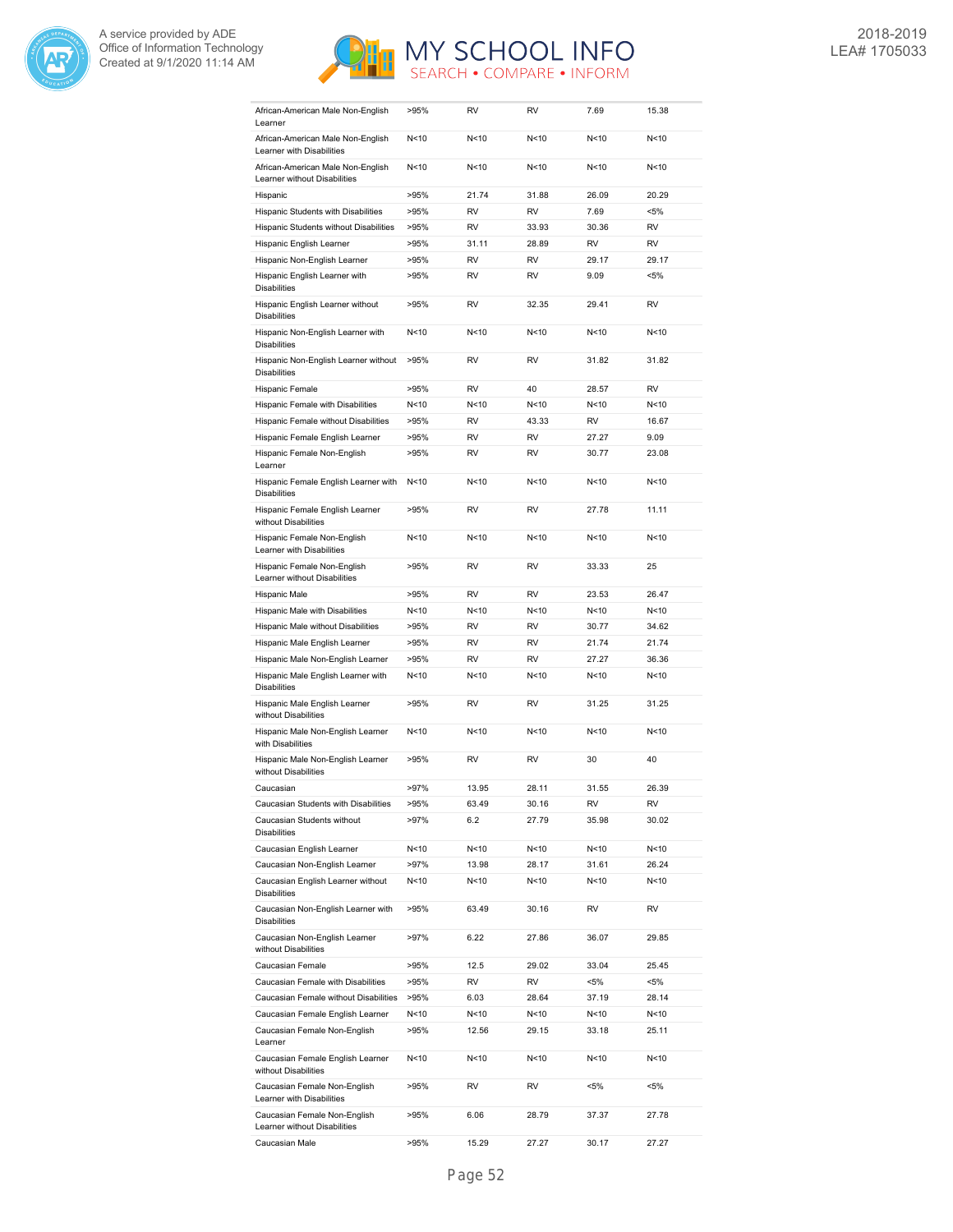



| African-American Male Non-English<br>Learner                      | >95%            | <b>RV</b> | RV              | 7.69    | 15.38     |
|-------------------------------------------------------------------|-----------------|-----------|-----------------|---------|-----------|
| African-American Male Non-English<br>Learner with Disabilities    | N <sub>10</sub> | N<10      | N<10            | N<10    | N<10      |
| African-American Male Non-English<br>Learner without Disabilities | N < 10          | N<10      | N<10            | N<10    | N<10      |
| Hispanic                                                          | >95%            | 21.74     | 31.88           | 26.09   | 20.29     |
| Hispanic Students with Disabilities                               | >95%            | <b>RV</b> | <b>RV</b>       | 7.69    | <5%       |
| Hispanic Students without Disabilities                            | >95%            | <b>RV</b> | 33.93           | 30.36   | <b>RV</b> |
| Hispanic English Learner                                          | >95%            | 31.11     | 28.89           | RV      | <b>RV</b> |
| Hispanic Non-English Learner                                      | >95%            | <b>RV</b> | <b>RV</b>       | 29.17   | 29.17     |
| Hispanic English Learner with<br><b>Disabilities</b>              | >95%            | <b>RV</b> | <b>RV</b>       | 9.09    | <5%       |
| Hispanic English Learner without<br><b>Disabilities</b>           | >95%            | <b>RV</b> | 32.35           | 29.41   | <b>RV</b> |
| Hispanic Non-English Learner with<br><b>Disabilities</b>          | N<10            | N<10      | N <sub>10</sub> | N<10    | N<10      |
| Hispanic Non-English Learner without<br><b>Disabilities</b>       | >95%            | <b>RV</b> | <b>RV</b>       | 31.82   | 31.82     |
| Hispanic Female                                                   | >95%            | <b>RV</b> | 40              | 28.57   | <b>RV</b> |
| Hispanic Female with Disabilities                                 | N<10            | N<10      | N<10            | N<10    | N<10      |
| Hispanic Female without Disabilities                              | >95%            | <b>RV</b> | 43.33           | RV      | 16.67     |
| Hispanic Female English Learner                                   | >95%            | <b>RV</b> | <b>RV</b>       | 27.27   | 9.09      |
| Hispanic Female Non-English<br>Learner                            | >95%            | <b>RV</b> | <b>RV</b>       | 30.77   | 23.08     |
| Hispanic Female English Learner with<br><b>Disabilities</b>       | N<10            | N<10      | N <sub>10</sub> | N<10    | N<10      |
| Hispanic Female English Learner<br>without Disabilities           | >95%            | <b>RV</b> | <b>RV</b>       | 27.78   | 11.11     |
| Hispanic Female Non-English<br>Learner with Disabilities          | N <sub>10</sub> | N<10      | N <sub>10</sub> | N<10    | N<10      |
| Hispanic Female Non-English<br>Learner without Disabilities       | >95%            | <b>RV</b> | <b>RV</b>       | 33.33   | 25        |
| Hispanic Male                                                     | >95%            | <b>RV</b> | <b>RV</b>       | 23.53   | 26.47     |
| Hispanic Male with Disabilities                                   | N<10            | N<10      | N <sub>10</sub> | N<10    | N<10      |
| Hispanic Male without Disabilities                                | >95%            | <b>RV</b> | <b>RV</b>       | 30.77   | 34.62     |
| Hispanic Male English Learner                                     | >95%            | <b>RV</b> | <b>RV</b>       | 21.74   | 21.74     |
| Hispanic Male Non-English Learner                                 | >95%            | <b>RV</b> | <b>RV</b>       | 27.27   | 36.36     |
| Hispanic Male English Learner with<br><b>Disabilities</b>         | N<10            | N<10      | N<10            | N<10    | N<10      |
| Hispanic Male English Learner<br>without Disabilities             | >95%            | <b>RV</b> | <b>RV</b>       | 31.25   | 31.25     |
| Hispanic Male Non-English Learner<br>with Disabilities            | N<10            | N<10      | N<10            | N < 10  | N<10      |
| Hispanic Male Non-English Learner<br>without Disabilities         | >95%            | <b>RV</b> | <b>RV</b>       | 30      | 40        |
| Caucasian                                                         | >97%            | 13.95     | 28.11           | 31.55   | 26.39     |
| Caucasian Students with Disabilities                              | >95%            | 63.49     | 30.16           | RV      | RV        |
| Caucasian Students without<br><b>Disabilities</b>                 | >97%            | 6.2       | 27.79           | 35.98   | 30.02     |
| Caucasian English Learner                                         | N<10            | N<10      | N<10            | N<10    | N<10      |
| Caucasian Non-English Learner                                     | $>97\%$         | 13.98     | 28.17           | 31.61   | 26.24     |
| Caucasian English Learner without<br><b>Disabilities</b>          | N < 10          | N<10      | N<10            | N<10    | N<10      |
| Caucasian Non-English Learner with<br><b>Disabilities</b>         | >95%            | 63.49     | 30.16           | RV      | RV        |
| Caucasian Non-English Learner<br>without Disabilities             | >97%            | 6.22      | 27.86           | 36.07   | 29.85     |
| Caucasian Female                                                  | >95%            | 12.5      | 29.02           | 33.04   | 25.45     |
| Caucasian Female with Disabilities                                | >95%            | RV        | RV              | <5%     | <5%       |
| Caucasian Female without Disabilities                             | >95%            | 6.03      | 28.64           | 37.19   | 28.14     |
| Caucasian Female English Learner                                  | N<10            | N<10      | N<10            | N<10    | N<10      |
| Caucasian Female Non-English<br>Learner                           | >95%            | 12.56     | 29.15           | 33.18   | 25.11     |
| Caucasian Female English Learner<br>without Disabilities          | N < 10          | N<10      | N<10            | N<10    | N < 10    |
| Caucasian Female Non-English<br>Learner with Disabilities         | >95%            | RV        | RV              | $< 5\%$ | <5%       |
| Caucasian Female Non-English<br>Learner without Disabilities      | >95%            | 6.06      | 28.79           | 37.37   | 27.78     |
| Caucasian Male                                                    | >95%            | 15.29     | 27.27           | 30.17   | 27.27     |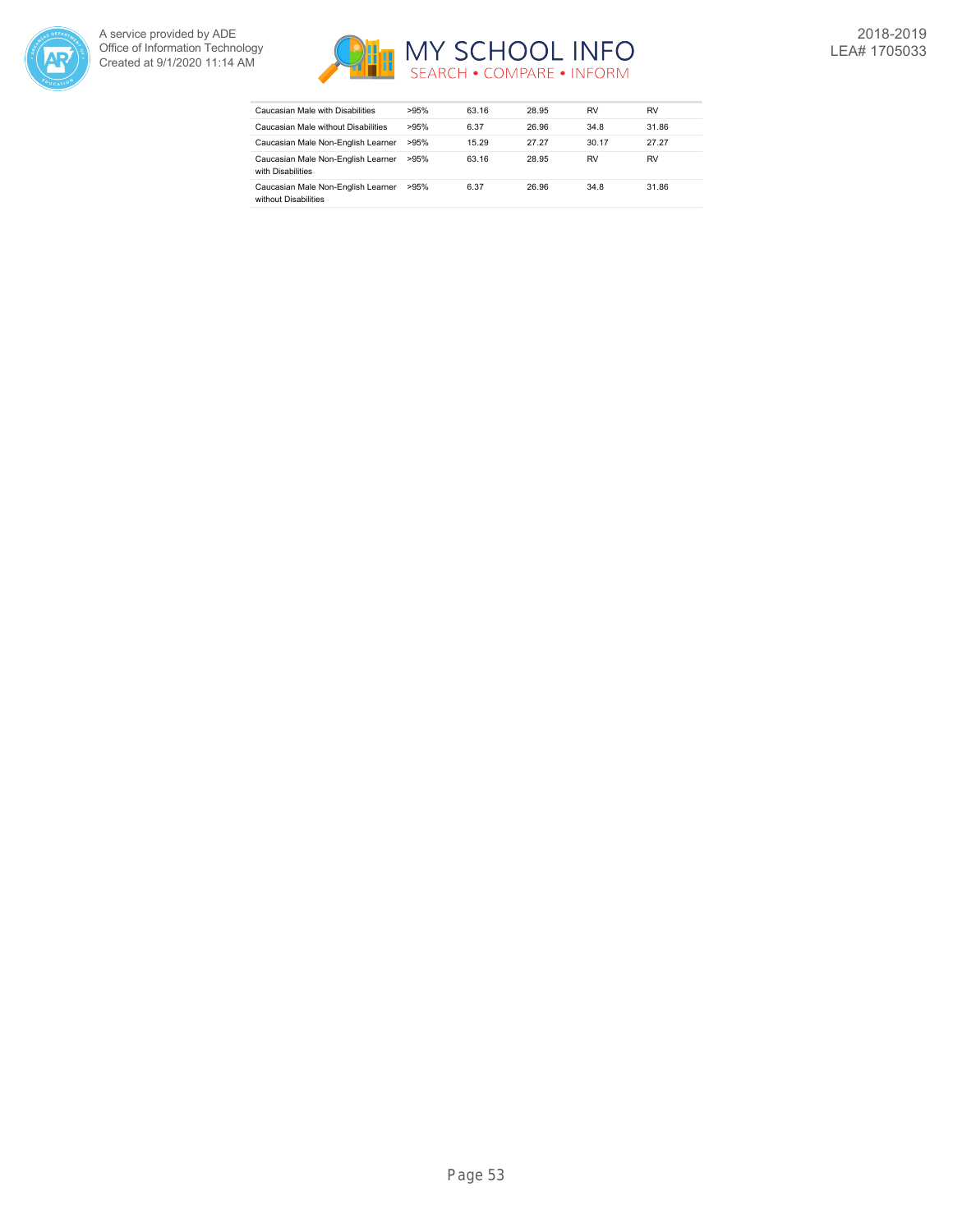



| Caucasian Male with Disabilities                           | >95% | 63.16 | 28.95 | RV    | RV    |
|------------------------------------------------------------|------|-------|-------|-------|-------|
| Caucasian Male without Disabilities                        | >95% | 6.37  | 26.96 | 34.8  | 31.86 |
| Caucasian Male Non-English Learner                         | >95% | 15.29 | 27.27 | 30.17 | 27.27 |
| Caucasian Male Non-English Learner<br>with Disabilities    | >95% | 63.16 | 28.95 | RV    | RV    |
| Caucasian Male Non-English Learner<br>without Disabilities | >95% | 6.37  | 26.96 | 34.8  | 31.86 |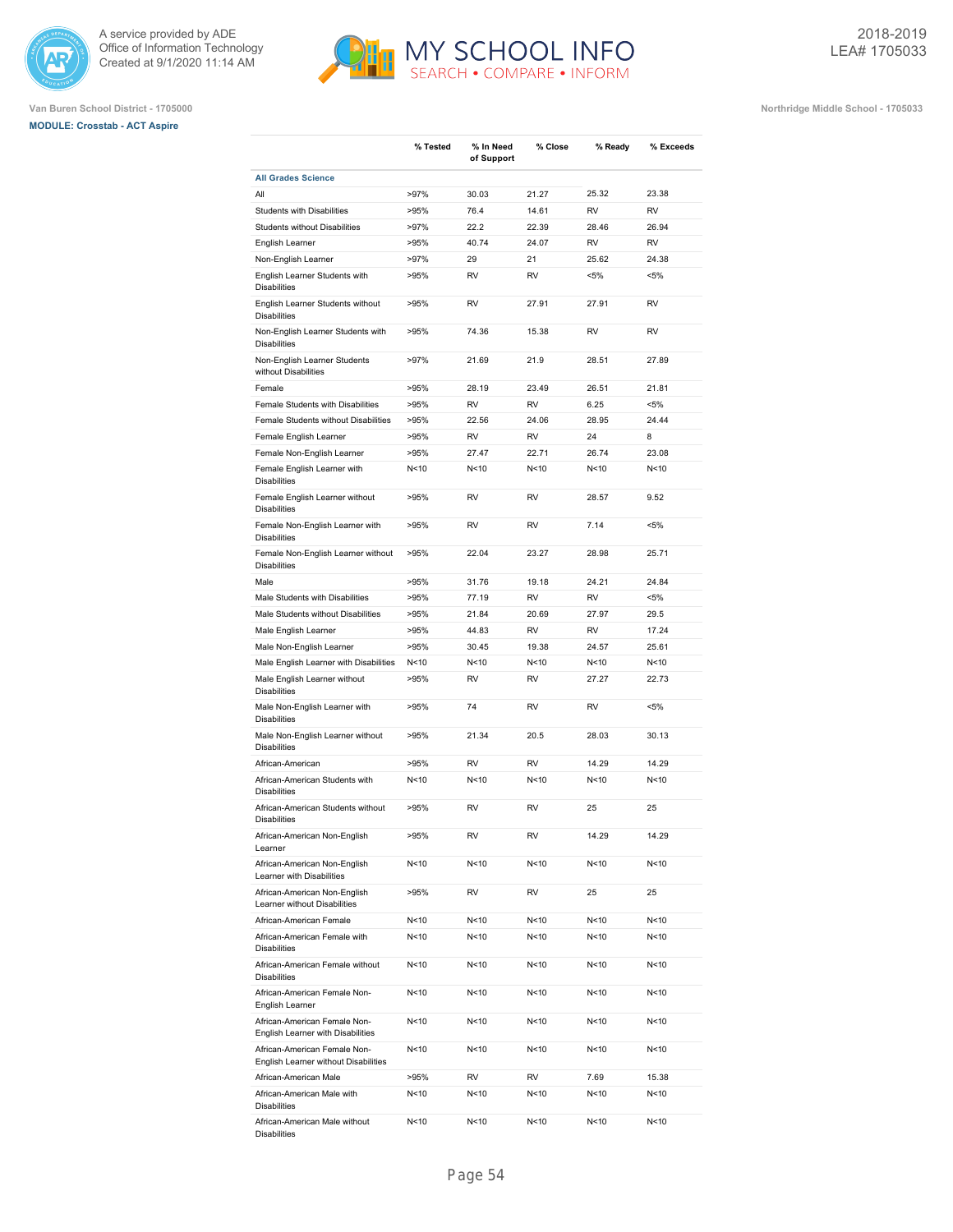





|                                                                      | % Tested        | % In Need<br>of Support | % Close         | % Ready         | % Exceeds |
|----------------------------------------------------------------------|-----------------|-------------------------|-----------------|-----------------|-----------|
| <b>All Grades Science</b>                                            |                 |                         |                 |                 |           |
| All                                                                  | >97%            | 30.03                   | 21.27           | 25.32           | 23.38     |
| <b>Students with Disabilities</b>                                    | >95%            | 76.4                    | 14.61           | <b>RV</b>       | <b>RV</b> |
| <b>Students without Disabilities</b>                                 | >97%            | 22.2                    | 22.39           | 28.46           | 26.94     |
| English Learner                                                      | >95%            | 40.74                   | 24.07           | <b>RV</b>       | <b>RV</b> |
| Non-English Learner                                                  | >97%            | 29                      | 21              | 25.62           | 24.38     |
| English Learner Students with<br><b>Disabilities</b>                 | >95%            | RV                      | <b>RV</b>       | $< 5\%$         | $< 5\%$   |
| English Learner Students without<br><b>Disabilities</b>              | >95%            | RV                      | 27.91           | 27.91           | <b>RV</b> |
| Non-English Learner Students with<br><b>Disabilities</b>             | >95%            | 74.36                   | 15.38           | <b>RV</b>       | <b>RV</b> |
| Non-English Learner Students<br>without Disabilities                 | >97%            | 21.69                   | 21.9            | 28.51           | 27.89     |
| Female                                                               | >95%            | 28.19                   | 23.49           | 26.51           | 21.81     |
| Female Students with Disabilities                                    | >95%            | <b>RV</b>               | <b>RV</b>       | 6.25            | $< 5\%$   |
| Female Students without Disabilities                                 | >95%            | 22.56                   | 24.06           | 28.95           | 24.44     |
| Female English Learner                                               | >95%            | <b>RV</b>               | <b>RV</b>       | 24              | 8         |
| Female Non-English Learner                                           | >95%            | 27.47                   | 22.71           | 26.74           | 23.08     |
| Female English Learner with<br><b>Disabilities</b>                   | N<10            | N<10                    | N<10            | N<10            | N<10      |
| Female English Learner without<br><b>Disabilities</b>                | >95%            | RV                      | RV              | 28.57           | 9.52      |
| Female Non-English Learner with<br><b>Disabilities</b>               | >95%            | RV                      | RV              | 7.14            | $< 5\%$   |
| Female Non-English Learner without<br><b>Disabilities</b>            | >95%            | 22.04                   | 23.27           | 28.98           | 25.71     |
| Male                                                                 | >95%            | 31.76                   | 19.18           | 24.21           | 24.84     |
| Male Students with Disabilities                                      | >95%            | 77.19                   | <b>RV</b>       | <b>RV</b>       | $< 5\%$   |
| Male Students without Disabilities                                   | >95%            | 21.84                   | 20.69           | 27.97           | 29.5      |
| Male English Learner                                                 | >95%            | 44.83                   | <b>RV</b>       | <b>RV</b>       | 17.24     |
| Male Non-English Learner                                             | >95%            | 30.45                   | 19.38           | 24.57           | 25.61     |
| Male English Learner with Disabilities                               | N<10            | N<10                    | N <sub>10</sub> | N <sub>10</sub> | N<10      |
| Male English Learner without<br><b>Disabilities</b>                  | >95%            | <b>RV</b>               | <b>RV</b>       | 27.27           | 22.73     |
| Male Non-English Learner with<br><b>Disabilities</b>                 | >95%            | 74                      | <b>RV</b>       | <b>RV</b>       | $< 5\%$   |
| Male Non-English Learner without<br><b>Disabilities</b>              | >95%            | 21.34                   | 20.5            | 28.03           | 30.13     |
| African-American                                                     | >95%            | <b>RV</b>               | <b>RV</b>       | 14.29           | 14.29     |
| African-American Students with<br><b>Disabilities</b>                | N<10            | N<10                    | N<10            | N <sub>10</sub> | N<10      |
| African-American Students without<br><b>Disabilities</b>             | >95%            | RV                      | <b>RV</b>       | 25              | 25        |
| African-American Non-English<br>Learner                              | >95%            | RV                      | RV              | 14.29           | 14.29     |
| African-American Non-English<br>Learner with Disabilities            | N <sub>10</sub> | N<10                    | N<10            | N<10            | N<10      |
| African-American Non-English<br>Learner without Disabilities         | >95%            | RV                      | RV              | 25              | 25        |
| African-American Female                                              | N<10            | N<10                    | N<10            | N<10            | N<10      |
| African-American Female with<br><b>Disabilities</b>                  | N<10            | N<10                    | N <sub>10</sub> | N <sub>10</sub> | N<10      |
| African-American Female without<br><b>Disabilities</b>               | N<10            | N<10                    | N<10            | N <sub>10</sub> | N<10      |
| African-American Female Non-<br>English Learner                      | N<10            | N<10                    | N<10            | N<10            | N<10      |
| African-American Female Non-<br>English Learner with Disabilities    | N<10            | N<10                    | N<10            | N<10            | N<10      |
| African-American Female Non-<br>English Learner without Disabilities | N<10            | N<10                    | N<10            | N<10            | N<10      |
| African-American Male                                                | >95%            | RV                      | RV              | 7.69            | 15.38     |
| African-American Male with<br><b>Disabilities</b>                    | N<10            | N<10                    | N<10            | N<10            | N<10      |
| African-American Male without<br><b>Disabilities</b>                 | N <sub>10</sub> | N <sub>10</sub>         | N<10            | N <sub>10</sub> | N<10      |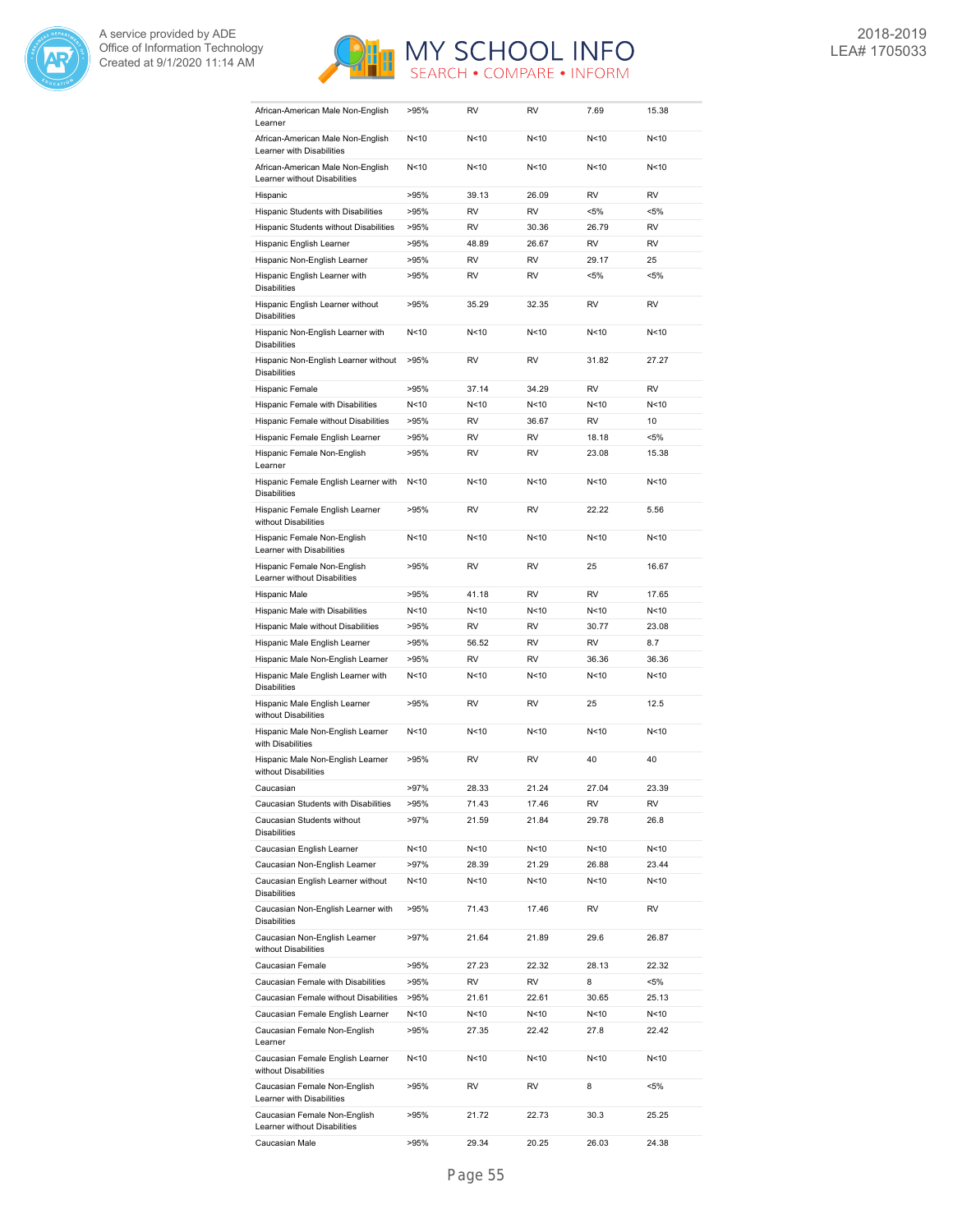



| African-American Male Non-English<br>Learner                      | >95%    | RV        | RV              | 7.69            | 15.38     |
|-------------------------------------------------------------------|---------|-----------|-----------------|-----------------|-----------|
| African-American Male Non-English<br>Learner with Disabilities    | N<10    | N<10      | N<10            | N<10            | N<10      |
| African-American Male Non-English<br>Learner without Disabilities | N<10    | N<10      | N<10            | N<10            | N<10      |
| Hispanic                                                          | >95%    | 39.13     | 26.09           | RV              | <b>RV</b> |
| Hispanic Students with Disabilities                               | >95%    | RV        | <b>RV</b>       | <5%             | $< 5\%$   |
| Hispanic Students without Disabilities                            | >95%    | <b>RV</b> | 30.36           | 26.79           | <b>RV</b> |
| Hispanic English Learner                                          | >95%    | 48.89     | 26.67           | <b>RV</b>       | <b>RV</b> |
| Hispanic Non-English Learner                                      | >95%    | <b>RV</b> | <b>RV</b>       | 29.17           | 25        |
| Hispanic English Learner with                                     | >95%    | <b>RV</b> | <b>RV</b>       | <5%             | $< 5\%$   |
| <b>Disabilities</b><br>Hispanic English Learner without           | >95%    | 35.29     | 32.35           | <b>RV</b>       | <b>RV</b> |
| <b>Disabilities</b><br>Hispanic Non-English Learner with          | N < 10  | N<10      | N <sub>10</sub> | N <sub>10</sub> | N<10      |
| <b>Disabilities</b>                                               |         | <b>RV</b> | <b>RV</b>       |                 |           |
| Hispanic Non-English Learner without<br><b>Disabilities</b>       | >95%    |           |                 | 31.82           | 27.27     |
| Hispanic Female                                                   | >95%    | 37.14     | 34.29           | <b>RV</b>       | <b>RV</b> |
| Hispanic Female with Disabilities                                 | N < 10  | N < 10    | N <sub>10</sub> | N <sub>10</sub> | N<10      |
| Hispanic Female without Disabilities                              | >95%    | <b>RV</b> | 36.67           | <b>RV</b>       | 10        |
| Hispanic Female English Learner                                   | >95%    | <b>RV</b> | <b>RV</b>       | 18.18           | $< 5\%$   |
| Hispanic Female Non-English<br>Learner                            | >95%    | <b>RV</b> | <b>RV</b>       | 23.08           | 15.38     |
| Hispanic Female English Learner with<br><b>Disabilities</b>       | N<10    | N<10      | N <sub>10</sub> | N <sub>10</sub> | N<10      |
| Hispanic Female English Learner<br>without Disabilities           | >95%    | <b>RV</b> | <b>RV</b>       | 22.22           | 5.56      |
| Hispanic Female Non-English<br>Learner with Disabilities          | N < 10  | N<10      | N <sub>10</sub> | N <sub>10</sub> | N<10      |
| Hispanic Female Non-English<br>Learner without Disabilities       | >95%    | <b>RV</b> | <b>RV</b>       | 25              | 16.67     |
| Hispanic Male                                                     | >95%    | 41.18     | <b>RV</b>       | <b>RV</b>       | 17.65     |
| Hispanic Male with Disabilities                                   | N < 10  | N < 10    | N <sub>10</sub> | N < 10          | N<10      |
| Hispanic Male without Disabilities                                | >95%    | <b>RV</b> | <b>RV</b>       | 30.77           | 23.08     |
| Hispanic Male English Learner                                     | >95%    | 56.52     | <b>RV</b>       | <b>RV</b>       | 8.7       |
| Hispanic Male Non-English Learner                                 | >95%    | <b>RV</b> | <b>RV</b>       | 36.36           | 36.36     |
| Hispanic Male English Learner with<br><b>Disabilities</b>         | N<10    | N<10      | N<10            | N<10            | N<10      |
| Hispanic Male English Learner<br>without Disabilities             | >95%    | <b>RV</b> | <b>RV</b>       | 25              | 12.5      |
| Hispanic Male Non-English Learner<br>with Disabilities            | N < 10  | N<10      | N < 10          | N <sub>10</sub> | N<10      |
| Hispanic Male Non-English Learner<br>without Disabilities         | >95%    | RV        | RV              | 40              | 40        |
| Caucasian                                                         | >97%    | 28.33     | 21.24           | 27.04           | 23.39     |
| Caucasian Students with Disabilities                              | >95%    | 71.43     | 17.46           | RV              | RV        |
| Caucasian Students without<br><b>Disabilities</b>                 | $>97\%$ | 21.59     | 21.84           | 29.78           | 26.8      |
| Caucasian English Learner                                         | N<10    | N<10      | N<10            | N<10            | N<10      |
| Caucasian Non-English Learner                                     | $>97\%$ | 28.39     | 21.29           | 26.88           | 23.44     |
| Caucasian English Learner without<br><b>Disabilities</b>          | N < 10  | N<10      | N<10            | N<10            | N<10      |
| Caucasian Non-English Learner with<br><b>Disabilities</b>         | >95%    | 71.43     | 17.46           | RV              | RV        |
| Caucasian Non-English Learner<br>without Disabilities             | $>97\%$ | 21.64     | 21.89           | 29.6            | 26.87     |
| Caucasian Female                                                  | >95%    | 27.23     | 22.32           | 28.13           | 22.32     |
| Caucasian Female with Disabilities                                | >95%    | RV        | RV              | 8               | $< 5\%$   |
| Caucasian Female without Disabilities                             | >95%    | 21.61     | 22.61           | 30.65           | 25.13     |
| Caucasian Female English Learner                                  | N<10    | N<10      | N<10            | N<10            | N<10      |
| Caucasian Female Non-English<br>Learner                           | >95%    | 27.35     | 22.42           | 27.8            | 22.42     |
| Caucasian Female English Learner<br>without Disabilities          | N < 10  | N<10      | N<10            | N<10            | N < 10    |
| Caucasian Female Non-English<br>Learner with Disabilities         | >95%    | RV        | RV              | 8               | <5%       |
| Caucasian Female Non-English<br>Learner without Disabilities      | >95%    | 21.72     | 22.73           | 30.3            | 25.25     |
|                                                                   |         |           |                 |                 |           |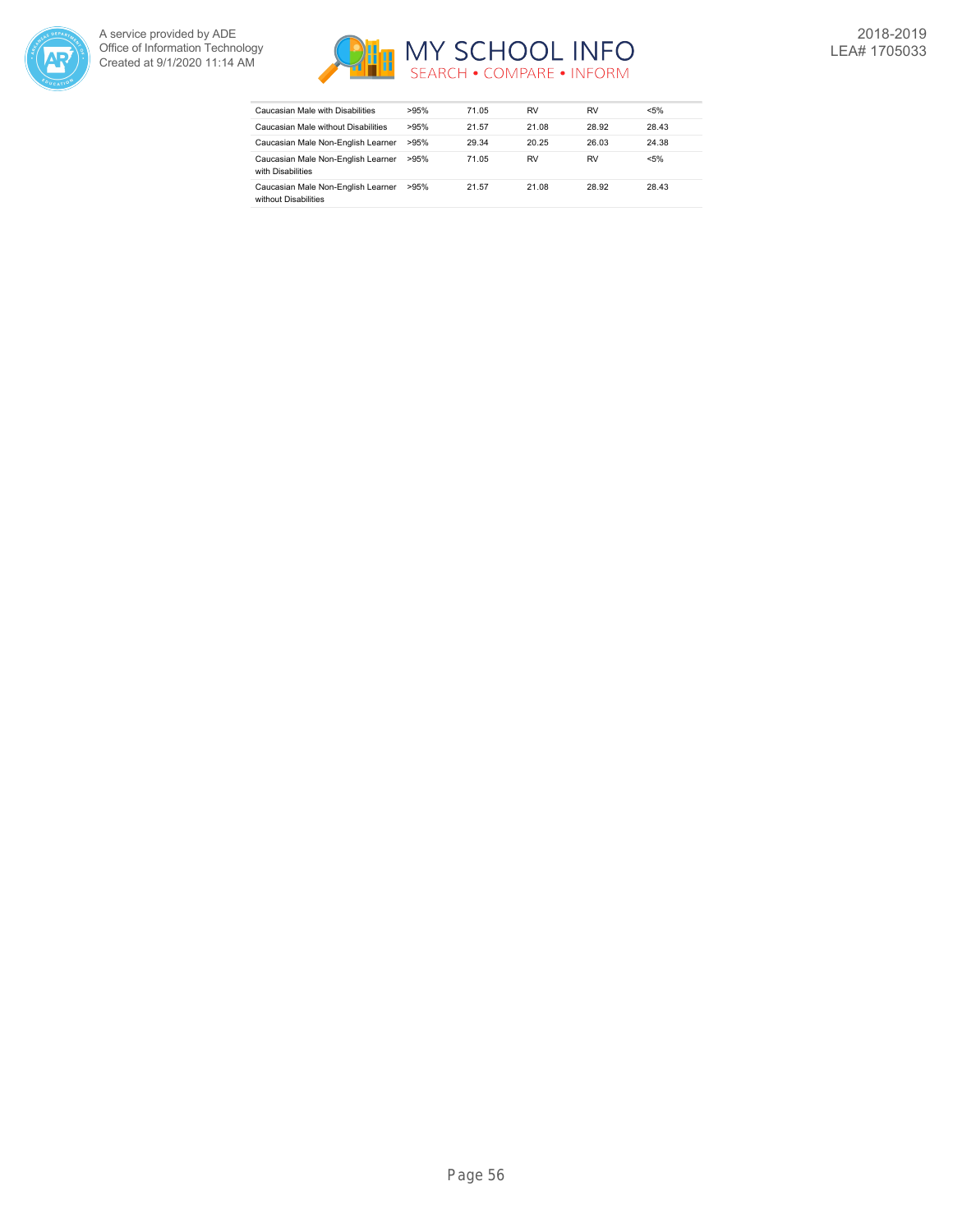



| Caucasian Male with Disabilities                           | >95% | 71.05 | RV    | RV    | $< 5\%$ |
|------------------------------------------------------------|------|-------|-------|-------|---------|
| Caucasian Male without Disabilities                        | >95% | 21.57 | 21.08 | 28.92 | 28.43   |
| Caucasian Male Non-English Learner                         | >95% | 29.34 | 20.25 | 26.03 | 24.38   |
| Caucasian Male Non-English Learner<br>with Disabilities    | >95% | 71.05 | RV    | RV    | $< 5\%$ |
| Caucasian Male Non-English Learner<br>without Disabilities | >95% | 21.57 | 21.08 | 28.92 | 28.43   |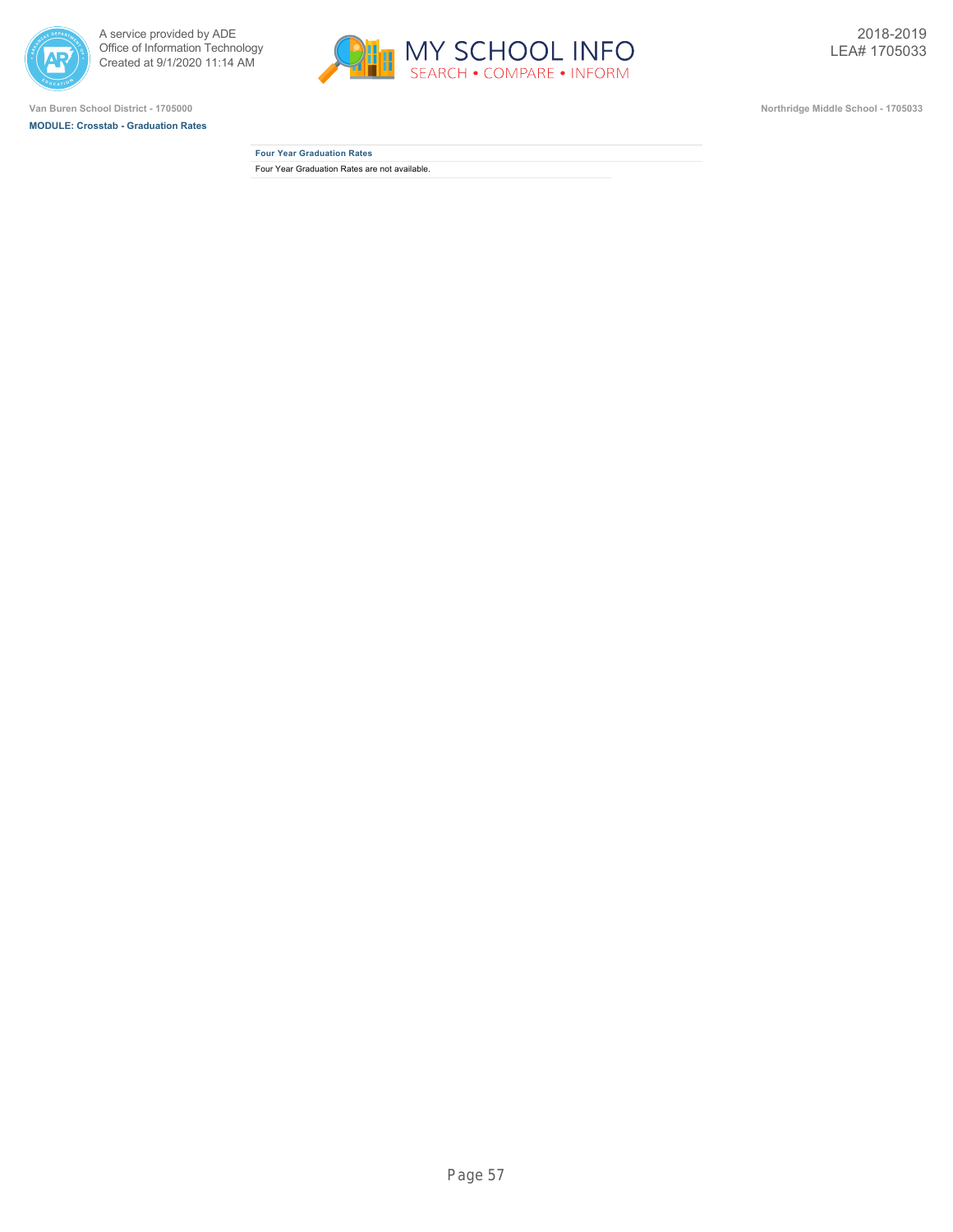



**MODULE: Crosstab - Graduation Rates**



**Four Year Graduation Rates** Four Year Graduation Rates are not available.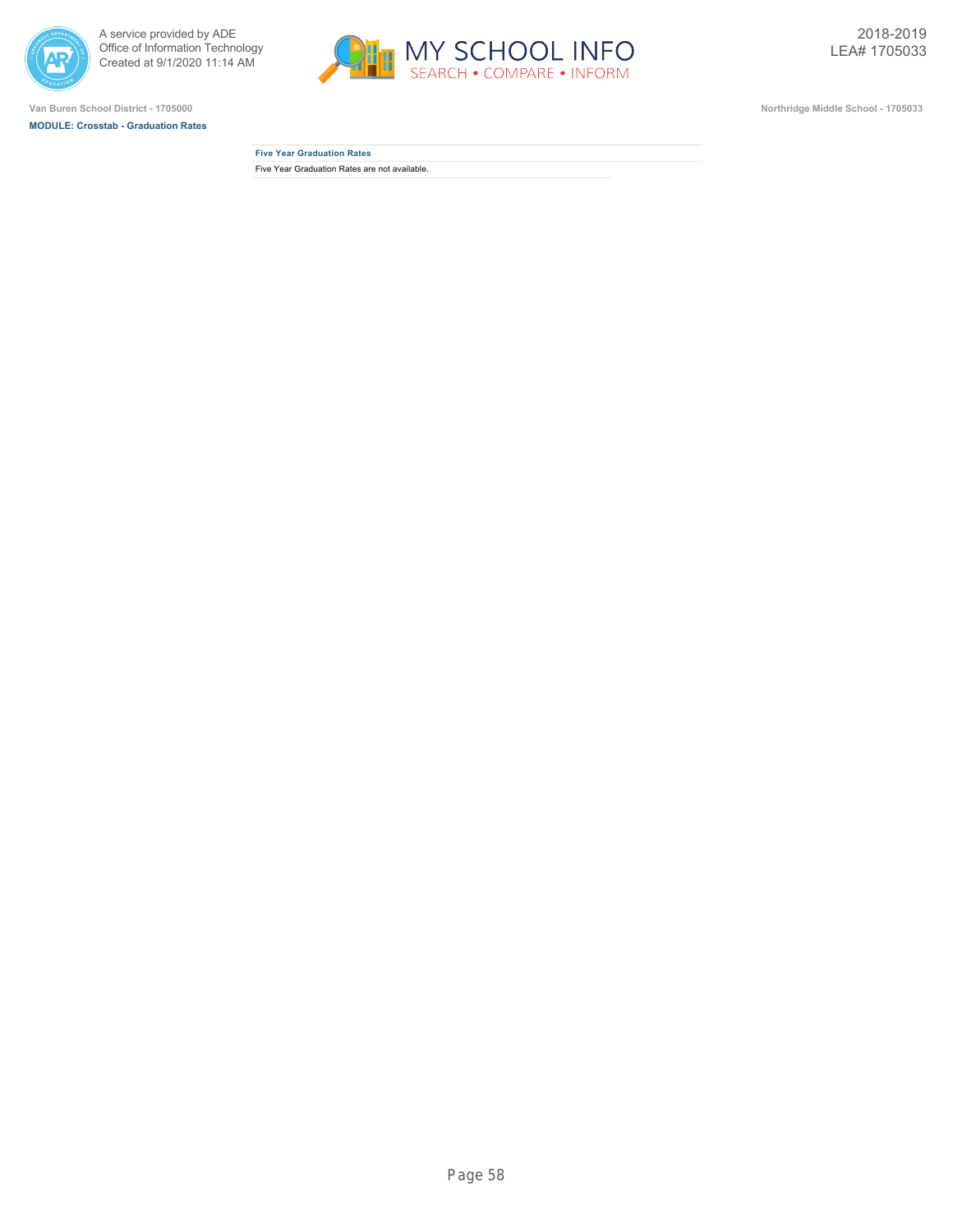



**MODULE: Crosstab - Graduation Rates**



**Five Year Graduation Rates** Five Year Graduation Rates are not available.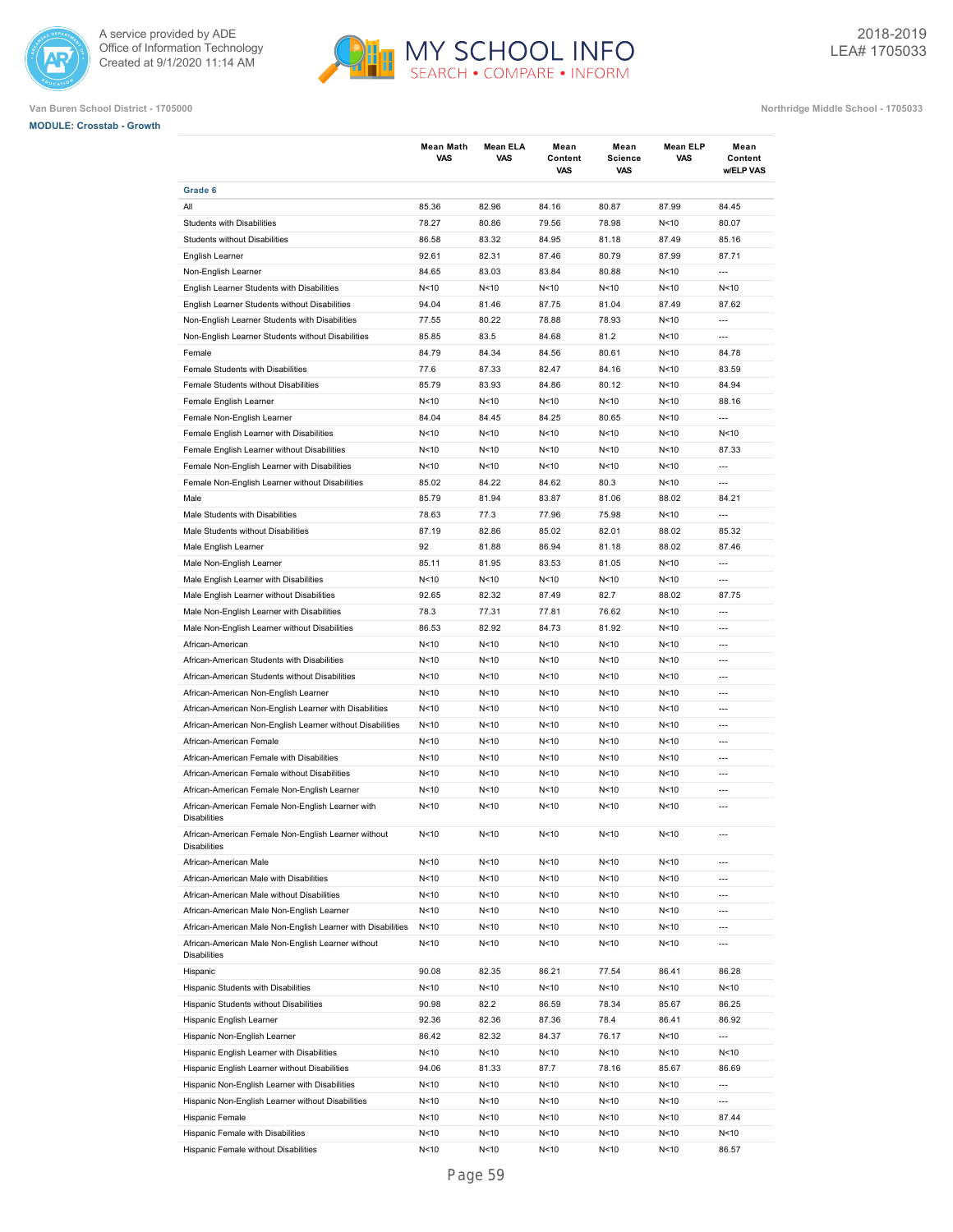



| <b>MODULE: Crosstab - Growth</b> |  |
|----------------------------------|--|
|                                  |  |

|                                                                            | Mean Math<br>VAS | Mean ELA<br><b>VAS</b> | Mean<br>Content<br>VAS | Mean<br><b>Science</b><br>VAS | Mean ELP<br>VAS | Mean<br>Content<br>w/ELP VAS |
|----------------------------------------------------------------------------|------------------|------------------------|------------------------|-------------------------------|-----------------|------------------------------|
| Grade 6                                                                    |                  |                        |                        |                               |                 |                              |
| All                                                                        | 85.36            | 82.96                  | 84.16                  | 80.87                         | 87.99           | 84.45                        |
| <b>Students with Disabilities</b>                                          | 78.27            | 80.86                  | 79.56                  | 78.98                         | N < 10          | 80.07                        |
| Students without Disabilities                                              | 86.58            | 83.32                  | 84.95                  | 81.18                         | 87.49           | 85.16                        |
| English Learner                                                            | 92.61            | 82.31                  | 87.46                  | 80.79                         | 87.99           | 87.71                        |
| Non-English Learner                                                        | 84.65            | 83.03                  | 83.84                  | 80.88                         | N<10            | ---                          |
| English Learner Students with Disabilities                                 | N < 10           | N<10                   | N < 10                 | N<10                          | N<10            | N<10                         |
| English Learner Students without Disabilities                              | 94.04            | 81.46                  | 87.75                  | 81.04                         | 87.49           | 87.62                        |
| Non-English Learner Students with Disabilities                             | 77.55            | 80.22                  | 78.88                  | 78.93                         | N<10            | $\overline{a}$               |
| Non-English Learner Students without Disabilities                          | 85.85            | 83.5                   | 84.68                  | 81.2                          | N<10            | ---                          |
| Female                                                                     | 84.79            | 84.34                  | 84.56                  | 80.61                         | N<10            | 84.78                        |
| Female Students with Disabilities                                          | 77.6             | 87.33                  | 82.47                  | 84.16                         | N<10            | 83.59                        |
| Female Students without Disabilities                                       | 85.79            | 83.93                  | 84.86                  | 80.12                         | N<10            | 84.94                        |
| Female English Learner                                                     | N<10             | N<10                   | N<10                   | N < 10                        | N < 10          | 88.16                        |
| Female Non-English Learner                                                 | 84.04            | 84.45                  | 84.25                  | 80.65                         | N < 10          | ---                          |
| Female English Learner with Disabilities                                   | N < 10           | N<10                   | N<10                   | N < 10                        | N < 10          | N<10                         |
| Female English Learner without Disabilities                                | N < 10           | N<10                   | N<10                   | N < 10                        | N <sub>10</sub> | 87.33                        |
| Female Non-English Learner with Disabilities                               | N <sub>10</sub>  | N<10                   | N<10                   | N < 10                        | N < 10          | $---$                        |
| Female Non-English Learner without Disabilities                            | 85.02            | 84.22                  | 84.62                  | 80.3                          | N < 10          | $\overline{a}$               |
| Male                                                                       | 85.79            | 81.94                  | 83.87                  | 81.06                         | 88.02           | 84.21                        |
| Male Students with Disabilities                                            | 78.63            | 77.3                   | 77.96                  | 75.98                         | N<10            | $\overline{a}$               |
| Male Students without Disabilities                                         | 87.19            | 82.86                  | 85.02                  | 82.01                         | 88.02           | 85.32                        |
| Male English Learner                                                       | 92               | 81.88                  | 86.94                  | 81.18                         | 88.02           | 87.46                        |
| Male Non-English Learner                                                   | 85.11            | 81.95                  | 83.53                  | 81.05                         | N<10            | $\overline{a}$               |
| Male English Learner with Disabilities                                     | N < 10           | N<10                   | N < 10                 | N<10                          | N<10            | ---                          |
| Male English Learner without Disabilities                                  | 92.65            | 82.32                  | 87.49                  | 82.7                          | 88.02           | 87.75                        |
| Male Non-English Learner with Disabilities                                 | 78.3             | 77.31                  | 77.81                  | 76.62                         | N<10            | ---                          |
| Male Non-English Learner without Disabilities                              | 86.53            | 82.92                  | 84.73                  | 81.92                         | N<10            | ---                          |
| African-American                                                           | N < 10           | N<10                   | N<10                   | N<10                          | N<10            | ---                          |
| African-American Students with Disabilities                                | N<10             | N<10                   | N<10                   | N<10                          | N<10            | $\overline{a}$               |
| African-American Students without Disabilities                             | N < 10           | N<10                   | N<10                   | N<10                          | N < 10          | ---                          |
| African-American Non-English Learner                                       | N < 10           | N<10                   | N<10                   | N<10                          | N <sub>10</sub> | ---                          |
| African-American Non-English Learner with Disabilities                     | N < 10           | N<10                   | N<10                   | N<10                          | N<10            | ---                          |
| African-American Non-English Learner without Disabilities                  | N<10             | N<10                   | N<10                   | N<10                          | N<10            | $---$                        |
| African-American Female                                                    | N<10             | N<10                   | N < 10                 | N<10                          | N < 10          | $---$                        |
| African-American Female with Disabilities                                  | N<10             | N<10                   | N < 10                 | N<10                          | N<10            | $---$                        |
|                                                                            |                  |                        |                        |                               |                 |                              |
| African-American Female without Disabilities                               | N<10             | N<10                   | N < 10                 | N<10                          | N < 10          | $---$<br>$\overline{a}$      |
| African-American Female Non-English Learner                                | N < 10           | N<10                   | N < 10                 | N<10                          | N<10            |                              |
| African-American Female Non-English Learner with<br><b>Disabilities</b>    | N < 10           | N<10                   | N < 10                 | N<10                          | N<10            | $\overline{a}$               |
| African-American Female Non-English Learner without<br><b>Disabilities</b> | N<10             | N<10                   | N < 10                 | N<10                          | N < 10          |                              |
| African-American Male                                                      | N < 10           | N <sub>10</sub>        | N<10                   | N<10                          | N<10            | ---                          |
| African-American Male with Disabilities                                    | N<10             | N<10                   | N<10                   | N<10                          | N<10            | ---                          |
| African-American Male without Disabilities                                 | N<10             | N<10                   | N < 10                 | N<10                          | N <sub>10</sub> | ---                          |
| African-American Male Non-English Learner                                  | N<10             | N<10                   | N < 10                 | N<10                          | N <sub>10</sub> | ---                          |
| African-American Male Non-English Learner with Disabilities                | N < 10           | N<10                   | N < 10                 | N<10                          | N <sub>10</sub> | ---                          |
| African-American Male Non-English Learner without<br><b>Disabilities</b>   | N<10             | N<10                   | N < 10                 | N<10                          | N <sub>10</sub> | ---                          |
| Hispanic                                                                   | 90.08            | 82.35                  | 86.21                  | 77.54                         | 86.41           | 86.28                        |
| Hispanic Students with Disabilities                                        | N<10             | N<10                   | N < 10                 | N<10                          | N<10            | N<10                         |
| Hispanic Students without Disabilities                                     | 90.98            | 82.2                   | 86.59                  | 78.34                         | 85.67           | 86.25                        |
| Hispanic English Learner                                                   | 92.36            | 82.36                  | 87.36                  | 78.4                          | 86.41           | 86.92                        |
| Hispanic Non-English Learner                                               | 86.42            | 82.32                  | 84.37                  | 76.17                         | N <sub>10</sub> | ---                          |
| Hispanic English Learner with Disabilities                                 | N<10             | N<10                   | N < 10                 | N<10                          | N <sub>10</sub> | N<10                         |
| Hispanic English Learner without Disabilities                              | 94.06            | 81.33                  | 87.7                   | 78.16                         | 85.67           | 86.69                        |
| Hispanic Non-English Learner with Disabilities                             | N<10             | N<10                   | N < 10                 | N<10                          | N <sub>10</sub> | ---                          |
| Hispanic Non-English Learner without Disabilities                          | N<10             | N<10                   | N < 10                 | N<10                          | N <sub>10</sub> | ---                          |
| Hispanic Female                                                            | N<10             | N<10                   | N < 10                 | N<10                          | N <sub>10</sub> | 87.44                        |
| Hispanic Female with Disabilities                                          | N<10             | N<10                   | N < 10                 | N<10                          | N <sub>10</sub> | N<10                         |
| Hispanic Female without Disabilities                                       | N<10             | N <sub>10</sub>        | N<10                   | N<10                          | N <sub>10</sub> | 86.57                        |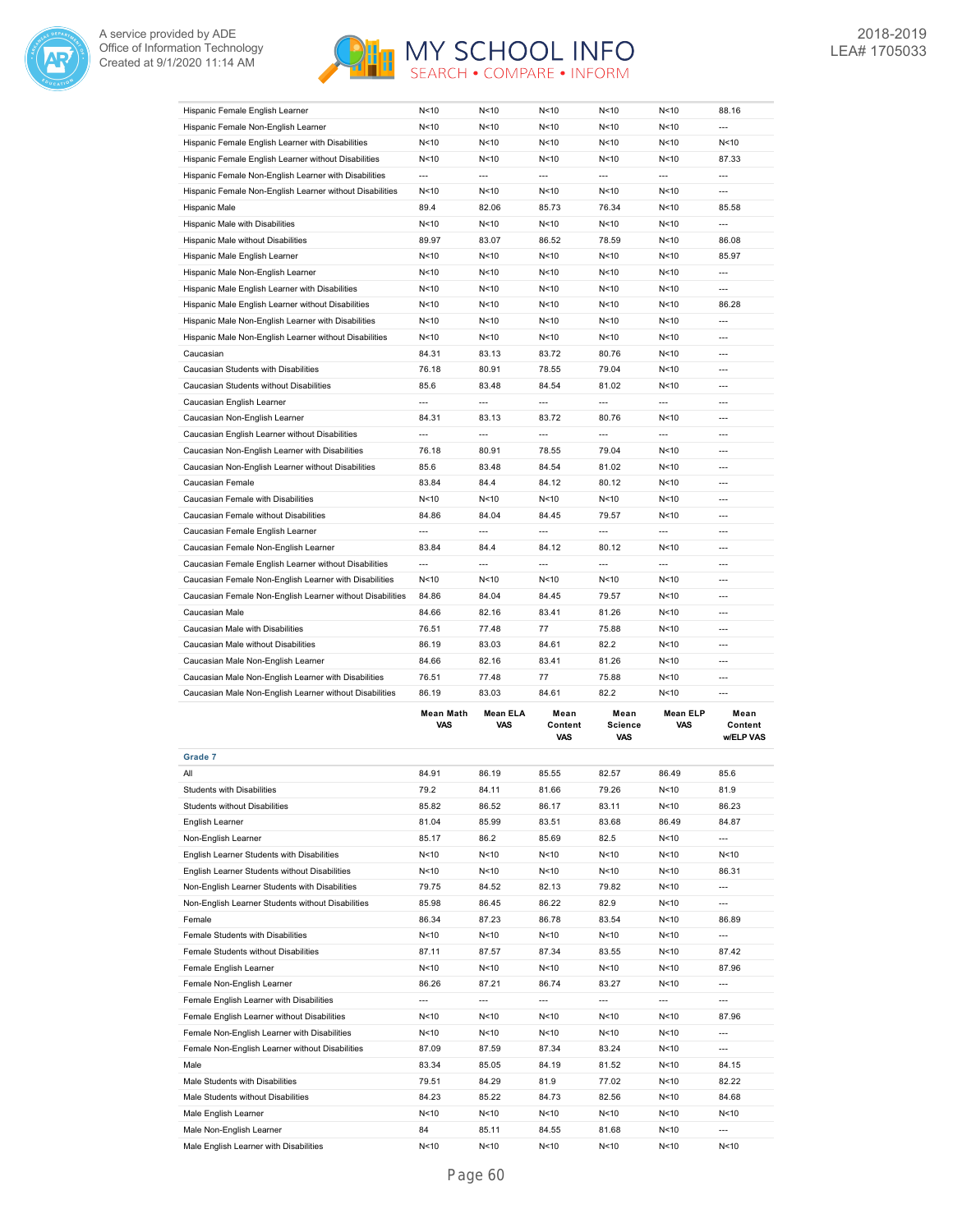



| Grade 7                                                   | Mean Math<br><b>VAS</b> | <b>Mean ELA</b><br><b>VAS</b> | Mean<br>Content<br>VAS | Mean<br><b>Science</b><br><b>VAS</b> | <b>Mean ELP</b><br>VAS   | Mean<br>Content<br>w/ELP VAS |
|-----------------------------------------------------------|-------------------------|-------------------------------|------------------------|--------------------------------------|--------------------------|------------------------------|
| Caucasian Male Non-English Learner without Disabilities   |                         |                               |                        |                                      |                          | ---                          |
| Caucasian Male Non-English Learner with Disabilities      | 76.51<br>86.19          | 77.48<br>83.03                | 77<br>84.61            | 75.88<br>82.2                        | N<10<br>N < 10           | $\overline{a}$               |
| Caucasian Male Non-English Learner                        | 84.66                   | 82.16                         | 83.41                  | 81.26                                | N<10                     | $\overline{a}$               |
| Caucasian Male without Disabilities                       | 86.19                   | 83.03                         | 84.61                  | 82.2                                 | N < 10                   | $\overline{a}$               |
| Caucasian Male with Disabilities                          | 76.51                   | 77.48                         | 77                     | 75.88                                | N<10                     | $\overline{a}$               |
| Caucasian Male                                            | 84.66                   | 82.16                         | 83.41                  | 81.26                                | N<10                     | $\overline{\phantom{a}}$     |
| Caucasian Female Non-English Learner without Disabilities | 84.86                   | 84.04                         | 84.45                  | 79.57                                | N < 10                   | $\overline{a}$               |
| Caucasian Female Non-English Learner with Disabilities    | N<10                    | N <sub>10</sub>               | N<10                   | N<10                                 | N<10                     | $\overline{a}$               |
| Caucasian Female English Learner without Disabilities     | ---                     | ---                           | ---                    | $\overline{\phantom{a}}$             | $\overline{\phantom{a}}$ | ---                          |
| Caucasian Female Non-English Learner                      | 83.84                   | 84.4                          | 84.12                  | 80.12                                | N <sub>10</sub>          | $\overline{a}$               |
| Caucasian Female English Learner                          | ---                     | ---                           | ---                    | ---                                  | ---                      | $\overline{a}$               |
| Caucasian Female without Disabilities                     | 84.86                   | 84.04                         | 84.45                  | 79.57                                | N < 10                   | $\overline{a}$               |
| Caucasian Female with Disabilities                        | N < 10                  | N < 10                        | N<10                   | N<10                                 | N < 10                   | $\overline{a}$               |
| Caucasian Female                                          | 83.84                   | 84.4                          | 84.12                  | 80.12                                | N<10                     | $\overline{a}$               |
| Caucasian Non-English Learner without Disabilities        | 85.6                    | 83.48                         | 84.54                  | 81.02                                | N < 10                   | $\overline{a}$               |
| Caucasian Non-English Learner with Disabilities           | 76.18                   | 80.91                         | 78.55                  | 79.04                                | N<10                     | $\overline{a}$               |
| Caucasian English Learner without Disabilities            | ---                     | ---                           | ---                    | $\overline{\phantom{a}}$             | $\overline{\phantom{a}}$ | ---                          |
| Caucasian Non-English Learner                             | 84.31                   | 83.13                         | 83.72                  | 80.76                                | N < 10                   | $\overline{a}$               |
| Caucasian English Learner                                 | ---                     | ---                           | ---                    | ---                                  | ---                      | $\overline{a}$               |
| Caucasian Students without Disabilities                   | 85.6                    | 83.48                         | 84.54                  | 81.02                                | N < 10                   | $\overline{a}$               |
| Caucasian Students with Disabilities                      | 76.18                   | 80.91                         | 78.55                  | 79.04                                | N <sub>10</sub>          | $\overline{a}$               |
| Caucasian                                                 | 84.31                   | 83.13                         | 83.72                  | 80.76                                | N<10                     | $\overline{a}$               |
| Hispanic Male Non-English Learner without Disabilities    | N<10                    | N <sub>10</sub>               | N<10                   | N<10                                 | N<10                     | ---                          |
| Hispanic Male Non-English Learner with Disabilities       | N < 10                  | N < 10                        | N<10                   | N<10                                 | N < 10                   | $\overline{\phantom{a}}$     |
| Hispanic Male English Learner without Disabilities        | N<10                    | N <sub>10</sub>               | N<10                   | N<10                                 | N<10                     | 86.28                        |
| Hispanic Male English Learner with Disabilities           | N < 10                  | N <sub>10</sub>               | N<10                   | N<10                                 | N < 10                   | $\overline{\phantom{a}}$     |
| Hispanic Male Non-English Learner                         | N < 10                  | N <sub>10</sub>               | N < 10                 | N<10                                 | N<10                     | $\overline{a}$               |
| Hispanic Male English Learner                             | N < 10                  | N<10                          | N < 10                 | N<10                                 | N<10                     | 85.97                        |
| Hispanic Male without Disabilities                        | 89.97                   | 83.07                         | 86.52                  | 78.59                                | N < 10                   | 86.08                        |
| Hispanic Male with Disabilities                           | N < 10                  | N<10                          | N < 10                 | N<10                                 | N<10                     | ---                          |
| Hispanic Male                                             | 89.4                    | 82.06                         | 85.73                  | 76.34                                | N<10                     | 85.58                        |
| Hispanic Female Non-English Learner without Disabilities  | N <sub>10</sub>         | N <sub>10</sub>               | N<10                   | N <sub>10</sub>                      | N <sub>10</sub>          | $\overline{a}$               |
| Hispanic Female Non-English Learner with Disabilities     | ---                     | ---                           | ---                    | ---                                  | ---                      | ---                          |
| Hispanic Female English Learner without Disabilities      | N<10                    | N<10                          | N < 10                 | N<10                                 | N<10                     | 87.33                        |
| Hispanic Female English Learner with Disabilities         | N <sub>10</sub>         | N <sub>10</sub>               | N<10                   | N<10                                 | N < 10                   | N<10                         |
| Hispanic Female Non-English Learner                       | N<10                    | N<10                          | N<10                   | N<10                                 | N<10                     | $\overline{a}$               |
| Hispanic Female English Learner                           | N<10                    | N <sub>10</sub>               | N<10                   | N<10                                 | N<10                     | 88.16                        |
|                                                           |                         |                               |                        |                                      |                          |                              |

|                                                   |                 |                 | <b>VAS</b> | <b>VAS</b>      |        | <b>w/ELP VAS</b> |
|---------------------------------------------------|-----------------|-----------------|------------|-----------------|--------|------------------|
| Grade 7                                           |                 |                 |            |                 |        |                  |
| All                                               | 84.91           | 86.19           | 85.55      | 82.57           | 86.49  | 85.6             |
| Students with Disabilities                        | 79.2            | 84.11           | 81.66      | 79.26           | N < 10 | 81.9             |
| <b>Students without Disabilities</b>              | 85.82           | 86.52           | 86.17      | 83.11           | N < 10 | 86.23            |
| English Learner                                   | 81.04           | 85.99           | 83.51      | 83.68           | 86.49  | 84.87            |
| Non-English Learner                               | 85.17           | 86.2            | 85.69      | 82.5            | N<10   | $\overline{a}$   |
| English Learner Students with Disabilities        | N<10            | N<10            | N < 10     | N<10            | N<10   | N < 10           |
| English Learner Students without Disabilities     | N < 10          | N < 10          | N < 10     | N<10            | N<10   | 86.31            |
| Non-English Learner Students with Disabilities    | 79.75           | 84.52           | 82.13      | 79.82           | N<10   | $---$            |
| Non-English Learner Students without Disabilities | 85.98           | 86.45           | 86.22      | 82.9            | N < 10 | $---$            |
| Female                                            | 86.34           | 87.23           | 86.78      | 83.54           | N<10   | 86.89            |
| Female Students with Disabilities                 | N<10            | N<10            | N<10       | N<10            | N < 10 | $\overline{a}$   |
| Female Students without Disabilities              | 87.11           | 87.57           | 87.34      | 83.55           | N<10   | 87.42            |
| Female English Learner                            | N<10            | N<10            | N < 10     | N<10            | N<10   | 87.96            |
| Female Non-English Learner                        | 86.26           | 87.21           | 86.74      | 83.27           | N < 10 | $---$            |
| Female English Learner with Disabilities          | ---             | ---             | $\cdots$   | $---$           | ---    | ---              |
| Female English Learner without Disabilities       | N<10            | N<10            | N<10       | N<10            | N < 10 | 87.96            |
| Female Non-English Learner with Disabilities      | N<10            | N<10            | N<10       | N<10            | N < 10 | $---$            |
| Female Non-English Learner without Disabilities   | 87.09           | 87.59           | 87.34      | 83.24           | N<10   | $---$            |
| Male                                              | 83.34           | 85.05           | 84.19      | 81.52           | N<10   | 84.15            |
| Male Students with Disabilities                   | 79.51           | 84.29           | 81.9       | 77.02           | N < 10 | 82.22            |
| Male Students without Disabilities                | 84.23           | 85.22           | 84.73      | 82.56           | N < 10 | 84.68            |
| Male English Learner                              | N<10            | N <sub>10</sub> | N<10       | N <sub>10</sub> | N<10   | N<10             |
| Male Non-English Learner                          | 84              | 85.11           | 84.55      | 81.68           | N < 10 | $---$            |
| Male English Learner with Disabilities            | N <sub>10</sub> | N <sub>10</sub> | N<10       | N<10            | N < 10 | N < 10           |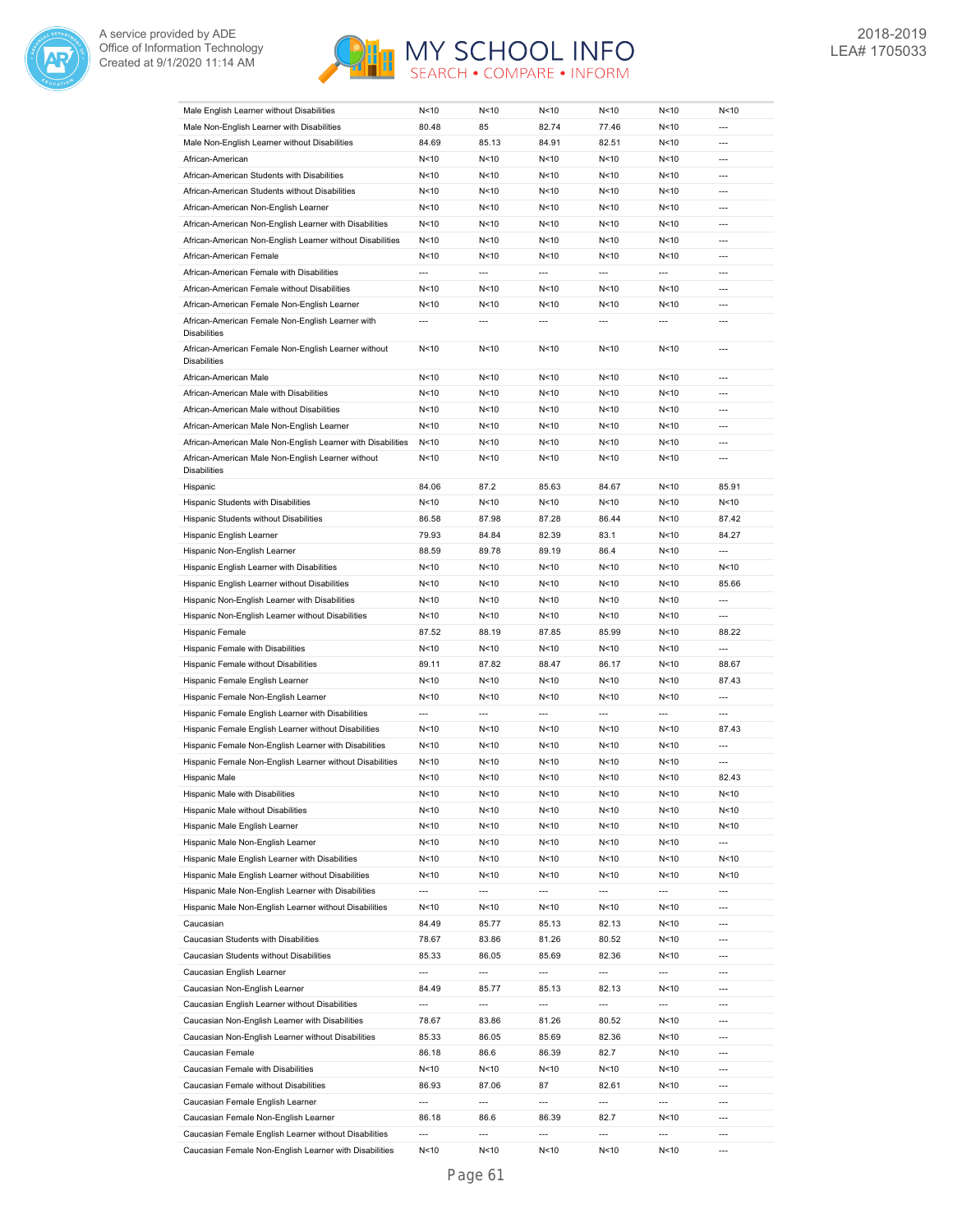



| Male English Learner without Disabilities                                  | N < 10                   | N<10                     | N <sub>10</sub>          | N <sub>10</sub>          | N < 10                   | N<10           |
|----------------------------------------------------------------------------|--------------------------|--------------------------|--------------------------|--------------------------|--------------------------|----------------|
| Male Non-English Learner with Disabilities                                 | 80.48                    | 85                       | 82.74                    | 77.46                    | N<10                     | ---            |
|                                                                            |                          |                          |                          |                          |                          | ---            |
| Male Non-English Learner without Disabilities                              | 84.69                    | 85.13                    | 84.91                    | 82.51                    | N<10                     |                |
| African-American                                                           | N < 10                   | N < 10                   | N<10                     | N < 10                   | N<10                     | ---            |
| African-American Students with Disabilities                                | N < 10                   | N < 10                   | N<10                     | N<10                     | N<10                     | $\overline{a}$ |
| African-American Students without Disabilities                             | N < 10                   | N<10                     | N<10                     | N<10                     | N<10                     | $\overline{a}$ |
| African-American Non-English Learner                                       | N < 10                   | N < 10                   | N < 10                   | N < 10                   | N<10                     | $---$          |
| African-American Non-English Learner with Disabilities                     | N < 10                   | N<10                     | N < 10                   | N < 10                   | N < 10                   | $---$          |
| African-American Non-English Learner without Disabilities                  | N < 10                   | N < 10                   | N<10                     | N<10                     | N<10                     | $---$          |
| African-American Female                                                    | N < 10                   | N < 10                   | N < 10                   | N < 10                   | N<10                     | ---            |
| African-American Female with Disabilities                                  | ---                      | ---                      | ---                      | ---                      | ---                      | ---            |
| African-American Female without Disabilities                               | N < 10                   | N<10                     | N<10                     | N<10                     | N<10                     | $\overline{a}$ |
| African-American Female Non-English Learner                                | N < 10                   | N < 10                   | N < 10                   | N<10                     | N<10                     | $\overline{a}$ |
|                                                                            |                          |                          |                          |                          |                          |                |
| African-American Female Non-English Learner with<br><b>Disabilities</b>    | ---                      |                          | $\overline{a}$           | ---                      | $\overline{a}$           | $\overline{a}$ |
| African-American Female Non-English Learner without<br><b>Disabilities</b> | N<10                     | N < 10                   | N<10                     | N<10                     | N<10                     | $\overline{a}$ |
| African-American Male                                                      | N<10                     | N < 10                   | N < 10                   | N<10                     | N<10                     | ---            |
| African-American Male with Disabilities                                    | N<10                     | N < 10                   | N < 10                   | N<10                     | N<10                     | ---            |
| African-American Male without Disabilities                                 | N<10                     | N<10                     | N<10                     | N<10                     | N<10                     | $\overline{a}$ |
| African-American Male Non-English Learner                                  | N<10                     | N < 10                   | N<10                     | N<10                     | N<10                     | ---            |
| African-American Male Non-English Learner with Disabilities                |                          |                          |                          |                          |                          | ---            |
|                                                                            | N < 10                   | N<10                     | N<10                     | N<10                     | N<10                     |                |
| African-American Male Non-English Learner without<br><b>Disabilities</b>   | N < 10                   | N<10                     | N<10                     | N<10                     | N<10                     | ---            |
| Hispanic                                                                   | 84.06                    | 87.2                     | 85.63                    | 84.67                    | N<10                     | 85.91          |
| Hispanic Students with Disabilities                                        | N < 10                   | N<10                     | N < 10                   | N < 10                   | N < 10                   | N<10           |
| Hispanic Students without Disabilities                                     | 86.58                    | 87.98                    | 87.28                    | 86.44                    | N<10                     | 87.42          |
| Hispanic English Learner                                                   | 79.93                    | 84.84                    | 82.39                    | 83.1                     | N<10                     | 84.27          |
| Hispanic Non-English Learner                                               | 88.59                    | 89.78                    | 89.19                    | 86.4                     | N<10                     | ---            |
| Hispanic English Learner with Disabilities                                 | N < 10                   | N < 10                   | N < 10                   | N<10                     | N<10                     | N<10           |
|                                                                            |                          |                          |                          |                          |                          |                |
| Hispanic English Learner without Disabilities                              | N < 10                   | N<10                     | N<10                     | N<10                     | N<10                     | 85.66          |
| Hispanic Non-English Learner with Disabilities                             | N < 10                   | N < 10                   | N < 10                   | N<10                     | N<10                     | ---            |
| Hispanic Non-English Learner without Disabilities                          | N < 10                   | N <sub>10</sub>          | N < 10                   | N < 10                   | N < 10                   | ---            |
| Hispanic Female                                                            | 87.52                    | 88.19                    | 87.85                    | 85.99                    | N<10                     | 88.22          |
| Hispanic Female with Disabilities                                          | N < 10                   | N < 10                   | N < 10                   | N < 10                   | N<10                     | ---            |
| Hispanic Female without Disabilities                                       | 89.11                    | 87.82                    | 88.47                    | 86.17                    | N<10                     | 88.67          |
| Hispanic Female English Learner                                            | N<10                     | N < 10                   | N<10                     | N<10                     | N<10                     | 87.43          |
| Hispanic Female Non-English Learner                                        | N < 10                   | N < 10                   | N < 10                   | N<10                     | N<10                     | $\overline{a}$ |
| Hispanic Female English Learner with Disabilities                          | ---                      | $\overline{a}$           | $\overline{\phantom{a}}$ | ---                      | ---                      | ---            |
| Hispanic Female English Learner without Disabilities                       | N < 10                   | N < 10                   | N<10                     | N<10                     | N<10                     | 87.43          |
|                                                                            |                          |                          |                          |                          |                          |                |
| Hispanic Female Non-English Learner with Disabilities                      | N < 10                   | N<10                     | N <sub>10</sub>          | N <sub>10</sub>          | N < 10                   | ---            |
| Hispanic Female Non-English Learner without Disabilities                   | N < 10                   | N<10                     | N<10                     | N<10                     | N<10                     | ---            |
| Hispanic Male                                                              | N<10                     | N<10                     | N<10                     | N<10                     | N < 10                   | 82.43          |
| Hispanic Male with Disabilities                                            | N<10                     | N <sub>10</sub>          | N < 10                   | N<10                     | N < 10                   | N<10           |
| Hispanic Male without Disabilities                                         | N < 10                   | N < 10                   | N < 10                   | N < 10                   | N <sub>10</sub>          | N<10           |
| Hispanic Male English Learner                                              | N < 10                   | N < 10                   | N < 10                   | N<10                     | N <sub>10</sub>          | N<10           |
| Hispanic Male Non-English Learner                                          | N<10                     | N<10                     | N<10                     | N<10                     | N<10                     | ---            |
| Hispanic Male English Learner with Disabilities                            | N < 10                   | N<10                     | N < 10                   | N<10                     | N < 10                   | N<10           |
| Hispanic Male English Learner without Disabilities                         | N<10                     | N<10                     | N < 10                   | N<10                     | N <sub>10</sub>          | N<10           |
|                                                                            |                          |                          |                          |                          |                          |                |
| Hispanic Male Non-English Learner with Disabilities                        | $\overline{\phantom{a}}$ | $\overline{\phantom{a}}$ | $\overline{\phantom{a}}$ | $\overline{\phantom{a}}$ | $\overline{\phantom{a}}$ | ---            |
| Hispanic Male Non-English Learner without Disabilities                     | N<10                     | N<10                     | N < 10                   | N<10                     | N <sub>10</sub>          | $---$          |
| Caucasian                                                                  | 84.49                    | 85.77                    | 85.13                    | 82.13                    | N < 10                   | ---            |
| Caucasian Students with Disabilities                                       | 78.67                    | 83.86                    | 81.26                    | 80.52                    | N<10                     | ---            |
| Caucasian Students without Disabilities                                    | 85.33                    | 86.05                    | 85.69                    | 82.36                    | N <sub>10</sub>          | ---            |
| Caucasian English Learner                                                  | ---                      | ---                      | $\overline{\phantom{a}}$ | ---                      | ---                      | ---            |
| Caucasian Non-English Learner                                              | 84.49                    | 85.77                    | 85.13                    | 82.13                    | N <sub>10</sub>          | ---            |
| Caucasian English Learner without Disabilities                             | $\overline{\phantom{a}}$ | ---                      | $\overline{\phantom{a}}$ | $\hspace{0.05cm} \ldots$ | $\cdots$                 | ---            |
| Caucasian Non-English Learner with Disabilities                            | 78.67                    | 83.86                    | 81.26                    | 80.52                    | N <sub>10</sub>          | ---            |
| Caucasian Non-English Learner without Disabilities                         | 85.33                    | 86.05                    | 85.69                    | 82.36                    | N <sub>10</sub>          | ---            |
|                                                                            |                          |                          |                          |                          |                          |                |
| Caucasian Female                                                           | 86.18                    | 86.6                     | 86.39                    | 82.7                     | N <sub>10</sub>          | ---            |
| Caucasian Female with Disabilities                                         | N<10                     | N<10                     | N < 10                   | N<10                     | N <sub>10</sub>          | ---            |
| Caucasian Female without Disabilities                                      | 86.93                    | 87.06                    | 87                       | 82.61                    | N<10                     | ---            |
| Caucasian Female English Learner                                           | $\overline{\phantom{a}}$ | $\overline{\phantom{a}}$ | $\overline{\phantom{a}}$ | $\overline{\phantom{a}}$ | $\overline{\phantom{a}}$ | ---            |
| Caucasian Female Non-English Learner                                       | 86.18                    | 86.6                     | 86.39                    | 82.7                     | N < 10                   | $\overline{a}$ |
| Caucasian Female English Learner without Disabilities                      | $\overline{\phantom{a}}$ | $\overline{\phantom{a}}$ | $\overline{\phantom{a}}$ | ---                      | ---                      | ---            |
| Caucasian Female Non-English Learner with Disabilities                     | N<10                     | N < 10                   | N < 10                   | N < 10                   | N <sub>10</sub>          | ---            |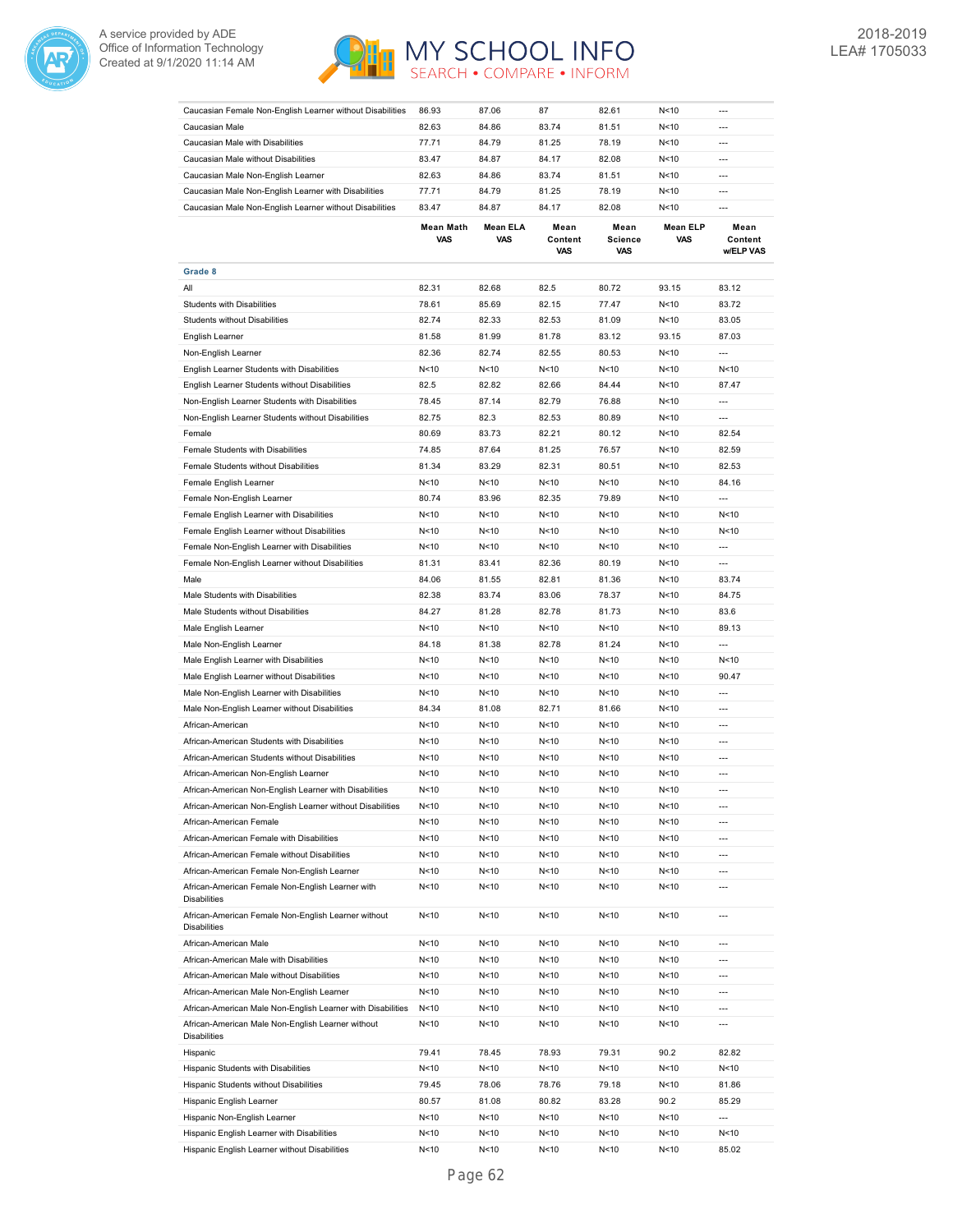



| Caucasian Female Non-English Learner without Disabilities                  | 86.93           | 87.06           | 87                            | 82.61           | N<10            | ---                      |
|----------------------------------------------------------------------------|-----------------|-----------------|-------------------------------|-----------------|-----------------|--------------------------|
| Caucasian Male                                                             | 82.63           | 84.86           | 83.74                         | 81.51           | N<10            |                          |
| Caucasian Male with Disabilities                                           | 77.71           | 84.79           | 81.25                         | 78.19           | N<10            | $\overline{\phantom{a}}$ |
| Caucasian Male without Disabilities                                        | 83.47           | 84.87           | 84.17                         | 82.08           | N<10            | $\overline{a}$           |
| Caucasian Male Non-English Learner                                         | 82.63           | 84.86           | 83.74                         | 81.51           | N<10            | ---                      |
| Caucasian Male Non-English Learner with Disabilities                       | 77.71           | 84.79           | 81.25                         | 78.19           | N<10            | $\overline{a}$           |
| Caucasian Male Non-English Learner without Disabilities                    | 83.47           | 84.87           | 84.17                         | 82.08           | N<10            | $---$                    |
|                                                                            | Mean Math       | Mean ELA        |                               | Mean            | Mean ELP        | Mean                     |
|                                                                            | VAS             | <b>VAS</b>      | Mean<br>Content<br><b>VAS</b> | Science<br>VAS  | <b>VAS</b>      | Content<br>w/ELP VAS     |
| Grade 8                                                                    |                 |                 |                               |                 |                 |                          |
| All                                                                        | 82.31           | 82.68           | 82.5                          | 80.72           | 93.15           | 83.12                    |
| Students with Disabilities                                                 | 78.61           | 85.69           | 82.15                         | 77.47           | N<10            | 83.72                    |
| <b>Students without Disabilities</b>                                       | 82.74           | 82.33           | 82.53                         | 81.09           | N<10            | 83.05                    |
| English Learner                                                            | 81.58           | 81.99           | 81.78                         | 83.12           | 93.15           | 87.03                    |
| Non-English Learner                                                        | 82.36           | 82.74           | 82.55                         | 80.53           | N<10            | ---                      |
|                                                                            |                 |                 |                               |                 |                 |                          |
| English Learner Students with Disabilities                                 | N<10            | N<10            | N < 10                        | N<10            | N<10            | N < 10                   |
| English Learner Students without Disabilities                              | 82.5            | 82.82           | 82.66                         | 84.44           | N < 10          | 87.47                    |
| Non-English Learner Students with Disabilities                             | 78.45           | 87.14           | 82.79                         | 76.88           | N<10            | $\overline{a}$           |
| Non-English Learner Students without Disabilities                          | 82.75           | 82.3            | 82.53                         | 80.89           | N < 10          | $---$                    |
| Female                                                                     | 80.69           | 83.73           | 82.21                         | 80.12           | N<10            | 82.54                    |
| Female Students with Disabilities                                          | 74.85           | 87.64           | 81.25                         | 76.57           | N < 10          | 82.59                    |
| Female Students without Disabilities                                       | 81.34           | 83.29           | 82.31                         | 80.51           | N<10            | 82.53                    |
| Female English Learner                                                     | N < 10          | N < 10          | N<10                          | N < 10          | N<10            | 84.16                    |
| Female Non-English Learner                                                 | 80.74           | 83.96           | 82.35                         | 79.89           | N<10            | ---                      |
| Female English Learner with Disabilities                                   | N<10            | N < 10          | N<10                          | N<10            | N < 10          | N < 10                   |
| Female English Learner without Disabilities                                |                 |                 |                               |                 |                 |                          |
|                                                                            | N<10            | N<10            | N<10                          | N<10            | N < 10          | N < 10                   |
| Female Non-English Learner with Disabilities                               | N <sub>10</sub> | N <sub>10</sub> | N < 10                        | N<10            | N < 10          | ---                      |
| Female Non-English Learner without Disabilities                            | 81.31           | 83.41           | 82.36                         | 80.19           | N < 10          | $\overline{a}$           |
| Male                                                                       | 84.06           | 81.55           | 82.81                         | 81.36           | N < 10          | 83.74                    |
| Male Students with Disabilities                                            | 82.38           | 83.74           | 83.06                         | 78.37           | N<10            | 84.75                    |
| Male Students without Disabilities                                         | 84.27           | 81.28           | 82.78                         | 81.73           | N<10            | 83.6                     |
| Male English Learner                                                       | N <sub>10</sub> | N<10            | N < 10                        | N<10            | N < 10          | 89.13                    |
| Male Non-English Learner                                                   | 84.18           | 81.38           | 82.78                         | 81.24           | N<10            | $\overline{a}$           |
| Male English Learner with Disabilities                                     | N < 10          | N<10            | N < 10                        | N<10            | N < 10          | N < 10                   |
| Male English Learner without Disabilities                                  | N<10            | N<10            | N < 10                        | N<10            | N < 10          | 90.47                    |
| Male Non-English Learner with Disabilities                                 | N<10            | N < 10          | N<10                          | N<10            | N < 10          | ---                      |
|                                                                            |                 |                 |                               |                 |                 |                          |
| Male Non-English Learner without Disabilities                              | 84.34           | 81.08           | 82.71                         | 81.66           | N<10            | $---$                    |
| African-American                                                           | N < 10          | N < 10          | N<10                          | N < 10          | N < 10          | $\overline{a}$           |
| African-American Students with Disabilities                                | N<10            | N < 10          | N<10                          | N<10            | N<10            | $\overline{a}$           |
| African-American Students without Disabilities                             | N<10            | N < 10          | N<10                          | N<10            | N < 10          | $\overline{a}$           |
| African-American Non-English Learner                                       | N<10            | N < 10          | N<10                          | N<10            | N < 10          | $\overline{a}$           |
| African-American Non-English Learner with Disabilities                     | N<10            | N<10            | N < 10                        | N<10            | N<10            |                          |
| African-American Non-English Learner without Disabilities                  | N < 10          | N<10            | N < 10                        | N <sub>10</sub> | N < 10          | $\overline{\phantom{a}}$ |
| African-American Female                                                    | N<10            | N < 10          | N<10                          | N <sub>10</sub> | N <sub>10</sub> | $\overline{a}$           |
| African-American Female with Disabilities                                  | N<10            | N<10            | N < 10                        | N <sub>10</sub> | N <sub>10</sub> | $\overline{\phantom{a}}$ |
| African-American Female without Disabilities                               | N<10            | N<10            | N<10                          | N <sub>10</sub> | N <sub>10</sub> | ---                      |
|                                                                            |                 |                 |                               |                 |                 |                          |
| African-American Female Non-English Learner                                | N < 10          | N<10            | N < 10                        | N <sub>10</sub> | N <sub>10</sub> | $\overline{\phantom{a}}$ |
| African-American Female Non-English Learner with<br><b>Disabilities</b>    | N<10            | N <sub>10</sub> | N < 10                        | N <sub>10</sub> | N < 10          | $\overline{a}$           |
| African-American Female Non-English Learner without<br><b>Disabilities</b> | N<10            | N<10            | N<10                          | N <sub>10</sub> | N <sub>10</sub> | $\overline{a}$           |
| African-American Male                                                      | N<10            | N <sub>10</sub> | N<10                          | N <sub>10</sub> | N <sub>10</sub> | $\overline{\phantom{a}}$ |
| African-American Male with Disabilities                                    | N<10            | N <sub>10</sub> | N<10                          | N <sub>10</sub> | N <sub>10</sub> | ---                      |
| African-American Male without Disabilities                                 | N<10            | N<10            | N < 10                        | N <sub>10</sub> | N <sub>10</sub> | ---                      |
|                                                                            |                 |                 |                               |                 |                 |                          |
| African-American Male Non-English Learner                                  | N<10            | N <sub>10</sub> | N < 10                        | N <sub>10</sub> | N < 10          | $\overline{\phantom{a}}$ |
| African-American Male Non-English Learner with Disabilities                | N<10            | N <sub>10</sub> | N<10                          | N <sub>10</sub> | N <sub>10</sub> | ---                      |
| African-American Male Non-English Learner without<br><b>Disabilities</b>   | N <sub>10</sub> | N<10            | N<10                          | N <sub>10</sub> | N < 10          | $---$                    |
| Hispanic                                                                   | 79.41           | 78.45           | 78.93                         | 79.31           | 90.2            | 82.82                    |
| Hispanic Students with Disabilities                                        | N<10            | N <sub>10</sub> | N<10                          | N <sub>10</sub> | N < 10          | N<10                     |
| Hispanic Students without Disabilities                                     | 79.45           | 78.06           | 78.76                         | 79.18           | N < 10          | 81.86                    |
| Hispanic English Learner                                                   | 80.57           | 81.08           | 80.82                         | 83.28           | 90.2            | 85.29                    |
| Hispanic Non-English Learner                                               | N<10            | N <sub>10</sub> | N<10                          | N<10            | N < 10          | $\overline{\phantom{a}}$ |
| Hispanic English Learner with Disabilities                                 | N<10            | N <sub>10</sub> | N<10                          | N <sub>10</sub> | N < 10          | N<10                     |
| Hispanic English Learner without Disabilities                              | N<10            | N<10            | N<10                          | N <sub>10</sub> | N <sub>10</sub> | 85.02                    |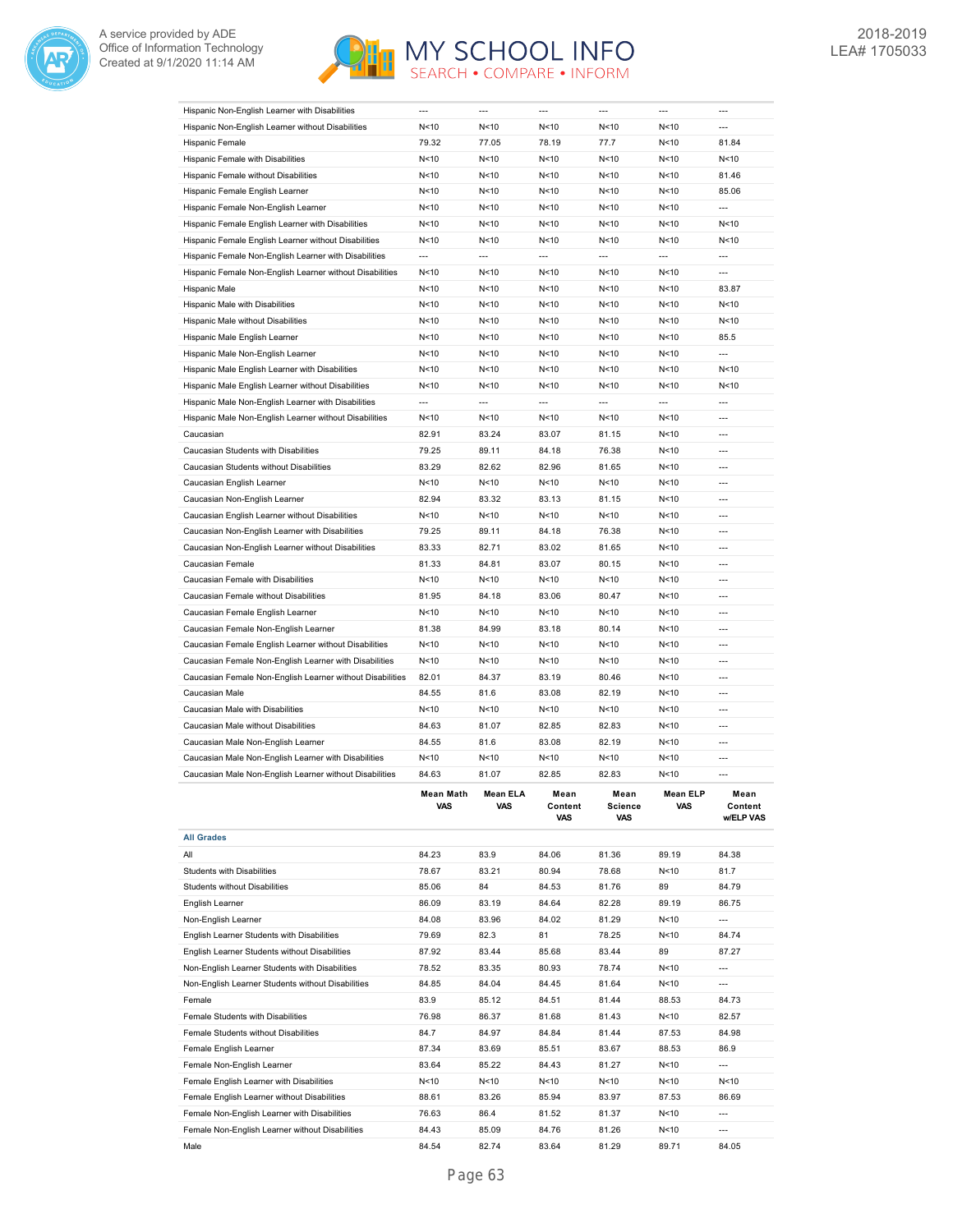



| Hispanic Non-English Learner with Disabilities            |                          |                |                          | ---                      |                          |                              |
|-----------------------------------------------------------|--------------------------|----------------|--------------------------|--------------------------|--------------------------|------------------------------|
| Hispanic Non-English Learner without Disabilities         | N < 10                   | N<10           | N<10                     | N<10                     | N<10                     | ---                          |
| Hispanic Female                                           | 79.32                    | 77.05          | 78.19                    | 77.7                     | N < 10                   | 81.84                        |
| Hispanic Female with Disabilities                         | N<10                     | N<10           | N<10                     | N < 10                   | N<10                     | N < 10                       |
| Hispanic Female without Disabilities                      | N < 10                   | N<10           | N<10                     | N<10                     | N<10                     | 81.46                        |
|                                                           |                          |                |                          |                          |                          |                              |
| Hispanic Female English Learner                           | N < 10                   | N<10           | N<10                     | N<10                     | N<10                     | 85.06                        |
| Hispanic Female Non-English Learner                       | N < 10                   | N<10           | N<10                     | N<10                     | N < 10                   | $\overline{a}$               |
| Hispanic Female English Learner with Disabilities         | N<10                     | N<10           | N<10                     | N<10                     | N<10                     | N < 10                       |
| Hispanic Female English Learner without Disabilities      | N < 10                   | N<10           | N<10                     | N<10                     | N<10                     | N < 10                       |
| Hispanic Female Non-English Learner with Disabilities     | ---                      | ---            | $\overline{a}$           | $\overline{a}$           | $\overline{a}$           | ---                          |
| Hispanic Female Non-English Learner without Disabilities  | N<10                     | N<10           | N<10                     | N<10                     | N<10                     | $\overline{a}$               |
| Hispanic Male                                             | N<10                     | N<10           | N<10                     | N<10                     | N<10                     | 83.87                        |
| Hispanic Male with Disabilities                           | N<10                     | N<10           | N<10                     | N<10                     | N<10                     | N < 10                       |
| Hispanic Male without Disabilities                        | N<10                     | N<10           | N<10                     | N<10                     | N<10                     | N < 10                       |
| Hispanic Male English Learner                             | N<10                     | N<10           | N<10                     | N<10                     | N<10                     | 85.5                         |
|                                                           |                          |                |                          |                          |                          |                              |
| Hispanic Male Non-English Learner                         | N<10                     | N<10           | N<10                     | N<10                     | N<10                     | ---                          |
| Hispanic Male English Learner with Disabilities           | N < 10                   | N<10           | N<10                     | N<10                     | N<10                     | N<10                         |
| Hispanic Male English Learner without Disabilities        | N < 10                   | N<10           | N<10                     | N<10                     | N<10                     | N < 10                       |
| Hispanic Male Non-English Learner with Disabilities       | $\overline{\phantom{a}}$ | $\overline{a}$ | $\overline{\phantom{a}}$ | $\overline{\phantom{a}}$ | $\overline{\phantom{a}}$ | $\overline{a}$               |
| Hispanic Male Non-English Learner without Disabilities    | N < 10                   | N<10           | N<10                     | N<10                     | N<10                     | $\overline{a}$               |
| Caucasian                                                 | 82.91                    | 83.24          | 83.07                    | 81.15                    | N<10                     | ---                          |
| Caucasian Students with Disabilities                      | 79.25                    | 89.11          | 84.18                    | 76.38                    | N<10                     | $\overline{a}$               |
| Caucasian Students without Disabilities                   | 83.29                    | 82.62          | 82.96                    | 81.65                    | N<10                     | $---$                        |
|                                                           |                          |                |                          |                          |                          |                              |
| Caucasian English Learner                                 | N<10                     | N<10           | N<10                     | N<10                     | N<10                     | $---$                        |
| Caucasian Non-English Learner                             | 82.94                    | 83.32          | 83.13                    | 81.15                    | N<10                     | ---                          |
| Caucasian English Learner without Disabilities            | N < 10                   | N<10           | N<10                     | N<10                     | N < 10                   | $---$                        |
| Caucasian Non-English Learner with Disabilities           | 79.25                    | 89.11          | 84.18                    | 76.38                    | N<10                     | $\overline{a}$               |
| Caucasian Non-English Learner without Disabilities        | 83.33                    | 82.71          | 83.02                    | 81.65                    | N<10                     | ---                          |
| Caucasian Female                                          | 81.33                    | 84.81          | 83.07                    | 80.15                    | N<10                     | $\overline{a}$               |
| Caucasian Female with Disabilities                        | N<10                     | N<10           | N<10                     | N<10                     | N<10                     | $\overline{a}$               |
| Caucasian Female without Disabilities                     | 81.95                    | 84.18          | 83.06                    | 80.47                    | N<10                     | ---                          |
| Caucasian Female English Learner                          | N < 10                   | N<10           | N<10                     | N<10                     | N<10                     | ---                          |
|                                                           |                          |                |                          |                          |                          |                              |
|                                                           |                          |                |                          |                          |                          |                              |
| Caucasian Female Non-English Learner                      | 81.38                    | 84.99          | 83.18                    | 80.14                    | N<10                     |                              |
| Caucasian Female English Learner without Disabilities     | N < 10                   | N<10           | N<10                     | N<10                     | N<10                     | $\overline{a}$               |
| Caucasian Female Non-English Learner with Disabilities    | N < 10                   | N<10           | N<10                     | N<10                     | N<10                     | $\overline{a}$               |
| Caucasian Female Non-English Learner without Disabilities | 82.01                    | 84.37          | 83.19                    | 80.46                    | N<10                     | ---                          |
| Caucasian Male                                            | 84.55                    | 81.6           | 83.08                    | 82.19                    | N<10                     | $\overline{a}$               |
| Caucasian Male with Disabilities                          | N<10                     | N<10           | N<10                     |                          | N<10                     | ---                          |
|                                                           |                          |                |                          | N<10                     |                          | $---$                        |
| Caucasian Male without Disabilities                       | 84.63                    | 81.07          | 82.85                    | 82.83                    | N<10                     |                              |
| Caucasian Male Non-English Learner                        | 84.55                    | 81.6           | 83.08                    | 82.19                    | N<10                     | ---                          |
| Caucasian Male Non-English Learner with Disabilities      | N < 10                   | N<10           | N <sub>10</sub>          | N<10                     | N < 10                   | ---                          |
| Caucasian Male Non-English Learner without Disabilities   | 84.63                    | 81.07          | 82.85                    | 82.83                    | N<10                     | $---$                        |
|                                                           | Mean Math<br>VAS         | an ELA<br>VAS  | mean<br>Content<br>VAS   | mean<br>Science<br>VAS   | Mean ELP<br>VAS          | mean<br>Content<br>w/ELP VAS |
| <b>All Grades</b>                                         |                          |                |                          |                          |                          |                              |
| All                                                       | 84.23                    | 83.9           | 84.06                    | 81.36                    | 89.19                    | 84.38                        |
| <b>Students with Disabilities</b>                         | 78.67                    | 83.21          | 80.94                    | 78.68                    | N <sub>10</sub>          | 81.7                         |
|                                                           |                          |                |                          |                          |                          |                              |
| Students without Disabilities                             | 85.06                    | 84             | 84.53                    | 81.76                    | 89                       | 84.79                        |
| English Learner                                           | 86.09                    | 83.19          | 84.64                    | 82.28                    | 89.19                    | 86.75                        |
| Non-English Learner                                       | 84.08                    | 83.96          | 84.02                    | 81.29                    | N <sub>10</sub>          | $\overline{\phantom{a}}$     |
| English Learner Students with Disabilities                | 79.69                    | 82.3           | 81                       | 78.25                    | N <sub>10</sub>          | 84.74                        |
| English Learner Students without Disabilities             | 87.92                    | 83.44          | 85.68                    | 83.44                    | 89                       | 87.27                        |
| Non-English Learner Students with Disabilities            | 78.52                    | 83.35          | 80.93                    | 78.74                    | N <sub>10</sub>          | $\overline{a}$               |
| Non-English Learner Students without Disabilities         | 84.85                    | 84.04          | 84.45                    | 81.64                    | N <sub>10</sub>          | $\overline{a}$               |
| Female                                                    | 83.9                     | 85.12          | 84.51                    | 81.44                    | 88.53                    | 84.73                        |
| Female Students with Disabilities                         | 76.98                    | 86.37          | 81.68                    | 81.43                    | N <sub>10</sub>          | 82.57                        |
|                                                           |                          |                |                          |                          |                          |                              |
| Female Students without Disabilities                      | 84.7                     | 84.97          | 84.84                    | 81.44                    | 87.53                    | 84.98                        |
| Female English Learner                                    | 87.34                    | 83.69          | 85.51                    | 83.67                    | 88.53                    | 86.9                         |
| Female Non-English Learner                                | 83.64                    | 85.22          | 84.43                    | 81.27                    | N <sub>10</sub>          | ---                          |
| Female English Learner with Disabilities                  | N < 10                   | N < 10         | N <sub>10</sub>          | N <sub>10</sub>          | N <sub>10</sub>          | N < 10                       |
| Female English Learner without Disabilities               | 88.61                    | 83.26          | 85.94                    | 83.97                    | 87.53                    | 86.69                        |
| Female Non-English Learner with Disabilities              | 76.63                    | 86.4           | 81.52                    | 81.37                    | N<10                     | ---                          |
| Female Non-English Learner without Disabilities           | 84.43                    | 85.09          | 84.76                    | 81.26                    | N<10                     |                              |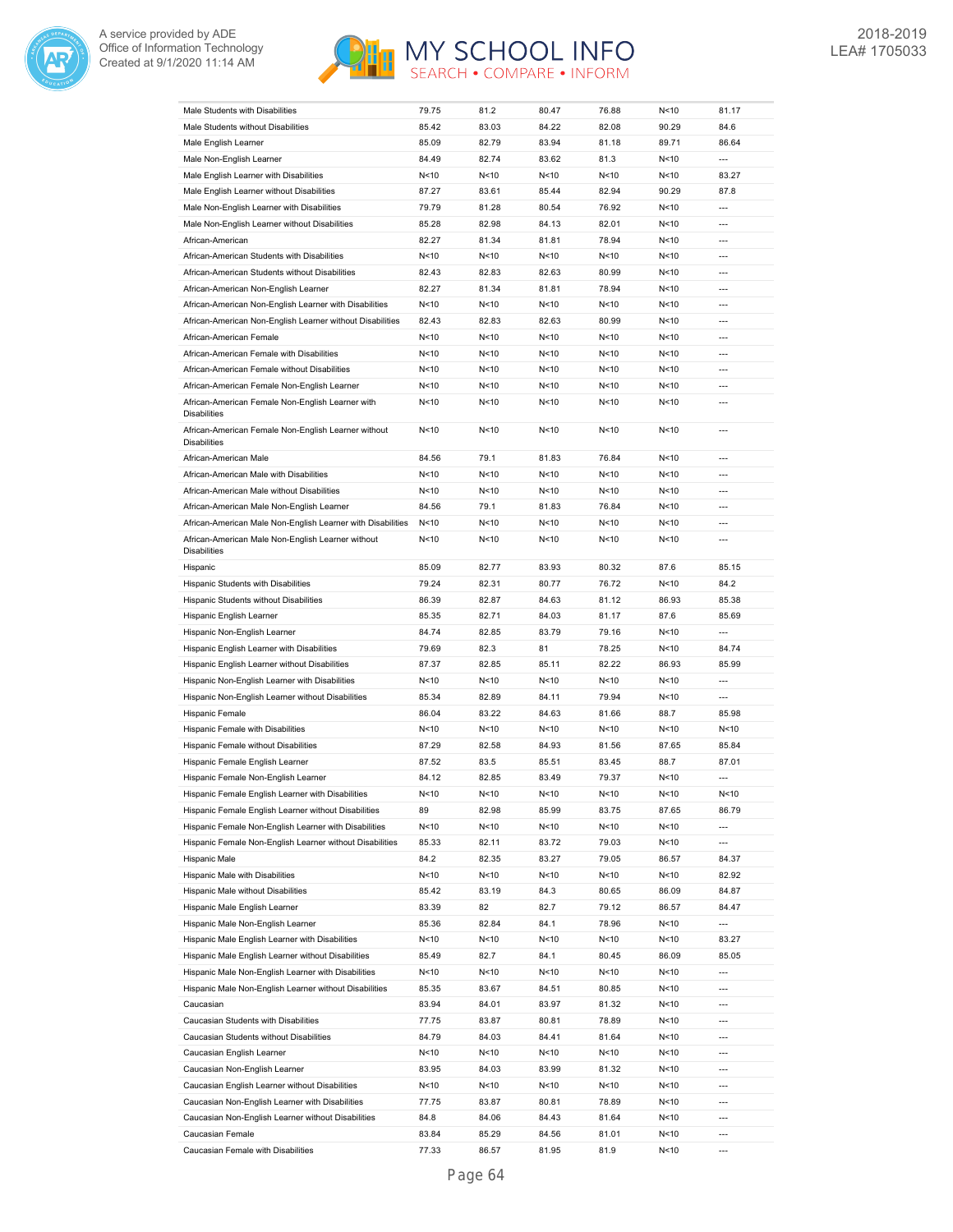



| Male Students with Disabilities                                            | 79.75           | 81.2   | 80.47  | 76.88           | N < 10          | 81.17                    |
|----------------------------------------------------------------------------|-----------------|--------|--------|-----------------|-----------------|--------------------------|
| Male Students without Disabilities                                         | 85.42           | 83.03  | 84.22  | 82.08           | 90.29           | 84.6                     |
| Male English Learner                                                       | 85.09           | 82.79  | 83.94  | 81.18           | 89.71           | 86.64                    |
| Male Non-English Learner                                                   | 84.49           | 82.74  | 83.62  | 81.3            | N < 10          | $\overline{\phantom{a}}$ |
| Male English Learner with Disabilities                                     | N < 10          | N<10   | N<10   | N <sub>10</sub> | N<10            | 83.27                    |
| Male English Learner without Disabilities                                  | 87.27           | 83.61  | 85.44  | 82.94           | 90.29           | 87.8                     |
|                                                                            |                 |        |        |                 |                 | $\overline{a}$           |
| Male Non-English Learner with Disabilities                                 | 79.79           | 81.28  | 80.54  | 76.92           | N < 10          |                          |
| Male Non-English Learner without Disabilities                              | 85.28           | 82.98  | 84.13  | 82.01           | N < 10          | ---                      |
| African-American                                                           | 82.27           | 81.34  | 81.81  | 78.94           | N<10            | $---$                    |
| African-American Students with Disabilities                                | N < 10          | N < 10 | N<10   | N<10            | N < 10          | ---                      |
| African-American Students without Disabilities                             | 82.43           | 82.83  | 82.63  | 80.99           | N<10            | $\overline{a}$           |
| African-American Non-English Learner                                       | 82.27           | 81.34  | 81.81  | 78.94           | N<10            | $\overline{a}$           |
| African-American Non-English Learner with Disabilities                     | N<10            | N<10   | N<10   | N<10            | N<10            | $\overline{a}$           |
| African-American Non-English Learner without Disabilities                  | 82.43           | 82.83  | 82.63  | 80.99           | N<10            | $\overline{a}$           |
| African-American Female                                                    | N<10            | N<10   | N<10   | N<10            | N<10            | ---                      |
| African-American Female with Disabilities                                  | N < 10          | N<10   | N<10   | N<10            | N < 10          | ---                      |
| African-American Female without Disabilities                               | N<10            | N < 10 | N<10   | N<10            | N<10            | $\overline{\phantom{a}}$ |
| African-American Female Non-English Learner                                | N<10            | N<10   | N<10   | N<10            | N<10            | ---                      |
| African-American Female Non-English Learner with                           | N<10            | N<10   | N < 10 | N<10            | N<10            | $\overline{a}$           |
| <b>Disabilities</b>                                                        |                 |        |        |                 |                 |                          |
| African-American Female Non-English Learner without<br><b>Disabilities</b> | N<10            | N<10   | N<10   | N<10            | N<10            | ---                      |
| African-American Male                                                      | 84.56           | 79.1   | 81.83  | 76.84           | N<10            | ---                      |
| African-American Male with Disabilities                                    | N < 10          | N<10   | N<10   | N<10            | N < 10          | ---                      |
| African-American Male without Disabilities                                 | N<10            | N<10   | N<10   | N<10            | N<10            | $\overline{\phantom{a}}$ |
| African-American Male Non-English Learner                                  | 84.56           | 79.1   | 81.83  | 76.84           | N<10            | ---                      |
| African-American Male Non-English Learner with Disabilities                | N<10            | N<10   | N<10   | N<10            | N<10            | ---                      |
| African-American Male Non-English Learner without<br><b>Disabilities</b>   | N<10            | N<10   | N<10   | N <sub>10</sub> | N < 10          | $\overline{a}$           |
| Hispanic                                                                   | 85.09           | 82.77  | 83.93  | 80.32           | 87.6            | 85.15                    |
| Hispanic Students with Disabilities                                        | 79.24           | 82.31  | 80.77  | 76.72           | N<10            | 84.2                     |
| Hispanic Students without Disabilities                                     | 86.39           | 82.87  | 84.63  | 81.12           | 86.93           | 85.38                    |
| Hispanic English Learner                                                   | 85.35           | 82.71  | 84.03  | 81.17           | 87.6            | 85.69                    |
|                                                                            |                 |        |        |                 |                 |                          |
| Hispanic Non-English Learner                                               | 84.74           | 82.85  | 83.79  | 79.16           | N<10            | $\overline{a}$           |
| Hispanic English Learner with Disabilities                                 | 79.69           | 82.3   | 81     | 78.25           | N < 10          | 84.74                    |
| Hispanic English Learner without Disabilities                              | 87.37           | 82.85  | 85.11  | 82.22           | 86.93           | 85.99                    |
| Hispanic Non-English Learner with Disabilities                             | N<10            | N<10   | N<10   | N<10            | N < 10          | ---                      |
| Hispanic Non-English Learner without Disabilities                          | 85.34           | 82.89  | 84.11  | 79.94           | N<10            | ---                      |
| Hispanic Female                                                            | 86.04           | 83.22  | 84.63  | 81.66           | 88.7            | 85.98                    |
| Hispanic Female with Disabilities                                          | N<10            | N<10   | N<10   | N<10            | N<10            | N < 10                   |
| Hispanic Female without Disabilities                                       | 87.29           | 82.58  | 84.93  | 81.56           | 87.65           | 85.84                    |
| Hispanic Female English Learner                                            | 87.52           | 83.5   | 85.51  | 83.45           | 88.7            | 87.01                    |
| Hispanic Female Non-English Learner                                        | 84.12           | 82.85  | 83.49  | 79.37           | N<10            | ---                      |
| Hispanic Female English Learner with Disabilities                          | N<10            | N<10   | N<10   | N<10            | N < 10          | N<10                     |
| Hispanic Female English Learner without Disabilities                       | 89              | 82.98  | 85.99  | 83.75           | 87.65           | 86.79                    |
| Hispanic Female Non-English Learner with Disabilities                      | N<10            | N < 10 | N < 10 | N <sub>10</sub> | N <sub>10</sub> | ---                      |
| Hispanic Female Non-English Learner without Disabilities                   | 85.33           | 82.11  | 83.72  | 79.03           | N <sub>10</sub> | ---                      |
| Hispanic Male                                                              | 84.2            | 82.35  | 83.27  | 79.05           | 86.57           | 84.37                    |
| Hispanic Male with Disabilities                                            | N <sub>10</sub> | N<10   | N < 10 | N<10            | N<10            | 82.92                    |
| Hispanic Male without Disabilities                                         | 85.42           | 83.19  | 84.3   | 80.65           | 86.09           | 84.87                    |
|                                                                            |                 |        |        |                 |                 |                          |
| Hispanic Male English Learner                                              | 83.39           | 82     | 82.7   | 79.12           | 86.57           | 84.47                    |
| Hispanic Male Non-English Learner                                          | 85.36           | 82.84  | 84.1   | 78.96           | N<10            | ---                      |
| Hispanic Male English Learner with Disabilities                            | N<10            | N<10   | N < 10 | N<10            | N<10            | 83.27                    |
| Hispanic Male English Learner without Disabilities                         | 85.49           | 82.7   | 84.1   | 80.45           | 86.09           | 85.05                    |
| Hispanic Male Non-English Learner with Disabilities                        | N <sub>10</sub> | N<10   | N<10   | N<10            | N<10            | ---                      |
| Hispanic Male Non-English Learner without Disabilities                     | 85.35           | 83.67  | 84.51  | 80.85           | N <sub>10</sub> | $\overline{a}$           |
| Caucasian                                                                  | 83.94           | 84.01  | 83.97  | 81.32           | N <sub>10</sub> | $\overline{\phantom{a}}$ |
| Caucasian Students with Disabilities                                       | 77.75           | 83.87  | 80.81  | 78.89           | N <sub>10</sub> | ---                      |
| Caucasian Students without Disabilities                                    | 84.79           | 84.03  | 84.41  | 81.64           | N <sub>10</sub> | ---                      |
| Caucasian English Learner                                                  | N<10            | N<10   | N < 10 | N <sub>10</sub> | N <sub>10</sub> | ---                      |
| Caucasian Non-English Learner                                              | 83.95           | 84.03  | 83.99  | 81.32           | N <sub>10</sub> | $\overline{\phantom{a}}$ |
| Caucasian English Learner without Disabilities                             | N<10            | N<10   | N < 10 | N<10            | N <sub>10</sub> | ---                      |
| Caucasian Non-English Learner with Disabilities                            | 77.75           | 83.87  | 80.81  | 78.89           | N <sub>10</sub> | ---                      |
| Caucasian Non-English Learner without Disabilities                         | 84.8            | 84.06  | 84.43  | 81.64           | N <sub>10</sub> | ---                      |
| Caucasian Female                                                           | 83.84           | 85.29  | 84.56  | 81.01           | N <sub>10</sub> | ---                      |
| Caucasian Female with Disabilities                                         | 77.33           | 86.57  | 81.95  | 81.9            | N <sub>10</sub> | $\overline{a}$           |